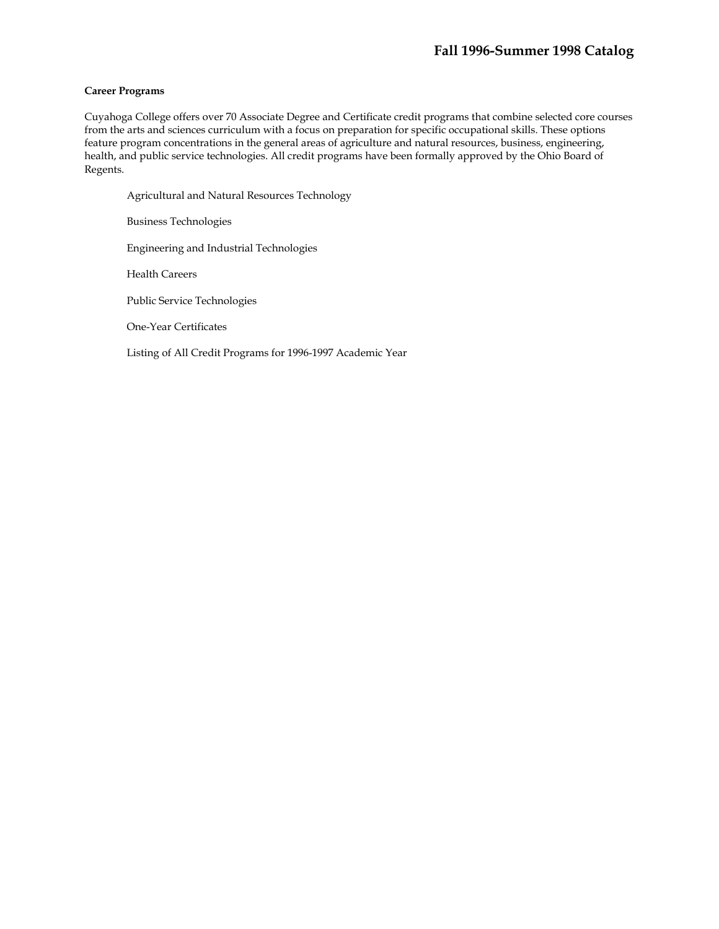## **Career Programs**

Cuyahoga College offers over 70 Associate Degree and Certificate credit programs that combine selected core courses from the arts and sciences curriculum with a focus on preparation for specific occupational skills. These options feature program concentrations in the general areas of agriculture and natural resources, business, engineering, health, and public service technologies. All credit programs have been formally approved by the Ohio Board of Regents.

Agricultural and Natural Resources Technology Business Technologies Engineering and Industrial Technologies Health Careers Public Service Technologies One-Year Certificates Listing of All Credit Programs for 1996-1997 Academic Year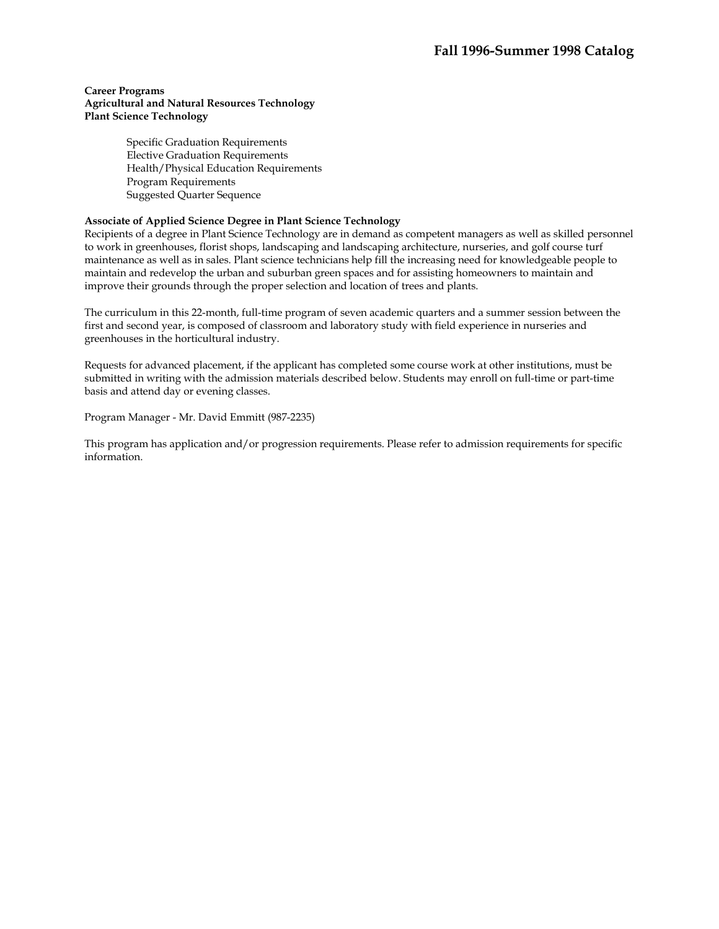Specific Graduation Requirements Elective Graduation Requirements Health/Physical Education Requirements Program Requirements Suggested Quarter Sequence

## **Associate of Applied Science Degree in Plant Science Technology**

Recipients of a degree in Plant Science Technology are in demand as competent managers as well as skilled personnel to work in greenhouses, florist shops, landscaping and landscaping architecture, nurseries, and golf course turf maintenance as well as in sales. Plant science technicians help fill the increasing need for knowledgeable people to maintain and redevelop the urban and suburban green spaces and for assisting homeowners to maintain and improve their grounds through the proper selection and location of trees and plants.

The curriculum in this 22-month, full-time program of seven academic quarters and a summer session between the first and second year, is composed of classroom and laboratory study with field experience in nurseries and greenhouses in the horticultural industry.

Requests for advanced placement, if the applicant has completed some course work at other institutions, must be submitted in writing with the admission materials described below. Students may enroll on full-time or part-time basis and attend day or evening classes.

Program Manager - Mr. David Emmitt (987-2235)

This program has application and/or progression requirements. Please refer to admission requirements for specific information.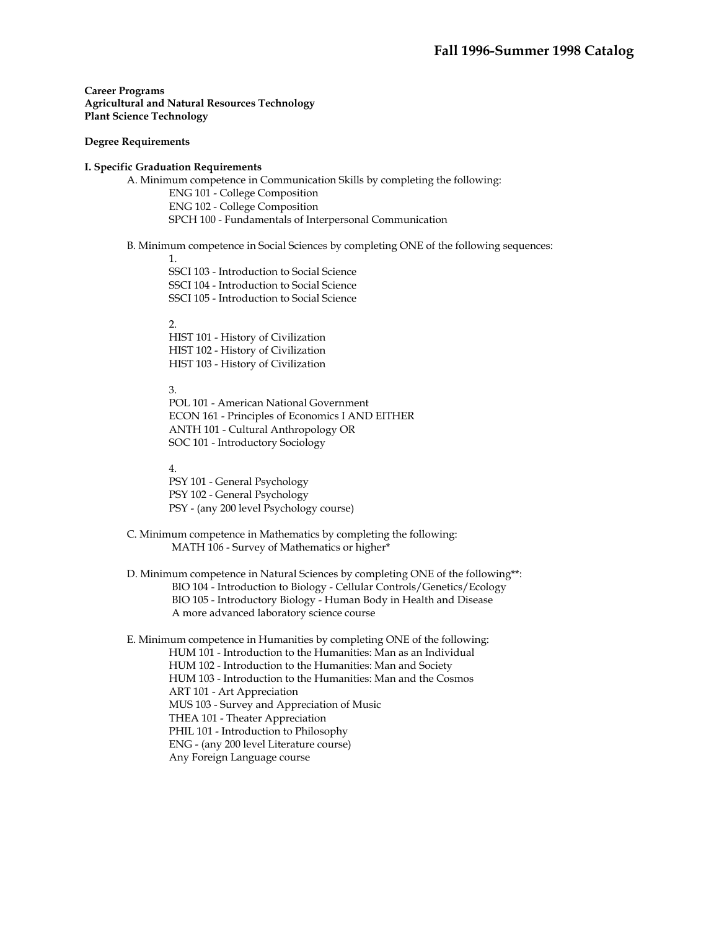## **Degree Requirements**

## **I. Specific Graduation Requirements**

A. Minimum competence in Communication Skills by completing the following: ENG 101 - College Composition ENG 102 - College Composition SPCH 100 - Fundamentals of Interpersonal Communication

## B. Minimum competence in Social Sciences by completing ONE of the following sequences:

1.

SSCI 103 - Introduction to Social Science SSCI 104 - Introduction to Social Science

SSCI 105 - Introduction to Social Science

2.

HIST 101 - History of Civilization HIST 102 - History of Civilization HIST 103 - History of Civilization

#### 3.

 POL 101 - American National Government ECON 161 - Principles of Economics I AND EITHER ANTH 101 - Cultural Anthropology OR SOC 101 - Introductory Sociology

4.

PSY 101 - General Psychology PSY 102 - General Psychology PSY - (any 200 level Psychology course)

- C. Minimum competence in Mathematics by completing the following: MATH 106 - Survey of Mathematics or higher\*
- D. Minimum competence in Natural Sciences by completing ONE of the following\*\*: BIO 104 - Introduction to Biology - Cellular Controls/Genetics/Ecology BIO 105 - Introductory Biology - Human Body in Health and Disease A more advanced laboratory science course

E. Minimum competence in Humanities by completing ONE of the following: HUM 101 - Introduction to the Humanities: Man as an Individual HUM 102 - Introduction to the Humanities: Man and Society HUM 103 - Introduction to the Humanities: Man and the Cosmos ART 101 - Art Appreciation MUS 103 - Survey and Appreciation of Music THEA 101 - Theater Appreciation PHIL 101 - Introduction to Philosophy ENG - (any 200 level Literature course) Any Foreign Language course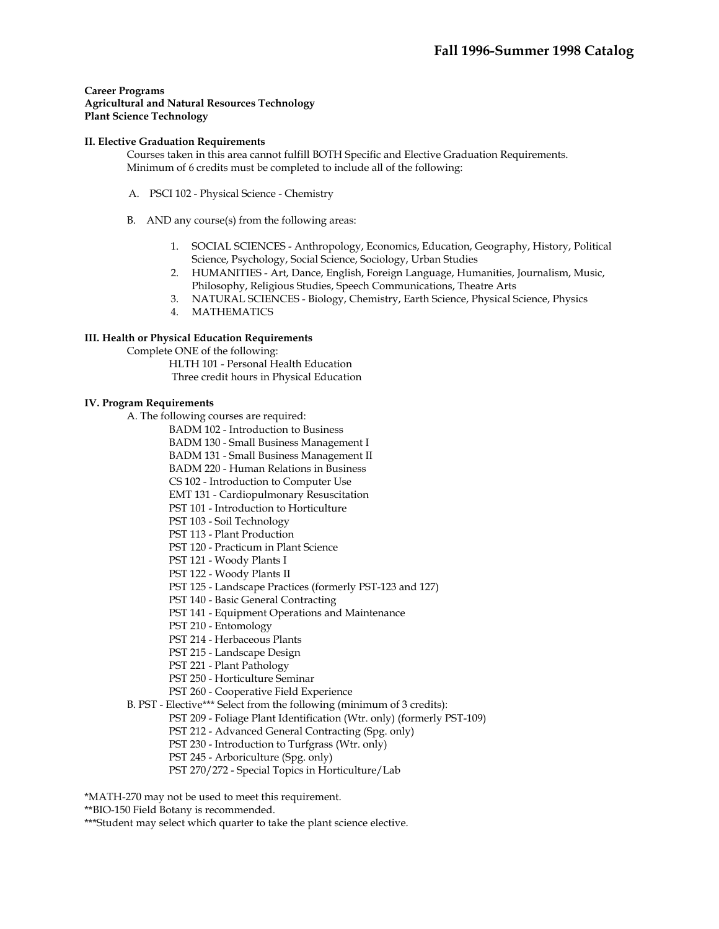#### **II. Elective Graduation Requirements**

Courses taken in this area cannot fulfill BOTH Specific and Elective Graduation Requirements. Minimum of 6 credits must be completed to include all of the following:

- A. PSCI 102 Physical Science Chemistry
- B. AND any course(s) from the following areas:
	- 1. SOCIAL SCIENCES Anthropology, Economics, Education, Geography, History, Political Science, Psychology, Social Science, Sociology, Urban Studies
	- 2. HUMANITIES Art, Dance, English, Foreign Language, Humanities, Journalism, Music, Philosophy, Religious Studies, Speech Communications, Theatre Arts
	- 3. NATURAL SCIENCES Biology, Chemistry, Earth Science, Physical Science, Physics
	- 4. MATHEMATICS

## **III. Health or Physical Education Requirements**

Complete ONE of the following:

HLTH 101 - Personal Health Education Three credit hours in Physical Education

### **IV. Program Requirements**

A. The following courses are required:

BADM 102 - Introduction to Business

BADM 130 - Small Business Management I

BADM 131 - Small Business Management II

BADM 220 - Human Relations in Business

CS 102 - Introduction to Computer Use

EMT 131 - Cardiopulmonary Resuscitation

PST 101 - Introduction to Horticulture

PST 103 - Soil Technology

- PST 113 Plant Production
- PST 120 Practicum in Plant Science
- PST 121 Woody Plants I
- PST 122 Woody Plants II
- PST 125 Landscape Practices (formerly PST-123 and 127)

PST 140 - Basic General Contracting

- PST 141 Equipment Operations and Maintenance
- PST 210 Entomology
- PST 214 Herbaceous Plants
- PST 215 Landscape Design
- PST 221 Plant Pathology
- PST 250 Horticulture Seminar
- PST 260 Cooperative Field Experience
- B. PST Elective\*\*\* Select from the following (minimum of 3 credits):
	- PST 209 Foliage Plant Identification (Wtr. only) (formerly PST-109)
	- PST 212 Advanced General Contracting (Spg. only)
	- PST 230 Introduction to Turfgrass (Wtr. only)
	- PST 245 Arboriculture (Spg. only)
	- PST 270/272 Special Topics in Horticulture/Lab

\*MATH-270 may not be used to meet this requirement.

\*\*BIO-150 Field Botany is recommended.

\*\*\*Student may select which quarter to take the plant science elective.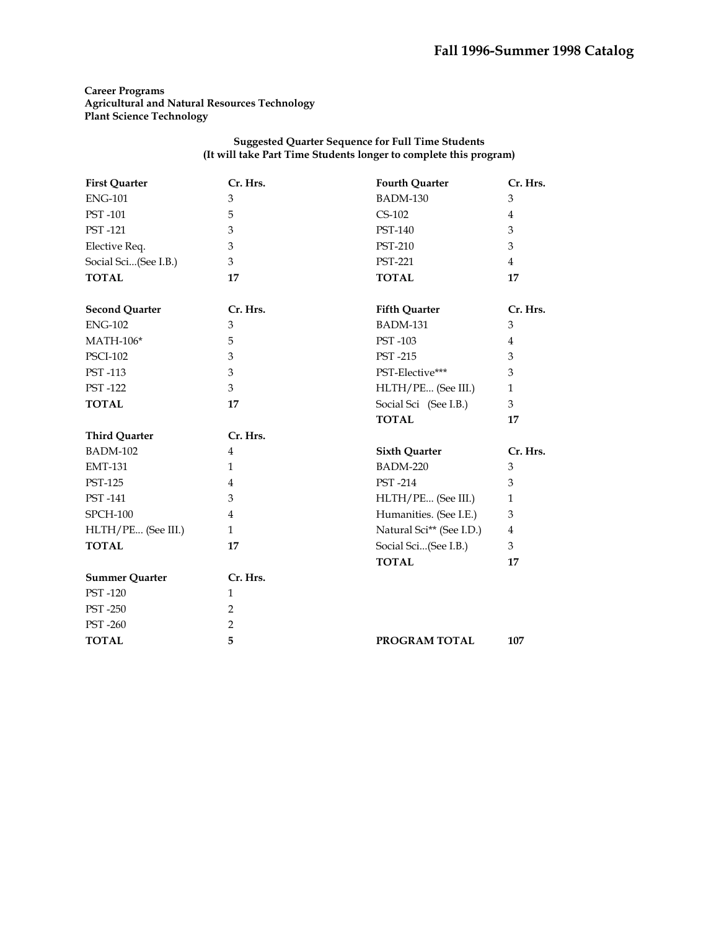### **Suggested Quarter Sequence for Full Time Students (It will take Part Time Students longer to complete this program)**

| <b>First Quarter</b>  | Cr. Hrs.       | <b>Fourth Quarter</b>    | Cr. Hrs.       |
|-----------------------|----------------|--------------------------|----------------|
| <b>ENG-101</b>        | 3              | BADM-130                 | 3              |
| PST-101               | 5              | $CS-102$                 | $\overline{4}$ |
| PST-121               | 3              | PST-140                  | 3              |
| Elective Req.         | 3              | <b>PST-210</b>           | 3              |
| Social Sci(See I.B.)  | 3              | <b>PST-221</b>           | $\overline{4}$ |
| <b>TOTAL</b>          | 17             | <b>TOTAL</b>             | 17             |
| <b>Second Quarter</b> | Cr. Hrs.       | <b>Fifth Quarter</b>     | Cr. Hrs.       |
| <b>ENG-102</b>        | 3              | <b>BADM-131</b>          | 3              |
| <b>MATH-106*</b>      | 5              | PST-103                  | $\overline{4}$ |
| <b>PSCI-102</b>       | 3              | <b>PST-215</b>           | 3              |
| PST-113               | 3              | PST-Elective***          | 3              |
| <b>PST-122</b>        | 3              | HLTH/PE (See III.)       | $\mathbf{1}$   |
| <b>TOTAL</b>          | 17             | Social Sci (See I.B.)    | 3              |
|                       |                | <b>TOTAL</b>             | 17             |
| <b>Third Quarter</b>  | Cr. Hrs.       |                          |                |
|                       |                |                          |                |
| <b>BADM-102</b>       | $\overline{4}$ | <b>Sixth Quarter</b>     | Cr. Hrs.       |
| <b>EMT-131</b>        | $\mathbf{1}$   | <b>BADM-220</b>          | 3              |
| <b>PST-125</b>        | 4              | <b>PST-214</b>           | 3              |
| PST-141               | 3              | HLTH/PE (See III.)       | $\mathbf{1}$   |
| <b>SPCH-100</b>       | $\overline{4}$ | Humanities. (See I.E.)   | 3              |
| HLTH/PE (See III.)    | $\mathbf{1}$   | Natural Sci** (See I.D.) | $\overline{4}$ |
| <b>TOTAL</b>          | 17             | Social Sci(See I.B.)     | 3              |
|                       |                | <b>TOTAL</b>             | 17             |
| <b>Summer Quarter</b> | Cr. Hrs.       |                          |                |
| PST-120               | $\mathbf{1}$   |                          |                |
| <b>PST-250</b>        | $\overline{2}$ |                          |                |
| <b>PST-260</b>        | 2              |                          |                |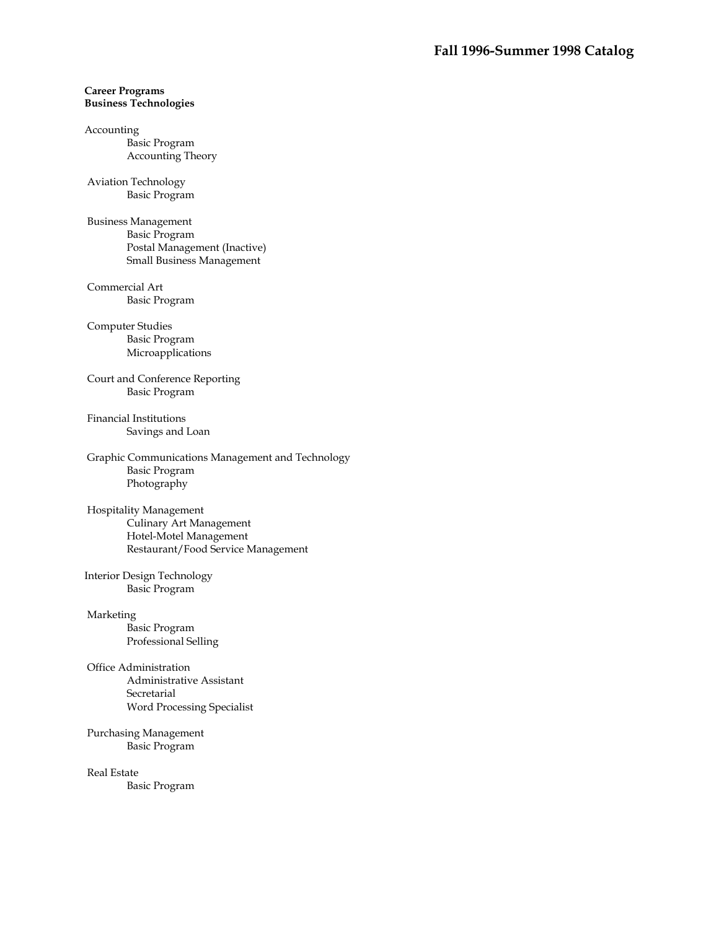## **Career Programs Business Technologies**

#### Accounting

Basic Program Accounting Theory

### Aviation Technology Basic Program

 Business Management Basic Program Postal Management (Inactive) Small Business Management

## Commercial Art Basic Program

 Computer Studies Basic Program Microapplications

 Court and Conference Reporting Basic Program

 Financial Institutions Savings and Loan

 Graphic Communications Management and Technology Basic Program Photography

## Hospitality Management Culinary Art Management Hotel-Motel Management Restaurant/Food Service Management

Interior Design Technology Basic Program

# Marketing Basic Program

Professional Selling

# Office Administration Administrative Assistant

Secretarial Word Processing Specialist

## Purchasing Management Basic Program

 Real Estate Basic Program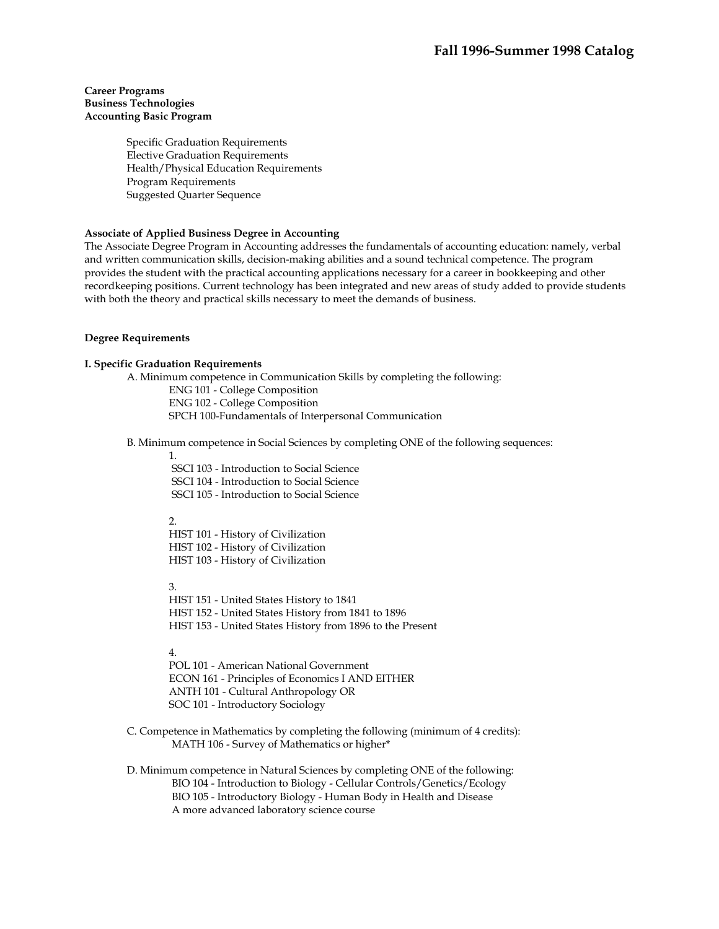## **Career Programs Business Technologies Accounting Basic Program**

Specific Graduation Requirements Elective Graduation Requirements Health/Physical Education Requirements Program Requirements Suggested Quarter Sequence

## **Associate of Applied Business Degree in Accounting**

The Associate Degree Program in Accounting addresses the fundamentals of accounting education: namely, verbal and written communication skills, decision-making abilities and a sound technical competence. The program provides the student with the practical accounting applications necessary for a career in bookkeeping and other recordkeeping positions. Current technology has been integrated and new areas of study added to provide students with both the theory and practical skills necessary to meet the demands of business.

#### **Degree Requirements**

## **I. Specific Graduation Requirements**

A. Minimum competence in Communication Skills by completing the following: ENG 101 - College Composition ENG 102 - College Composition SPCH 100-Fundamentals of Interpersonal Communication

B. Minimum competence in Social Sciences by completing ONE of the following sequences:

1.

 SSCI 103 - Introduction to Social Science SSCI 104 - Introduction to Social Science SSCI 105 - Introduction to Social Science

#### 2.

HIST 101 - History of Civilization HIST 102 - History of Civilization HIST 103 - History of Civilization

3.

HIST 151 - United States History to 1841 HIST 152 - United States History from 1841 to 1896 HIST 153 - United States History from 1896 to the Present

4.

POL 101 - American National Government ECON 161 - Principles of Economics I AND EITHER ANTH 101 - Cultural Anthropology OR SOC 101 - Introductory Sociology

C. Competence in Mathematics by completing the following (minimum of 4 credits): MATH 106 - Survey of Mathematics or higher\*

D. Minimum competence in Natural Sciences by completing ONE of the following: BIO 104 - Introduction to Biology - Cellular Controls/Genetics/Ecology BIO 105 - Introductory Biology - Human Body in Health and Disease A more advanced laboratory science course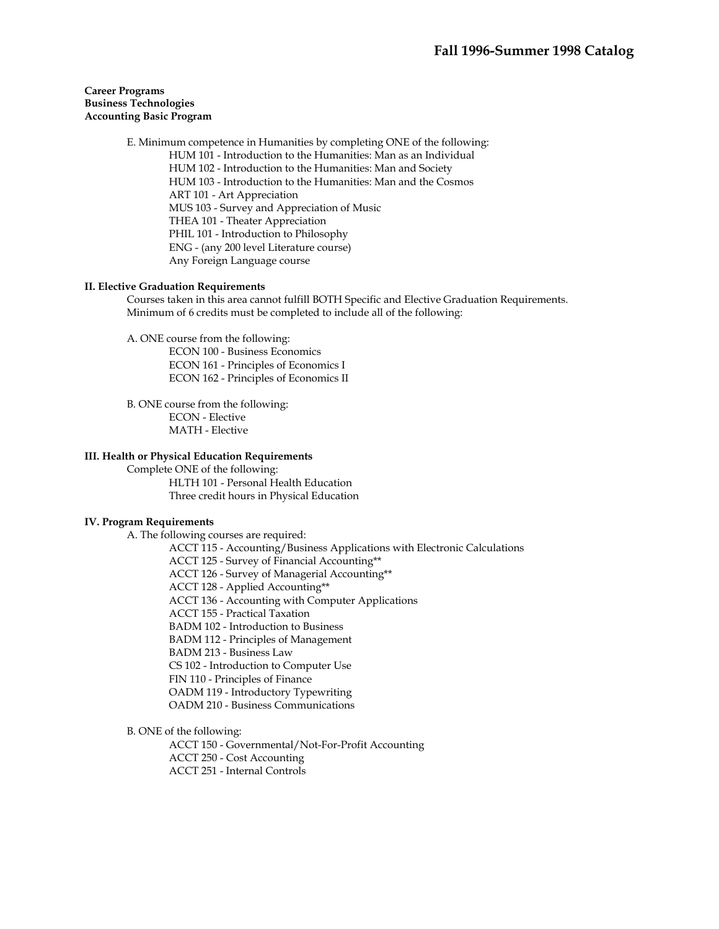## **Career Programs Business Technologies Accounting Basic Program**

E. Minimum competence in Humanities by completing ONE of the following: HUM 101 - Introduction to the Humanities: Man as an Individual HUM 102 - Introduction to the Humanities: Man and Society HUM 103 - Introduction to the Humanities: Man and the Cosmos ART 101 - Art Appreciation MUS 103 - Survey and Appreciation of Music THEA 101 - Theater Appreciation PHIL 101 - Introduction to Philosophy ENG - (any 200 level Literature course) Any Foreign Language course

### **II. Elective Graduation Requirements**

Courses taken in this area cannot fulfill BOTH Specific and Elective Graduation Requirements. Minimum of 6 credits must be completed to include all of the following:

A. ONE course from the following:

ECON 100 - Business Economics ECON 161 - Principles of Economics I ECON 162 - Principles of Economics II

B. ONE course from the following: ECON - Elective MATH - Elective

### **III. Health or Physical Education Requirements**

Complete ONE of the following: HLTH 101 - Personal Health Education Three credit hours in Physical Education

### **IV. Program Requirements**

A. The following courses are required:

ACCT 115 - Accounting/Business Applications with Electronic Calculations

ACCT 125 - Survey of Financial Accounting\*\*

ACCT 126 - Survey of Managerial Accounting\*\*

ACCT 128 - Applied Accounting\*\*

ACCT 136 - Accounting with Computer Applications

ACCT 155 - Practical Taxation

BADM 102 - Introduction to Business

BADM 112 - Principles of Management

BADM 213 - Business Law

CS 102 - Introduction to Computer Use

FIN 110 - Principles of Finance

OADM 119 - Introductory Typewriting

OADM 210 - Business Communications

B. ONE of the following:

ACCT 150 - Governmental/Not-For-Profit Accounting

ACCT 250 - Cost Accounting

ACCT 251 - Internal Controls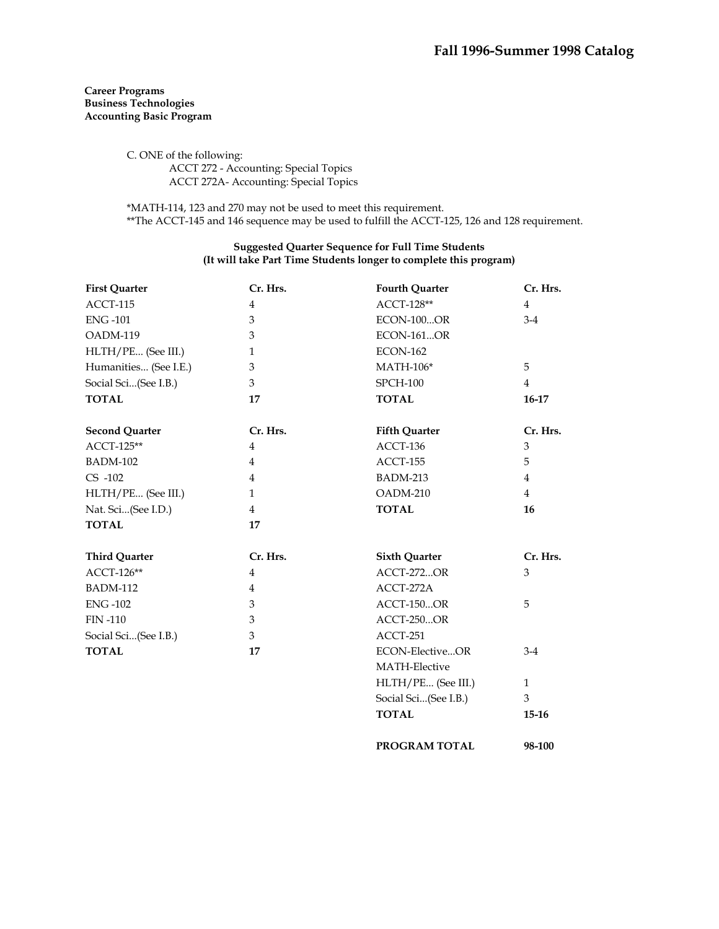## **Career Programs Business Technologies Accounting Basic Program**

C. ONE of the following: ACCT 272 - Accounting: Special Topics ACCT 272A- Accounting: Special Topics

\*MATH-114, 123 and 270 may not be used to meet this requirement. \*\*The ACCT-145 and 146 sequence may be used to fulfill the ACCT-125, 126 and 128 requirement.

## **Suggested Quarter Sequence for Full Time Students (It will take Part Time Students longer to complete this program)**

| <b>First Quarter</b>  | Cr. Hrs.       | <b>Fourth Quarter</b> | Cr. Hrs.       |
|-----------------------|----------------|-----------------------|----------------|
| ACCT-115              | $\overline{4}$ | ACCT-128**            | $\overline{4}$ |
| <b>ENG-101</b>        | 3              | <b>ECON-100OR</b>     | $3-4$          |
| OADM-119              | 3              | <b>ECON-161OR</b>     |                |
| HLTH/PE (See III.)    | $\mathbf{1}$   | <b>ECON-162</b>       |                |
| Humanities (See I.E.) | 3              | $MATH-106*$           | 5              |
| Social Sci(See I.B.)  | 3              | <b>SPCH-100</b>       | $\overline{4}$ |
| <b>TOTAL</b>          | 17             | <b>TOTAL</b>          | 16-17          |
| <b>Second Quarter</b> | Cr. Hrs.       | <b>Fifth Quarter</b>  | Cr. Hrs.       |
| ACCT-125**            | $\overline{4}$ | ACCT-136              | 3              |
| <b>BADM-102</b>       | $\overline{4}$ | ACCT-155              | 5              |
| CS -102               | $\overline{4}$ | <b>BADM-213</b>       | $\overline{4}$ |
| HLTH/PE (See III.)    | $\mathbf{1}$   | OADM-210              | $\overline{4}$ |
| Nat. Sci(See I.D.)    | $\overline{4}$ | <b>TOTAL</b>          | 16             |
| <b>TOTAL</b>          | 17             |                       |                |
| <b>Third Quarter</b>  | Cr. Hrs.       | <b>Sixth Quarter</b>  | Cr. Hrs.       |
| ACCT-126**            | $\overline{4}$ | <b>ACCT-272OR</b>     | 3              |
| <b>BADM-112</b>       | 4              | ACCT-272A             |                |
| <b>ENG-102</b>        | 3              | <b>ACCT-150OR</b>     | 5              |
| <b>FIN-110</b>        | 3              | <b>ACCT-250OR</b>     |                |
| Social Sci(See I.B.)  | 3              | ACCT-251              |                |
| <b>TOTAL</b>          | 17             | ECON-ElectiveOR       | $3-4$          |
|                       |                | MATH-Elective         |                |
|                       |                | HLTH/PE (See III.)    | $\mathbf{1}$   |
|                       |                | Social Sci(See I.B.)  | 3              |
|                       |                | <b>TOTAL</b>          | $15 - 16$      |
|                       |                |                       |                |

**PROGRAM TOTAL 98-100**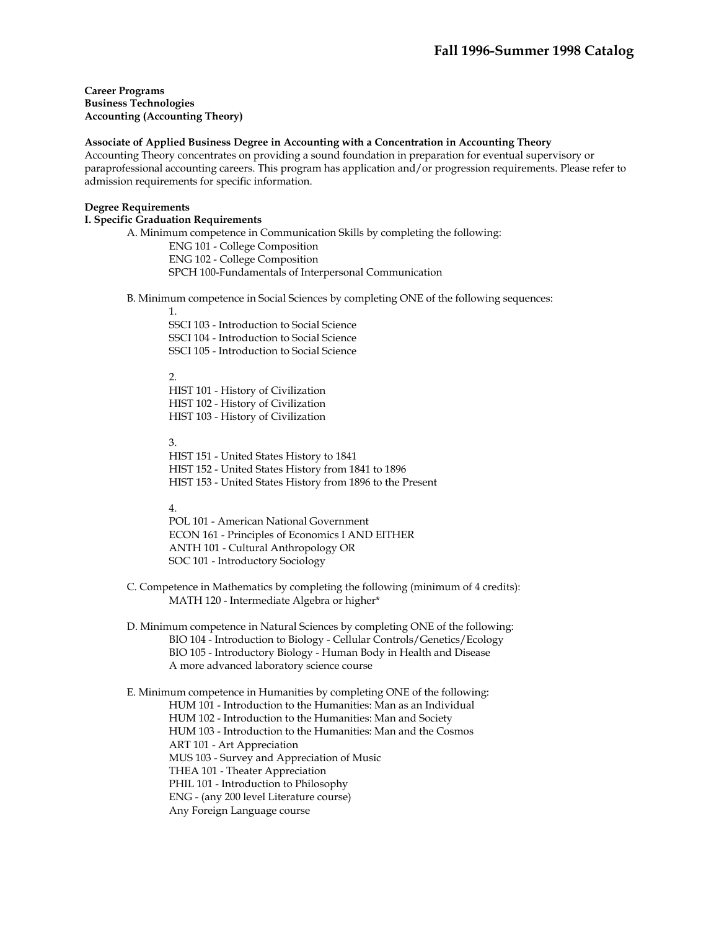**Career Programs Business Technologies Accounting (Accounting Theory)** 

## **Associate of Applied Business Degree in Accounting with a Concentration in Accounting Theory**

Accounting Theory concentrates on providing a sound foundation in preparation for eventual supervisory or paraprofessional accounting careers. This program has application and/or progression requirements. Please refer to admission requirements for specific information.

### **Degree Requirements**

**I. Specific Graduation Requirements** 

A. Minimum competence in Communication Skills by completing the following:

ENG 101 - College Composition ENG 102 - College Composition SPCH 100-Fundamentals of Interpersonal Communication

B. Minimum competence in Social Sciences by completing ONE of the following sequences:

1.

 SSCI 103 - Introduction to Social Science SSCI 104 - Introduction to Social Science SSCI 105 - Introduction to Social Science

## $\mathcal{D}_{\alpha}$

 HIST 101 - History of Civilization HIST 102 - History of Civilization HIST 103 - History of Civilization

3.

 HIST 151 - United States History to 1841 HIST 152 - United States History from 1841 to 1896 HIST 153 - United States History from 1896 to the Present

## 4.

 POL 101 - American National Government ECON 161 - Principles of Economics I AND EITHER ANTH 101 - Cultural Anthropology OR SOC 101 - Introductory Sociology

C. Competence in Mathematics by completing the following (minimum of 4 credits): MATH 120 - Intermediate Algebra or higher\*

D. Minimum competence in Natural Sciences by completing ONE of the following: BIO 104 - Introduction to Biology - Cellular Controls/Genetics/Ecology BIO 105 - Introductory Biology - Human Body in Health and Disease A more advanced laboratory science course

E. Minimum competence in Humanities by completing ONE of the following: HUM 101 - Introduction to the Humanities: Man as an Individual HUM 102 - Introduction to the Humanities: Man and Society HUM 103 - Introduction to the Humanities: Man and the Cosmos ART 101 - Art Appreciation MUS 103 - Survey and Appreciation of Music THEA 101 - Theater Appreciation PHIL 101 - Introduction to Philosophy ENG - (any 200 level Literature course) Any Foreign Language course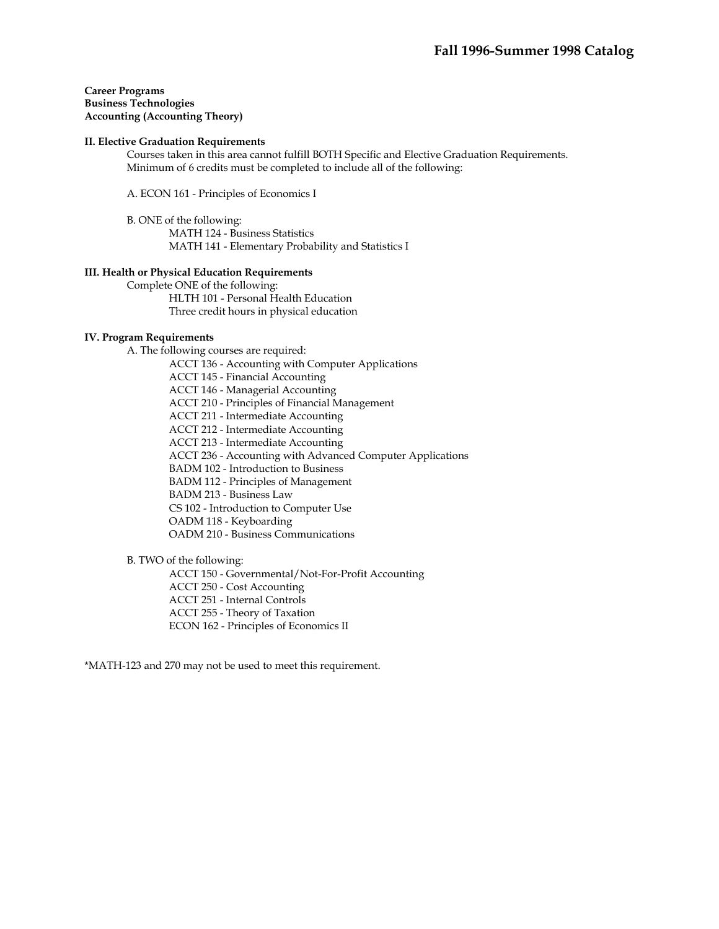## **Career Programs Business Technologies Accounting (Accounting Theory)**

### **II. Elective Graduation Requirements**

 Courses taken in this area cannot fulfill BOTH Specific and Elective Graduation Requirements. Minimum of 6 credits must be completed to include all of the following:

A. ECON 161 - Principles of Economics I

 B. ONE of the following: MATH 124 - Business Statistics MATH 141 - Elementary Probability and Statistics I

### **III. Health or Physical Education Requirements**

 Complete ONE of the following: HLTH 101 - Personal Health Education Three credit hours in physical education

### **IV. Program Requirements**

A. The following courses are required:

ACCT 136 - Accounting with Computer Applications

ACCT 145 - Financial Accounting

ACCT 146 - Managerial Accounting

ACCT 210 - Principles of Financial Management

ACCT 211 - Intermediate Accounting

ACCT 212 - Intermediate Accounting

ACCT 213 - Intermediate Accounting

ACCT 236 - Accounting with Advanced Computer Applications

BADM 102 - Introduction to Business

BADM 112 - Principles of Management

BADM 213 - Business Law

CS 102 - Introduction to Computer Use

OADM 118 - Keyboarding

OADM 210 - Business Communications

## B. TWO of the following:

ACCT 150 - Governmental/Not-For-Profit Accounting

ACCT 250 - Cost Accounting

ACCT 251 - Internal Controls

ACCT 255 - Theory of Taxation

ECON 162 - Principles of Economics II

\*MATH-123 and 270 may not be used to meet this requirement.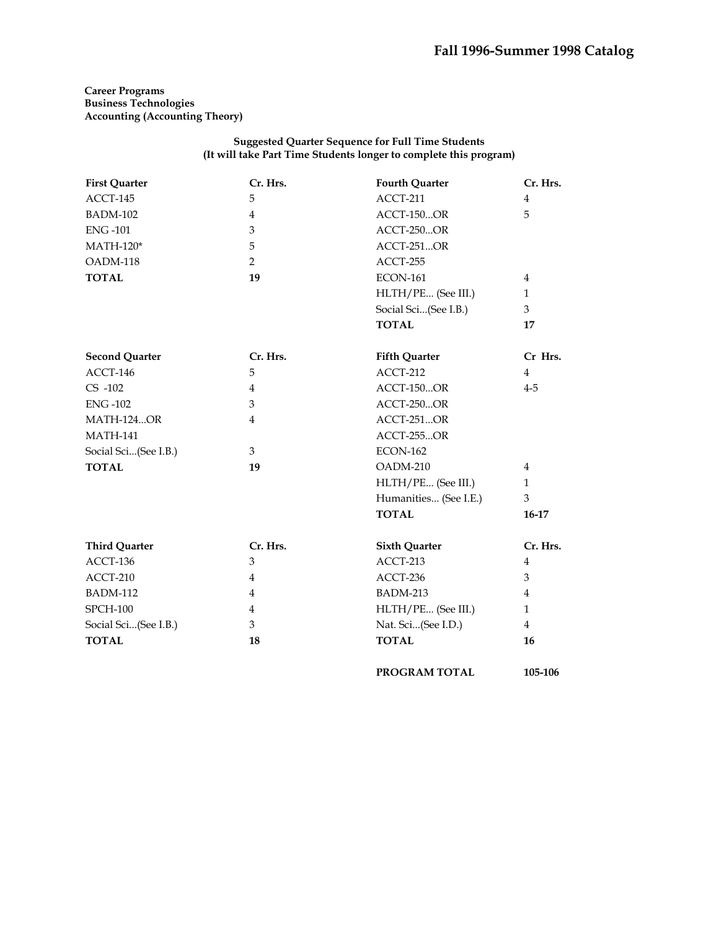**Career Programs Business Technologies Accounting (Accounting Theory)** 

### **Suggested Quarter Sequence for Full Time Students (It will take Part Time Students longer to complete this program)**

| <b>First Quarter</b>  | Cr. Hrs.       | <b>Fourth Quarter</b> | Cr. Hrs.       |
|-----------------------|----------------|-----------------------|----------------|
| ACCT-145              | 5              | ACCT-211              | $\overline{4}$ |
| <b>BADM-102</b>       | $\overline{4}$ | <b>ACCT-150OR</b>     | 5              |
| <b>ENG-101</b>        | 3              | ACCT-250OR            |                |
| $MATH-120*$           | 5              | ACCT-251OR            |                |
| OADM-118              | $\overline{2}$ | ACCT-255              |                |
| <b>TOTAL</b>          | 19             | <b>ECON-161</b>       | $\overline{4}$ |
|                       |                | HLTH/PE (See III.)    | $\mathbf{1}$   |
|                       |                | Social Sci(See I.B.)  | $\overline{3}$ |
|                       |                | <b>TOTAL</b>          | 17             |
| <b>Second Quarter</b> | Cr. Hrs.       | <b>Fifth Quarter</b>  | Cr Hrs.        |
| ACCT-146              | 5              | ACCT-212              | $\overline{4}$ |
| CS -102               | $\overline{4}$ | <b>ACCT-150OR</b>     | $4 - 5$        |
| <b>ENG-102</b>        | 3              | ACCT-250OR            |                |
| <b>MATH-124OR</b>     | $\overline{4}$ | ACCT-251OR            |                |
| <b>MATH-141</b>       |                | <b>ACCT-255OR</b>     |                |
| Social Sci(See I.B.)  | 3              | <b>ECON-162</b>       |                |
| <b>TOTAL</b>          | 19             | OADM-210              | $\overline{4}$ |
|                       |                | HLTH/PE (See III.)    | $\mathbf{1}$   |
|                       |                | Humanities (See I.E.) | 3              |
|                       |                | <b>TOTAL</b>          | $16-17$        |
| <b>Third Quarter</b>  | Cr. Hrs.       | <b>Sixth Quarter</b>  | Cr. Hrs.       |
| ACCT-136              | 3              | ACCT-213              | $\overline{4}$ |
| ACCT-210              | $\overline{4}$ | ACCT-236              | 3              |
| <b>BADM-112</b>       | $\overline{4}$ | BADM-213              | $\overline{4}$ |
| <b>SPCH-100</b>       | $\overline{4}$ | HLTH/PE (See III.)    | $\mathbf{1}$   |
| Social Sci(See I.B.)  | 3              | Nat. Sci(See I.D.)    | $\overline{4}$ |
| <b>TOTAL</b>          | 18             | <b>TOTAL</b>          | 16             |

**PROGRAM TOTAL 105-106**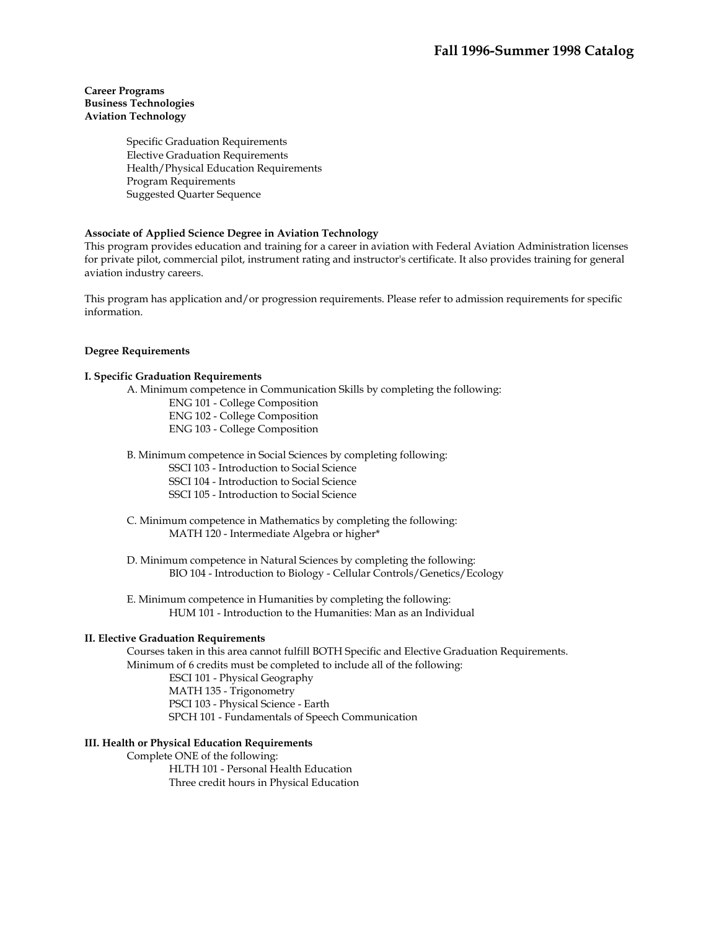## **Career Programs Business Technologies Aviation Technology**

 Specific Graduation Requirements Elective Graduation Requirements Health/Physical Education Requirements Program Requirements Suggested Quarter Sequence

## **Associate of Applied Science Degree in Aviation Technology**

This program provides education and training for a career in aviation with Federal Aviation Administration licenses for private pilot, commercial pilot, instrument rating and instructor's certificate. It also provides training for general aviation industry careers.

This program has application and/or progression requirements. Please refer to admission requirements for specific information.

## **Degree Requirements**

## **I. Specific Graduation Requirements**

A. Minimum competence in Communication Skills by completing the following:

- ENG 101 College Composition ENG 102 - College Composition
- ENG 103 College Composition
- B. Minimum competence in Social Sciences by completing following:
	- SSCI 103 Introduction to Social Science
	- SSCI 104 Introduction to Social Science
	- SSCI 105 Introduction to Social Science
- C. Minimum competence in Mathematics by completing the following: MATH 120 - Intermediate Algebra or higher\*

 D. Minimum competence in Natural Sciences by completing the following: BIO 104 - Introduction to Biology - Cellular Controls/Genetics/Ecology

 E. Minimum competence in Humanities by completing the following: HUM 101 - Introduction to the Humanities: Man as an Individual

#### **II. Elective Graduation Requirements**

 Courses taken in this area cannot fulfill BOTH Specific and Elective Graduation Requirements. Minimum of 6 credits must be completed to include all of the following:

 ESCI 101 - Physical Geography MATH 135 - Trigonometry PSCI 103 - Physical Science - Earth SPCH 101 - Fundamentals of Speech Communication

## **III. Health or Physical Education Requirements**

 Complete ONE of the following: HLTH 101 - Personal Health Education Three credit hours in Physical Education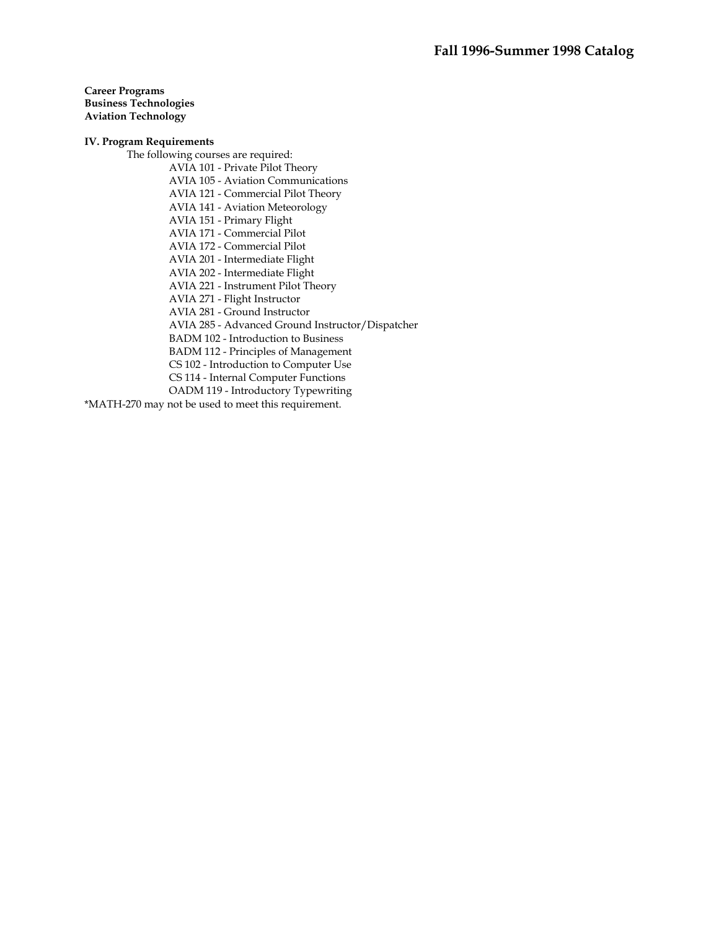**Career Programs Business Technologies Aviation Technology** 

## **IV. Program Requirements**

 The following courses are required: AVIA 101 - Private Pilot Theory AVIA 105 - Aviation Communications AVIA 121 - Commercial Pilot Theory AVIA 141 - Aviation Meteorology AVIA 151 - Primary Flight AVIA 171 - Commercial Pilot AVIA 172 - Commercial Pilot AVIA 201 - Intermediate Flight AVIA 202 - Intermediate Flight AVIA 221 - Instrument Pilot Theory AVIA 271 - Flight Instructor AVIA 281 - Ground Instructor AVIA 285 - Advanced Ground Instructor/Dispatcher BADM 102 - Introduction to Business BADM 112 - Principles of Management CS 102 - Introduction to Computer Use CS 114 - Internal Computer Functions OADM 119 - Introductory Typewriting \*MATH-270 may not be used to meet this requirement.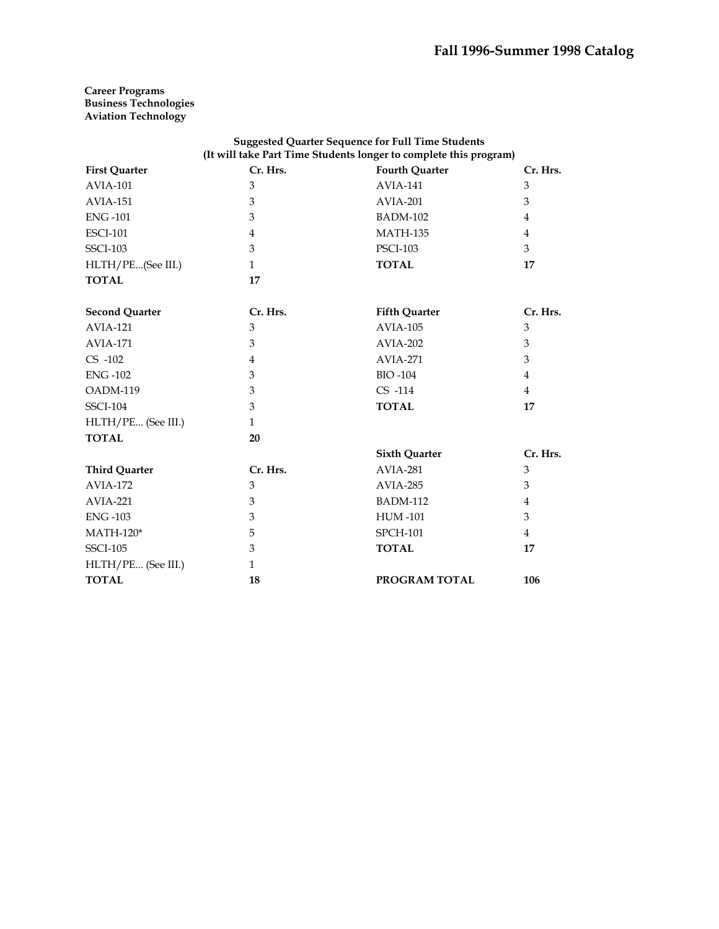## **Career Programs Business Technologies Aviation Technology**

| <b>Suggested Quarter Sequence for Full Time Students</b><br>(It will take Part Time Students longer to complete this program) |                |                       |                |  |
|-------------------------------------------------------------------------------------------------------------------------------|----------------|-----------------------|----------------|--|
| <b>First Quarter</b>                                                                                                          | Cr. Hrs.       | <b>Fourth Quarter</b> | Cr. Hrs.       |  |
| <b>AVIA-101</b>                                                                                                               | 3              | <b>AVIA-141</b>       | 3              |  |
| <b>AVIA-151</b>                                                                                                               | 3              | AVIA-201              | 3              |  |
| <b>ENG-101</b>                                                                                                                | 3              | <b>BADM-102</b>       | $\overline{4}$ |  |
| <b>ESCI-101</b>                                                                                                               | 4              | <b>MATH-135</b>       | $\overline{4}$ |  |
| <b>SSCI-103</b>                                                                                                               | 3              | <b>PSCI-103</b>       | 3              |  |
| HLTH/PE(See III.)                                                                                                             | $\mathbf{1}$   | <b>TOTAL</b>          | 17             |  |
| <b>TOTAL</b>                                                                                                                  | 17             |                       |                |  |
| <b>Second Quarter</b>                                                                                                         | Cr. Hrs.       | <b>Fifth Quarter</b>  | Cr. Hrs.       |  |
| <b>AVIA-121</b>                                                                                                               | 3              | <b>AVIA-105</b>       | 3              |  |
| <b>AVIA-171</b>                                                                                                               | 3              | <b>AVIA-202</b>       | 3              |  |
| $CS -102$                                                                                                                     | $\overline{4}$ | <b>AVIA-271</b>       | 3              |  |
| <b>ENG-102</b>                                                                                                                | 3              | <b>BIO-104</b>        | $\overline{4}$ |  |
| OADM-119                                                                                                                      | 3              | $CS$ -114             | $\overline{4}$ |  |
| <b>SSCI-104</b>                                                                                                               | 3              | <b>TOTAL</b>          | 17             |  |
| HLTH/PE (See III.)                                                                                                            | $\mathbf{1}$   |                       |                |  |
| <b>TOTAL</b>                                                                                                                  | 20             |                       |                |  |
|                                                                                                                               |                | <b>Sixth Quarter</b>  | Cr. Hrs.       |  |
| <b>Third Quarter</b>                                                                                                          | Cr. Hrs.       | <b>AVIA-281</b>       | 3              |  |
| <b>AVIA-172</b>                                                                                                               | 3              | AVIA-285              | 3              |  |
| AVIA-221                                                                                                                      | 3              | <b>BADM-112</b>       | $\overline{4}$ |  |
| <b>ENG-103</b>                                                                                                                | 3              | <b>HUM-101</b>        | 3              |  |
| $MATH-120*$                                                                                                                   | 5              | <b>SPCH-101</b>       | $\overline{4}$ |  |
| <b>SSCI-105</b>                                                                                                               | 3              | <b>TOTAL</b>          | 17             |  |
| HLTH/PE (See III.)                                                                                                            | $\mathbf{1}$   |                       |                |  |
| <b>TOTAL</b>                                                                                                                  | 18             | PROGRAM TOTAL         | 106            |  |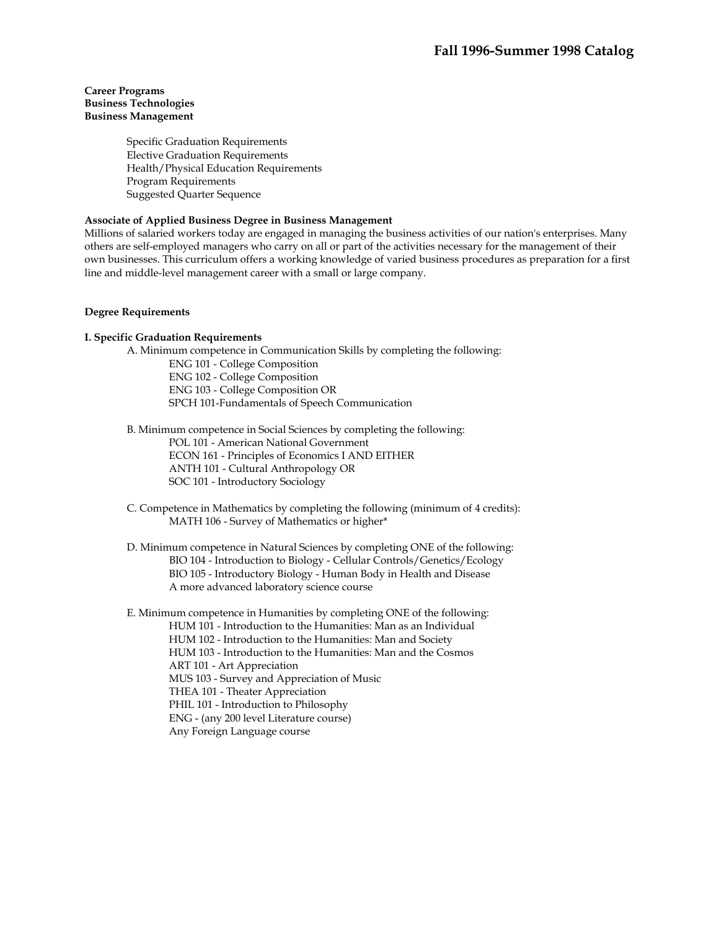## **Career Programs Business Technologies Business Management**

Specific Graduation Requirements Elective Graduation Requirements Health/Physical Education Requirements Program Requirements Suggested Quarter Sequence

## **Associate of Applied Business Degree in Business Management**

Millions of salaried workers today are engaged in managing the business activities of our nation's enterprises. Many others are self-employed managers who carry on all or part of the activities necessary for the management of their own businesses. This curriculum offers a working knowledge of varied business procedures as preparation for a first line and middle-level management career with a small or large company.

## **Degree Requirements**

## **I. Specific Graduation Requirements**

A. Minimum competence in Communication Skills by completing the following:

ENG 101 - College Composition ENG 102 - College Composition ENG 103 - College Composition OR SPCH 101-Fundamentals of Speech Communication

 B. Minimum competence in Social Sciences by completing the following: POL 101 - American National Government ECON 161 - Principles of Economics I AND EITHER ANTH 101 - Cultural Anthropology OR SOC 101 - Introductory Sociology

 C. Competence in Mathematics by completing the following (minimum of 4 credits): MATH 106 - Survey of Mathematics or higher\*

 D. Minimum competence in Natural Sciences by completing ONE of the following: BIO 104 - Introduction to Biology - Cellular Controls/Genetics/Ecology BIO 105 - Introductory Biology - Human Body in Health and Disease A more advanced laboratory science course

 E. Minimum competence in Humanities by completing ONE of the following: HUM 101 - Introduction to the Humanities: Man as an Individual HUM 102 - Introduction to the Humanities: Man and Society HUM 103 - Introduction to the Humanities: Man and the Cosmos ART 101 - Art Appreciation MUS 103 - Survey and Appreciation of Music THEA 101 - Theater Appreciation PHIL 101 - Introduction to Philosophy ENG - (any 200 level Literature course) Any Foreign Language course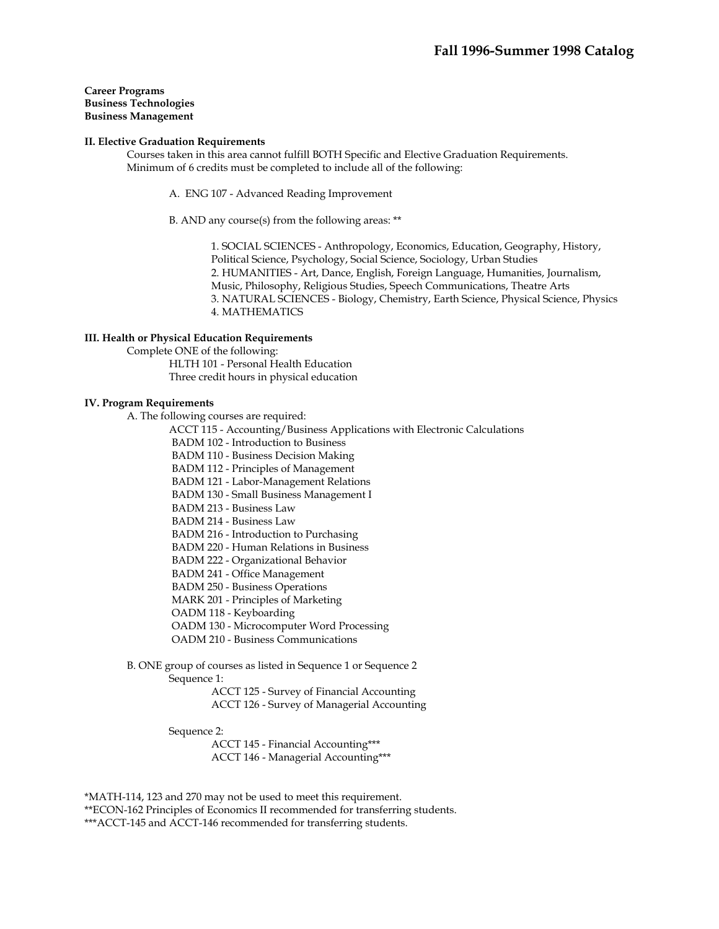### **Career Programs Business Technologies Business Management**

### **II. Elective Graduation Requirements**

 Courses taken in this area cannot fulfill BOTH Specific and Elective Graduation Requirements. Minimum of 6 credits must be completed to include all of the following:

A. ENG 107 - Advanced Reading Improvement

B. AND any course(s) from the following areas: \*\*

1. SOCIAL SCIENCES - Anthropology, Economics, Education, Geography, History, Political Science, Psychology, Social Science, Sociology, Urban Studies 2. HUMANITIES - Art, Dance, English, Foreign Language, Humanities, Journalism, Music, Philosophy, Religious Studies, Speech Communications, Theatre Arts 3. NATURAL SCIENCES - Biology, Chemistry, Earth Science, Physical Science, Physics 4. MATHEMATICS

### **III. Health or Physical Education Requirements**

 Complete ONE of the following: HLTH 101 - Personal Health Education Three credit hours in physical education

#### **IV. Program Requirements**

A. The following courses are required:

ACCT 115 - Accounting/Business Applications with Electronic Calculations

BADM 102 - Introduction to Business

BADM 110 - Business Decision Making

BADM 112 - Principles of Management

BADM 121 - Labor-Management Relations

BADM 130 - Small Business Management I

BADM 213 - Business Law

BADM 214 - Business Law

BADM 216 - Introduction to Purchasing

BADM 220 - Human Relations in Business

BADM 222 - Organizational Behavior

BADM 241 - Office Management

BADM 250 - Business Operations

MARK 201 - Principles of Marketing

OADM 118 - Keyboarding

OADM 130 - Microcomputer Word Processing

OADM 210 - Business Communications

 B. ONE group of courses as listed in Sequence 1 or Sequence 2 Sequence 1:

> ACCT 125 - Survey of Financial Accounting ACCT 126 - Survey of Managerial Accounting

Sequence 2:

 ACCT 145 - Financial Accounting\*\*\* ACCT 146 - Managerial Accounting\*\*\*

\*MATH-114, 123 and 270 may not be used to meet this requirement. \*\*ECON-162 Principles of Economics II recommended for transferring students. \*\*\*ACCT-145 and ACCT-146 recommended for transferring students.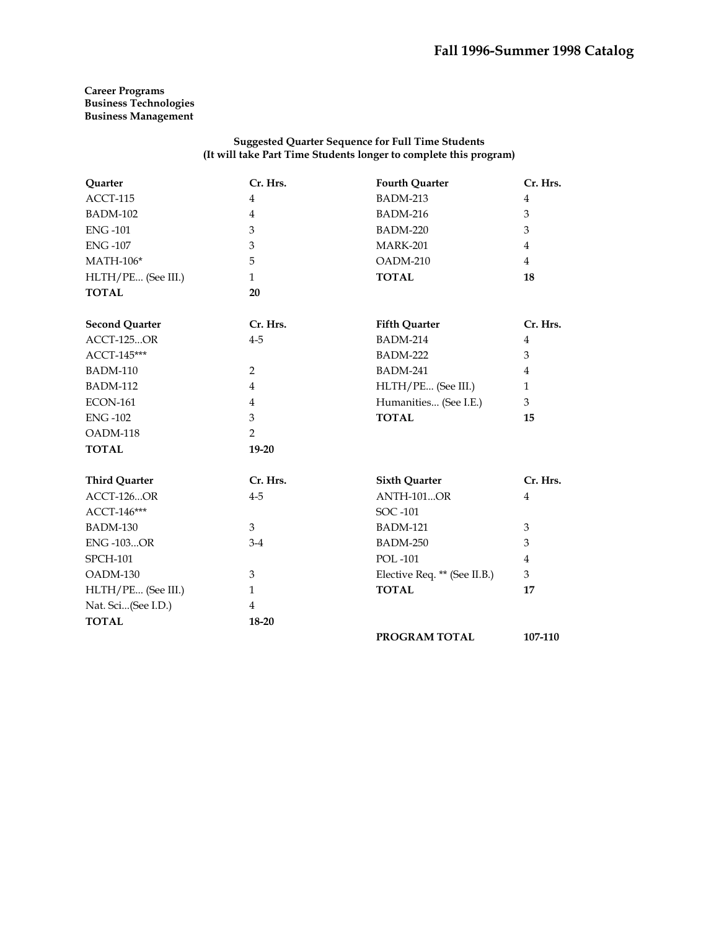## **Career Programs Business Technologies Business Management**

### **Suggested Quarter Sequence for Full Time Students (It will take Part Time Students longer to complete this program)**

| Quarter               | Cr. Hrs.       | <b>Fourth Quarter</b>        | Cr. Hrs.       |
|-----------------------|----------------|------------------------------|----------------|
| ACCT-115              | $\overline{4}$ | <b>BADM-213</b>              | $\overline{4}$ |
| <b>BADM-102</b>       | $\overline{4}$ | <b>BADM-216</b>              | 3              |
| <b>ENG-101</b>        | 3              | <b>BADM-220</b>              | 3              |
| <b>ENG-107</b>        | 3              | <b>MARK-201</b>              | $\overline{4}$ |
| $MATH-106*$           | 5              | OADM-210                     | $\overline{4}$ |
| HLTH/PE (See III.)    | $\mathbf{1}$   | <b>TOTAL</b>                 | 18             |
| <b>TOTAL</b>          | 20             |                              |                |
| <b>Second Quarter</b> | Cr. Hrs.       | <b>Fifth Quarter</b>         | Cr. Hrs.       |
| <b>ACCT-125OR</b>     | $4 - 5$        | <b>BADM-214</b>              | $\overline{4}$ |
| ACCT-145***           |                | <b>BADM-222</b>              | 3              |
| <b>BADM-110</b>       | 2              | <b>BADM-241</b>              | $\overline{4}$ |
| <b>BADM-112</b>       | $\overline{4}$ | HLTH/PE (See III.)           | $\mathbf{1}$   |
| <b>ECON-161</b>       | $\overline{4}$ | Humanities (See I.E.)        | 3              |
| <b>ENG-102</b>        | 3              | <b>TOTAL</b>                 | 15             |
| OADM-118              | $\overline{2}$ |                              |                |
| <b>TOTAL</b>          | $19 - 20$      |                              |                |
| <b>Third Quarter</b>  | Cr. Hrs.       | <b>Sixth Quarter</b>         | Cr. Hrs.       |
| <b>ACCT-126OR</b>     | $4 - 5$        | <b>ANTH-101OR</b>            | $\overline{4}$ |
| ACCT-146***           |                | SOC -101                     |                |
| <b>BADM-130</b>       | 3              | <b>BADM-121</b>              | 3              |
| <b>ENG-103OR</b>      | $3-4$          | <b>BADM-250</b>              | 3              |
| <b>SPCH-101</b>       |                | <b>POL-101</b>               | $\overline{4}$ |
| OADM-130              | 3              | Elective Req. ** (See II.B.) | 3              |
| HLTH/PE (See III.)    | $\mathbf{1}$   | <b>TOTAL</b>                 | 17             |
| Nat. Sci(See I.D.)    | $\overline{4}$ |                              |                |
| <b>TOTAL</b>          | 18-20          |                              |                |
|                       |                | PROGRAM TOTAL                | 107-110        |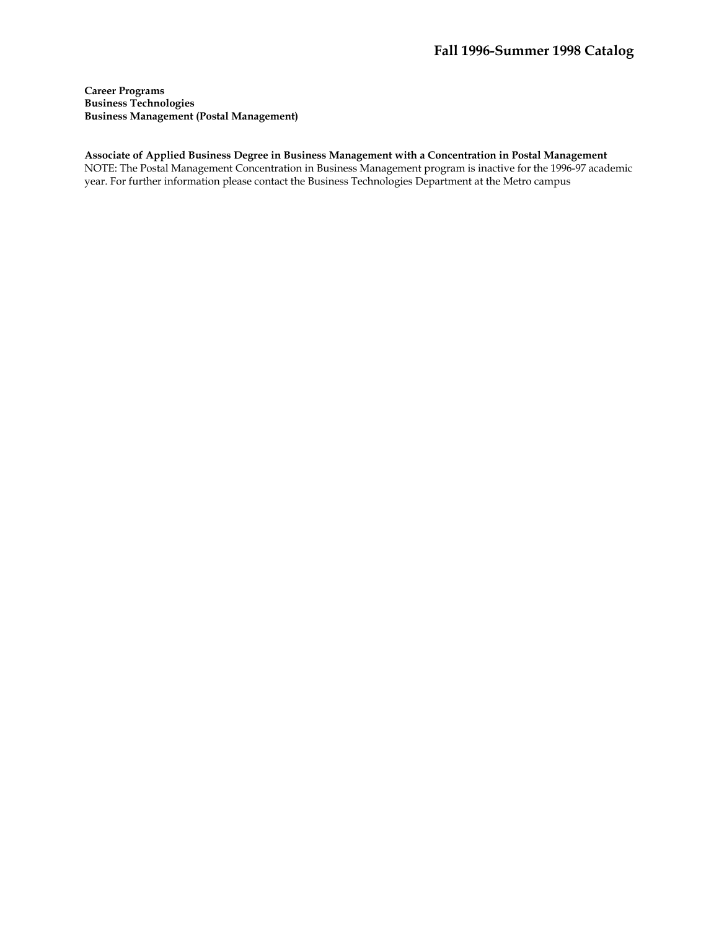**Career Programs Business Technologies Business Management (Postal Management)** 

**Associate of Applied Business Degree in Business Management with a Concentration in Postal Management**  NOTE: The Postal Management Concentration in Business Management program is inactive for the 1996-97 academic year. For further information please contact the Business Technologies Department at the Metro campus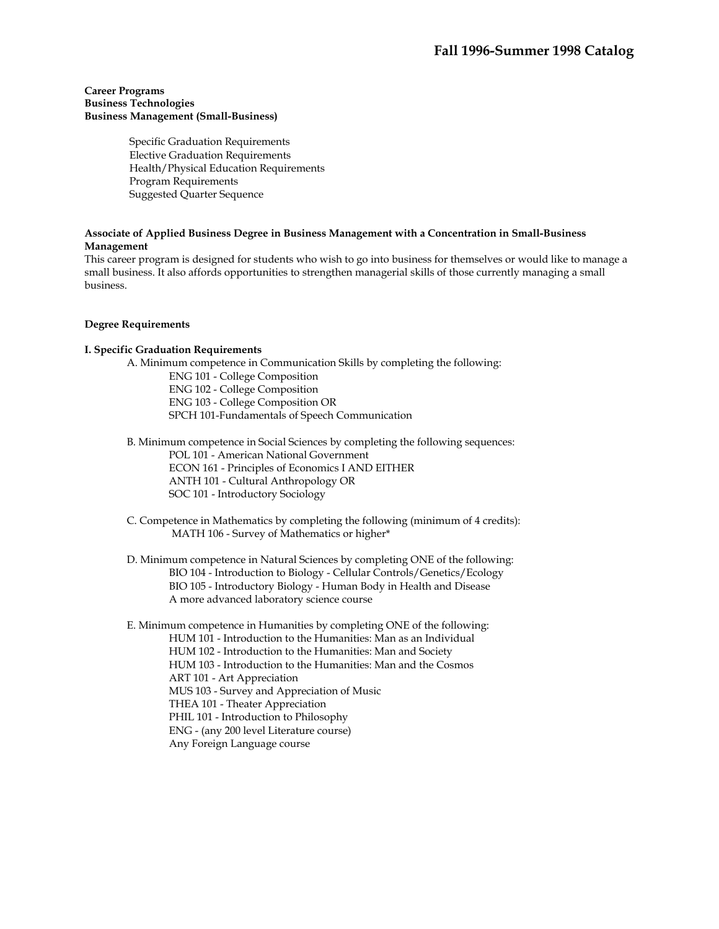## **Career Programs Business Technologies Business Management (Small-Business)**

 Specific Graduation Requirements Elective Graduation Requirements Health/Physical Education Requirements Program Requirements Suggested Quarter Sequence

## **Associate of Applied Business Degree in Business Management with a Concentration in Small-Business Management**

This career program is designed for students who wish to go into business for themselves or would like to manage a small business. It also affords opportunities to strengthen managerial skills of those currently managing a small business.

## **Degree Requirements**

## **I. Specific Graduation Requirements**

A. Minimum competence in Communication Skills by completing the following:

ENG 101 - College Composition ENG 102 - College Composition ENG 103 - College Composition OR SPCH 101-Fundamentals of Speech Communication

 B. Minimum competence in Social Sciences by completing the following sequences: POL 101 - American National Government ECON 161 - Principles of Economics I AND EITHER ANTH 101 - Cultural Anthropology OR SOC 101 - Introductory Sociology

 C. Competence in Mathematics by completing the following (minimum of 4 credits): MATH 106 - Survey of Mathematics or higher\*

 D. Minimum competence in Natural Sciences by completing ONE of the following: BIO 104 - Introduction to Biology - Cellular Controls/Genetics/Ecology BIO 105 - Introductory Biology - Human Body in Health and Disease A more advanced laboratory science course

 E. Minimum competence in Humanities by completing ONE of the following: HUM 101 - Introduction to the Humanities: Man as an Individual HUM 102 - Introduction to the Humanities: Man and Society HUM 103 - Introduction to the Humanities: Man and the Cosmos ART 101 - Art Appreciation MUS 103 - Survey and Appreciation of Music THEA 101 - Theater Appreciation PHIL 101 - Introduction to Philosophy ENG - (any 200 level Literature course) Any Foreign Language course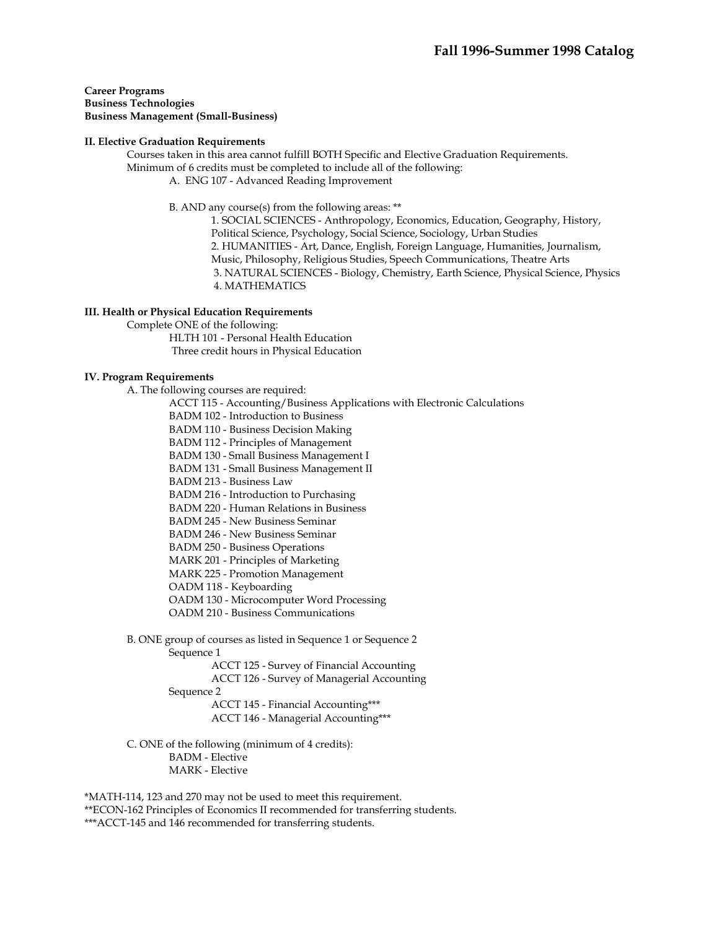**Career Programs Business Technologies Business Management (Small-Business)** 

#### **II. Elective Graduation Requirements**

 Courses taken in this area cannot fulfill BOTH Specific and Elective Graduation Requirements. Minimum of 6 credits must be completed to include all of the following: A. ENG 107 - Advanced Reading Improvement

B. AND any course(s) from the following areas: \*\*

1. SOCIAL SCIENCES - Anthropology, Economics, Education, Geography, History, Political Science, Psychology, Social Science, Sociology, Urban Studies 2. HUMANITIES - Art, Dance, English, Foreign Language, Humanities, Journalism, Music, Philosophy, Religious Studies, Speech Communications, Theatre Arts 3. NATURAL SCIENCES - Biology, Chemistry, Earth Science, Physical Science, Physics 4. MATHEMATICS

### **III. Health or Physical Education Requirements**

Complete ONE of the following:

 HLTH 101 - Personal Health Education Three credit hours in Physical Education

## **IV. Program Requirements**

A. The following courses are required:

ACCT 115 - Accounting/Business Applications with Electronic Calculations

BADM 102 - Introduction to Business

BADM 110 - Business Decision Making

BADM 112 - Principles of Management

BADM 130 - Small Business Management I

BADM 131 - Small Business Management II

BADM 213 - Business Law

BADM 216 - Introduction to Purchasing

BADM 220 - Human Relations in Business

BADM 245 - New Business Seminar

BADM 246 - New Business Seminar

BADM 250 - Business Operations

MARK 201 - Principles of Marketing

MARK 225 - Promotion Management

OADM 118 - Keyboarding

OADM 130 - Microcomputer Word Processing

OADM 210 - Business Communications

B. ONE group of courses as listed in Sequence 1 or Sequence 2

Sequence 1

 ACCT 125 - Survey of Financial Accounting ACCT 126 - Survey of Managerial Accounting

Sequence 2

 ACCT 145 - Financial Accounting\*\*\* ACCT 146 - Managerial Accounting\*\*\*

C. ONE of the following (minimum of 4 credits):

BADM - Elective

MARK - Elective

\*MATH-114, 123 and 270 may not be used to meet this requirement. \*\*ECON-162 Principles of Economics II recommended for transferring students. \*\*\*ACCT-145 and 146 recommended for transferring students.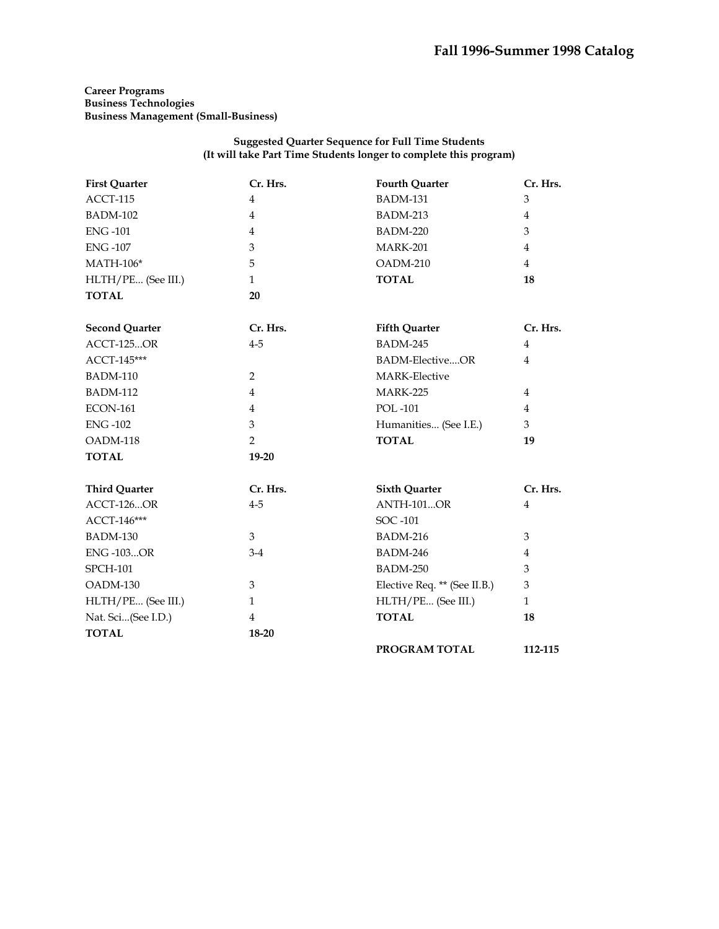**Career Programs Business Technologies Business Management (Small-Business)** 

### **Suggested Quarter Sequence for Full Time Students (It will take Part Time Students longer to complete this program)**

| <b>First Quarter</b>  | Cr. Hrs.       | <b>Fourth Quarter</b>        | Cr. Hrs.       |
|-----------------------|----------------|------------------------------|----------------|
| ACCT-115              | $\overline{4}$ | <b>BADM-131</b>              | 3              |
| <b>BADM-102</b>       | $\overline{4}$ | <b>BADM-213</b>              | $\overline{4}$ |
| <b>ENG-101</b>        | 4              | <b>BADM-220</b>              | 3              |
| <b>ENG-107</b>        | 3              | <b>MARK-201</b>              | $\overline{4}$ |
| $MATH-106*$           | 5              | OADM-210                     | $\overline{4}$ |
| HLTH/PE (See III.)    | $\mathbf{1}$   | <b>TOTAL</b>                 | 18             |
| <b>TOTAL</b>          | 20             |                              |                |
| <b>Second Quarter</b> | Cr. Hrs.       | <b>Fifth Quarter</b>         | Cr. Hrs.       |
| <b>ACCT-125OR</b>     | $4 - 5$        | BADM-245                     | 4              |
| ACCT-145***           |                | <b>BADM-ElectiveOR</b>       | $\overline{4}$ |
| <b>BADM-110</b>       | $\overline{2}$ | <b>MARK-Elective</b>         |                |
| <b>BADM-112</b>       | $\overline{4}$ | <b>MARK-225</b>              | $\overline{4}$ |
| <b>ECON-161</b>       | $\overline{4}$ | <b>POL-101</b>               | $\overline{4}$ |
| <b>ENG-102</b>        | 3              | Humanities (See I.E.)        | 3              |
| OADM-118              | $\overline{2}$ | <b>TOTAL</b>                 | 19             |
| <b>TOTAL</b>          | $19 - 20$      |                              |                |
| <b>Third Quarter</b>  | Cr. Hrs.       | <b>Sixth Quarter</b>         | Cr. Hrs.       |
| <b>ACCT-126OR</b>     | $4 - 5$        | <b>ANTH-101OR</b>            | $\overline{4}$ |
| ACCT-146***           |                | SOC -101                     |                |
| <b>BADM-130</b>       | 3              | <b>BADM-216</b>              | 3              |
| <b>ENG-103OR</b>      | $3-4$          | <b>BADM-246</b>              | $\overline{4}$ |
| <b>SPCH-101</b>       |                | <b>BADM-250</b>              | 3              |
| OADM-130              | 3              | Elective Req. ** (See II.B.) | 3              |
| HLTH/PE (See III.)    | $\mathbf{1}$   | HLTH/PE (See III.)           | $\mathbf{1}$   |
| Nat. Sci(See I.D.)    | $\overline{4}$ | <b>TOTAL</b>                 | 18             |
| <b>TOTAL</b>          | $18 - 20$      |                              |                |
|                       |                | PROGRAM TOTAL                | 112-115        |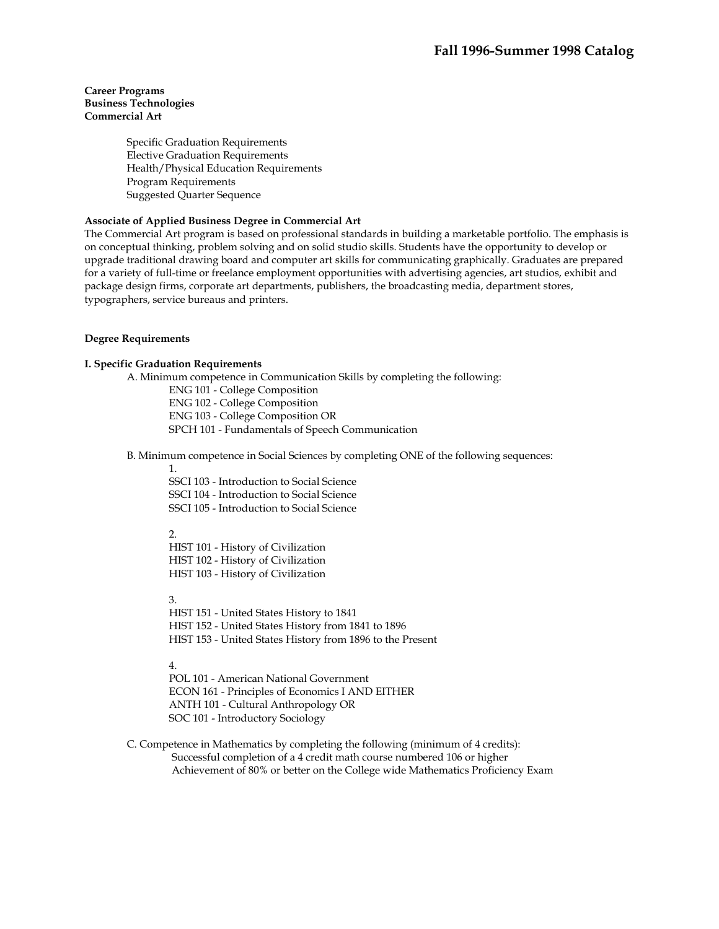## **Career Programs Business Technologies Commercial Art**

Specific Graduation Requirements Elective Graduation Requirements Health/Physical Education Requirements Program Requirements Suggested Quarter Sequence

## **Associate of Applied Business Degree in Commercial Art**

The Commercial Art program is based on professional standards in building a marketable portfolio. The emphasis is on conceptual thinking, problem solving and on solid studio skills. Students have the opportunity to develop or upgrade traditional drawing board and computer art skills for communicating graphically. Graduates are prepared for a variety of full-time or freelance employment opportunities with advertising agencies, art studios, exhibit and package design firms, corporate art departments, publishers, the broadcasting media, department stores, typographers, service bureaus and printers.

#### **Degree Requirements**

## **I. Specific Graduation Requirements**

A. Minimum competence in Communication Skills by completing the following:

ENG 101 - College Composition

ENG 102 - College Composition

ENG 103 - College Composition OR

SPCH 101 - Fundamentals of Speech Communication

B. Minimum competence in Social Sciences by completing ONE of the following sequences:

1.

 SSCI 103 - Introduction to Social Science SSCI 104 - Introduction to Social Science SSCI 105 - Introduction to Social Science

## 2.

 HIST 101 - History of Civilization HIST 102 - History of Civilization HIST 103 - History of Civilization

3.

 HIST 151 - United States History to 1841 HIST 152 - United States History from 1841 to 1896 HIST 153 - United States History from 1896 to the Present

## 4.

 POL 101 - American National Government ECON 161 - Principles of Economics I AND EITHER ANTH 101 - Cultural Anthropology OR SOC 101 - Introductory Sociology

 C. Competence in Mathematics by completing the following (minimum of 4 credits): Successful completion of a 4 credit math course numbered 106 or higher Achievement of 80% or better on the College wide Mathematics Proficiency Exam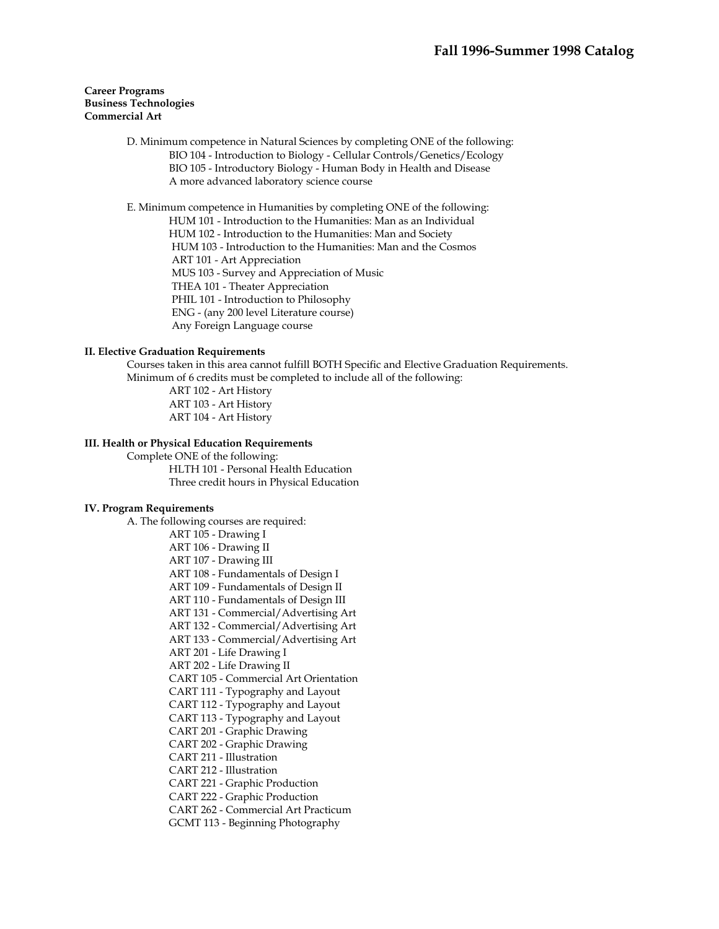## **Career Programs Business Technologies Commercial Art**

 D. Minimum competence in Natural Sciences by completing ONE of the following: BIO 104 - Introduction to Biology - Cellular Controls/Genetics/Ecology BIO 105 - Introductory Biology - Human Body in Health and Disease A more advanced laboratory science course

E. Minimum competence in Humanities by completing ONE of the following:

HUM 101 - Introduction to the Humanities: Man as an Individual

HUM 102 - Introduction to the Humanities: Man and Society

HUM 103 - Introduction to the Humanities: Man and the Cosmos

ART 101 - Art Appreciation

MUS 103 - Survey and Appreciation of Music

THEA 101 - Theater Appreciation

PHIL 101 - Introduction to Philosophy

ENG - (any 200 level Literature course)

Any Foreign Language course

## **II. Elective Graduation Requirements**

 Courses taken in this area cannot fulfill BOTH Specific and Elective Graduation Requirements. Minimum of 6 credits must be completed to include all of the following:

 ART 102 - Art History ART 103 - Art History ART 104 - Art History

## **III. Health or Physical Education Requirements**

Complete ONE of the following:

 HLTH 101 - Personal Health Education Three credit hours in Physical Education

## **IV. Program Requirements**

A. The following courses are required:

ART 105 - Drawing I ART 106 - Drawing II ART 107 - Drawing III ART 108 - Fundamentals of Design I ART 109 - Fundamentals of Design II ART 110 - Fundamentals of Design III ART 131 - Commercial/Advertising Art ART 132 - Commercial/Advertising Art ART 133 - Commercial/Advertising Art ART 201 - Life Drawing I ART 202 - Life Drawing II CART 105 - Commercial Art Orientation CART 111 - Typography and Layout CART 112 - Typography and Layout CART 113 - Typography and Layout CART 201 - Graphic Drawing CART 202 - Graphic Drawing CART 211 - Illustration CART 212 - Illustration CART 221 - Graphic Production CART 222 - Graphic Production CART 262 - Commercial Art Practicum GCMT 113 - Beginning Photography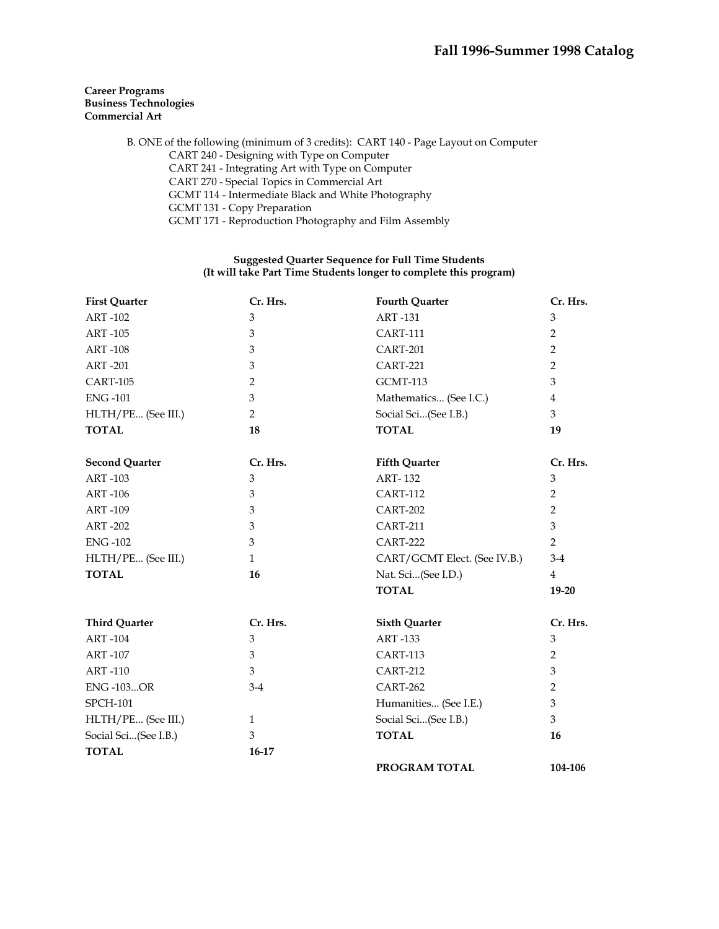## **Career Programs Business Technologies Commercial Art**

 B. ONE of the following (minimum of 3 credits): CART 140 - Page Layout on Computer CART 240 - Designing with Type on Computer CART 241 - Integrating Art with Type on Computer CART 270 - Special Topics in Commercial Art GCMT 114 - Intermediate Black and White Photography GCMT 131 - Copy Preparation GCMT 171 - Reproduction Photography and Film Assembly

## **Suggested Quarter Sequence for Full Time Students (It will take Part Time Students longer to complete this program)**

| <b>First Quarter</b>  | Cr. Hrs.       | <b>Fourth Quarter</b>        | Cr. Hrs.       |
|-----------------------|----------------|------------------------------|----------------|
| <b>ART-102</b>        | 3              | <b>ART-131</b>               | 3              |
| <b>ART-105</b>        | 3              | <b>CART-111</b>              | $\overline{2}$ |
| <b>ART-108</b>        | 3              | <b>CART-201</b>              | $\overline{2}$ |
| <b>ART-201</b>        | 3              | <b>CART-221</b>              | 2              |
| <b>CART-105</b>       | $\overline{2}$ | <b>GCMT-113</b>              | 3              |
| <b>ENG-101</b>        | 3              | Mathematics (See I.C.)       | 4              |
| HLTH/PE (See III.)    | $\overline{2}$ | Social Sci(See I.B.)         | 3              |
| <b>TOTAL</b>          | 18             | <b>TOTAL</b>                 | 19             |
| <b>Second Quarter</b> | Cr. Hrs.       | <b>Fifth Quarter</b>         | Cr. Hrs.       |
| <b>ART-103</b>        | 3              | <b>ART-132</b>               | 3              |
| <b>ART-106</b>        | 3              | <b>CART-112</b>              | $\overline{2}$ |
| <b>ART-109</b>        | $\mathfrak{B}$ | <b>CART-202</b>              | $\overline{2}$ |
| <b>ART-202</b>        | 3              | <b>CART-211</b>              | 3              |
| <b>ENG-102</b>        | 3              | <b>CART-222</b>              | $\overline{2}$ |
| HLTH/PE (See III.)    | $\mathbf{1}$   | CART/GCMT Elect. (See IV.B.) | $3-4$          |
| <b>TOTAL</b>          | 16             | Nat. Sci(See I.D.)           | $\overline{4}$ |
|                       |                | <b>TOTAL</b>                 | $19 - 20$      |
| <b>Third Quarter</b>  | Cr. Hrs.       | <b>Sixth Quarter</b>         | Cr. Hrs.       |
| <b>ART-104</b>        | 3              | <b>ART-133</b>               | 3              |
| <b>ART-107</b>        | 3              | <b>CART-113</b>              | $\overline{2}$ |
| <b>ART-110</b>        | 3              | <b>CART-212</b>              | 3              |
| <b>ENG-103OR</b>      | $3-4$          | CART-262                     | $\overline{2}$ |
| <b>SPCH-101</b>       |                | Humanities (See I.E.)        | 3              |
| HLTH/PE (See III.)    | 1              | Social Sci(See I.B.)         | 3              |
| Social Sci(See I.B.)  | 3              | <b>TOTAL</b>                 | 16             |
| <b>TOTAL</b>          | $16-17$        |                              |                |
|                       |                | PROGRAM TOTAL                | 104-106        |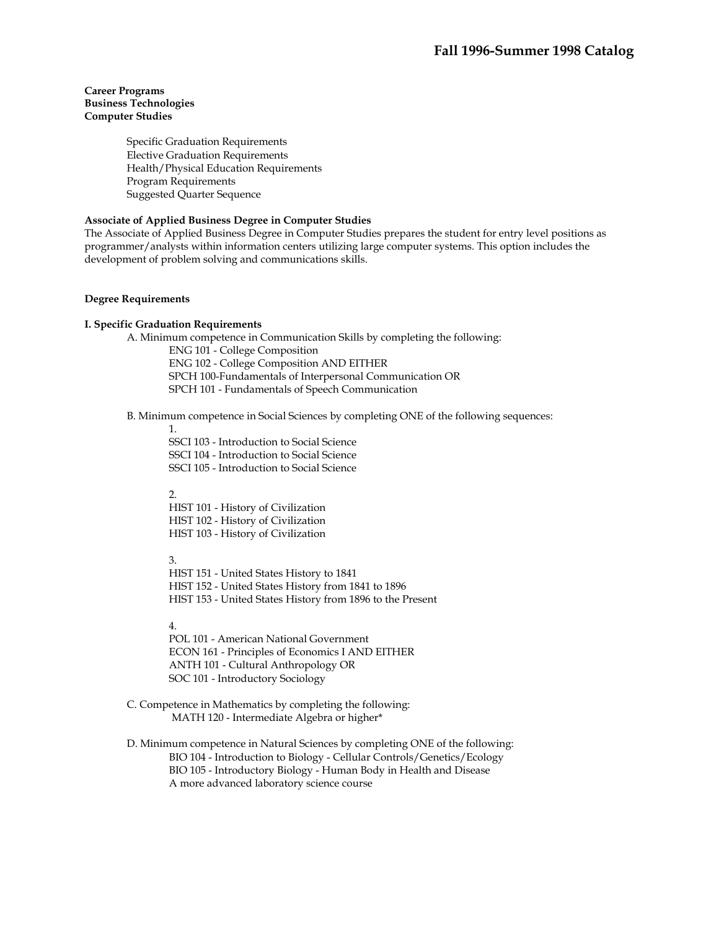## **Career Programs Business Technologies Computer Studies**

Specific Graduation Requirements Elective Graduation Requirements Health/Physical Education Requirements Program Requirements Suggested Quarter Sequence

## **Associate of Applied Business Degree in Computer Studies**

The Associate of Applied Business Degree in Computer Studies prepares the student for entry level positions as programmer/analysts within information centers utilizing large computer systems. This option includes the development of problem solving and communications skills.

#### **Degree Requirements**

#### **I. Specific Graduation Requirements**

 A. Minimum competence in Communication Skills by completing the following: ENG 101 - College Composition ENG 102 - College Composition AND EITHER SPCH 100-Fundamentals of Interpersonal Communication OR SPCH 101 - Fundamentals of Speech Communication

## B. Minimum competence in Social Sciences by completing ONE of the following sequences:

1.

SSCI 103 - Introduction to Social Science SSCI 104 - Introduction to Social Science SSCI 105 - Introduction to Social Science

2.

HIST 101 - History of Civilization HIST 102 - History of Civilization HIST 103 - History of Civilization

3.

HIST 151 - United States History to 1841 HIST 152 - United States History from 1841 to 1896 HIST 153 - United States History from 1896 to the Present

## 4.

POL 101 - American National Government ECON 161 - Principles of Economics I AND EITHER ANTH 101 - Cultural Anthropology OR SOC 101 - Introductory Sociology

 C. Competence in Mathematics by completing the following: MATH 120 - Intermediate Algebra or higher\*

 D. Minimum competence in Natural Sciences by completing ONE of the following: BIO 104 - Introduction to Biology - Cellular Controls/Genetics/Ecology BIO 105 - Introductory Biology - Human Body in Health and Disease A more advanced laboratory science course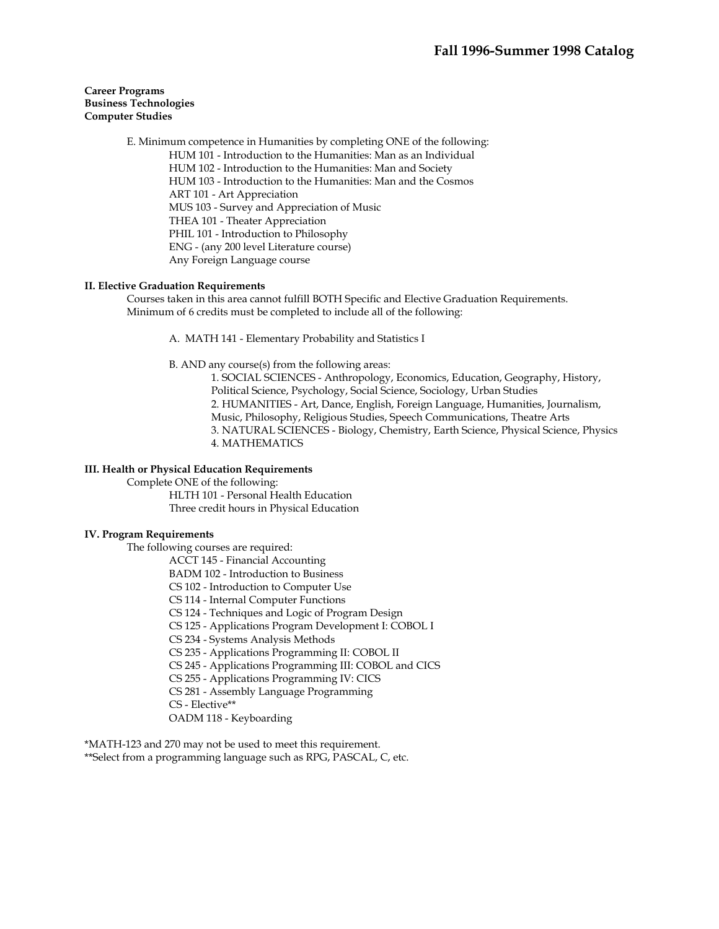## **Career Programs Business Technologies Computer Studies**

 E. Minimum competence in Humanities by completing ONE of the following: HUM 101 - Introduction to the Humanities: Man as an Individual HUM 102 - Introduction to the Humanities: Man and Society HUM 103 - Introduction to the Humanities: Man and the Cosmos ART 101 - Art Appreciation MUS 103 - Survey and Appreciation of Music THEA 101 - Theater Appreciation PHIL 101 - Introduction to Philosophy ENG - (any 200 level Literature course) Any Foreign Language course

## **II. Elective Graduation Requirements**

 Courses taken in this area cannot fulfill BOTH Specific and Elective Graduation Requirements. Minimum of 6 credits must be completed to include all of the following:

A. MATH 141 - Elementary Probability and Statistics I

B. AND any course(s) from the following areas:

1. SOCIAL SCIENCES - Anthropology, Economics, Education, Geography, History, Political Science, Psychology, Social Science, Sociology, Urban Studies 2. HUMANITIES - Art, Dance, English, Foreign Language, Humanities, Journalism, Music, Philosophy, Religious Studies, Speech Communications, Theatre Arts 3. NATURAL SCIENCES - Biology, Chemistry, Earth Science, Physical Science, Physics 4. MATHEMATICS

## **III. Health or Physical Education Requirements**

Complete ONE of the following:

 HLTH 101 - Personal Health Education Three credit hours in Physical Education

#### **IV. Program Requirements**

The following courses are required:

ACCT 145 - Financial Accounting

BADM 102 - Introduction to Business

- CS 102 Introduction to Computer Use
- CS 114 Internal Computer Functions

CS 124 - Techniques and Logic of Program Design

CS 125 - Applications Program Development I: COBOL I

CS 234 - Systems Analysis Methods

CS 235 - Applications Programming II: COBOL II

CS 245 - Applications Programming III: COBOL and CICS

CS 255 - Applications Programming IV: CICS

CS 281 - Assembly Language Programming

CS - Elective\*\*

OADM 118 - Keyboarding

\*MATH-123 and 270 may not be used to meet this requirement.

\*\*Select from a programming language such as RPG, PASCAL, C, etc.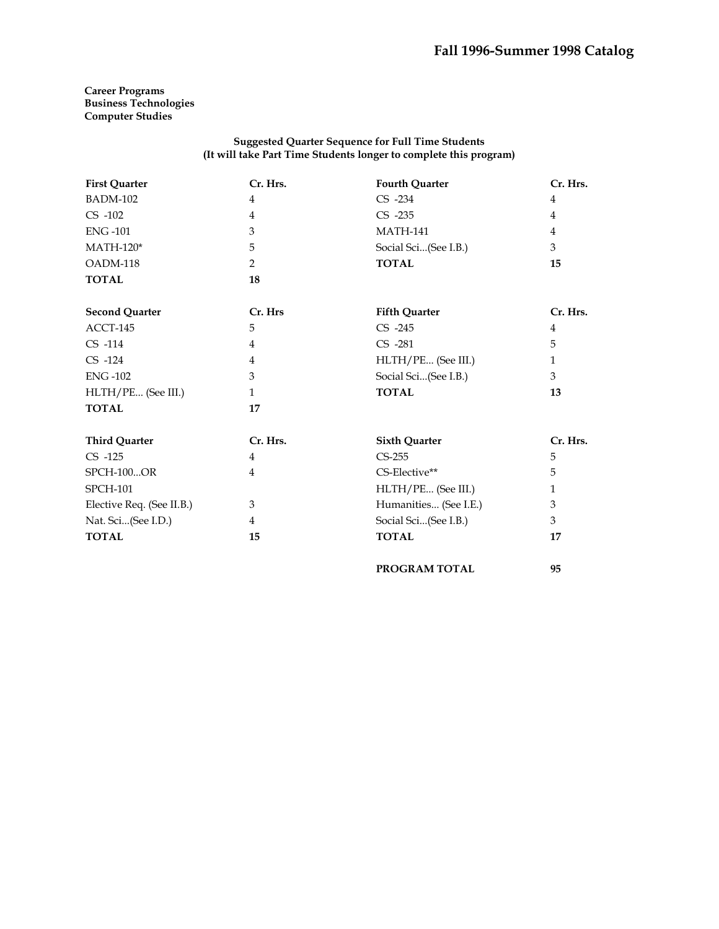**PROGRAM TOTAL 95**

## **Career Programs Business Technologies Computer Studies**

### **Suggested Quarter Sequence for Full Time Students (It will take Part Time Students longer to complete this program)**

| <b>First Quarter</b>      | Cr. Hrs.     | <b>Fourth Quarter</b> | Cr. Hrs.     |
|---------------------------|--------------|-----------------------|--------------|
| <b>BADM-102</b>           | 4            | $CS -234$             | 4            |
| $CS -102$                 | 4            | $CS -235$             | 4            |
| <b>ENG-101</b>            | 3            | <b>MATH-141</b>       | 4            |
| $MATH-120*$               | 5            | Social Sci(See I.B.)  | 3            |
| OADM-118                  | 2            | <b>TOTAL</b>          | 15           |
| <b>TOTAL</b>              | 18           |                       |              |
| <b>Second Quarter</b>     | Cr. Hrs      | <b>Fifth Quarter</b>  | Cr. Hrs.     |
| ACCT-145                  | 5            | $CS -245$             | 4            |
| CS -114                   | 4            | CS -281               | 5            |
| $CS -124$                 | 4            | HLTH/PE (See III.)    | $\mathbf{1}$ |
| <b>ENG-102</b>            | 3            | Social Sci(See I.B.)  | 3            |
| HLTH/PE (See III.)        | $\mathbf{1}$ | <b>TOTAL</b>          | 13           |
| <b>TOTAL</b>              | 17           |                       |              |
| <b>Third Quarter</b>      | Cr. Hrs.     | <b>Sixth Quarter</b>  | Cr. Hrs.     |
| $CS -125$                 | 4            | $CS-255$              | 5            |
| <b>SPCH-100OR</b>         | 4            | CS-Elective**         | 5            |
| <b>SPCH-101</b>           |              | HLTH/PE (See III.)    | $\mathbf{1}$ |
| Elective Req. (See II.B.) | 3            | Humanities (See I.E.) | 3            |
| Nat. Sci(See I.D.)        | 4            | Social Sci(See I.B.)  | 3            |
| <b>TOTAL</b>              | 15           | <b>TOTAL</b>          | 17           |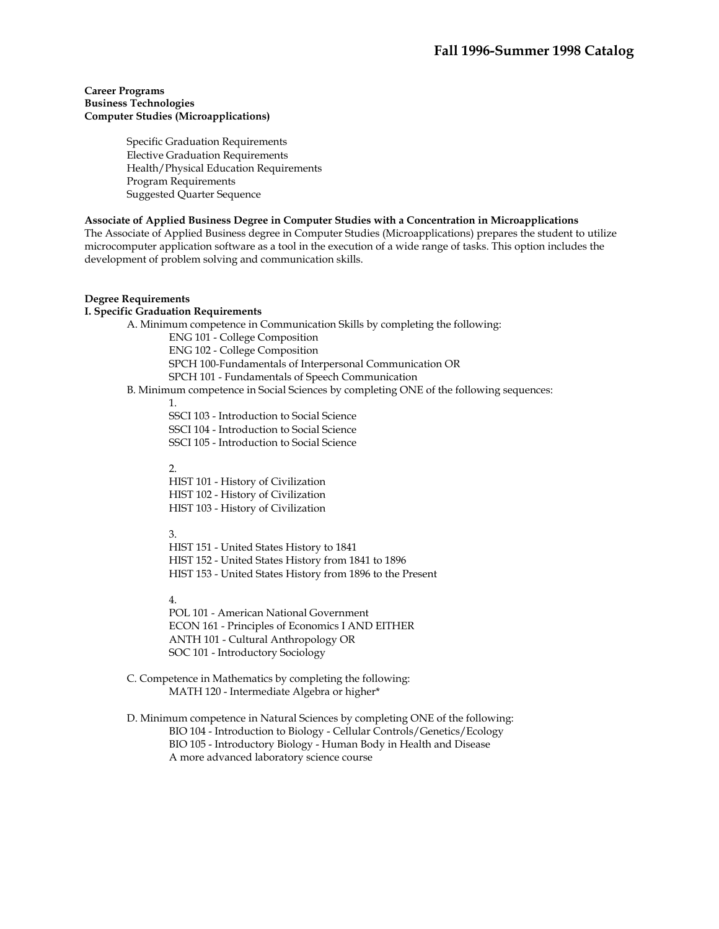## **Career Programs Business Technologies Computer Studies (Microapplications)**

Specific Graduation Requirements Elective Graduation Requirements Health/Physical Education Requirements Program Requirements Suggested Quarter Sequence

## **Associate of Applied Business Degree in Computer Studies with a Concentration in Microapplications**

The Associate of Applied Business degree in Computer Studies (Microapplications) prepares the student to utilize microcomputer application software as a tool in the execution of a wide range of tasks. This option includes the development of problem solving and communication skills.

## **Degree Requirements**

### **I. Specific Graduation Requirements**

A. Minimum competence in Communication Skills by completing the following:

ENG 101 - College Composition ENG 102 - College Composition SPCH 100-Fundamentals of Interpersonal Communication OR SPCH 101 - Fundamentals of Speech Communication

B. Minimum competence in Social Sciences by completing ONE of the following sequences:

1.

SSCI 103 - Introduction to Social Science

SSCI 104 - Introduction to Social Science

SSCI 105 - Introduction to Social Science

 $\mathcal{L}$ 

HIST 101 - History of Civilization HIST 102 - History of Civilization HIST 103 - History of Civilization

#### 3.

HIST 151 - United States History to 1841 HIST 152 - United States History from 1841 to 1896 HIST 153 - United States History from 1896 to the Present

4.

POL 101 - American National Government ECON 161 - Principles of Economics I AND EITHER ANTH 101 - Cultural Anthropology OR SOC 101 - Introductory Sociology

 C. Competence in Mathematics by completing the following: MATH 120 - Intermediate Algebra or higher\*

 D. Minimum competence in Natural Sciences by completing ONE of the following: BIO 104 - Introduction to Biology - Cellular Controls/Genetics/Ecology BIO 105 - Introductory Biology - Human Body in Health and Disease A more advanced laboratory science course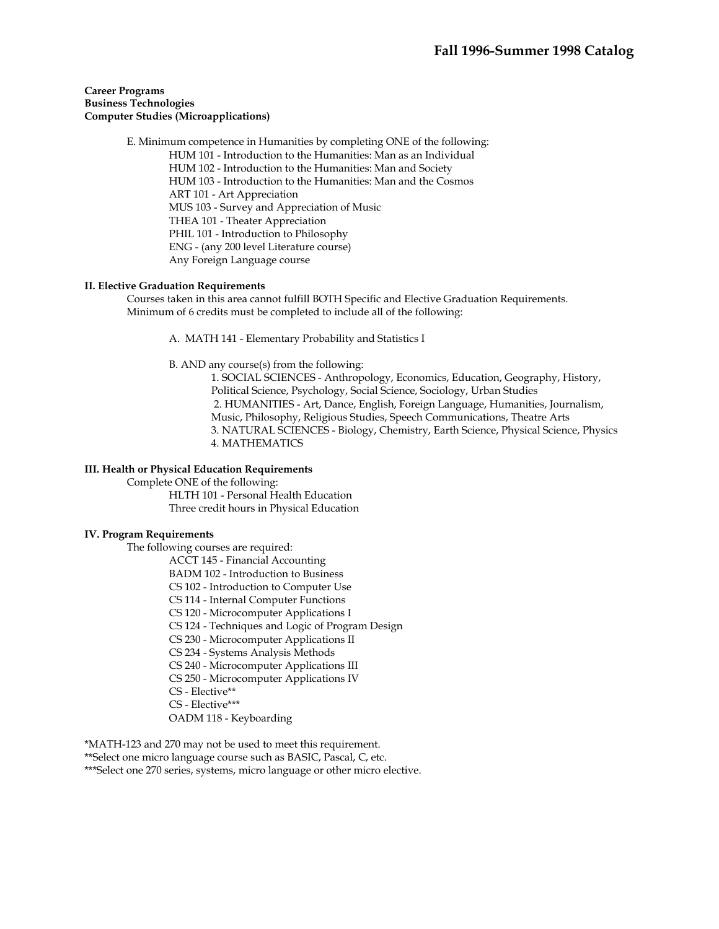## **Career Programs Business Technologies Computer Studies (Microapplications)**

 E. Minimum competence in Humanities by completing ONE of the following: HUM 101 - Introduction to the Humanities: Man as an Individual HUM 102 - Introduction to the Humanities: Man and Society HUM 103 - Introduction to the Humanities: Man and the Cosmos ART 101 - Art Appreciation MUS 103 - Survey and Appreciation of Music THEA 101 - Theater Appreciation PHIL 101 - Introduction to Philosophy ENG - (any 200 level Literature course) Any Foreign Language course

## **II. Elective Graduation Requirements**

 Courses taken in this area cannot fulfill BOTH Specific and Elective Graduation Requirements. Minimum of 6 credits must be completed to include all of the following:

A. MATH 141 - Elementary Probability and Statistics I

B. AND any course(s) from the following:

1. SOCIAL SCIENCES - Anthropology, Economics, Education, Geography, History, Political Science, Psychology, Social Science, Sociology, Urban Studies 2. HUMANITIES - Art, Dance, English, Foreign Language, Humanities, Journalism, Music, Philosophy, Religious Studies, Speech Communications, Theatre Arts 3. NATURAL SCIENCES - Biology, Chemistry, Earth Science, Physical Science, Physics 4. MATHEMATICS

## **III. Health or Physical Education Requirements**

Complete ONE of the following:

 HLTH 101 - Personal Health Education Three credit hours in Physical Education

## **IV. Program Requirements**

The following courses are required:

ACCT 145 - Financial Accounting

BADM 102 - Introduction to Business

CS 102 - Introduction to Computer Use

CS 114 - Internal Computer Functions

CS 120 - Microcomputer Applications I

CS 124 - Techniques and Logic of Program Design

CS 230 - Microcomputer Applications II

CS 234 - Systems Analysis Methods

CS 240 - Microcomputer Applications III

CS 250 - Microcomputer Applications IV

CS - Elective\*\*

CS - Elective\*\*\*

OADM 118 - Keyboarding

\*MATH-123 and 270 may not be used to meet this requirement.

\*\*Select one micro language course such as BASIC, Pascal, C, etc.

\*\*\*Select one 270 series, systems, micro language or other micro elective.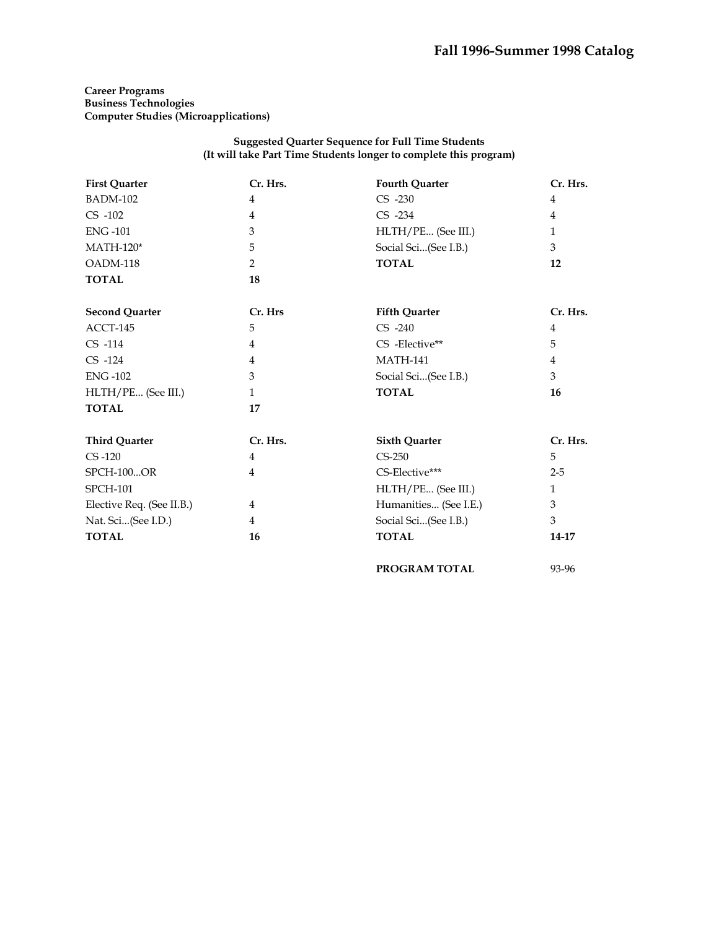**PROGRAM TOTAL** 93-96

## **Career Programs Business Technologies Computer Studies (Microapplications)**

### **Suggested Quarter Sequence for Full Time Students (It will take Part Time Students longer to complete this program)**

| <b>First Quarter</b>      | Cr. Hrs.       | <b>Fourth Quarter</b> | Cr. Hrs.       |
|---------------------------|----------------|-----------------------|----------------|
| <b>BADM-102</b>           | $\overline{4}$ | $CS -230$             | 4              |
| $CS -102$                 | 4              | $CS -234$             | $\overline{4}$ |
| <b>ENG-101</b>            | 3              | HLTH/PE (See III.)    | $\mathbf{1}$   |
| $MATH-120*$               | 5              | Social Sci(See I.B.)  | 3              |
| OADM-118                  | 2              | <b>TOTAL</b>          | 12             |
| <b>TOTAL</b>              | 18             |                       |                |
| <b>Second Quarter</b>     | Cr. Hrs        | <b>Fifth Quarter</b>  | Cr. Hrs.       |
| ACCT-145                  | 5              | $CS -240$             | 4              |
| $CS -114$                 | 4              | CS-Elective**         | 5              |
| $CS -124$                 | 4              | <b>MATH-141</b>       | 4              |
| <b>ENG-102</b>            | 3              | Social Sci(See I.B.)  | 3              |
| HLTH/PE (See III.)        | $\mathbf{1}$   | <b>TOTAL</b>          | 16             |
| <b>TOTAL</b>              | 17             |                       |                |
| <b>Third Quarter</b>      | Cr. Hrs.       | <b>Sixth Quarter</b>  | Cr. Hrs.       |
| $CS -120$                 | $\overline{4}$ | $CS-250$              | 5              |
| <b>SPCH-100OR</b>         | 4              | CS-Elective***        | $2 - 5$        |
| <b>SPCH-101</b>           |                | HLTH/PE (See III.)    | $\mathbf{1}$   |
| Elective Req. (See II.B.) | $\overline{4}$ | Humanities (See I.E.) | 3              |
| Nat. Sci(See I.D.)        | $\overline{4}$ | Social Sci(See I.B.)  | 3              |
| <b>TOTAL</b>              | 16             | <b>TOTAL</b>          | 14-17          |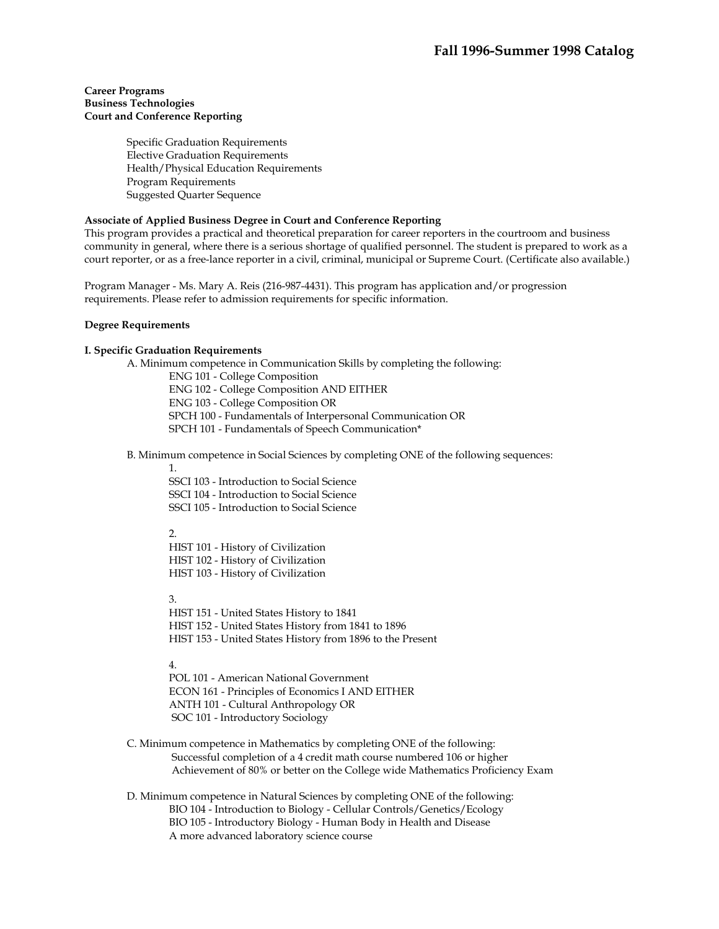## **Career Programs Business Technologies Court and Conference Reporting**

Specific Graduation Requirements Elective Graduation Requirements Health/Physical Education Requirements Program Requirements Suggested Quarter Sequence

## **Associate of Applied Business Degree in Court and Conference Reporting**

This program provides a practical and theoretical preparation for career reporters in the courtroom and business community in general, where there is a serious shortage of qualified personnel. The student is prepared to work as a court reporter, or as a free-lance reporter in a civil, criminal, municipal or Supreme Court. (Certificate also available.)

Program Manager - Ms. Mary A. Reis (216-987-4431). This program has application and/or progression requirements. Please refer to admission requirements for specific information.

## **Degree Requirements**

## **I. Specific Graduation Requirements**

 A. Minimum competence in Communication Skills by completing the following: ENG 101 - College Composition ENG 102 - College Composition AND EITHER ENG 103 - College Composition OR SPCH 100 - Fundamentals of Interpersonal Communication OR SPCH 101 - Fundamentals of Speech Communication\*

B. Minimum competence in Social Sciences by completing ONE of the following sequences:

1.

SSCI 103 - Introduction to Social Science SSCI 104 - Introduction to Social Science SSCI 105 - Introduction to Social Science

#### $\mathcal{D}$

HIST 101 - History of Civilization HIST 102 - History of Civilization HIST 103 - History of Civilization

3.

HIST 151 - United States History to 1841 HIST 152 - United States History from 1841 to 1896 HIST 153 - United States History from 1896 to the Present

## 4.

POL 101 - American National Government ECON 161 - Principles of Economics I AND EITHER ANTH 101 - Cultural Anthropology OR SOC 101 - Introductory Sociology

- C. Minimum competence in Mathematics by completing ONE of the following: Successful completion of a 4 credit math course numbered 106 or higher Achievement of 80% or better on the College wide Mathematics Proficiency Exam
- D. Minimum competence in Natural Sciences by completing ONE of the following: BIO 104 - Introduction to Biology - Cellular Controls/Genetics/Ecology BIO 105 - Introductory Biology - Human Body in Health and Disease A more advanced laboratory science course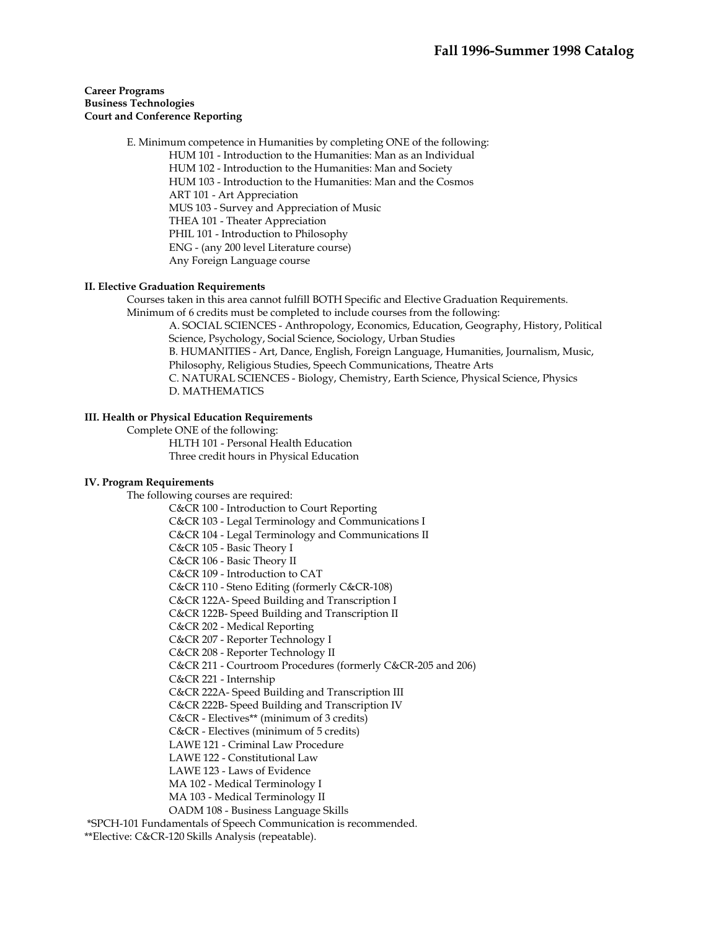## **Career Programs Business Technologies Court and Conference Reporting**

 E. Minimum competence in Humanities by completing ONE of the following: HUM 101 - Introduction to the Humanities: Man as an Individual HUM 102 - Introduction to the Humanities: Man and Society HUM 103 - Introduction to the Humanities: Man and the Cosmos ART 101 - Art Appreciation MUS 103 - Survey and Appreciation of Music THEA 101 - Theater Appreciation PHIL 101 - Introduction to Philosophy ENG - (any 200 level Literature course) Any Foreign Language course

## **II. Elective Graduation Requirements**

 Courses taken in this area cannot fulfill BOTH Specific and Elective Graduation Requirements. Minimum of 6 credits must be completed to include courses from the following:

A. SOCIAL SCIENCES - Anthropology, Economics, Education, Geography, History, Political Science, Psychology, Social Science, Sociology, Urban Studies B. HUMANITIES - Art, Dance, English, Foreign Language, Humanities, Journalism, Music, Philosophy, Religious Studies, Speech Communications, Theatre Arts C. NATURAL SCIENCES - Biology, Chemistry, Earth Science, Physical Science, Physics D. MATHEMATICS

### **III. Health or Physical Education Requirements**

 Complete ONE of the following: HLTH 101 - Personal Health Education Three credit hours in Physical Education

## **IV. Program Requirements**

 The following courses are required: C&CR 100 - Introduction to Court Reporting C&CR 103 - Legal Terminology and Communications I C&CR 104 - Legal Terminology and Communications II C&CR 105 - Basic Theory I C&CR 106 - Basic Theory II C&CR 109 - Introduction to CAT C&CR 110 - Steno Editing (formerly C&CR-108) C&CR 122A- Speed Building and Transcription I C&CR 122B- Speed Building and Transcription II C&CR 202 - Medical Reporting C&CR 207 - Reporter Technology I C&CR 208 - Reporter Technology II C&CR 211 - Courtroom Procedures (formerly C&CR-205 and 206) C&CR 221 - Internship C&CR 222A- Speed Building and Transcription III C&CR 222B- Speed Building and Transcription IV C&CR - Electives\*\* (minimum of 3 credits) C&CR - Electives (minimum of 5 credits) LAWE 121 - Criminal Law Procedure LAWE 122 - Constitutional Law LAWE 123 - Laws of Evidence MA 102 - Medical Terminology I MA 103 - Medical Terminology II OADM 108 - Business Language Skills \*SPCH-101 Fundamentals of Speech Communication is recommended.

\*\*Elective: C&CR-120 Skills Analysis (repeatable).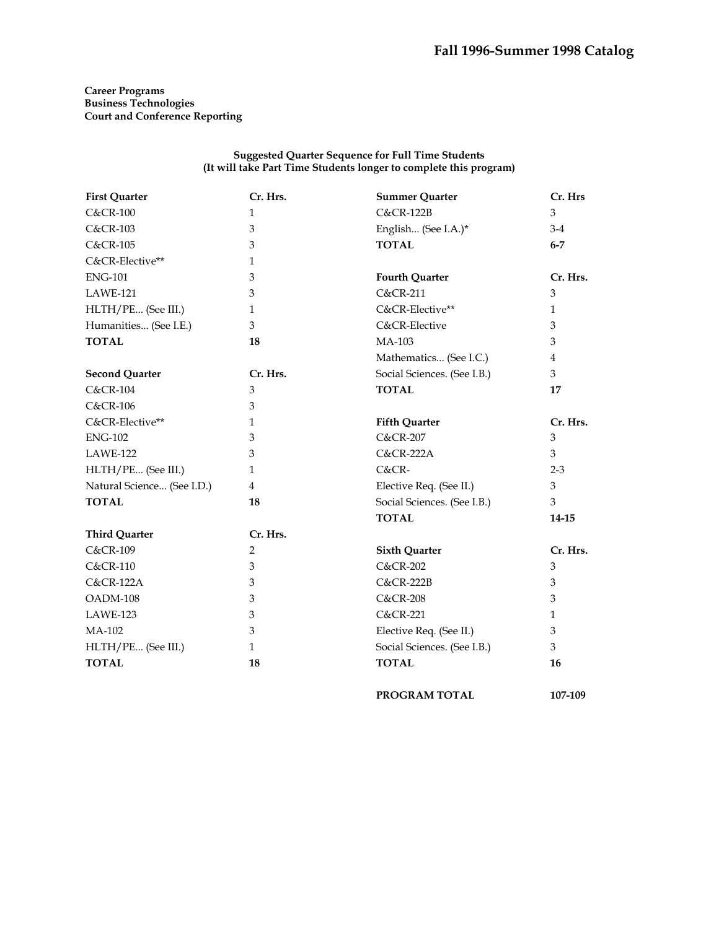## **Career Programs Business Technologies Court and Conference Reporting**

### **Suggested Quarter Sequence for Full Time Students (It will take Part Time Students longer to complete this program)**

| <b>First Quarter</b>       | Cr. Hrs.     | <b>Summer Quarter</b>       | Cr. Hrs        |
|----------------------------|--------------|-----------------------------|----------------|
| <b>C&amp;CR-100</b>        | $\mathbf{1}$ | <b>C&amp;CR-122B</b>        | 3              |
| <b>C&amp;CR-103</b>        | 3            | English (See I.A.)*         | $3-4$          |
| <b>C&amp;CR-105</b>        | 3            | <b>TOTAL</b>                | $6 - 7$        |
| C&CR-Elective**            | $\mathbf{1}$ |                             |                |
| <b>ENG-101</b>             | 3            | <b>Fourth Quarter</b>       | Cr. Hrs.       |
| LAWE-121                   | 3            | C&CR-211                    | 3              |
| HLTH/PE (See III.)         | 1            | C&CR-Elective**             | $\mathbf{1}$   |
| Humanities (See I.E.)      | 3            | C&CR-Elective               | 3              |
| <b>TOTAL</b>               | 18           | MA-103                      | 3              |
|                            |              | Mathematics (See I.C.)      | $\overline{4}$ |
| <b>Second Quarter</b>      | Cr. Hrs.     | Social Sciences. (See I.B.) | 3              |
| <b>C&amp;CR-104</b>        | 3            | <b>TOTAL</b>                | 17             |
| <b>C&amp;CR-106</b>        | 3            |                             |                |
| C&CR-Elective**            | $\mathbf{1}$ | <b>Fifth Quarter</b>        | Cr. Hrs.       |
| <b>ENG-102</b>             | 3            | <b>C&amp;CR-207</b>         | 3              |
| <b>LAWE-122</b>            | 3            | <b>C&amp;CR-222A</b>        | 3              |
| HLTH/PE (See III.)         | $\mathbf{1}$ | $C&CR$ -                    | $2 - 3$        |
| Natural Science (See I.D.) | 4            | Elective Req. (See II.)     | 3              |
| <b>TOTAL</b>               | 18           | Social Sciences. (See I.B.) | 3              |
|                            |              | <b>TOTAL</b>                | 14-15          |
| <b>Third Quarter</b>       | Cr. Hrs.     |                             |                |
| <b>C&amp;CR-109</b>        | 2            | <b>Sixth Quarter</b>        | Cr. Hrs.       |
| <b>C&amp;CR-110</b>        | 3            | <b>C&amp;CR-202</b>         | 3              |
| <b>C&amp;CR-122A</b>       | 3            | <b>C&amp;CR-222B</b>        | 3              |
| OADM-108                   | 3            | <b>C&amp;CR-208</b>         | 3              |
| LAWE-123                   | 3            | <b>C&amp;CR-221</b>         | 1              |
| MA-102                     | 3            | Elective Req. (See II.)     | 3              |
| HLTH/PE (See III.)         | $\mathbf{1}$ | Social Sciences. (See I.B.) | 3              |
| <b>TOTAL</b>               | 18           | <b>TOTAL</b>                | 16             |

**PROGRAM TOTAL 107-109**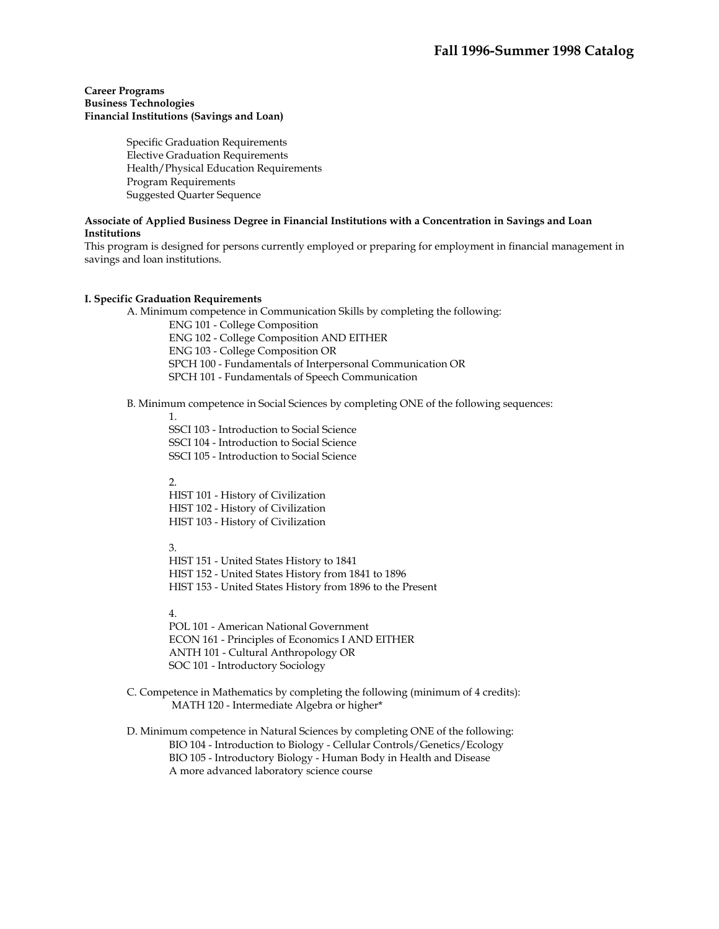## **Career Programs Business Technologies Financial Institutions (Savings and Loan)**

 Specific Graduation Requirements Elective Graduation Requirements Health/Physical Education Requirements Program Requirements Suggested Quarter Sequence

## **Associate of Applied Business Degree in Financial Institutions with a Concentration in Savings and Loan Institutions**

This program is designed for persons currently employed or preparing for employment in financial management in savings and loan institutions.

## **I. Specific Graduation Requirements**

A. Minimum competence in Communication Skills by completing the following:

ENG 101 - College Composition ENG 102 - College Composition AND EITHER ENG 103 - College Composition OR SPCH 100 - Fundamentals of Interpersonal Communication OR SPCH 101 - Fundamentals of Speech Communication

#### B. Minimum competence in Social Sciences by completing ONE of the following sequences:

1.

SSCI 103 - Introduction to Social Science SSCI 104 - Introduction to Social Science SSCI 105 - Introduction to Social Science

 $\mathcal{L}$ 

HIST 101 - History of Civilization HIST 102 - History of Civilization HIST 103 - History of Civilization

3.

HIST 151 - United States History to 1841 HIST 152 - United States History from 1841 to 1896 HIST 153 - United States History from 1896 to the Present

4.

POL 101 - American National Government ECON 161 - Principles of Economics I AND EITHER ANTH 101 - Cultural Anthropology OR SOC 101 - Introductory Sociology

- C. Competence in Mathematics by completing the following (minimum of 4 credits): MATH 120 - Intermediate Algebra or higher\*
- D. Minimum competence in Natural Sciences by completing ONE of the following: BIO 104 - Introduction to Biology - Cellular Controls/Genetics/Ecology BIO 105 - Introductory Biology - Human Body in Health and Disease A more advanced laboratory science course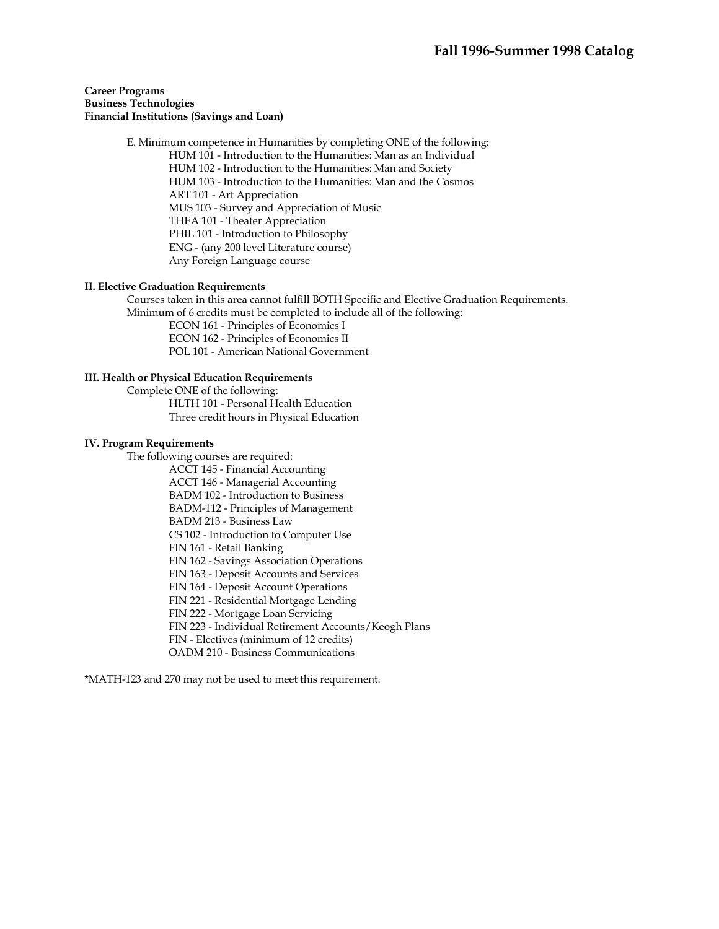## **Career Programs Business Technologies Financial Institutions (Savings and Loan)**

 E. Minimum competence in Humanities by completing ONE of the following: HUM 101 - Introduction to the Humanities: Man as an Individual HUM 102 - Introduction to the Humanities: Man and Society HUM 103 - Introduction to the Humanities: Man and the Cosmos ART 101 - Art Appreciation MUS 103 - Survey and Appreciation of Music THEA 101 - Theater Appreciation PHIL 101 - Introduction to Philosophy ENG - (any 200 level Literature course) Any Foreign Language course

## **II. Elective Graduation Requirements**

 Courses taken in this area cannot fulfill BOTH Specific and Elective Graduation Requirements. Minimum of 6 credits must be completed to include all of the following:

 ECON 161 - Principles of Economics I ECON 162 - Principles of Economics II POL 101 - American National Government

### **III. Health or Physical Education Requirements**

 Complete ONE of the following: HLTH 101 - Personal Health Education Three credit hours in Physical Education

#### **IV. Program Requirements**

The following courses are required:

ACCT 145 - Financial Accounting ACCT 146 - Managerial Accounting BADM 102 - Introduction to Business BADM-112 - Principles of Management BADM 213 - Business Law CS 102 - Introduction to Computer Use FIN 161 - Retail Banking FIN 162 - Savings Association Operations FIN 163 - Deposit Accounts and Services FIN 164 - Deposit Account Operations FIN 221 - Residential Mortgage Lending FIN 222 - Mortgage Loan Servicing FIN 223 - Individual Retirement Accounts/Keogh Plans FIN - Electives (minimum of 12 credits) OADM 210 - Business Communications \*MATH-123 and 270 may not be used to meet this requirement.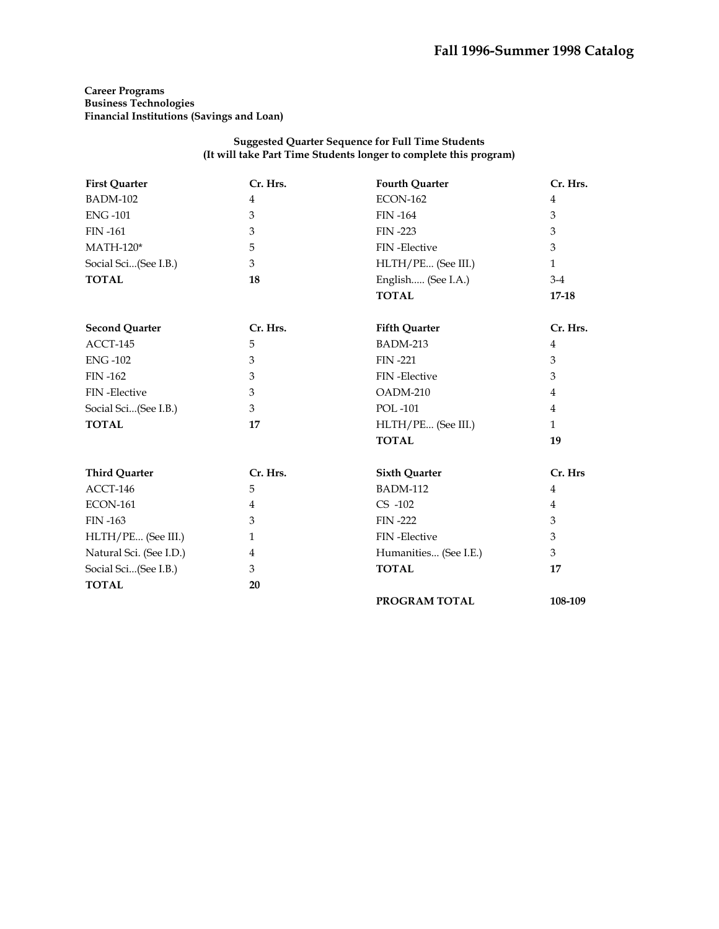# **Career Programs Business Technologies Financial Institutions (Savings and Loan)**

## **Suggested Quarter Sequence for Full Time Students (It will take Part Time Students longer to complete this program)**

| <b>First Quarter</b>    | Cr. Hrs.       | <b>Fourth Quarter</b> | Cr. Hrs.       |
|-------------------------|----------------|-----------------------|----------------|
| <b>BADM-102</b>         | $\overline{4}$ | <b>ECON-162</b>       | $\overline{4}$ |
| <b>ENG-101</b>          | 3              | <b>FIN-164</b>        | 3              |
| <b>FIN-161</b>          | 3              | <b>FIN-223</b>        | 3              |
| $MATH-120*$             | 5              | <b>FIN-Elective</b>   | 3              |
| Social Sci(See I.B.)    | 3              | HLTH/PE (See III.)    | $\mathbf{1}$   |
| <b>TOTAL</b>            | 18             | English (See I.A.)    | $3-4$          |
|                         |                | <b>TOTAL</b>          | 17-18          |
| <b>Second Quarter</b>   | Cr. Hrs.       | <b>Fifth Quarter</b>  | Cr. Hrs.       |
| ACCT-145                | 5              | <b>BADM-213</b>       | 4              |
| <b>ENG-102</b>          | 3              | <b>FIN-221</b>        | 3              |
| <b>FIN-162</b>          | 3              | FIN-Elective          | 3              |
| FIN-Elective            | 3              | OADM-210              | 4              |
| Social Sci(See I.B.)    | 3              | <b>POL-101</b>        | $\overline{4}$ |
| <b>TOTAL</b>            | 17             | HLTH/PE (See III.)    | $\mathbf{1}$   |
|                         |                | <b>TOTAL</b>          | 19             |
| <b>Third Quarter</b>    | Cr. Hrs.       | <b>Sixth Quarter</b>  | Cr. Hrs        |
| ACCT-146                | 5              | <b>BADM-112</b>       | $\overline{4}$ |
| <b>ECON-161</b>         | $\overline{4}$ | $CS -102$             | 4              |
| <b>FIN-163</b>          | 3              | <b>FIN-222</b>        | 3              |
| HLTH/PE (See III.)      | $\mathbf{1}$   | FIN-Elective          | 3              |
| Natural Sci. (See I.D.) | 4              | Humanities (See I.E.) | 3              |
| Social Sci(See I.B.)    | 3              | <b>TOTAL</b>          | 17             |
| <b>TOTAL</b>            | 20             |                       |                |
|                         |                | PROGRAM TOTAL         | 108-109        |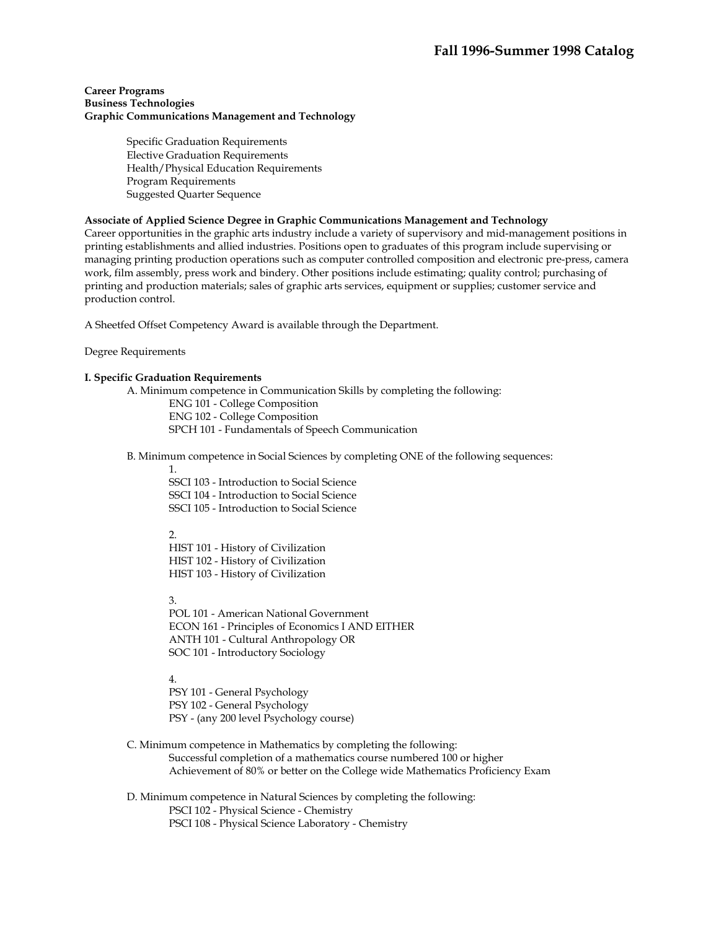#### **Career Programs Business Technologies Graphic Communications Management and Technology**

Specific Graduation Requirements Elective Graduation Requirements Health/Physical Education Requirements Program Requirements Suggested Quarter Sequence

# **Associate of Applied Science Degree in Graphic Communications Management and Technology**

Career opportunities in the graphic arts industry include a variety of supervisory and mid-management positions in printing establishments and allied industries. Positions open to graduates of this program include supervising or managing printing production operations such as computer controlled composition and electronic pre-press, camera work, film assembly, press work and bindery. Other positions include estimating; quality control; purchasing of printing and production materials; sales of graphic arts services, equipment or supplies; customer service and production control.

A Sheetfed Offset Competency Award is available through the Department.

Degree Requirements

## **I. Specific Graduation Requirements**

A. Minimum competence in Communication Skills by completing the following:

ENG 101 - College Composition ENG 102 - College Composition SPCH 101 - Fundamentals of Speech Communication

B. Minimum competence in Social Sciences by completing ONE of the following sequences:

1.

SSCI 103 - Introduction to Social Science SSCI 104 - Introduction to Social Science SSCI 105 - Introduction to Social Science

 $2.5$ 

HIST 101 - History of Civilization HIST 102 - History of Civilization HIST 103 - History of Civilization

3.

POL 101 - American National Government ECON 161 - Principles of Economics I AND EITHER ANTH 101 - Cultural Anthropology OR SOC 101 - Introductory Sociology

4.

PSY 101 - General Psychology PSY 102 - General Psychology PSY - (any 200 level Psychology course)

 C. Minimum competence in Mathematics by completing the following: Successful completion of a mathematics course numbered 100 or higher Achievement of 80% or better on the College wide Mathematics Proficiency Exam

 D. Minimum competence in Natural Sciences by completing the following: PSCI 102 - Physical Science - Chemistry PSCI 108 - Physical Science Laboratory - Chemistry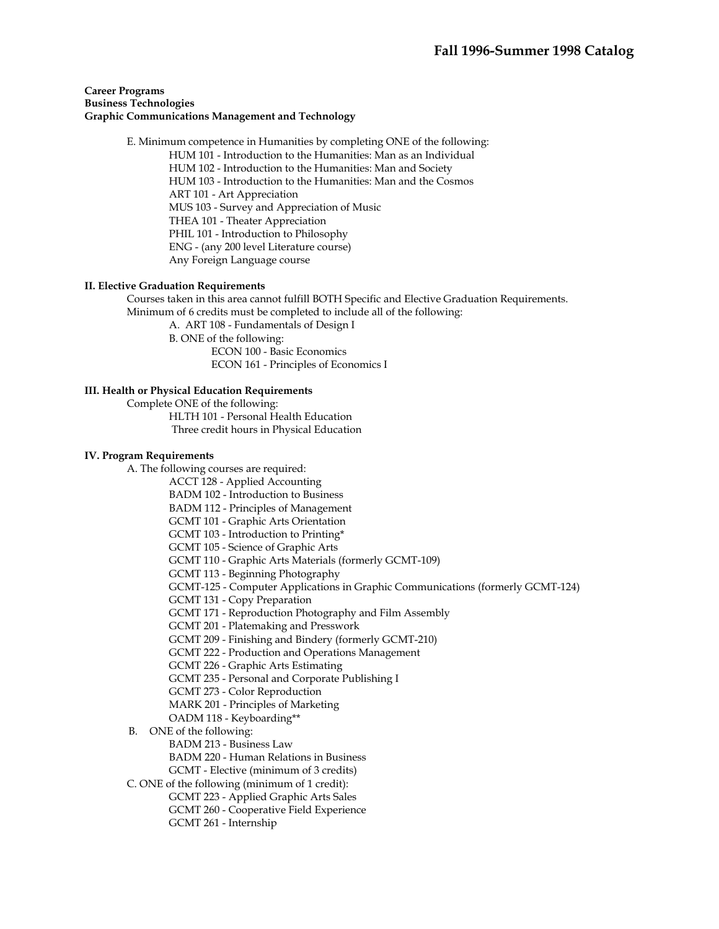## **Career Programs Business Technologies Graphic Communications Management and Technology**

 E. Minimum competence in Humanities by completing ONE of the following: HUM 101 - Introduction to the Humanities: Man as an Individual HUM 102 - Introduction to the Humanities: Man and Society HUM 103 - Introduction to the Humanities: Man and the Cosmos ART 101 - Art Appreciation MUS 103 - Survey and Appreciation of Music THEA 101 - Theater Appreciation PHIL 101 - Introduction to Philosophy ENG - (any 200 level Literature course) Any Foreign Language course

## **II. Elective Graduation Requirements**

 Courses taken in this area cannot fulfill BOTH Specific and Elective Graduation Requirements. Minimum of 6 credits must be completed to include all of the following:

A. ART 108 - Fundamentals of Design I

B. ONE of the following:

 ECON 100 - Basic Economics ECON 161 - Principles of Economics I

## **III. Health or Physical Education Requirements**

Complete ONE of the following:

 HLTH 101 - Personal Health Education Three credit hours in Physical Education

#### **IV. Program Requirements**

A. The following courses are required:

ACCT 128 - Applied Accounting

BADM 102 - Introduction to Business

BADM 112 - Principles of Management

GCMT 101 - Graphic Arts Orientation

GCMT 103 - Introduction to Printing\*

GCMT 105 - Science of Graphic Arts

GCMT 110 - Graphic Arts Materials (formerly GCMT-109)

GCMT 113 - Beginning Photography

GCMT-125 - Computer Applications in Graphic Communications (formerly GCMT-124)

GCMT 131 - Copy Preparation

GCMT 171 - Reproduction Photography and Film Assembly

GCMT 201 - Platemaking and Presswork

GCMT 209 - Finishing and Bindery (formerly GCMT-210)

GCMT 222 - Production and Operations Management

GCMT 226 - Graphic Arts Estimating

GCMT 235 - Personal and Corporate Publishing I

GCMT 273 - Color Reproduction

MARK 201 - Principles of Marketing

OADM 118 - Keyboarding\*\*

B. ONE of the following:

BADM 213 - Business Law

BADM 220 - Human Relations in Business

GCMT - Elective (minimum of 3 credits)

C. ONE of the following (minimum of 1 credit):

GCMT 223 - Applied Graphic Arts Sales

GCMT 260 - Cooperative Field Experience

GCMT 261 - Internship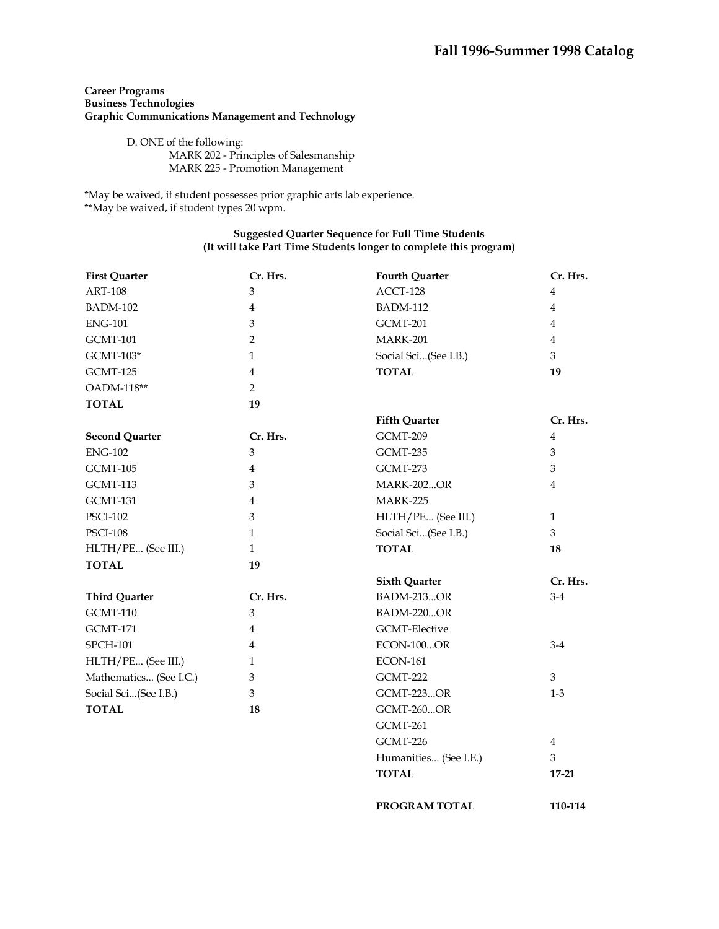# **Career Programs Business Technologies Graphic Communications Management and Technology**

 D. ONE of the following: MARK 202 - Principles of Salesmanship MARK 225 - Promotion Management

\*May be waived, if student possesses prior graphic arts lab experience. \*\*May be waived, if student types 20 wpm.

# **Suggested Quarter Sequence for Full Time Students (It will take Part Time Students longer to complete this program)**

| <b>First Quarter</b>   | Cr. Hrs.       | <b>Fourth Quarter</b> | Cr. Hrs.       |
|------------------------|----------------|-----------------------|----------------|
| <b>ART-108</b>         | 3              | ACCT-128              | 4              |
| <b>BADM-102</b>        | $\overline{4}$ | <b>BADM-112</b>       | 4              |
| <b>ENG-101</b>         | 3              | GCMT-201              | $\overline{4}$ |
| <b>GCMT-101</b>        | $\overline{2}$ | <b>MARK-201</b>       | $\overline{4}$ |
| $GCMT-103*$            | $\mathbf{1}$   | Social Sci(See I.B.)  | 3              |
| GCMT-125               | $\overline{4}$ | <b>TOTAL</b>          | 19             |
| OADM-118**             | 2              |                       |                |
| <b>TOTAL</b>           | 19             |                       |                |
|                        |                | <b>Fifth Quarter</b>  | Cr. Hrs.       |
| <b>Second Quarter</b>  | Cr. Hrs.       | GCMT-209              | $\overline{4}$ |
| <b>ENG-102</b>         | 3              | GCMT-235              | 3              |
| GCMT-105               | $\overline{4}$ | GCMT-273              | 3              |
| GCMT-113               | 3              | <b>MARK-202OR</b>     | $\overline{4}$ |
| <b>GCMT-131</b>        | 4              | <b>MARK-225</b>       |                |
| <b>PSCI-102</b>        | 3              | HLTH/PE (See III.)    | $\mathbf{1}$   |
| <b>PSCI-108</b>        | $\mathbf{1}$   | Social Sci(See I.B.)  | 3              |
| HLTH/PE (See III.)     | $\mathbf{1}$   | <b>TOTAL</b>          | 18             |
| <b>TOTAL</b>           | 19             |                       |                |
|                        |                | <b>Sixth Quarter</b>  | Cr. Hrs.       |
| <b>Third Quarter</b>   | Cr. Hrs.       | <b>BADM-213OR</b>     | $3-4$          |
| GCMT-110               | 3              | <b>BADM-220OR</b>     |                |
| <b>GCMT-171</b>        | $\overline{4}$ | <b>GCMT-Elective</b>  |                |
| <b>SPCH-101</b>        | 4              | <b>ECON-100OR</b>     | $3-4$          |
| HLTH/PE (See III.)     | 1              | <b>ECON-161</b>       |                |
| Mathematics (See I.C.) | 3              | GCMT-222              | 3              |
| Social Sci(See I.B.)   | $\mathfrak{Z}$ | <b>GCMT-223OR</b>     | $1-3$          |
| <b>TOTAL</b>           | 18             | <b>GCMT-260OR</b>     |                |
|                        |                | <b>GCMT-261</b>       |                |
|                        |                | GCMT-226              | 4              |
|                        |                | Humanities (See I.E.) | 3              |
|                        |                | <b>TOTAL</b>          | $17 - 21$      |

**PROGRAM TOTAL 110-114**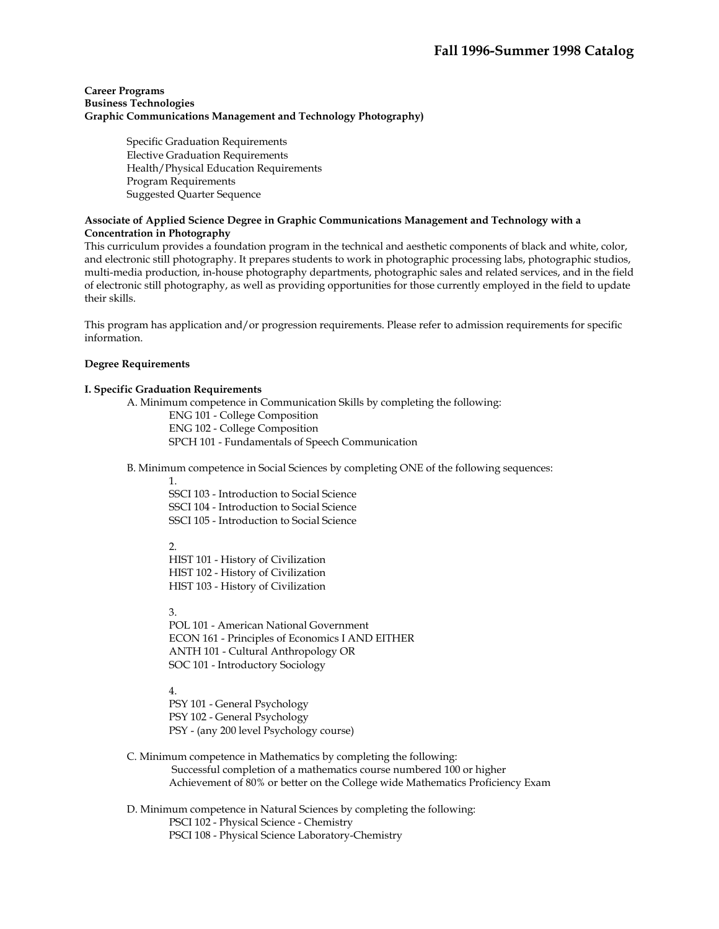## **Career Programs Business Technologies Graphic Communications Management and Technology Photography)**

Specific Graduation Requirements Elective Graduation Requirements Health/Physical Education Requirements Program Requirements Suggested Quarter Sequence

## **Associate of Applied Science Degree in Graphic Communications Management and Technology with a Concentration in Photography**

This curriculum provides a foundation program in the technical and aesthetic components of black and white, color, and electronic still photography. It prepares students to work in photographic processing labs, photographic studios, multi-media production, in-house photography departments, photographic sales and related services, and in the field of electronic still photography, as well as providing opportunities for those currently employed in the field to update their skills.

This program has application and/or progression requirements. Please refer to admission requirements for specific information.

## **Degree Requirements**

#### **I. Specific Graduation Requirements**

A. Minimum competence in Communication Skills by completing the following:

ENG 101 - College Composition ENG 102 - College Composition SPCH 101 - Fundamentals of Speech Communication

B. Minimum competence in Social Sciences by completing ONE of the following sequences:

1.

SSCI 103 - Introduction to Social Science SSCI 104 - Introduction to Social Science SSCI 105 - Introduction to Social Science

2.

HIST 101 - History of Civilization HIST 102 - History of Civilization HIST 103 - History of Civilization

3.

POL 101 - American National Government ECON 161 - Principles of Economics I AND EITHER ANTH 101 - Cultural Anthropology OR SOC 101 - Introductory Sociology

4.

PSY 101 - General Psychology PSY 102 - General Psychology PSY - (any 200 level Psychology course)

 C. Minimum competence in Mathematics by completing the following: Successful completion of a mathematics course numbered 100 or higher Achievement of 80% or better on the College wide Mathematics Proficiency Exam

 D. Minimum competence in Natural Sciences by completing the following: PSCI 102 - Physical Science - Chemistry PSCI 108 - Physical Science Laboratory-Chemistry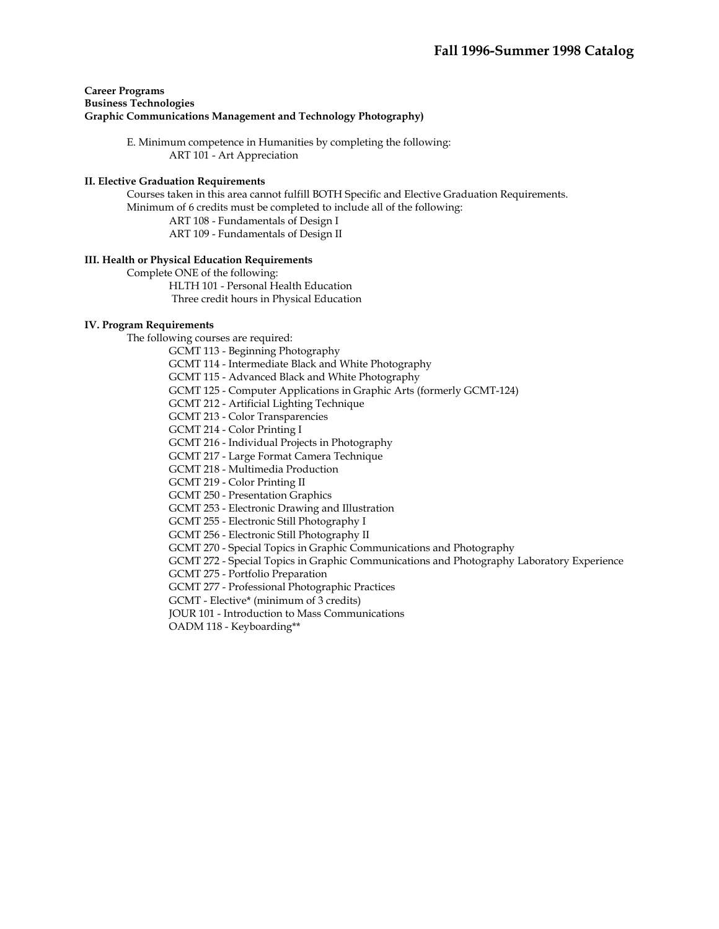## **Career Programs Business Technologies Graphic Communications Management and Technology Photography)**

 E. Minimum competence in Humanities by completing the following: ART 101 - Art Appreciation

#### **II. Elective Graduation Requirements**

 Courses taken in this area cannot fulfill BOTH Specific and Elective Graduation Requirements. Minimum of 6 credits must be completed to include all of the following: ART 108 - Fundamentals of Design I

ART 109 - Fundamentals of Design II

#### **III. Health or Physical Education Requirements**

 Complete ONE of the following: HLTH 101 - Personal Health Education Three credit hours in Physical Education

## **IV. Program Requirements**

The following courses are required:

GCMT 113 - Beginning Photography

GCMT 114 - Intermediate Black and White Photography

GCMT 115 - Advanced Black and White Photography

GCMT 125 - Computer Applications in Graphic Arts (formerly GCMT-124)

GCMT 212 - Artificial Lighting Technique

GCMT 213 - Color Transparencies

GCMT 214 - Color Printing I

GCMT 216 - Individual Projects in Photography

GCMT 217 - Large Format Camera Technique

GCMT 218 - Multimedia Production

GCMT 219 - Color Printing II

GCMT 250 - Presentation Graphics

GCMT 253 - Electronic Drawing and Illustration

GCMT 255 - Electronic Still Photography I

GCMT 256 - Electronic Still Photography II

GCMT 270 - Special Topics in Graphic Communications and Photography

GCMT 272 - Special Topics in Graphic Communications and Photography Laboratory Experience

GCMT 275 - Portfolio Preparation

GCMT 277 - Professional Photographic Practices

GCMT - Elective\* (minimum of 3 credits)

JOUR 101 - Introduction to Mass Communications

OADM 118 - Keyboarding\*\*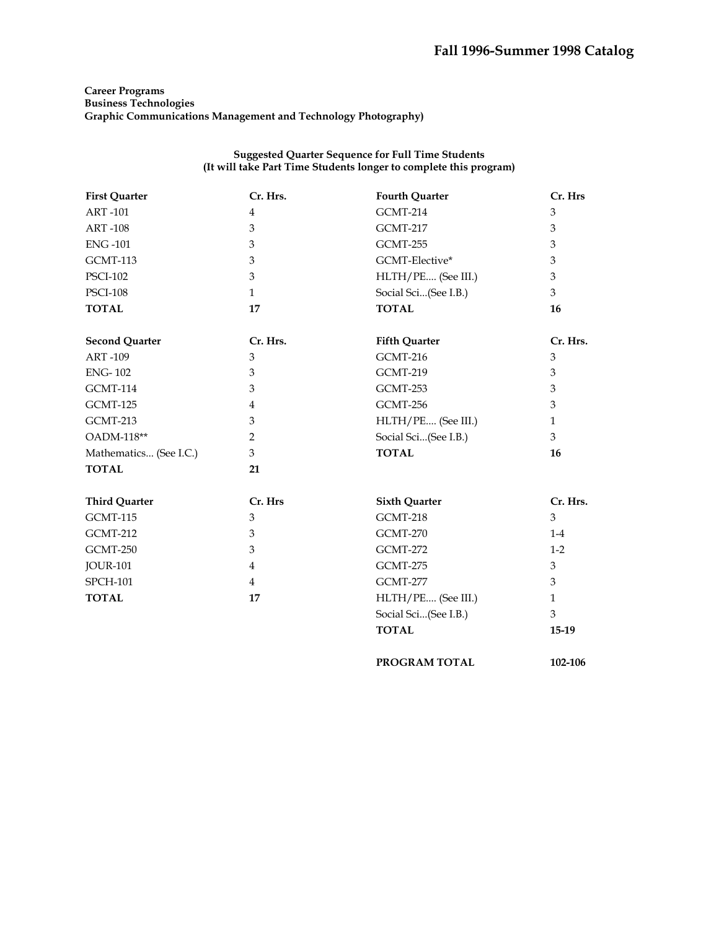# **Career Programs Business Technologies Graphic Communications Management and Technology Photography)**

## **Suggested Quarter Sequence for Full Time Students (It will take Part Time Students longer to complete this program)**

| <b>First Quarter</b>   | Cr. Hrs.       | <b>Fourth Quarter</b> | Cr. Hrs      |
|------------------------|----------------|-----------------------|--------------|
| <b>ART-101</b>         | $\overline{4}$ | <b>GCMT-214</b>       | 3            |
| <b>ART-108</b>         | 3              | <b>GCMT-217</b>       | 3            |
| <b>ENG-101</b>         | $\mathfrak{Z}$ | GCMT-255              | 3            |
| GCMT-113               | 3              | GCMT-Elective*        | 3            |
| <b>PSCI-102</b>        | 3              | HLTH/PE (See III.)    | 3            |
| <b>PSCI-108</b>        | $\mathbf{1}$   | Social Sci(See I.B.)  | 3            |
| <b>TOTAL</b>           | 17             | <b>TOTAL</b>          | 16           |
| <b>Second Quarter</b>  | Cr. Hrs.       | <b>Fifth Quarter</b>  | Cr. Hrs.     |
| <b>ART-109</b>         | 3              | <b>GCMT-216</b>       | 3            |
| <b>ENG-102</b>         | 3              | GCMT-219              | 3            |
| GCMT-114               | 3              | GCMT-253              | 3            |
| GCMT-125               | $\overline{4}$ | GCMT-256              | 3            |
| GCMT-213               | 3              | HLTH/PE (See III.)    | $\mathbf{1}$ |
| OADM-118**             | 2              | Social Sci(See I.B.)  | 3            |
| Mathematics (See I.C.) | 3              | <b>TOTAL</b>          | 16           |
| <b>TOTAL</b>           | 21             |                       |              |
| <b>Third Quarter</b>   | Cr. Hrs        | <b>Sixth Quarter</b>  | Cr. Hrs.     |
| <b>GCMT-115</b>        | 3              | GCMT-218              | 3            |
| <b>GCMT-212</b>        | 3              | <b>GCMT-270</b>       | $1-4$        |
| GCMT-250               | 3              | <b>GCMT-272</b>       | $1-2$        |
| <b>JOUR-101</b>        | $\overline{4}$ | GCMT-275              | 3            |
| <b>SPCH-101</b>        | $\overline{4}$ | GCMT-277              | 3            |
| <b>TOTAL</b>           | 17             | HLTH/PE (See III.)    | $\mathbf{1}$ |
|                        |                | Social Sci(See I.B.)  | 3            |
|                        |                | <b>TOTAL</b>          | $15-19$      |
|                        |                |                       |              |

PROGRAM TOTAL 102-106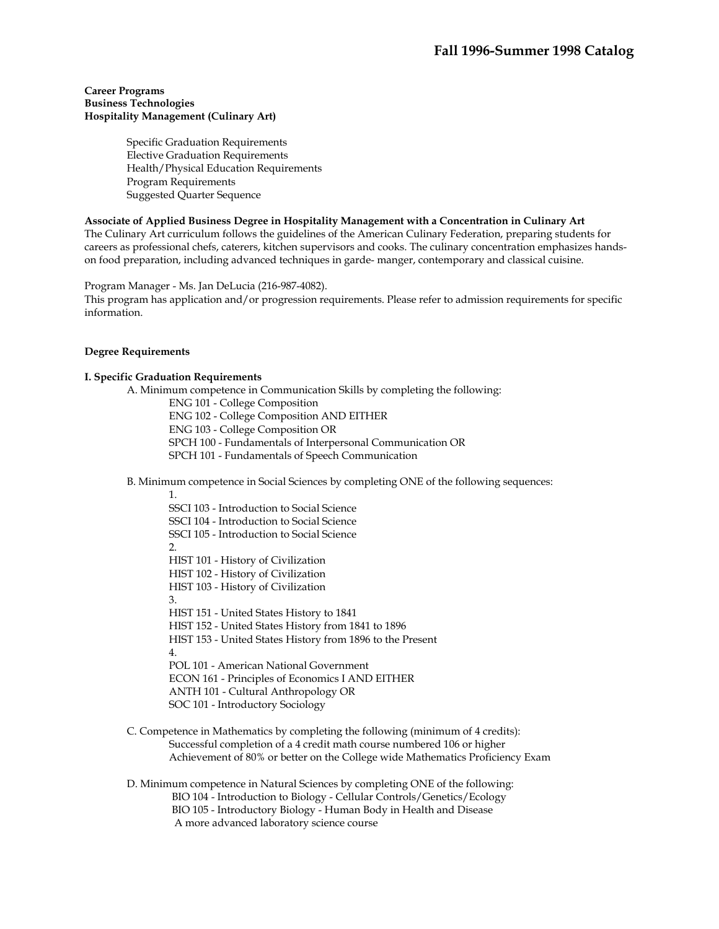#### **Career Programs Business Technologies Hospitality Management (Culinary Art)**

Specific Graduation Requirements Elective Graduation Requirements Health/Physical Education Requirements Program Requirements Suggested Quarter Sequence

#### **Associate of Applied Business Degree in Hospitality Management with a Concentration in Culinary Art**

The Culinary Art curriculum follows the guidelines of the American Culinary Federation, preparing students for careers as professional chefs, caterers, kitchen supervisors and cooks. The culinary concentration emphasizes handson food preparation, including advanced techniques in garde- manger, contemporary and classical cuisine.

Program Manager - Ms. Jan DeLucia (216-987-4082).

This program has application and/or progression requirements. Please refer to admission requirements for specific information.

## **Degree Requirements**

## **I. Specific Graduation Requirements**

A. Minimum competence in Communication Skills by completing the following:

ENG 101 - College Composition

ENG 102 - College Composition AND EITHER

ENG 103 - College Composition OR

SPCH 100 - Fundamentals of Interpersonal Communication OR

SPCH 101 - Fundamentals of Speech Communication

B. Minimum competence in Social Sciences by completing ONE of the following sequences:

1.

- SSCI 103 Introduction to Social Science SSCI 104 - Introduction to Social Science SSCI 105 - Introduction to Social Science  $\mathcal{L}$ HIST 101 - History of Civilization HIST 102 - History of Civilization HIST 103 - History of Civilization 3. HIST 151 - United States History to 1841 HIST 152 - United States History from 1841 to 1896 HIST 153 - United States History from 1896 to the Present 4. POL 101 - American National Government ECON 161 - Principles of Economics I AND EITHER ANTH 101 - Cultural Anthropology OR SOC 101 - Introductory Sociology
- C. Competence in Mathematics by completing the following (minimum of 4 credits): Successful completion of a 4 credit math course numbered 106 or higher Achievement of 80% or better on the College wide Mathematics Proficiency Exam
- D. Minimum competence in Natural Sciences by completing ONE of the following: BIO 104 - Introduction to Biology - Cellular Controls/Genetics/Ecology BIO 105 - Introductory Biology - Human Body in Health and Disease A more advanced laboratory science course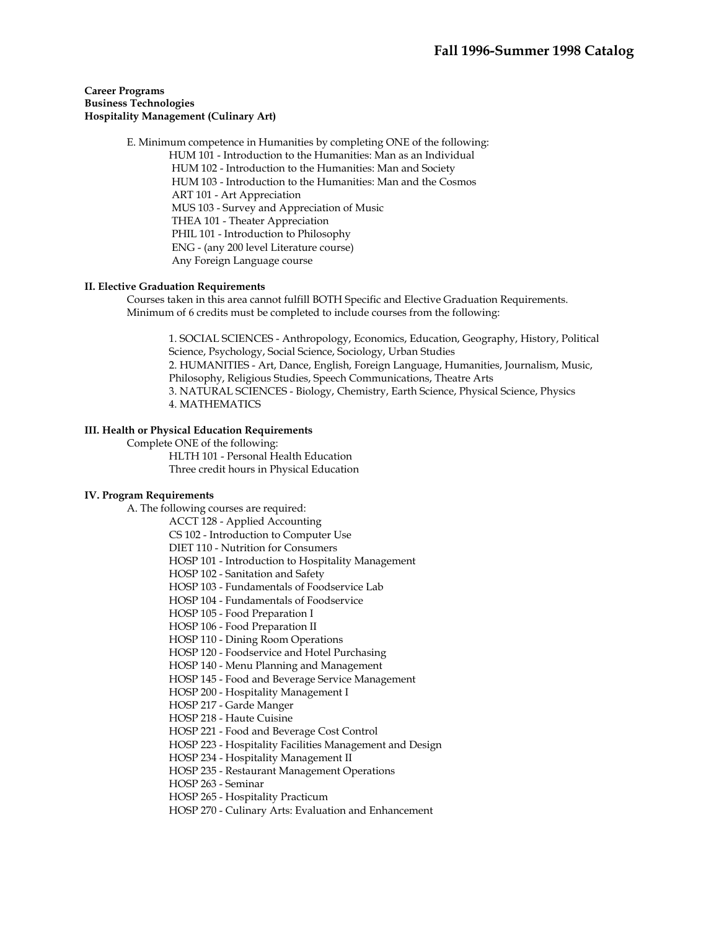## **Career Programs Business Technologies Hospitality Management (Culinary Art)**

 E. Minimum competence in Humanities by completing ONE of the following: HUM 101 - Introduction to the Humanities: Man as an Individual HUM 102 - Introduction to the Humanities: Man and Society HUM 103 - Introduction to the Humanities: Man and the Cosmos ART 101 - Art Appreciation MUS 103 - Survey and Appreciation of Music THEA 101 - Theater Appreciation PHIL 101 - Introduction to Philosophy ENG - (any 200 level Literature course) Any Foreign Language course

## **II. Elective Graduation Requirements**

 Courses taken in this area cannot fulfill BOTH Specific and Elective Graduation Requirements. Minimum of 6 credits must be completed to include courses from the following:

1. SOCIAL SCIENCES - Anthropology, Economics, Education, Geography, History, Political Science, Psychology, Social Science, Sociology, Urban Studies 2. HUMANITIES - Art, Dance, English, Foreign Language, Humanities, Journalism, Music, Philosophy, Religious Studies, Speech Communications, Theatre Arts 3. NATURAL SCIENCES - Biology, Chemistry, Earth Science, Physical Science, Physics 4. MATHEMATICS

# **III. Health or Physical Education Requirements**

Complete ONE of the following:

 HLTH 101 - Personal Health Education Three credit hours in Physical Education

## **IV. Program Requirements**

A. The following courses are required:

ACCT 128 - Applied Accounting

CS 102 - Introduction to Computer Use

DIET 110 - Nutrition for Consumers

HOSP 101 - Introduction to Hospitality Management

HOSP 102 - Sanitation and Safety

HOSP 103 - Fundamentals of Foodservice Lab

HOSP 104 - Fundamentals of Foodservice

HOSP 105 - Food Preparation I

HOSP 106 - Food Preparation II

HOSP 110 - Dining Room Operations

HOSP 120 - Foodservice and Hotel Purchasing

HOSP 140 - Menu Planning and Management

HOSP 145 - Food and Beverage Service Management

HOSP 200 - Hospitality Management I

HOSP 217 - Garde Manger

HOSP 218 - Haute Cuisine

HOSP 221 - Food and Beverage Cost Control

HOSP 223 - Hospitality Facilities Management and Design

HOSP 234 - Hospitality Management II

HOSP 235 - Restaurant Management Operations

HOSP 263 - Seminar

HOSP 265 - Hospitality Practicum

HOSP 270 - Culinary Arts: Evaluation and Enhancement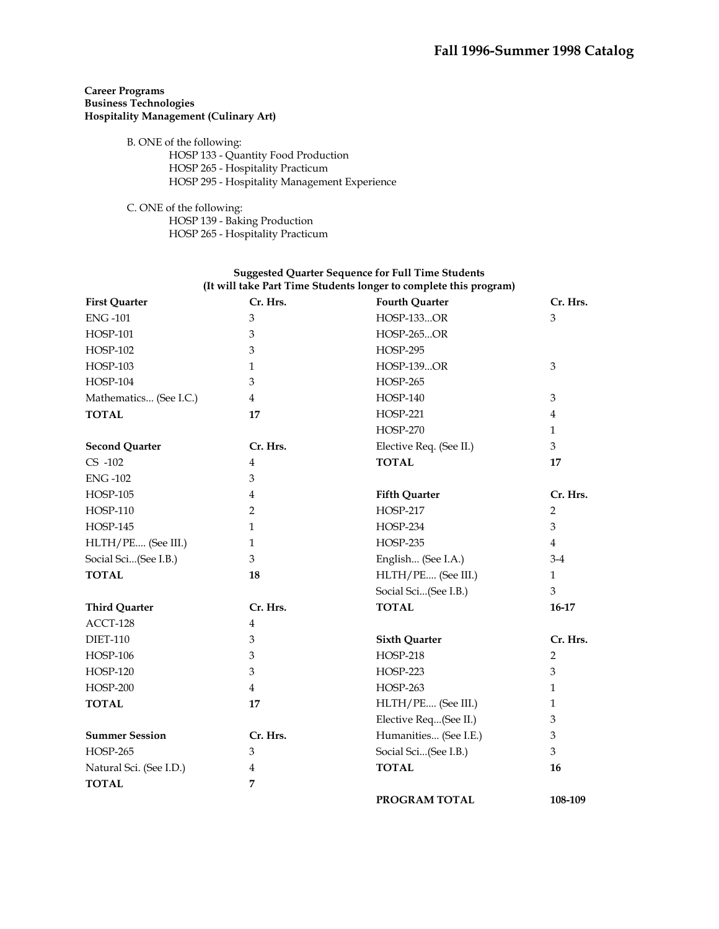# **Career Programs Business Technologies Hospitality Management (Culinary Art)**

B. ONE of the following:

 HOSP 133 - Quantity Food Production HOSP 265 - Hospitality Practicum HOSP 295 - Hospitality Management Experience

 C. ONE of the following: HOSP 139 - Baking Production HOSP 265 - Hospitality Practicum

| <b>First Quarter</b>    | Cr. Hrs.                  | <b>Fourth Quarter</b>   | Cr. Hrs.       |
|-------------------------|---------------------------|-------------------------|----------------|
| <b>ENG-101</b>          | 3                         | <b>HOSP-133OR</b>       | 3              |
| <b>HOSP-101</b>         | $\ensuremath{\mathbf{3}}$ | <b>HOSP-265OR</b>       |                |
| <b>HOSP-102</b>         | 3                         | <b>HOSP-295</b>         |                |
| <b>HOSP-103</b>         | $\mathbf{1}$              | <b>HOSP-139OR</b>       | 3              |
| <b>HOSP-104</b>         | 3                         | <b>HOSP-265</b>         |                |
| Mathematics (See I.C.)  | $\overline{4}$            | <b>HOSP-140</b>         | 3              |
| <b>TOTAL</b>            | 17                        | <b>HOSP-221</b>         | $\overline{4}$ |
|                         |                           | <b>HOSP-270</b>         | 1              |
| <b>Second Quarter</b>   | Cr. Hrs.                  | Elective Req. (See II.) | 3              |
| $CS -102$               | $\overline{4}$            | <b>TOTAL</b>            | 17             |
| <b>ENG-102</b>          | 3                         |                         |                |
| <b>HOSP-105</b>         | 4                         | <b>Fifth Quarter</b>    | Cr. Hrs.       |
| <b>HOSP-110</b>         | 2                         | HOSP-217                | 2              |
| <b>HOSP-145</b>         | 1                         | HOSP-234                | 3              |
| HLTH/PE (See III.)      | 1                         | <b>HOSP-235</b>         | $\overline{4}$ |
| Social Sci(See I.B.)    | 3                         | English (See I.A.)      | $3-4$          |
| <b>TOTAL</b>            | 18                        | HLTH/PE (See III.)      | $\mathbf{1}$   |
|                         |                           | Social Sci(See I.B.)    | 3              |
| <b>Third Quarter</b>    | Cr. Hrs.                  | <b>TOTAL</b>            | 16-17          |
| ACCT-128                | 4                         |                         |                |
| <b>DIET-110</b>         | 3                         | <b>Sixth Quarter</b>    | Cr. Hrs.       |
| <b>HOSP-106</b>         | 3                         | <b>HOSP-218</b>         | 2              |
| <b>HOSP-120</b>         | 3                         | <b>HOSP-223</b>         | 3              |
| <b>HOSP-200</b>         | $\overline{4}$            | <b>HOSP-263</b>         | $\mathbf{1}$   |
| <b>TOTAL</b>            | 17                        | HLTH/PE (See III.)      | 1              |
|                         |                           | Elective Req(See II.)   | 3              |
| <b>Summer Session</b>   | Cr. Hrs.                  | Humanities (See I.E.)   | 3              |
| <b>HOSP-265</b>         | 3                         | Social Sci(See I.B.)    | 3              |
| Natural Sci. (See I.D.) | 4                         | <b>TOTAL</b>            | 16             |
| <b>TOTAL</b>            | 7                         |                         |                |
|                         |                           | PROGRAM TOTAL           | 108-109        |

## **Suggested Quarter Sequence for Full Time Students (It will take Part Time Students longer to complete this program)**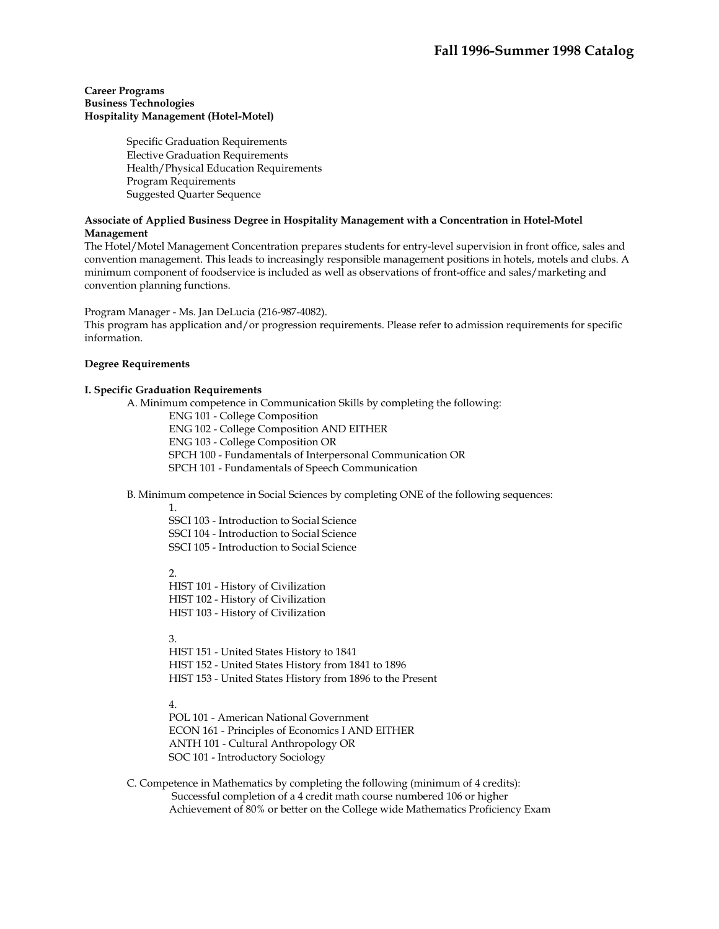#### **Career Programs Business Technologies Hospitality Management (Hotel-Motel)**

Specific Graduation Requirements Elective Graduation Requirements Health/Physical Education Requirements Program Requirements Suggested Quarter Sequence

## **Associate of Applied Business Degree in Hospitality Management with a Concentration in Hotel-Motel Management**

The Hotel/Motel Management Concentration prepares students for entry-level supervision in front office, sales and convention management. This leads to increasingly responsible management positions in hotels, motels and clubs. A minimum component of foodservice is included as well as observations of front-office and sales/marketing and convention planning functions.

Program Manager - Ms. Jan DeLucia (216-987-4082).

This program has application and/or progression requirements. Please refer to admission requirements for specific information.

## **Degree Requirements**

## **I. Specific Graduation Requirements**

A. Minimum competence in Communication Skills by completing the following:

ENG 101 - College Composition

ENG 102 - College Composition AND EITHER

ENG 103 - College Composition OR

SPCH 100 - Fundamentals of Interpersonal Communication OR

SPCH 101 - Fundamentals of Speech Communication

B. Minimum competence in Social Sciences by completing ONE of the following sequences:

1.

SSCI 103 - Introduction to Social Science SSCI 104 - Introduction to Social Science SSCI 105 - Introduction to Social Science

2.

HIST 101 - History of Civilization HIST 102 - History of Civilization HIST 103 - History of Civilization

3.

HIST 151 - United States History to 1841 HIST 152 - United States History from 1841 to 1896 HIST 153 - United States History from 1896 to the Present

# 4.

POL 101 - American National Government ECON 161 - Principles of Economics I AND EITHER ANTH 101 - Cultural Anthropology OR SOC 101 - Introductory Sociology

 C. Competence in Mathematics by completing the following (minimum of 4 credits): Successful completion of a 4 credit math course numbered 106 or higher Achievement of 80% or better on the College wide Mathematics Proficiency Exam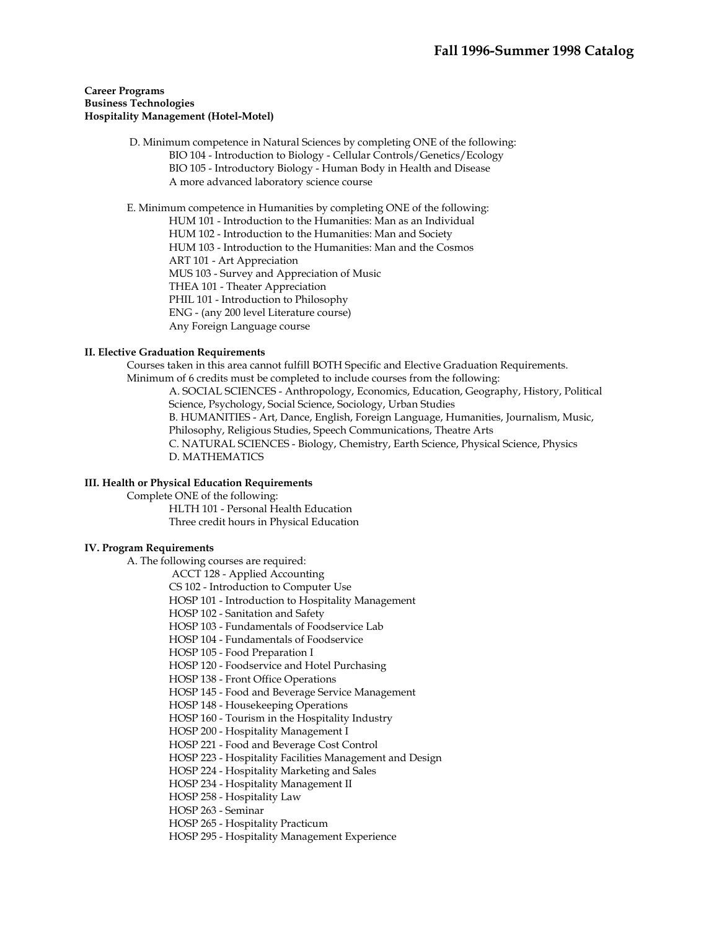#### **Career Programs Business Technologies Hospitality Management (Hotel-Motel)**

 D. Minimum competence in Natural Sciences by completing ONE of the following: BIO 104 - Introduction to Biology - Cellular Controls/Genetics/Ecology BIO 105 - Introductory Biology - Human Body in Health and Disease A more advanced laboratory science course

E. Minimum competence in Humanities by completing ONE of the following:

HUM 101 - Introduction to the Humanities: Man as an Individual

HUM 102 - Introduction to the Humanities: Man and Society

HUM 103 - Introduction to the Humanities: Man and the Cosmos

ART 101 - Art Appreciation

MUS 103 - Survey and Appreciation of Music

THEA 101 - Theater Appreciation

PHIL 101 - Introduction to Philosophy

ENG - (any 200 level Literature course)

Any Foreign Language course

## **II. Elective Graduation Requirements**

 Courses taken in this area cannot fulfill BOTH Specific and Elective Graduation Requirements. Minimum of 6 credits must be completed to include courses from the following: A. SOCIAL SCIENCES - Anthropology, Economics, Education, Geography, History, Political Science, Psychology, Social Science, Sociology, Urban Studies B. HUMANITIES - Art, Dance, English, Foreign Language, Humanities, Journalism, Music, Philosophy, Religious Studies, Speech Communications, Theatre Arts C. NATURAL SCIENCES - Biology, Chemistry, Earth Science, Physical Science, Physics D. MATHEMATICS

## **III. Health or Physical Education Requirements**

Complete ONE of the following:

 HLTH 101 - Personal Health Education Three credit hours in Physical Education

## **IV. Program Requirements**

A. The following courses are required:

ACCT 128 - Applied Accounting

CS 102 - Introduction to Computer Use

HOSP 101 - Introduction to Hospitality Management

HOSP 102 - Sanitation and Safety

HOSP 103 - Fundamentals of Foodservice Lab

HOSP 104 - Fundamentals of Foodservice

HOSP 105 - Food Preparation I

HOSP 120 - Foodservice and Hotel Purchasing

HOSP 138 - Front Office Operations

HOSP 145 - Food and Beverage Service Management

HOSP 148 - Housekeeping Operations

HOSP 160 - Tourism in the Hospitality Industry

HOSP 200 - Hospitality Management I

HOSP 221 - Food and Beverage Cost Control

HOSP 223 - Hospitality Facilities Management and Design

HOSP 224 - Hospitality Marketing and Sales

HOSP 234 - Hospitality Management II

HOSP 258 - Hospitality Law

HOSP 263 - Seminar

HOSP 265 - Hospitality Practicum

HOSP 295 - Hospitality Management Experience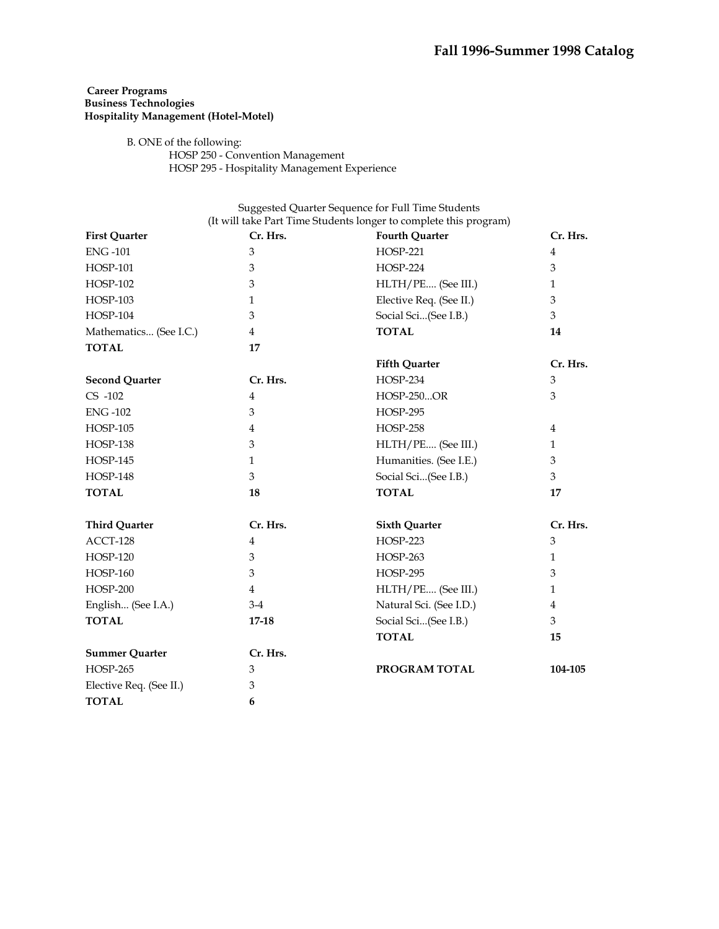# **Career Programs Business Technologies Hospitality Management (Hotel-Motel)**

# B. ONE of the following:

 HOSP 250 - Convention Management HOSP 295 - Hospitality Management Experience

| <b>First Quarter</b>    | Cr. Hrs.       | <b>Fourth Quarter</b>   | Cr. Hrs.       |
|-------------------------|----------------|-------------------------|----------------|
| <b>ENG-101</b>          | 3              | <b>HOSP-221</b>         | $\overline{4}$ |
| <b>HOSP-101</b>         | 3              | <b>HOSP-224</b>         | 3              |
| <b>HOSP-102</b>         | 3              | HLTH/PE (See III.)      | 1              |
| <b>HOSP-103</b>         | 1              | Elective Req. (See II.) | 3              |
| <b>HOSP-104</b>         | 3              | Social Sci(See I.B.)    | 3              |
| Mathematics (See I.C.)  | 4              | <b>TOTAL</b>            | 14             |
| <b>TOTAL</b>            | 17             |                         |                |
|                         |                | <b>Fifth Quarter</b>    | Cr. Hrs.       |
| <b>Second Quarter</b>   | Cr. Hrs.       | <b>HOSP-234</b>         | 3              |
| $CS -102$               | $\overline{4}$ | <b>HOSP-250OR</b>       | 3              |
| <b>ENG-102</b>          | 3              | <b>HOSP-295</b>         |                |
| <b>HOSP-105</b>         | 4              | <b>HOSP-258</b>         | 4              |
| <b>HOSP-138</b>         | 3              | HLTH/PE (See III.)      | $\mathbf{1}$   |
| <b>HOSP-145</b>         | 1              | Humanities. (See I.E.)  | 3              |
| <b>HOSP-148</b>         | 3              | Social Sci(See I.B.)    | 3              |
| <b>TOTAL</b>            | 18             | <b>TOTAL</b>            | 17             |
| <b>Third Quarter</b>    | Cr. Hrs.       | <b>Sixth Quarter</b>    | Cr. Hrs.       |
| ACCT-128                | $\overline{4}$ | <b>HOSP-223</b>         | 3              |
| <b>HOSP-120</b>         | 3              | <b>HOSP-263</b>         | $\mathbf{1}$   |
| <b>HOSP-160</b>         | 3              | <b>HOSP-295</b>         | 3              |
| $HOSP-200$              | 4              | HLTH/PE (See III.)      | 1              |
| English (See I.A.)      | $3-4$          | Natural Sci. (See I.D.) | 4              |
| <b>TOTAL</b>            | $17 - 18$      | Social Sci(See I.B.)    | 3              |
|                         |                | <b>TOTAL</b>            | 15             |
| <b>Summer Quarter</b>   | Cr. Hrs.       |                         |                |
| <b>HOSP-265</b>         | 3              | PROGRAM TOTAL           | 104-105        |
| Elective Req. (See II.) | 3              |                         |                |
| <b>TOTAL</b>            | 6              |                         |                |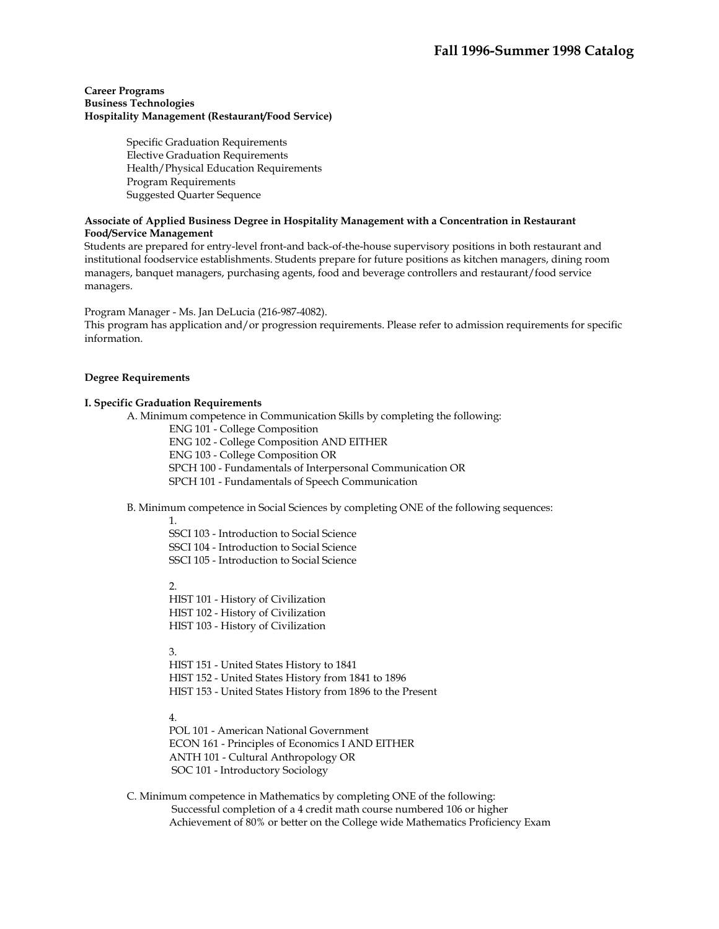## **Career Programs Business Technologies Hospitality Management (Restaurant/Food Service)**

Specific Graduation Requirements Elective Graduation Requirements Health/Physical Education Requirements Program Requirements Suggested Quarter Sequence

## **Associate of Applied Business Degree in Hospitality Management with a Concentration in Restaurant Food/Service Management**

Students are prepared for entry-level front-and back-of-the-house supervisory positions in both restaurant and institutional foodservice establishments. Students prepare for future positions as kitchen managers, dining room managers, banquet managers, purchasing agents, food and beverage controllers and restaurant/food service managers.

Program Manager - Ms. Jan DeLucia (216-987-4082).

This program has application and/or progression requirements. Please refer to admission requirements for specific information.

# **Degree Requirements**

# **I. Specific Graduation Requirements**

A. Minimum competence in Communication Skills by completing the following:

ENG 101 - College Composition

ENG 102 - College Composition AND EITHER

ENG 103 - College Composition OR

SPCH 100 - Fundamentals of Interpersonal Communication OR

SPCH 101 - Fundamentals of Speech Communication

B. Minimum competence in Social Sciences by completing ONE of the following sequences:

1.

SSCI 103 - Introduction to Social Science SSCI 104 - Introduction to Social Science SSCI 105 - Introduction to Social Science

2.

HIST 101 - History of Civilization HIST 102 - History of Civilization HIST 103 - History of Civilization

3.

HIST 151 - United States History to 1841 HIST 152 - United States History from 1841 to 1896 HIST 153 - United States History from 1896 to the Present

4.

POL 101 - American National Government ECON 161 - Principles of Economics I AND EITHER ANTH 101 - Cultural Anthropology OR SOC 101 - Introductory Sociology

 C. Minimum competence in Mathematics by completing ONE of the following: Successful completion of a 4 credit math course numbered 106 or higher Achievement of 80% or better on the College wide Mathematics Proficiency Exam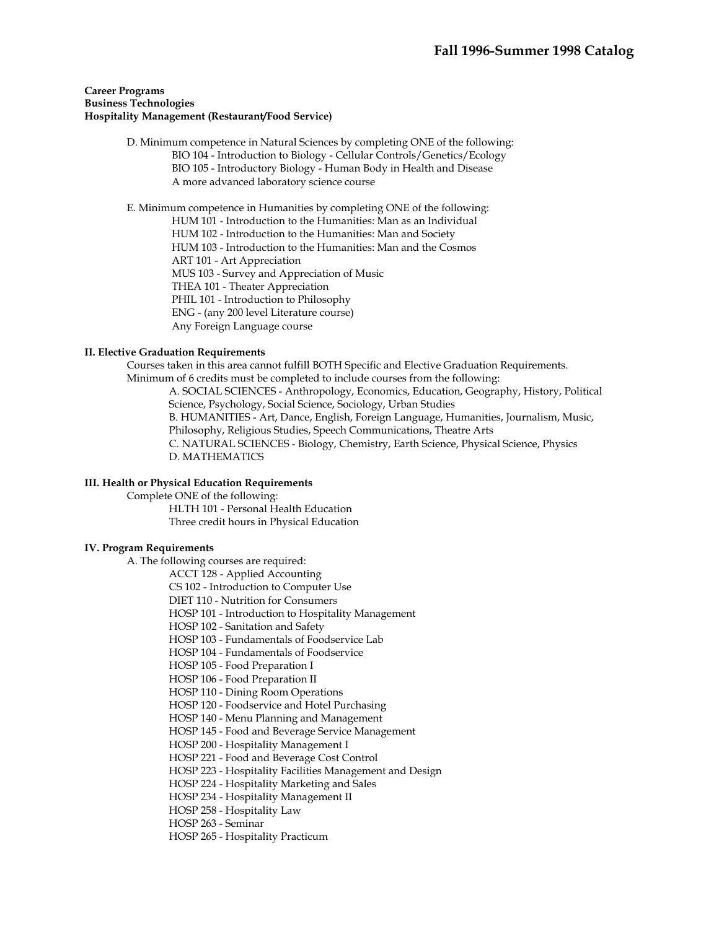## **Career Programs Business Technologies Hospitality Management (Restaurant/Food Service)**

 D. Minimum competence in Natural Sciences by completing ONE of the following: BIO 104 - Introduction to Biology - Cellular Controls/Genetics/Ecology BIO 105 - Introductory Biology - Human Body in Health and Disease A more advanced laboratory science course

E. Minimum competence in Humanities by completing ONE of the following:

HUM 101 - Introduction to the Humanities: Man as an Individual

HUM 102 - Introduction to the Humanities: Man and Society

HUM 103 - Introduction to the Humanities: Man and the Cosmos

ART 101 - Art Appreciation

MUS 103 - Survey and Appreciation of Music

THEA 101 - Theater Appreciation

PHIL 101 - Introduction to Philosophy

ENG - (any 200 level Literature course)

Any Foreign Language course

## **II. Elective Graduation Requirements**

 Courses taken in this area cannot fulfill BOTH Specific and Elective Graduation Requirements. Minimum of 6 credits must be completed to include courses from the following: A. SOCIAL SCIENCES - Anthropology, Economics, Education, Geography, History, Political Science, Psychology, Social Science, Sociology, Urban Studies B. HUMANITIES - Art, Dance, English, Foreign Language, Humanities, Journalism, Music, Philosophy, Religious Studies, Speech Communications, Theatre Arts C. NATURAL SCIENCES - Biology, Chemistry, Earth Science, Physical Science, Physics D. MATHEMATICS

## **III. Health or Physical Education Requirements**

 Complete ONE of the following: HLTH 101 - Personal Health Education

Three credit hours in Physical Education

## **IV. Program Requirements**

A. The following courses are required:

ACCT 128 - Applied Accounting

CS 102 - Introduction to Computer Use

DIET 110 - Nutrition for Consumers

HOSP 101 - Introduction to Hospitality Management

HOSP 102 - Sanitation and Safety

HOSP 103 - Fundamentals of Foodservice Lab

HOSP 104 - Fundamentals of Foodservice

HOSP 105 - Food Preparation I

HOSP 106 - Food Preparation II

HOSP 110 - Dining Room Operations

HOSP 120 - Foodservice and Hotel Purchasing

HOSP 140 - Menu Planning and Management

HOSP 145 - Food and Beverage Service Management

HOSP 200 - Hospitality Management I

HOSP 221 - Food and Beverage Cost Control

HOSP 223 - Hospitality Facilities Management and Design

HOSP 224 - Hospitality Marketing and Sales

HOSP 234 - Hospitality Management II

HOSP 258 - Hospitality Law

HOSP 263 - Seminar

HOSP 265 - Hospitality Practicum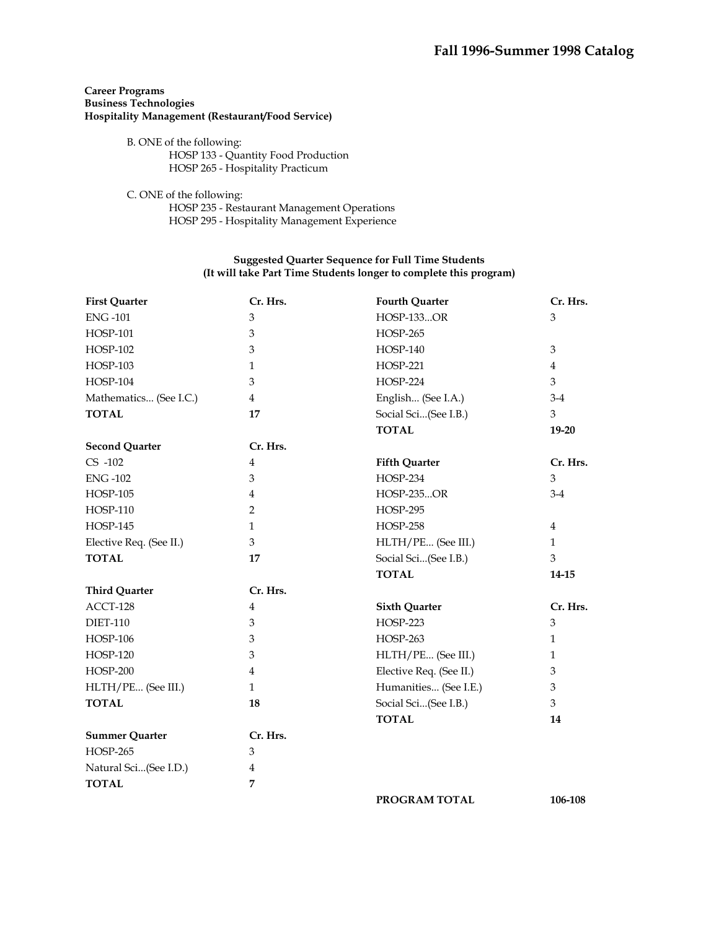# **Career Programs Business Technologies Hospitality Management (Restaurant/Food Service)**

- B. ONE of the following: HOSP 133 - Quantity Food Production HOSP 265 - Hospitality Practicum
- C. ONE of the following: HOSP 235 - Restaurant Management Operations HOSP 295 - Hospitality Management Experience

## **Suggested Quarter Sequence for Full Time Students (It will take Part Time Students longer to complete this program)**

| <b>First Quarter</b>    | Cr. Hrs.       | <b>Fourth Quarter</b>   | Cr. Hrs.       |
|-------------------------|----------------|-------------------------|----------------|
| <b>ENG-101</b>          | 3              | <b>HOSP-133OR</b>       | 3              |
| <b>HOSP-101</b>         | 3              | <b>HOSP-265</b>         |                |
| <b>HOSP-102</b>         | 3              | <b>HOSP-140</b>         | 3              |
| <b>HOSP-103</b>         | $\mathbf{1}$   | <b>HOSP-221</b>         | $\overline{4}$ |
| <b>HOSP-104</b>         | 3              | <b>HOSP-224</b>         | 3              |
| Mathematics (See I.C.)  | $\overline{4}$ | English (See I.A.)      | $3-4$          |
| <b>TOTAL</b>            | 17             | Social Sci(See I.B.)    | 3              |
|                         |                | <b>TOTAL</b>            | $19-20$        |
| <b>Second Quarter</b>   | Cr. Hrs.       |                         |                |
| $CS -102$               | $\overline{4}$ | <b>Fifth Quarter</b>    | Cr. Hrs.       |
| <b>ENG-102</b>          | 3              | <b>HOSP-234</b>         | 3              |
| <b>HOSP-105</b>         | 4              | <b>HOSP-235OR</b>       | $3-4$          |
| <b>HOSP-110</b>         | $\overline{2}$ | <b>HOSP-295</b>         |                |
| <b>HOSP-145</b>         | $\mathbf{1}$   | <b>HOSP-258</b>         | $\overline{4}$ |
| Elective Req. (See II.) | 3              | HLTH/PE (See III.)      | $\mathbf{1}$   |
| <b>TOTAL</b>            | 17             | Social Sci(See I.B.)    | 3              |
|                         |                | <b>TOTAL</b>            | 14-15          |
| <b>Third Quarter</b>    | Cr. Hrs.       |                         |                |
| ACCT-128                | $\overline{4}$ | <b>Sixth Quarter</b>    | Cr. Hrs.       |
| <b>DIET-110</b>         | 3              | <b>HOSP-223</b>         | $\mathfrak{Z}$ |
| <b>HOSP-106</b>         | 3              | <b>HOSP-263</b>         | $\mathbf{1}$   |
| <b>HOSP-120</b>         | 3              | HLTH/PE (See III.)      | $\mathbf{1}$   |
| <b>HOSP-200</b>         | 4              | Elective Req. (See II.) | 3              |
| HLTH/PE (See III.)      | $\mathbf{1}$   | Humanities (See I.E.)   | 3              |
| <b>TOTAL</b>            | 18             | Social Sci(See I.B.)    | 3              |
|                         |                | <b>TOTAL</b>            | 14             |
| <b>Summer Quarter</b>   | Cr. Hrs.       |                         |                |
| <b>HOSP-265</b>         | 3              |                         |                |
| Natural Sci(See I.D.)   | 4              |                         |                |
| <b>TOTAL</b>            | 7              |                         |                |
|                         |                | PROGRAM TOTAL           | 106-108        |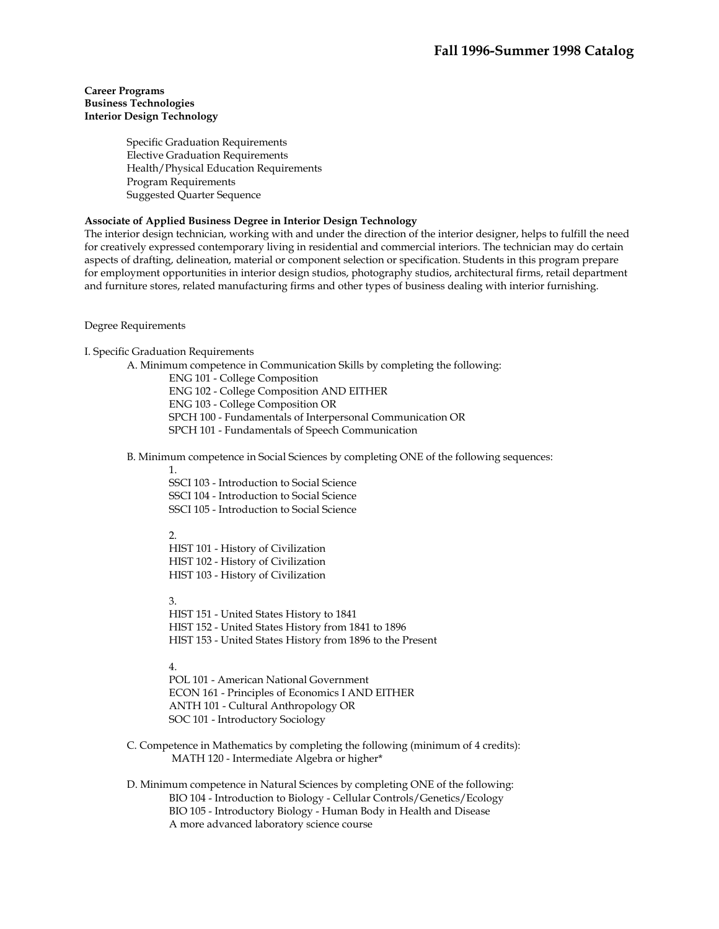#### **Career Programs Business Technologies Interior Design Technology**

Specific Graduation Requirements Elective Graduation Requirements Health/Physical Education Requirements Program Requirements Suggested Quarter Sequence

## **Associate of Applied Business Degree in Interior Design Technology**

The interior design technician, working with and under the direction of the interior designer, helps to fulfill the need for creatively expressed contemporary living in residential and commercial interiors. The technician may do certain aspects of drafting, delineation, material or component selection or specification. Students in this program prepare for employment opportunities in interior design studios, photography studios, architectural firms, retail department and furniture stores, related manufacturing firms and other types of business dealing with interior furnishing.

Degree Requirements

I. Specific Graduation Requirements

A. Minimum competence in Communication Skills by completing the following:

ENG 101 - College Composition ENG 102 - College Composition AND EITHER ENG 103 - College Composition OR SPCH 100 - Fundamentals of Interpersonal Communication OR SPCH 101 - Fundamentals of Speech Communication

B. Minimum competence in Social Sciences by completing ONE of the following sequences:

1.

SSCI 103 - Introduction to Social Science SSCI 104 - Introduction to Social Science SSCI 105 - Introduction to Social Science

#### $\mathcal{D}_{\alpha}$

HIST 101 - History of Civilization HIST 102 - History of Civilization HIST 103 - History of Civilization

3.

HIST 151 - United States History to 1841 HIST 152 - United States History from 1841 to 1896 HIST 153 - United States History from 1896 to the Present

#### 4.

POL 101 - American National Government ECON 161 - Principles of Economics I AND EITHER ANTH 101 - Cultural Anthropology OR SOC 101 - Introductory Sociology

 C. Competence in Mathematics by completing the following (minimum of 4 credits): MATH 120 - Intermediate Algebra or higher\*

 D. Minimum competence in Natural Sciences by completing ONE of the following: BIO 104 - Introduction to Biology - Cellular Controls/Genetics/Ecology BIO 105 - Introductory Biology - Human Body in Health and Disease A more advanced laboratory science course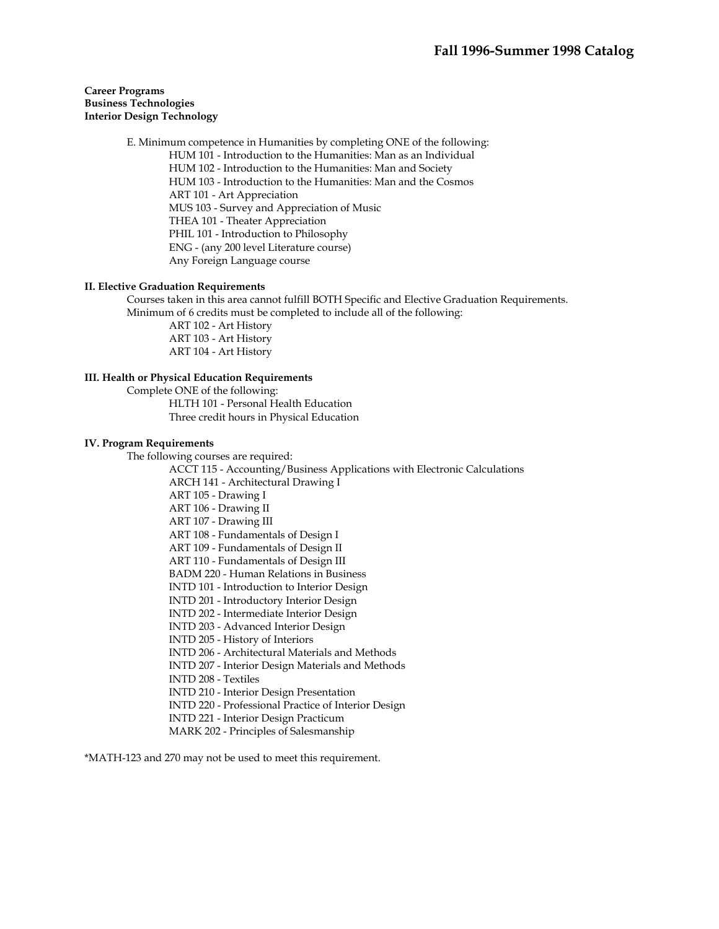## **Career Programs Business Technologies Interior Design Technology**

 E. Minimum competence in Humanities by completing ONE of the following: HUM 101 - Introduction to the Humanities: Man as an Individual HUM 102 - Introduction to the Humanities: Man and Society HUM 103 - Introduction to the Humanities: Man and the Cosmos ART 101 - Art Appreciation MUS 103 - Survey and Appreciation of Music THEA 101 - Theater Appreciation PHIL 101 - Introduction to Philosophy ENG - (any 200 level Literature course) Any Foreign Language course

## **II. Elective Graduation Requirements**

 Courses taken in this area cannot fulfill BOTH Specific and Elective Graduation Requirements. Minimum of 6 credits must be completed to include all of the following:

 ART 102 - Art History ART 103 - Art History ART 104 - Art History

#### **III. Health or Physical Education Requirements**

 Complete ONE of the following: HLTH 101 - Personal Health Education Three credit hours in Physical Education

#### **IV. Program Requirements**

The following courses are required:

ACCT 115 - Accounting/Business Applications with Electronic Calculations ARCH 141 - Architectural Drawing I ART 105 - Drawing I ART 106 - Drawing II ART 107 - Drawing III ART 108 - Fundamentals of Design I ART 109 - Fundamentals of Design II ART 110 - Fundamentals of Design III BADM 220 - Human Relations in Business INTD 101 - Introduction to Interior Design INTD 201 - Introductory Interior Design INTD 202 - Intermediate Interior Design INTD 203 - Advanced Interior Design INTD 205 - History of Interiors INTD 206 - Architectural Materials and Methods INTD 207 - Interior Design Materials and Methods INTD 208 - Textiles INTD 210 - Interior Design Presentation INTD 220 - Professional Practice of Interior Design INTD 221 - Interior Design Practicum MARK 202 - Principles of Salesmanship

\*MATH-123 and 270 may not be used to meet this requirement.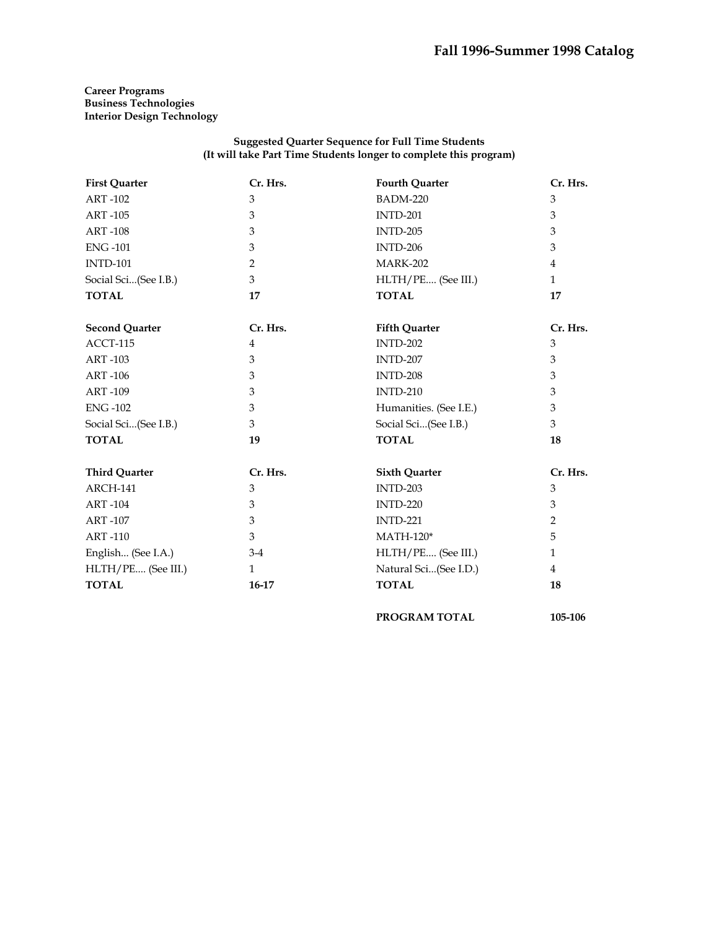**Career Programs Business Technologies Interior Design Technology** 

## **Suggested Quarter Sequence for Full Time Students (It will take Part Time Students longer to complete this program)**

| <b>First Quarter</b>  | Cr. Hrs.       | <b>Fourth Quarter</b>  | Cr. Hrs.     |
|-----------------------|----------------|------------------------|--------------|
| <b>ART-102</b>        | 3              | <b>BADM-220</b>        | 3            |
| <b>ART-105</b>        | 3              | <b>INTD-201</b>        | 3            |
| <b>ART-108</b>        | 3              | <b>INTD-205</b>        | 3            |
| <b>ENG-101</b>        | 3              | <b>INTD-206</b>        | 3            |
| <b>INTD-101</b>       | 2              | <b>MARK-202</b>        | 4            |
| Social Sci(See I.B.)  | 3              | HLTH/PE (See III.)     | $\mathbf{1}$ |
| <b>TOTAL</b>          | 17             | <b>TOTAL</b>           | 17           |
| <b>Second Quarter</b> | Cr. Hrs.       | <b>Fifth Quarter</b>   | Cr. Hrs.     |
| ACCT-115              | $\overline{4}$ | <b>INTD-202</b>        | 3            |
| <b>ART-103</b>        | 3              | <b>INTD-207</b>        | 3            |
| <b>ART-106</b>        | 3              | <b>INTD-208</b>        | 3            |
| <b>ART-109</b>        | 3              | <b>INTD-210</b>        | 3            |
| <b>ENG-102</b>        | 3              | Humanities. (See I.E.) | 3            |
| Social Sci(See I.B.)  | 3              | Social Sci(See I.B.)   | 3            |
| <b>TOTAL</b>          | 19             | <b>TOTAL</b>           | 18           |
| <b>Third Quarter</b>  | Cr. Hrs.       | <b>Sixth Quarter</b>   | Cr. Hrs.     |
| ARCH-141              | 3              | <b>INTD-203</b>        | 3            |
| <b>ART-104</b>        | 3              | <b>INTD-220</b>        | 3            |
| <b>ART-107</b>        | 3              | <b>INTD-221</b>        | 2            |
| <b>ART-110</b>        | 3              | $MATH-120*$            | 5            |
| English (See I.A.)    | $3-4$          | HLTH/PE (See III.)     | $\mathbf{1}$ |
| HLTH/PE (See III.)    | $\mathbf{1}$   | Natural Sci(See I.D.)  | 4            |
| <b>TOTAL</b>          | 16-17          | <b>TOTAL</b>           | 18           |
|                       |                | <b>PROGRAM TOTAL</b>   | 105-106      |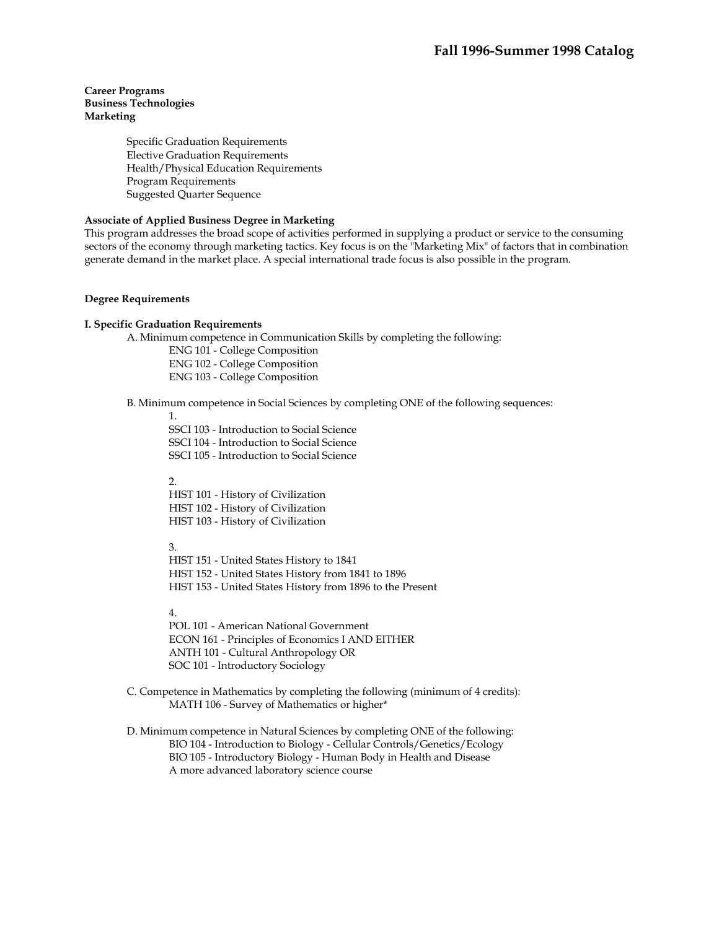# **Career Programs Business Technologies Marketing**

Specific Graduation Requirements Elective Graduation Requirements Health/Physical Education Requirements Program Requirements Suggested Quarter Sequence

## **Associate of Applied Business Degree in Marketing**

This program addresses the broad scope of activities performed in supplying a product or service to the consuming sectors of the economy through marketing tactics. Key focus is on the "Marketing Mix" of factors that in combination generate demand in the market place. A special international trade focus is also possible in the program.

#### **Degree Requirements**

#### **I. Specific Graduation Requirements**

A. Minimum competence in Communication Skills by completing the following:

ENG 101 - College Composition ENG 102 - College Composition

ENG 103 - College Composition

B. Minimum competence in Social Sciences by completing ONE of the following sequences:

1.

SSCI 103 - Introduction to Social Science SSCI 104 - Introduction to Social Science SSCI 105 - Introduction to Social Science

 $\mathcal{L}$ HIST 101 - History of Civilization HIST 102 - History of Civilization HIST 103 - History of Civilization

3.

HIST 151 - United States History to 1841 HIST 152 - United States History from 1841 to 1896 HIST 153 - United States History from 1896 to the Present

4.

POL 101 - American National Government ECON 161 - Principles of Economics I AND EITHER ANTH 101 - Cultural Anthropology OR SOC 101 - Introductory Sociology

- C. Competence in Mathematics by completing the following (minimum of 4 credits): MATH 106 - Survey of Mathematics or higher\*
- D. Minimum competence in Natural Sciences by completing ONE of the following: BIO 104 - Introduction to Biology - Cellular Controls/Genetics/Ecology BIO 105 - Introductory Biology - Human Body in Health and Disease A more advanced laboratory science course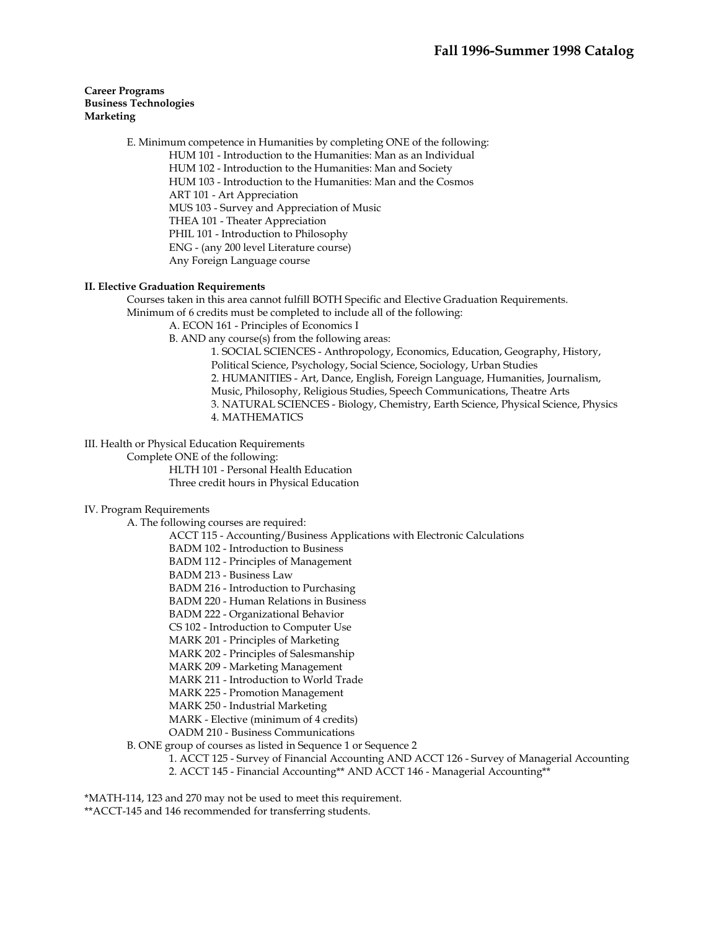# **Career Programs Business Technologies Marketing**

 E. Minimum competence in Humanities by completing ONE of the following: HUM 101 - Introduction to the Humanities: Man as an Individual HUM 102 - Introduction to the Humanities: Man and Society HUM 103 - Introduction to the Humanities: Man and the Cosmos ART 101 - Art Appreciation MUS 103 - Survey and Appreciation of Music THEA 101 - Theater Appreciation PHIL 101 - Introduction to Philosophy ENG - (any 200 level Literature course) Any Foreign Language course

## **II. Elective Graduation Requirements**

 Courses taken in this area cannot fulfill BOTH Specific and Elective Graduation Requirements. Minimum of 6 credits must be completed to include all of the following:

A. ECON 161 - Principles of Economics I

B. AND any course(s) from the following areas:

1. SOCIAL SCIENCES - Anthropology, Economics, Education, Geography, History, Political Science, Psychology, Social Science, Sociology, Urban Studies 2. HUMANITIES - Art, Dance, English, Foreign Language, Humanities, Journalism, Music, Philosophy, Religious Studies, Speech Communications, Theatre Arts 3. NATURAL SCIENCES - Biology, Chemistry, Earth Science, Physical Science, Physics 4. MATHEMATICS

III. Health or Physical Education Requirements

Complete ONE of the following:

 HLTH 101 - Personal Health Education Three credit hours in Physical Education

# IV. Program Requirements

A. The following courses are required:

ACCT 115 - Accounting/Business Applications with Electronic Calculations

BADM 102 - Introduction to Business

BADM 112 - Principles of Management

BADM 213 - Business Law

BADM 216 - Introduction to Purchasing

BADM 220 - Human Relations in Business

BADM 222 - Organizational Behavior

CS 102 - Introduction to Computer Use

MARK 201 - Principles of Marketing

MARK 202 - Principles of Salesmanship

MARK 209 - Marketing Management

MARK 211 - Introduction to World Trade

MARK 225 - Promotion Management

MARK 250 - Industrial Marketing

MARK - Elective (minimum of 4 credits)

OADM 210 - Business Communications

B. ONE group of courses as listed in Sequence 1 or Sequence 2

1. ACCT 125 - Survey of Financial Accounting AND ACCT 126 - Survey of Managerial Accounting

2. ACCT 145 - Financial Accounting\*\* AND ACCT 146 - Managerial Accounting\*\*

\*MATH-114, 123 and 270 may not be used to meet this requirement.

\*\*ACCT-145 and 146 recommended for transferring students.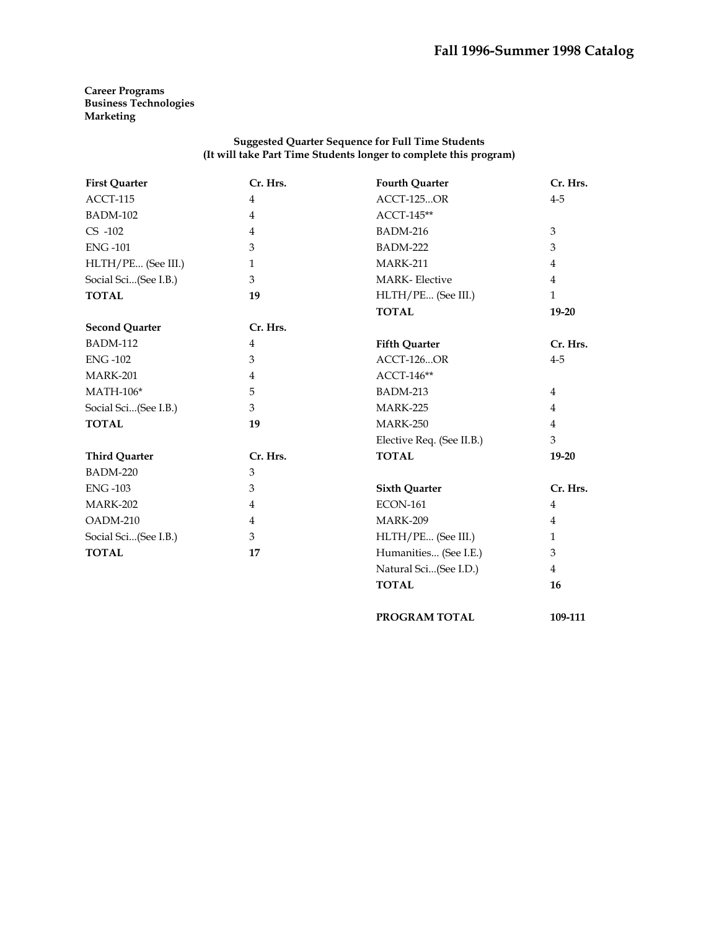**Career Programs Business Technologies Marketing** 

## **Suggested Quarter Sequence for Full Time Students (It will take Part Time Students longer to complete this program)**

| <b>First Quarter</b>  | Cr. Hrs.       | <b>Fourth Quarter</b>     | Cr. Hrs.       |
|-----------------------|----------------|---------------------------|----------------|
| ACCT-115              | 4              | <b>ACCT-125OR</b>         | $4 - 5$        |
| <b>BADM-102</b>       | $\overline{4}$ | ACCT-145**                |                |
| $CS -102$             | 4              | <b>BADM-216</b>           | 3              |
| <b>ENG-101</b>        | 3              | <b>BADM-222</b>           | 3              |
| HLTH/PE (See III.)    | $\mathbf{1}$   | <b>MARK-211</b>           | $\overline{4}$ |
| Social Sci(See I.B.)  | 3              | <b>MARK-Elective</b>      | 4              |
| <b>TOTAL</b>          | 19             | HLTH/PE (See III.)        | $\mathbf{1}$   |
|                       |                | <b>TOTAL</b>              | $19 - 20$      |
| <b>Second Quarter</b> | Cr. Hrs.       |                           |                |
| <b>BADM-112</b>       | 4              | <b>Fifth Quarter</b>      | Cr. Hrs.       |
| <b>ENG-102</b>        | 3              | <b>ACCT-126OR</b>         | $4 - 5$        |
| <b>MARK-201</b>       | $\overline{4}$ | ACCT-146**                |                |
| $MATH-106*$           | 5              | BADM-213                  | $\overline{4}$ |
| Social Sci(See I.B.)  | 3              | <b>MARK-225</b>           | 4              |
| <b>TOTAL</b>          | 19             | <b>MARK-250</b>           | $\overline{4}$ |
|                       |                | Elective Req. (See II.B.) | 3              |
| <b>Third Quarter</b>  | Cr. Hrs.       | <b>TOTAL</b>              | $19-20$        |
| <b>BADM-220</b>       | $\mathfrak{Z}$ |                           |                |
| <b>ENG-103</b>        | 3              | <b>Sixth Quarter</b>      | Cr. Hrs.       |
| <b>MARK-202</b>       | 4              | <b>ECON-161</b>           | 4              |
| OADM-210              | $\overline{4}$ | <b>MARK-209</b>           | $\overline{4}$ |
| Social Sci(See I.B.)  | 3              | HLTH/PE (See III.)        | $\mathbf{1}$   |
| <b>TOTAL</b>          | 17             | Humanities (See I.E.)     | 3              |
|                       |                | Natural Sci(See I.D.)     | $\overline{4}$ |
|                       |                | <b>TOTAL</b>              | 16             |
|                       |                |                           |                |

**PROGRAM TOTAL 109-111**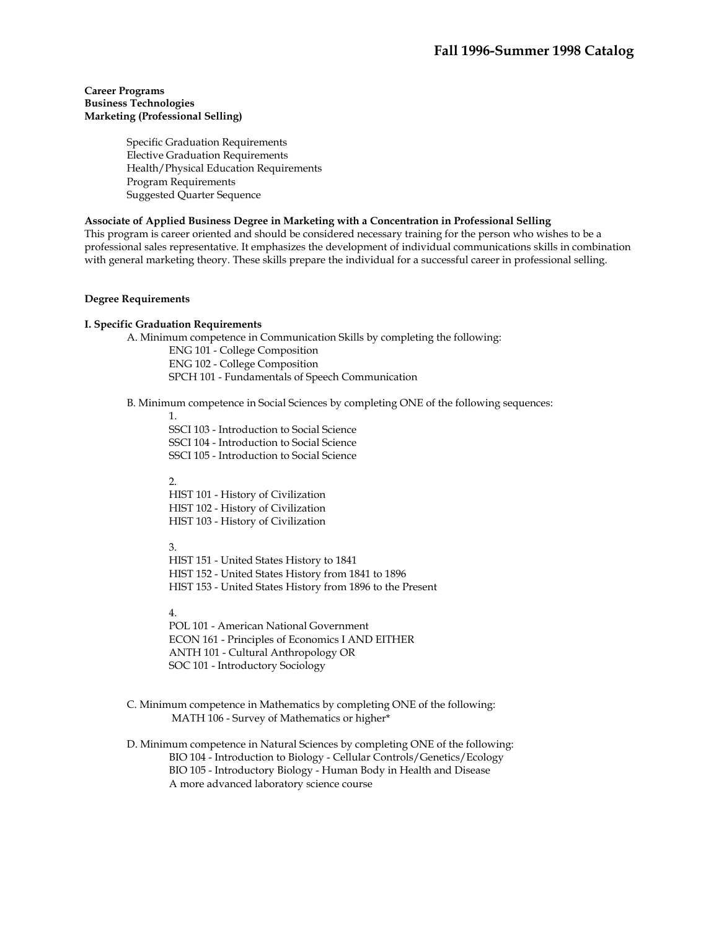## **Career Programs Business Technologies Marketing (Professional Selling)**

Specific Graduation Requirements Elective Graduation Requirements Health/Physical Education Requirements Program Requirements Suggested Quarter Sequence

#### **Associate of Applied Business Degree in Marketing with a Concentration in Professional Selling**

This program is career oriented and should be considered necessary training for the person who wishes to be a professional sales representative. It emphasizes the development of individual communications skills in combination with general marketing theory. These skills prepare the individual for a successful career in professional selling.

#### **Degree Requirements**

#### **I. Specific Graduation Requirements**

A. Minimum competence in Communication Skills by completing the following: ENG 101 - College Composition

ENG 102 - College Composition

SPCH 101 - Fundamentals of Speech Communication

B. Minimum competence in Social Sciences by completing ONE of the following sequences:

1.

SSCI 103 - Introduction to Social Science SSCI 104 - Introduction to Social Science SSCI 105 - Introduction to Social Science

 $\mathcal{L}$ 

HIST 101 - History of Civilization HIST 102 - History of Civilization HIST 103 - History of Civilization

3.

HIST 151 - United States History to 1841 HIST 152 - United States History from 1841 to 1896 HIST 153 - United States History from 1896 to the Present

4.

POL 101 - American National Government ECON 161 - Principles of Economics I AND EITHER ANTH 101 - Cultural Anthropology OR SOC 101 - Introductory Sociology

 C. Minimum competence in Mathematics by completing ONE of the following: MATH 106 - Survey of Mathematics or higher\*

 D. Minimum competence in Natural Sciences by completing ONE of the following: BIO 104 - Introduction to Biology - Cellular Controls/Genetics/Ecology BIO 105 - Introductory Biology - Human Body in Health and Disease A more advanced laboratory science course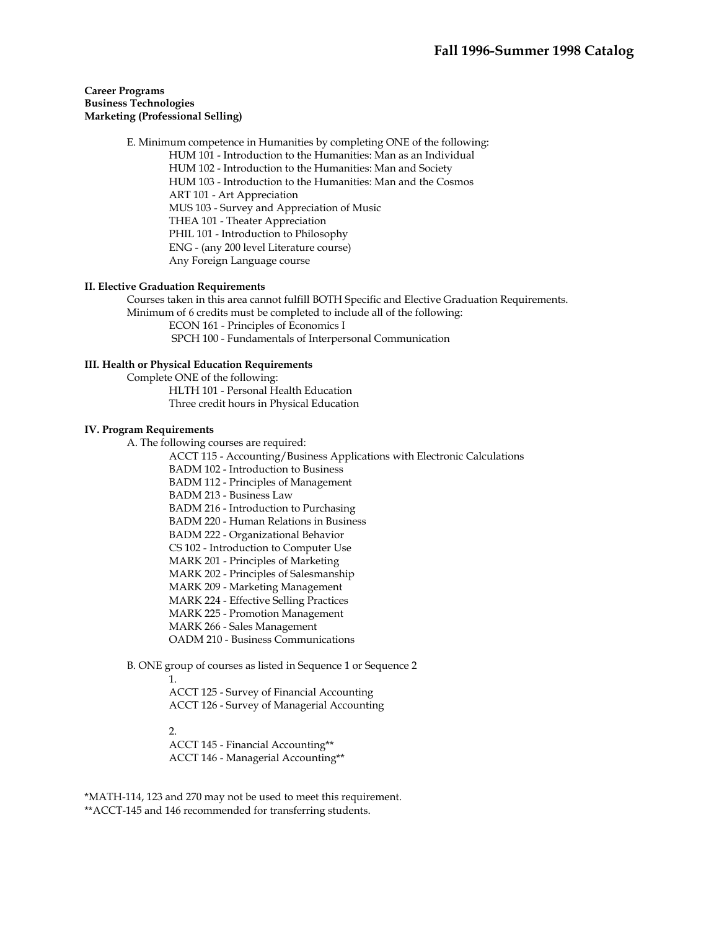## **Career Programs Business Technologies Marketing (Professional Selling)**

 E. Minimum competence in Humanities by completing ONE of the following: HUM 101 - Introduction to the Humanities: Man as an Individual HUM 102 - Introduction to the Humanities: Man and Society HUM 103 - Introduction to the Humanities: Man and the Cosmos ART 101 - Art Appreciation MUS 103 - Survey and Appreciation of Music THEA 101 - Theater Appreciation PHIL 101 - Introduction to Philosophy ENG - (any 200 level Literature course) Any Foreign Language course

## **II. Elective Graduation Requirements**

 Courses taken in this area cannot fulfill BOTH Specific and Elective Graduation Requirements. Minimum of 6 credits must be completed to include all of the following: ECON 161 - Principles of Economics I

SPCH 100 - Fundamentals of Interpersonal Communication

#### **III. Health or Physical Education Requirements**

 Complete ONE of the following: HLTH 101 - Personal Health Education Three credit hours in Physical Education

#### **IV. Program Requirements**

A. The following courses are required:

ACCT 115 - Accounting/Business Applications with Electronic Calculations

BADM 102 - Introduction to Business

BADM 112 - Principles of Management

BADM 213 - Business Law

BADM 216 - Introduction to Purchasing

BADM 220 - Human Relations in Business

BADM 222 - Organizational Behavior

CS 102 - Introduction to Computer Use

MARK 201 - Principles of Marketing

MARK 202 - Principles of Salesmanship

MARK 209 - Marketing Management

MARK 224 - Effective Selling Practices

MARK 225 - Promotion Management

MARK 266 - Sales Management

OADM 210 - Business Communications

B. ONE group of courses as listed in Sequence 1 or Sequence 2

1.

ACCT 125 - Survey of Financial Accounting ACCT 126 - Survey of Managerial Accounting

2.

ACCT 145 - Financial Accounting\*\* ACCT 146 - Managerial Accounting\*\*

\*MATH-114, 123 and 270 may not be used to meet this requirement. \*\*ACCT-145 and 146 recommended for transferring students.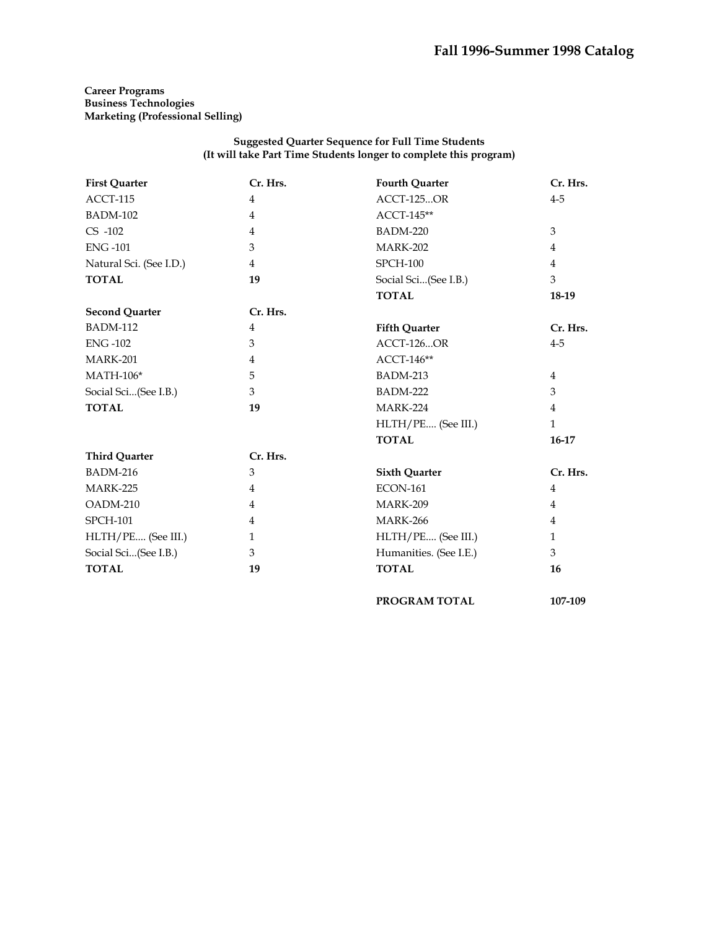# **Career Programs Business Technologies Marketing (Professional Selling)**

## **Suggested Quarter Sequence for Full Time Students (It will take Part Time Students longer to complete this program)**

| <b>First Quarter</b>    | Cr. Hrs.       | <b>Fourth Quarter</b>  | Cr. Hrs.       |
|-------------------------|----------------|------------------------|----------------|
| ACCT-115                | 4              | ACCT-125OR             | $4-5$          |
| <b>BADM-102</b>         | $\overline{4}$ | ACCT-145**             |                |
| $CS -102$               | 4              | <b>BADM-220</b>        | $\mathfrak{Z}$ |
| <b>ENG-101</b>          | 3              | <b>MARK-202</b>        | 4              |
| Natural Sci. (See I.D.) | $\overline{4}$ | <b>SPCH-100</b>        | $\overline{4}$ |
| <b>TOTAL</b>            | 19             | Social Sci(See I.B.)   | 3              |
|                         |                | <b>TOTAL</b>           | 18-19          |
| <b>Second Quarter</b>   | Cr. Hrs.       |                        |                |
| <b>BADM-112</b>         | $\overline{4}$ | <b>Fifth Quarter</b>   | Cr. Hrs.       |
| <b>ENG-102</b>          | 3              | ACCT-126OR             | $4 - 5$        |
| <b>MARK-201</b>         | 4              | ACCT-146**             |                |
| <b>MATH-106*</b>        | 5              | BADM-213               | $\overline{4}$ |
| Social Sci(See I.B.)    | 3              | BADM-222               | 3              |
| <b>TOTAL</b>            | 19             | <b>MARK-224</b>        | $\overline{4}$ |
|                         |                | HLTH/PE (See III.)     | $\mathbf{1}$   |
|                         |                | <b>TOTAL</b>           | $16-17$        |
| <b>Third Quarter</b>    | Cr. Hrs.       |                        |                |
| <b>BADM-216</b>         | 3              | <b>Sixth Quarter</b>   | Cr. Hrs.       |
| <b>MARK-225</b>         | 4              | <b>ECON-161</b>        | 4              |
| OADM-210                | 4              | <b>MARK-209</b>        | 4              |
| <b>SPCH-101</b>         | $\overline{4}$ | <b>MARK-266</b>        | 4              |
| HLTH/PE (See III.)      | $\mathbf{1}$   | HLTH/PE (See III.)     | $\mathbf{1}$   |
| Social Sci(See I.B.)    | 3              | Humanities. (See I.E.) | 3              |
| <b>TOTAL</b>            | 19             | <b>TOTAL</b>           | 16             |
|                         |                | PROGRAM TOTAL          | 107-109        |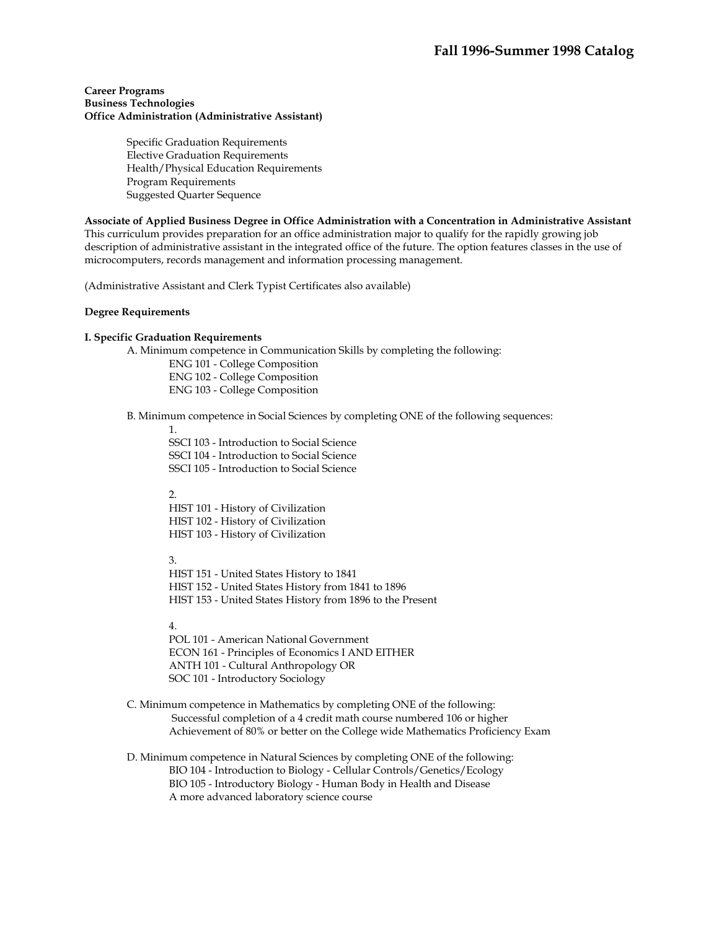#### **Career Programs Business Technologies Office Administration (Administrative Assistant)**

Specific Graduation Requirements Elective Graduation Requirements Health/Physical Education Requirements Program Requirements Suggested Quarter Sequence

#### **Associate of Applied Business Degree in Office Administration with a Concentration in Administrative Assistant**

This curriculum provides preparation for an office administration major to qualify for the rapidly growing job description of administrative assistant in the integrated office of the future. The option features classes in the use of microcomputers, records management and information processing management.

(Administrative Assistant and Clerk Typist Certificates also available)

#### **Degree Requirements**

## **I. Specific Graduation Requirements**

A. Minimum competence in Communication Skills by completing the following:

ENG 101 - College Composition ENG 102 - College Composition ENG 103 - College Composition

#### B. Minimum competence in Social Sciences by completing ONE of the following sequences:

1.

SSCI 103 - Introduction to Social Science SSCI 104 - Introduction to Social Science SSCI 105 - Introduction to Social Science

2.

HIST 101 - History of Civilization HIST 102 - History of Civilization HIST 103 - History of Civilization

3.

HIST 151 - United States History to 1841 HIST 152 - United States History from 1841 to 1896 HIST 153 - United States History from 1896 to the Present

# 4.

POL 101 - American National Government ECON 161 - Principles of Economics I AND EITHER ANTH 101 - Cultural Anthropology OR SOC 101 - Introductory Sociology

 C. Minimum competence in Mathematics by completing ONE of the following: Successful completion of a 4 credit math course numbered 106 or higher Achievement of 80% or better on the College wide Mathematics Proficiency Exam

 D. Minimum competence in Natural Sciences by completing ONE of the following: BIO 104 - Introduction to Biology - Cellular Controls/Genetics/Ecology BIO 105 - Introductory Biology - Human Body in Health and Disease A more advanced laboratory science course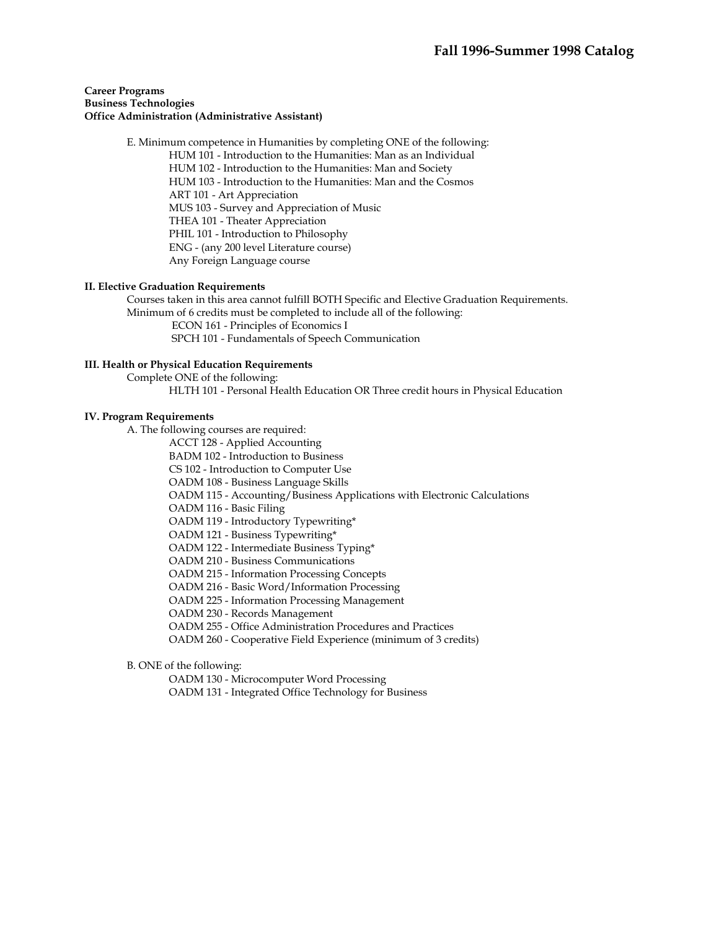## **Career Programs Business Technologies Office Administration (Administrative Assistant)**

 E. Minimum competence in Humanities by completing ONE of the following: HUM 101 - Introduction to the Humanities: Man as an Individual HUM 102 - Introduction to the Humanities: Man and Society HUM 103 - Introduction to the Humanities: Man and the Cosmos ART 101 - Art Appreciation MUS 103 - Survey and Appreciation of Music THEA 101 - Theater Appreciation PHIL 101 - Introduction to Philosophy ENG - (any 200 level Literature course) Any Foreign Language course

## **II. Elective Graduation Requirements**

 Courses taken in this area cannot fulfill BOTH Specific and Elective Graduation Requirements. Minimum of 6 credits must be completed to include all of the following:

ECON 161 - Principles of Economics I

SPCH 101 - Fundamentals of Speech Communication

## **III. Health or Physical Education Requirements**

Complete ONE of the following:

HLTH 101 - Personal Health Education OR Three credit hours in Physical Education

#### **IV. Program Requirements**

A. The following courses are required:

ACCT 128 - Applied Accounting

BADM 102 - Introduction to Business

CS 102 - Introduction to Computer Use

OADM 108 - Business Language Skills

OADM 115 - Accounting/Business Applications with Electronic Calculations

OADM 116 - Basic Filing

OADM 119 - Introductory Typewriting\*

OADM 121 - Business Typewriting\*

OADM 122 - Intermediate Business Typing\*

OADM 210 - Business Communications

OADM 215 - Information Processing Concepts

OADM 216 - Basic Word/Information Processing

OADM 225 - Information Processing Management

OADM 230 - Records Management

OADM 255 - Office Administration Procedures and Practices

OADM 260 - Cooperative Field Experience (minimum of 3 credits)

B. ONE of the following:

OADM 130 - Microcomputer Word Processing

OADM 131 - Integrated Office Technology for Business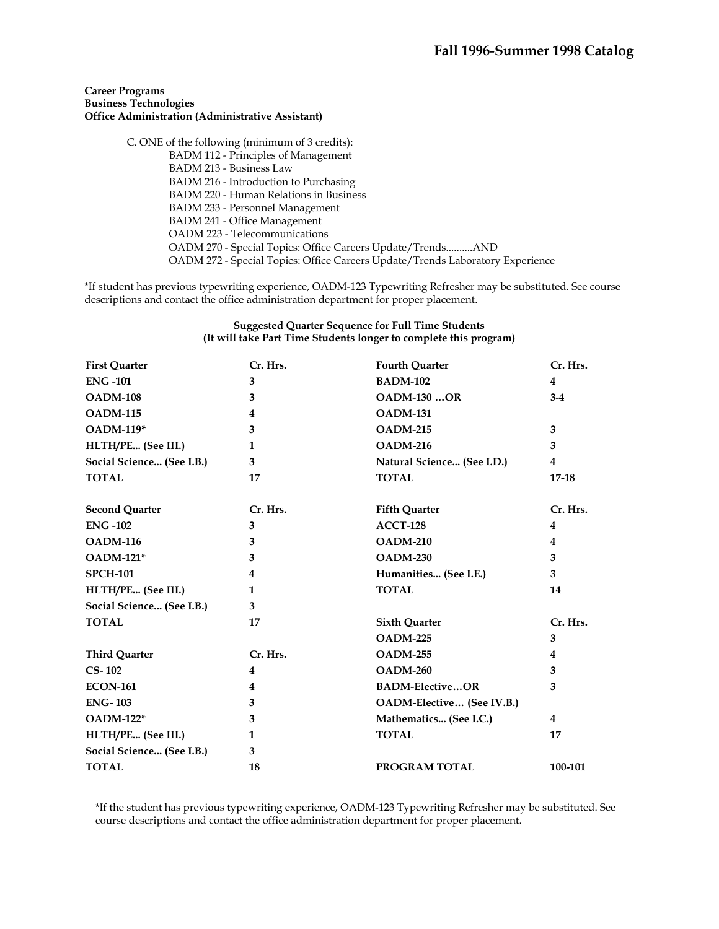## **Career Programs Business Technologies Office Administration (Administrative Assistant)**

 C. ONE of the following (minimum of 3 credits): BADM 112 - Principles of Management BADM 213 - Business Law BADM 216 - Introduction to Purchasing BADM 220 - Human Relations in Business BADM 233 - Personnel Management BADM 241 - Office Management OADM 223 - Telecommunications OADM 270 - Special Topics: Office Careers Update/Trends..........AND OADM 272 - Special Topics: Office Careers Update/Trends Laboratory Experience

\*If student has previous typewriting experience, OADM-123 Typewriting Refresher may be substituted. See course descriptions and contact the office administration department for proper placement.

#### **Suggested Quarter Sequence for Full Time Students (It will take Part Time Students longer to complete this program)**

| <b>First Quarter</b>      | Cr. Hrs.       | <b>Fourth Quarter</b>      | Cr. Hrs.       |
|---------------------------|----------------|----------------------------|----------------|
| <b>ENG-101</b>            | 3              | <b>BADM-102</b>            | 4              |
| <b>OADM-108</b>           | 3              | <b>OADM-130 OR</b>         | $3-4$          |
| <b>OADM-115</b>           | 4              | <b>OADM-131</b>            |                |
| <b>OADM-119*</b>          | 3              | <b>OADM-215</b>            | 3              |
| HLTH/PE (See III.)        | 1              | <b>OADM-216</b>            | 3              |
| Social Science (See I.B.) | 3              | Natural Science (See I.D.) | 4              |
| <b>TOTAL</b>              | 17             | <b>TOTAL</b>               | $17 - 18$      |
| <b>Second Quarter</b>     | Cr. Hrs.       | <b>Fifth Quarter</b>       | Cr. Hrs.       |
| <b>ENG-102</b>            | 3              | <b>ACCT-128</b>            | 4              |
| <b>OADM-116</b>           | 3              | <b>OADM-210</b>            | $\overline{4}$ |
| <b>OADM-121*</b>          | 3              | <b>OADM-230</b>            | 3              |
| <b>SPCH-101</b>           | 4              | Humanities (See I.E.)      | 3              |
| HLTH/PE (See III.)        | 1              | <b>TOTAL</b>               | 14             |
| Social Science (See I.B.) | 3              |                            |                |
| <b>TOTAL</b>              | 17             | <b>Sixth Quarter</b>       | Cr. Hrs.       |
|                           |                | <b>OADM-225</b>            | 3              |
| <b>Third Quarter</b>      | Cr. Hrs.       | <b>OADM-255</b>            | 4              |
| $CS-102$                  | 4              | <b>OADM-260</b>            | 3              |
| <b>ECON-161</b>           | $\overline{4}$ | <b>BADM-ElectiveOR</b>     | 3              |
| <b>ENG-103</b>            | 3              | OADM-Elective (See IV.B.)  |                |
| <b>OADM-122*</b>          | 3              | Mathematics (See I.C.)     | 4              |
| HLTH/PE (See III.)        | 1              | <b>TOTAL</b>               | 17             |
| Social Science (See I.B.) | 3              |                            |                |
| <b>TOTAL</b>              | 18             | PROGRAM TOTAL              | 100-101        |

\*If the student has previous typewriting experience, OADM-123 Typewriting Refresher may be substituted. See course descriptions and contact the office administration department for proper placement.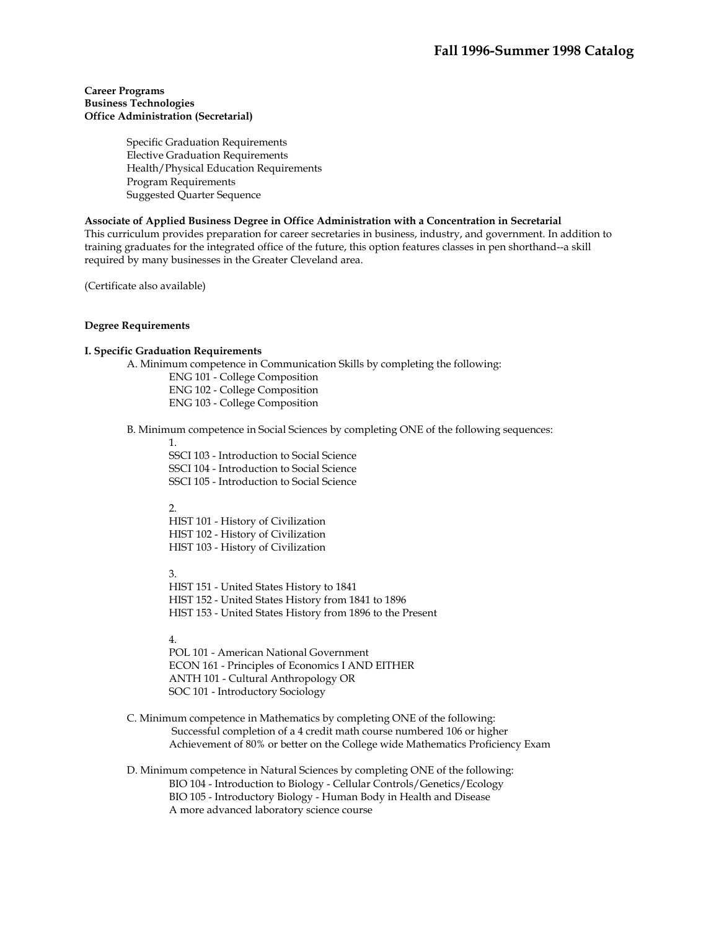#### **Career Programs Business Technologies Office Administration (Secretarial)**

Specific Graduation Requirements Elective Graduation Requirements Health/Physical Education Requirements Program Requirements Suggested Quarter Sequence

## **Associate of Applied Business Degree in Office Administration with a Concentration in Secretarial**

This curriculum provides preparation for career secretaries in business, industry, and government. In addition to training graduates for the integrated office of the future, this option features classes in pen shorthand--a skill required by many businesses in the Greater Cleveland area.

(Certificate also available)

#### **Degree Requirements**

#### **I. Specific Graduation Requirements**

A. Minimum competence in Communication Skills by completing the following:

ENG 101 - College Composition ENG 102 - College Composition ENG 103 - College Composition

B. Minimum competence in Social Sciences by completing ONE of the following sequences:

1.

SSCI 103 - Introduction to Social Science SSCI 104 - Introduction to Social Science SSCI 105 - Introduction to Social Science

# $\mathcal{L}$

HIST 101 - History of Civilization HIST 102 - History of Civilization HIST 103 - History of Civilization

3.

HIST 151 - United States History to 1841 HIST 152 - United States History from 1841 to 1896 HIST 153 - United States History from 1896 to the Present

4.

POL 101 - American National Government ECON 161 - Principles of Economics I AND EITHER ANTH 101 - Cultural Anthropology OR SOC 101 - Introductory Sociology

- C. Minimum competence in Mathematics by completing ONE of the following: Successful completion of a 4 credit math course numbered 106 or higher Achievement of 80% or better on the College wide Mathematics Proficiency Exam
- D. Minimum competence in Natural Sciences by completing ONE of the following: BIO 104 - Introduction to Biology - Cellular Controls/Genetics/Ecology BIO 105 - Introductory Biology - Human Body in Health and Disease A more advanced laboratory science course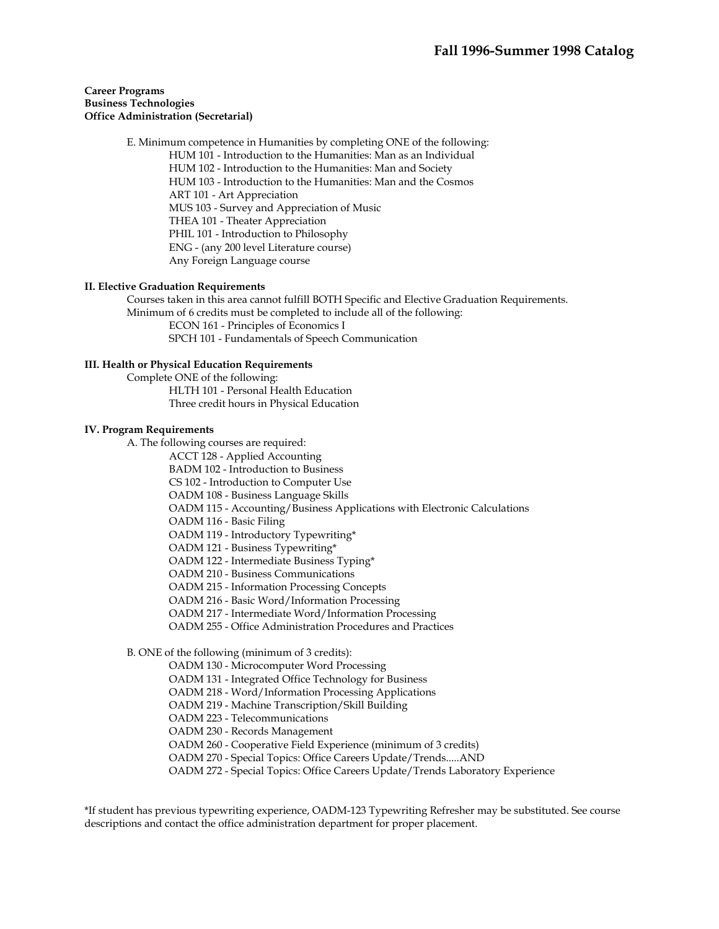## **Career Programs Business Technologies Office Administration (Secretarial)**

 E. Minimum competence in Humanities by completing ONE of the following: HUM 101 - Introduction to the Humanities: Man as an Individual HUM 102 - Introduction to the Humanities: Man and Society HUM 103 - Introduction to the Humanities: Man and the Cosmos ART 101 - Art Appreciation MUS 103 - Survey and Appreciation of Music THEA 101 - Theater Appreciation PHIL 101 - Introduction to Philosophy ENG - (any 200 level Literature course) Any Foreign Language course

## **II. Elective Graduation Requirements**

 Courses taken in this area cannot fulfill BOTH Specific and Elective Graduation Requirements. Minimum of 6 credits must be completed to include all of the following: ECON 161 - Principles of Economics I

SPCH 101 - Fundamentals of Speech Communication

#### **III. Health or Physical Education Requirements**

 Complete ONE of the following: HLTH 101 - Personal Health Education Three credit hours in Physical Education

#### **IV. Program Requirements**

A. The following courses are required:

ACCT 128 - Applied Accounting

BADM 102 - Introduction to Business

CS 102 - Introduction to Computer Use

OADM 108 - Business Language Skills

OADM 115 - Accounting/Business Applications with Electronic Calculations

OADM 116 - Basic Filing

OADM 119 - Introductory Typewriting\*

OADM 121 - Business Typewriting\*

OADM 122 - Intermediate Business Typing\*

OADM 210 - Business Communications

OADM 215 - Information Processing Concepts

OADM 216 - Basic Word/Information Processing

OADM 217 - Intermediate Word/Information Processing

OADM 255 - Office Administration Procedures and Practices

B. ONE of the following (minimum of 3 credits):

OADM 130 - Microcomputer Word Processing

OADM 131 - Integrated Office Technology for Business

OADM 218 - Word/Information Processing Applications

OADM 219 - Machine Transcription/Skill Building

OADM 223 - Telecommunications

OADM 230 - Records Management

OADM 260 - Cooperative Field Experience (minimum of 3 credits)

OADM 270 - Special Topics: Office Careers Update/Trends.....AND

OADM 272 - Special Topics: Office Careers Update/Trends Laboratory Experience

\*If student has previous typewriting experience, OADM-123 Typewriting Refresher may be substituted. See course descriptions and contact the office administration department for proper placement.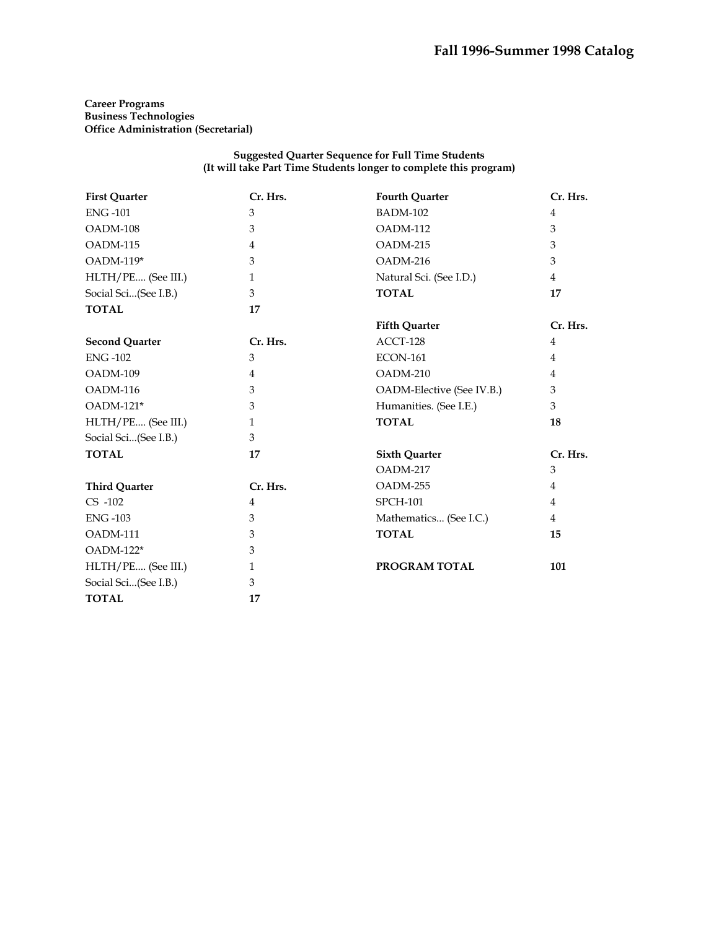**Career Programs Business Technologies Office Administration (Secretarial)** 

#### **Suggested Quarter Sequence for Full Time Students (It will take Part Time Students longer to complete this program)**

| <b>First Quarter</b>  | Cr. Hrs.       | <b>Fourth Quarter</b>     | Cr. Hrs.       |
|-----------------------|----------------|---------------------------|----------------|
| <b>ENG-101</b>        | 3              | <b>BADM-102</b>           | 4              |
| OADM-108              | 3              | OADM-112                  | 3              |
| OADM-115              | 4              | OADM-215                  | 3              |
| OADM-119*             | 3              | OADM-216                  | 3              |
| HLTH/PE (See III.)    | $\mathbf{1}$   | Natural Sci. (See I.D.)   | $\overline{4}$ |
| Social Sci(See I.B.)  | 3              | <b>TOTAL</b>              | 17             |
| <b>TOTAL</b>          | 17             |                           |                |
|                       |                | <b>Fifth Quarter</b>      | Cr. Hrs.       |
| <b>Second Quarter</b> | Cr. Hrs.       | ACCT-128                  | 4              |
| <b>ENG-102</b>        | 3              | <b>ECON-161</b>           | 4              |
| OADM-109              | $\overline{4}$ | OADM-210                  | 4              |
| OADM-116              | 3              | OADM-Elective (See IV.B.) | 3              |
| OADM-121*             | 3              | Humanities. (See I.E.)    | 3              |
| HLTH/PE (See III.)    | $\mathbf{1}$   | <b>TOTAL</b>              | 18             |
| Social Sci(See I.B.)  | 3              |                           |                |
| <b>TOTAL</b>          | 17             | <b>Sixth Quarter</b>      | Cr. Hrs.       |
|                       |                | OADM-217                  | 3              |
| <b>Third Quarter</b>  | Cr. Hrs.       | OADM-255                  | $\overline{4}$ |
| $CS -102$             | 4              | <b>SPCH-101</b>           | 4              |
| <b>ENG-103</b>        | 3              | Mathematics (See I.C.)    | 4              |
| OADM-111              | 3              | <b>TOTAL</b>              | 15             |
| $OADM-122*$           | 3              |                           |                |
| HLTH/PE (See III.)    | $\mathbf{1}$   | PROGRAM TOTAL             | 101            |
| Social Sci(See I.B.)  | 3              |                           |                |
| <b>TOTAL</b>          | 17             |                           |                |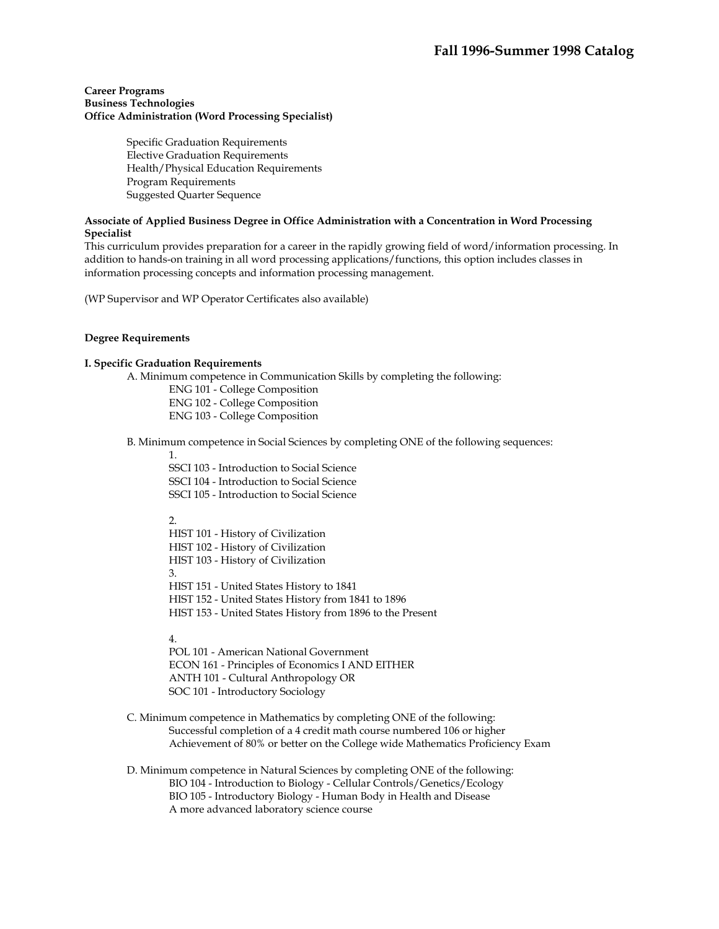## **Career Programs Business Technologies Office Administration (Word Processing Specialist)**

Specific Graduation Requirements Elective Graduation Requirements Health/Physical Education Requirements Program Requirements Suggested Quarter Sequence

# **Associate of Applied Business Degree in Office Administration with a Concentration in Word Processing Specialist**

This curriculum provides preparation for a career in the rapidly growing field of word/information processing. In addition to hands-on training in all word processing applications/functions, this option includes classes in information processing concepts and information processing management.

(WP Supervisor and WP Operator Certificates also available)

## **Degree Requirements**

#### **I. Specific Graduation Requirements**

A. Minimum competence in Communication Skills by completing the following:

- ENG 101 College Composition
- ENG 102 College Composition

ENG 103 - College Composition

B. Minimum competence in Social Sciences by completing ONE of the following sequences:

1.

SSCI 103 - Introduction to Social Science SSCI 104 - Introduction to Social Science SSCI 105 - Introduction to Social Science

# 2.

HIST 101 - History of Civilization HIST 102 - History of Civilization HIST 103 - History of Civilization 3. HIST 151 - United States History to 1841 HIST 152 - United States History from 1841 to 1896 HIST 153 - United States History from 1896 to the Present

4.

POL 101 - American National Government ECON 161 - Principles of Economics I AND EITHER ANTH 101 - Cultural Anthropology OR SOC 101 - Introductory Sociology

- C. Minimum competence in Mathematics by completing ONE of the following: Successful completion of a 4 credit math course numbered 106 or higher Achievement of 80% or better on the College wide Mathematics Proficiency Exam
- D. Minimum competence in Natural Sciences by completing ONE of the following: BIO 104 - Introduction to Biology - Cellular Controls/Genetics/Ecology BIO 105 - Introductory Biology - Human Body in Health and Disease A more advanced laboratory science course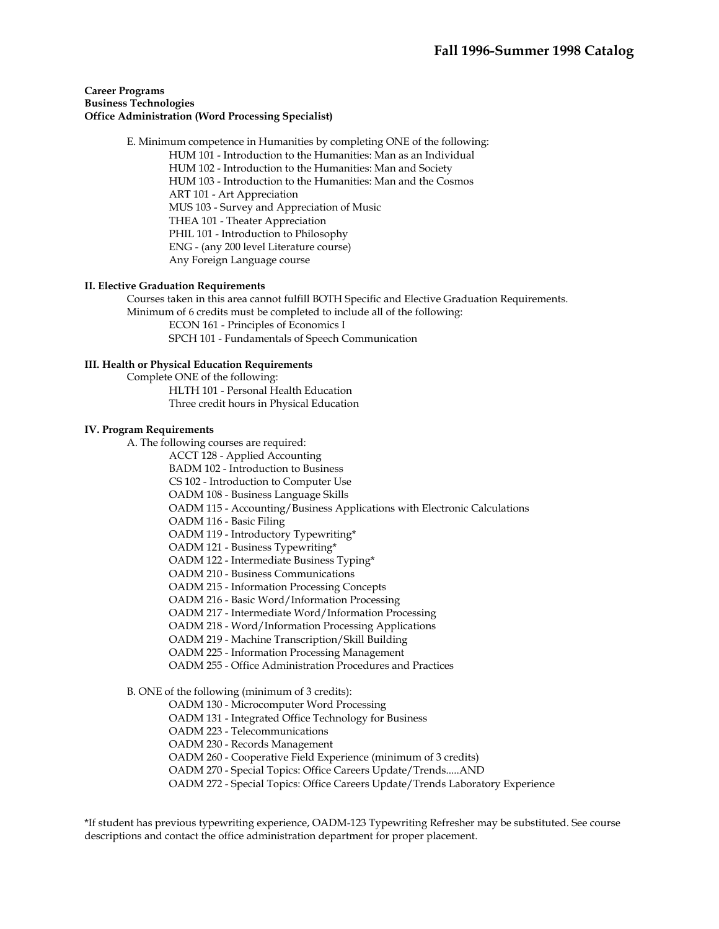## **Career Programs Business Technologies Office Administration (Word Processing Specialist)**

 E. Minimum competence in Humanities by completing ONE of the following: HUM 101 - Introduction to the Humanities: Man as an Individual HUM 102 - Introduction to the Humanities: Man and Society HUM 103 - Introduction to the Humanities: Man and the Cosmos ART 101 - Art Appreciation MUS 103 - Survey and Appreciation of Music THEA 101 - Theater Appreciation PHIL 101 - Introduction to Philosophy ENG - (any 200 level Literature course) Any Foreign Language course

## **II. Elective Graduation Requirements**

 Courses taken in this area cannot fulfill BOTH Specific and Elective Graduation Requirements. Minimum of 6 credits must be completed to include all of the following: ECON 161 - Principles of Economics I

SPCH 101 - Fundamentals of Speech Communication

## **III. Health or Physical Education Requirements**

 Complete ONE of the following: HLTH 101 - Personal Health Education Three credit hours in Physical Education

#### **IV. Program Requirements**

A. The following courses are required:

ACCT 128 - Applied Accounting

BADM 102 - Introduction to Business

CS 102 - Introduction to Computer Use

OADM 108 - Business Language Skills

OADM 115 - Accounting/Business Applications with Electronic Calculations

OADM 116 - Basic Filing

OADM 119 - Introductory Typewriting\*

OADM 121 - Business Typewriting\*

OADM 122 - Intermediate Business Typing\*

OADM 210 - Business Communications

OADM 215 - Information Processing Concepts

OADM 216 - Basic Word/Information Processing

OADM 217 - Intermediate Word/Information Processing

OADM 218 - Word/Information Processing Applications

OADM 219 - Machine Transcription/Skill Building

OADM 225 - Information Processing Management

OADM 255 - Office Administration Procedures and Practices

B. ONE of the following (minimum of 3 credits):

OADM 130 - Microcomputer Word Processing

OADM 131 - Integrated Office Technology for Business

OADM 223 - Telecommunications

OADM 230 - Records Management

OADM 260 - Cooperative Field Experience (minimum of 3 credits)

OADM 270 - Special Topics: Office Careers Update/Trends.....AND

OADM 272 - Special Topics: Office Careers Update/Trends Laboratory Experience

\*If student has previous typewriting experience, OADM-123 Typewriting Refresher may be substituted. See course descriptions and contact the office administration department for proper placement.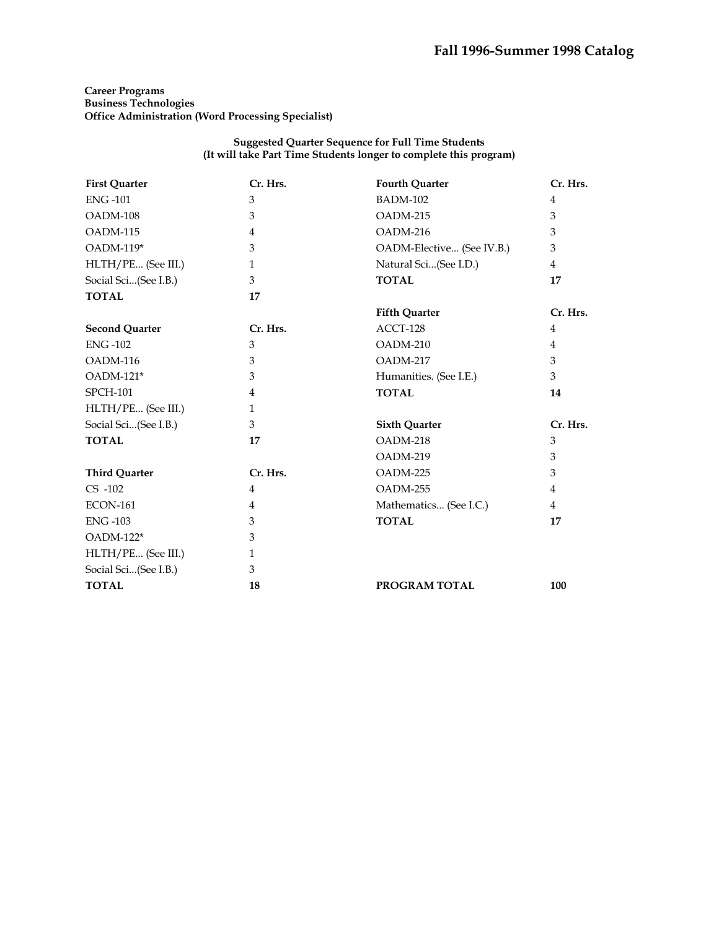# **Career Programs Business Technologies Office Administration (Word Processing Specialist)**

#### **Suggested Quarter Sequence for Full Time Students (It will take Part Time Students longer to complete this program)**

| <b>First Quarter</b>  | Cr. Hrs.     | <b>Fourth Quarter</b>     | Cr. Hrs.       |
|-----------------------|--------------|---------------------------|----------------|
| <b>ENG-101</b>        | 3            | <b>BADM-102</b>           | $\overline{4}$ |
| OADM-108              | 3            | OADM-215                  | 3              |
| OADM-115              | 4            | OADM-216                  | 3              |
| OADM-119*             | 3            | OADM-Elective (See IV.B.) | 3              |
| HLTH/PE (See III.)    | $\mathbf{1}$ | Natural Sci(See I.D.)     | $\overline{4}$ |
| Social Sci(See I.B.)  | 3            | <b>TOTAL</b>              | 17             |
| <b>TOTAL</b>          | 17           |                           |                |
|                       |              | <b>Fifth Quarter</b>      | Cr. Hrs.       |
| <b>Second Quarter</b> | Cr. Hrs.     | ACCT-128                  | 4              |
| <b>ENG-102</b>        | 3            | OADM-210                  | $\overline{4}$ |
| OADM-116              | 3            | OADM-217                  | 3              |
| OADM-121*             | 3            | Humanities. (See I.E.)    | 3              |
| <b>SPCH-101</b>       | 4            | <b>TOTAL</b>              | 14             |
| HLTH/PE (See III.)    | $\mathbf{1}$ |                           |                |
| Social Sci(See I.B.)  | 3            | <b>Sixth Quarter</b>      | Cr. Hrs.       |
| <b>TOTAL</b>          | 17           | OADM-218                  | 3              |
|                       |              | OADM-219                  | 3              |
| <b>Third Quarter</b>  | Cr. Hrs.     | OADM-225                  | 3              |
| $CS -102$             | 4            | OADM-255                  | $\overline{4}$ |
| <b>ECON-161</b>       | 4            | Mathematics (See I.C.)    | $\overline{4}$ |
| <b>ENG-103</b>        | 3            | <b>TOTAL</b>              | 17             |
| OADM-122*             | 3            |                           |                |
| HLTH/PE (See III.)    | 1            |                           |                |
| Social Sci(See I.B.)  | 3            |                           |                |
| <b>TOTAL</b>          | 18           | PROGRAM TOTAL             | 100            |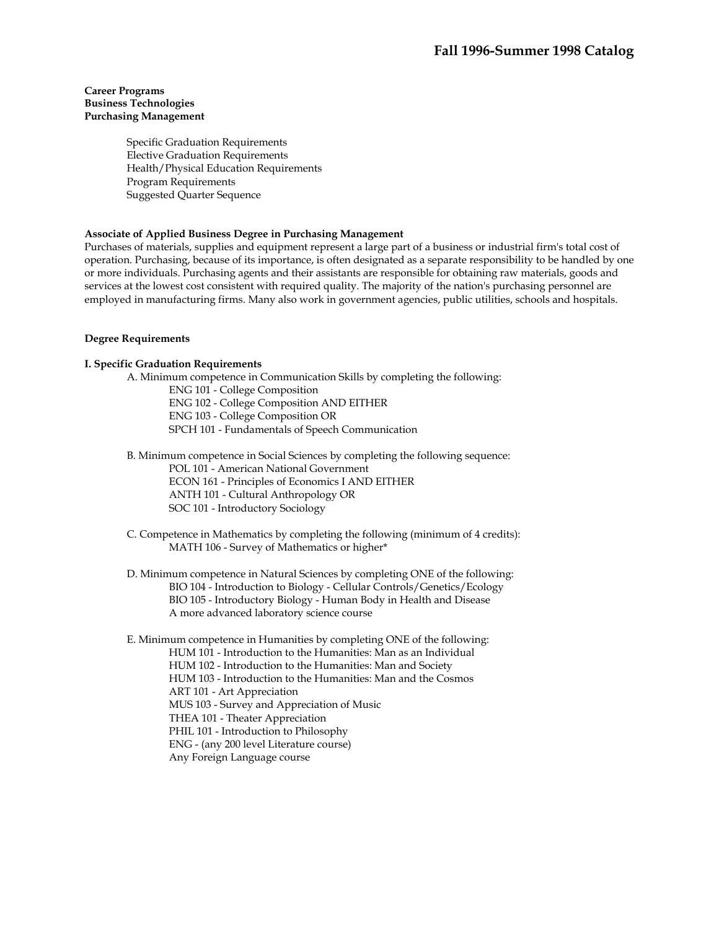## **Career Programs Business Technologies Purchasing Management**

Specific Graduation Requirements Elective Graduation Requirements Health/Physical Education Requirements Program Requirements Suggested Quarter Sequence

# **Associate of Applied Business Degree in Purchasing Management**

Purchases of materials, supplies and equipment represent a large part of a business or industrial firm's total cost of operation. Purchasing, because of its importance, is often designated as a separate responsibility to be handled by one or more individuals. Purchasing agents and their assistants are responsible for obtaining raw materials, goods and services at the lowest cost consistent with required quality. The majority of the nation's purchasing personnel are employed in manufacturing firms. Many also work in government agencies, public utilities, schools and hospitals.

# **Degree Requirements**

# **I. Specific Graduation Requirements**

 A. Minimum competence in Communication Skills by completing the following: ENG 101 - College Composition ENG 102 - College Composition AND EITHER ENG 103 - College Composition OR SPCH 101 - Fundamentals of Speech Communication

 B. Minimum competence in Social Sciences by completing the following sequence: POL 101 - American National Government ECON 161 - Principles of Economics I AND EITHER ANTH 101 - Cultural Anthropology OR SOC 101 - Introductory Sociology

- C. Competence in Mathematics by completing the following (minimum of 4 credits): MATH 106 - Survey of Mathematics or higher\*
- D. Minimum competence in Natural Sciences by completing ONE of the following: BIO 104 - Introduction to Biology - Cellular Controls/Genetics/Ecology BIO 105 - Introductory Biology - Human Body in Health and Disease A more advanced laboratory science course

 E. Minimum competence in Humanities by completing ONE of the following: HUM 101 - Introduction to the Humanities: Man as an Individual HUM 102 - Introduction to the Humanities: Man and Society HUM 103 - Introduction to the Humanities: Man and the Cosmos ART 101 - Art Appreciation MUS 103 - Survey and Appreciation of Music THEA 101 - Theater Appreciation PHIL 101 - Introduction to Philosophy ENG - (any 200 level Literature course) Any Foreign Language course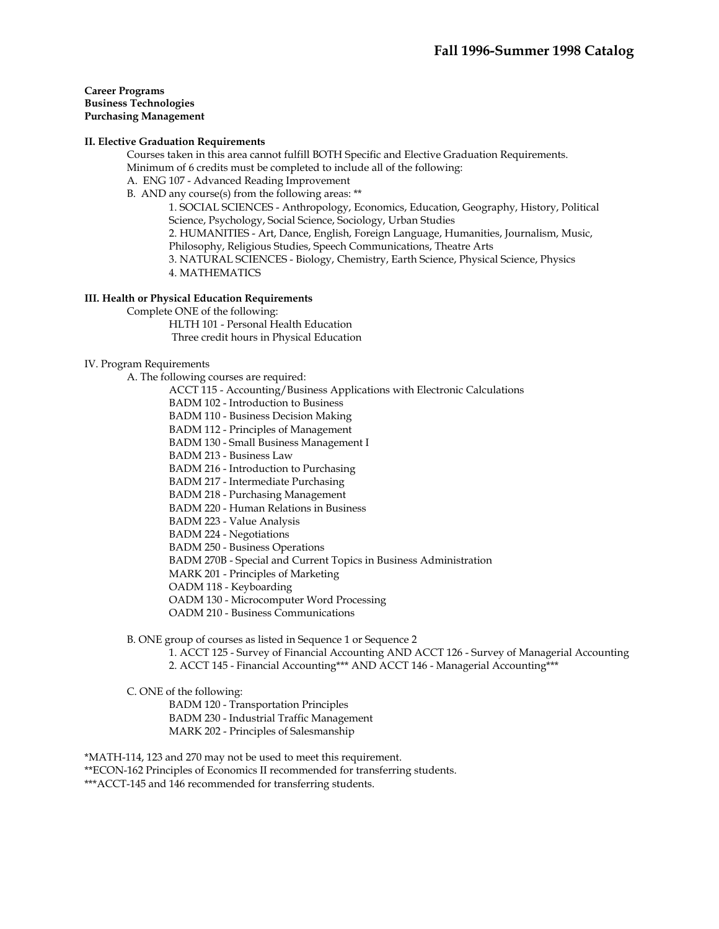**Career Programs Business Technologies Purchasing Management** 

#### **II. Elective Graduation Requirements**

 Courses taken in this area cannot fulfill BOTH Specific and Elective Graduation Requirements. Minimum of 6 credits must be completed to include all of the following:

- A. ENG 107 Advanced Reading Improvement
- B. AND any course(s) from the following areas: \*\*

1. SOCIAL SCIENCES - Anthropology, Economics, Education, Geography, History, Political Science, Psychology, Social Science, Sociology, Urban Studies

2. HUMANITIES - Art, Dance, English, Foreign Language, Humanities, Journalism, Music, Philosophy, Religious Studies, Speech Communications, Theatre Arts

3. NATURAL SCIENCES - Biology, Chemistry, Earth Science, Physical Science, Physics 4. MATHEMATICS

#### **III. Health or Physical Education Requirements**

Complete ONE of the following:

 HLTH 101 - Personal Health Education Three credit hours in Physical Education

#### IV. Program Requirements

A. The following courses are required:

- ACCT 115 Accounting/Business Applications with Electronic Calculations
- BADM 102 Introduction to Business

BADM 110 - Business Decision Making

BADM 112 - Principles of Management

BADM 130 - Small Business Management I

BADM 213 - Business Law

BADM 216 - Introduction to Purchasing

BADM 217 - Intermediate Purchasing

BADM 218 - Purchasing Management

BADM 220 - Human Relations in Business

BADM 223 - Value Analysis

BADM 224 - Negotiations

BADM 250 - Business Operations

BADM 270B - Special and Current Topics in Business Administration

MARK 201 - Principles of Marketing

OADM 118 - Keyboarding

OADM 130 - Microcomputer Word Processing

OADM 210 - Business Communications

B. ONE group of courses as listed in Sequence 1 or Sequence 2

1. ACCT 125 - Survey of Financial Accounting AND ACCT 126 - Survey of Managerial Accounting 2. ACCT 145 - Financial Accounting\*\*\* AND ACCT 146 - Managerial Accounting\*\*\*

C. ONE of the following:

BADM 120 - Transportation Principles

BADM 230 - Industrial Traffic Management

MARK 202 - Principles of Salesmanship

\*MATH-114, 123 and 270 may not be used to meet this requirement.

\*\*ECON-162 Principles of Economics II recommended for transferring students.

\*\*\*ACCT-145 and 146 recommended for transferring students.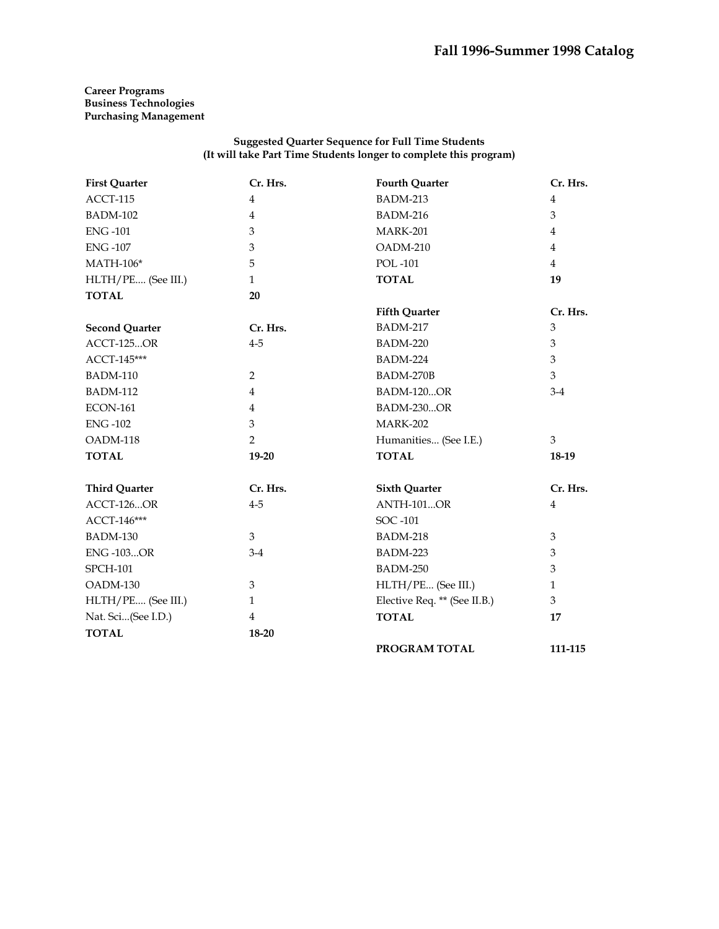# **Career Programs Business Technologies Purchasing Management**

| <b>First Quarter</b>  | Cr. Hrs.       | <b>Fourth Quarter</b>        | Cr. Hrs.       |
|-----------------------|----------------|------------------------------|----------------|
| ACCT-115              | $\overline{4}$ | <b>BADM-213</b>              | $\overline{4}$ |
| <b>BADM-102</b>       | $\overline{4}$ | <b>BADM-216</b>              | 3              |
| <b>ENG-101</b>        | 3              | MARK-201                     | 4              |
| <b>ENG-107</b>        | 3              | OADM-210                     | $\overline{4}$ |
| <b>MATH-106*</b>      | 5              | POL-101                      | $\overline{4}$ |
| HLTH/PE (See III.)    | $\mathbf{1}$   | <b>TOTAL</b>                 | 19             |
| <b>TOTAL</b>          | 20             |                              |                |
|                       |                | <b>Fifth Quarter</b>         | Cr. Hrs.       |
| <b>Second Quarter</b> | Cr. Hrs.       | <b>BADM-217</b>              | 3              |
| <b>ACCT-125OR</b>     | $4 - 5$        | <b>BADM-220</b>              | 3              |
| ACCT-145***           |                | <b>BADM-224</b>              | 3              |
| <b>BADM-110</b>       | $\overline{2}$ | BADM-270B                    | 3              |
| <b>BADM-112</b>       | $\overline{4}$ | <b>BADM-120OR</b>            | $3-4$          |
| <b>ECON-161</b>       | $\overline{4}$ | <b>BADM-230OR</b>            |                |
| <b>ENG-102</b>        | 3              | <b>MARK-202</b>              |                |
| OADM-118              | $\overline{2}$ | Humanities (See I.E.)        | 3              |
| <b>TOTAL</b>          | 19-20          | <b>TOTAL</b>                 | 18-19          |
| <b>Third Quarter</b>  | Cr. Hrs.       | <b>Sixth Quarter</b>         | Cr. Hrs.       |
| <b>ACCT-126OR</b>     | $4 - 5$        | <b>ANTH-101OR</b>            | 4              |
| ACCT-146***           |                | SOC -101                     |                |
| <b>BADM-130</b>       | 3              | <b>BADM-218</b>              | 3              |
| <b>ENG-103OR</b>      | $3-4$          | <b>BADM-223</b>              | 3              |
| <b>SPCH-101</b>       |                | <b>BADM-250</b>              | 3              |
| OADM-130              | 3              | HLTH/PE (See III.)           | $\mathbf{1}$   |
| HLTH/PE (See III.)    | $\mathbf{1}$   | Elective Req. ** (See II.B.) | 3              |
| Nat. Sci(See I.D.)    | $\overline{4}$ | <b>TOTAL</b>                 | 17             |
| <b>TOTAL</b>          | 18-20          |                              |                |
|                       |                | PROGRAM TOTAL                | 111-115        |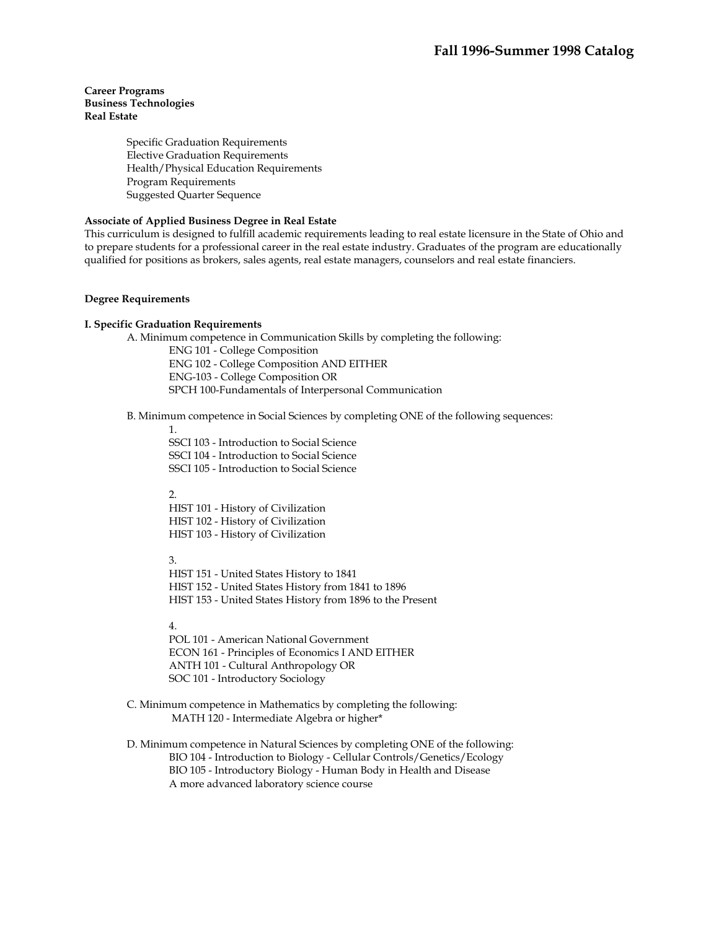# **Career Programs Business Technologies Real Estate**

Specific Graduation Requirements Elective Graduation Requirements Health/Physical Education Requirements Program Requirements Suggested Quarter Sequence

# **Associate of Applied Business Degree in Real Estate**

This curriculum is designed to fulfill academic requirements leading to real estate licensure in the State of Ohio and to prepare students for a professional career in the real estate industry. Graduates of the program are educationally qualified for positions as brokers, sales agents, real estate managers, counselors and real estate financiers.

#### **Degree Requirements**

#### **I. Specific Graduation Requirements**

 A. Minimum competence in Communication Skills by completing the following: ENG 101 - College Composition ENG 102 - College Composition AND EITHER ENG-103 - College Composition OR SPCH 100-Fundamentals of Interpersonal Communication

#### B. Minimum competence in Social Sciences by completing ONE of the following sequences:

1.

SSCI 103 - Introduction to Social Science SSCI 104 - Introduction to Social Science SSCI 105 - Introduction to Social Science

2.

HIST 101 - History of Civilization HIST 102 - History of Civilization HIST 103 - History of Civilization

3.

HIST 151 - United States History to 1841 HIST 152 - United States History from 1841 to 1896 HIST 153 - United States History from 1896 to the Present

# 4.

POL 101 - American National Government ECON 161 - Principles of Economics I AND EITHER ANTH 101 - Cultural Anthropology OR SOC 101 - Introductory Sociology

 C. Minimum competence in Mathematics by completing the following: MATH 120 - Intermediate Algebra or higher\*

 D. Minimum competence in Natural Sciences by completing ONE of the following: BIO 104 - Introduction to Biology - Cellular Controls/Genetics/Ecology BIO 105 - Introductory Biology - Human Body in Health and Disease A more advanced laboratory science course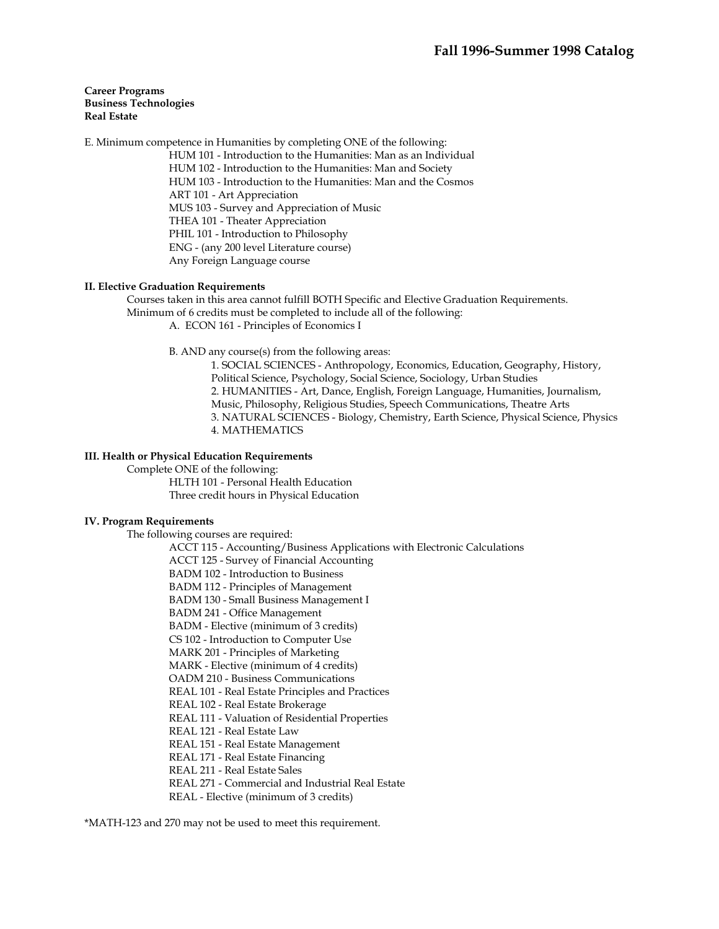#### **Career Programs Business Technologies Real Estate**

E. Minimum competence in Humanities by completing ONE of the following:

HUM 101 - Introduction to the Humanities: Man as an Individual HUM 102 - Introduction to the Humanities: Man and Society HUM 103 - Introduction to the Humanities: Man and the Cosmos ART 101 - Art Appreciation MUS 103 - Survey and Appreciation of Music THEA 101 - Theater Appreciation PHIL 101 - Introduction to Philosophy ENG - (any 200 level Literature course) Any Foreign Language course

#### **II. Elective Graduation Requirements**

 Courses taken in this area cannot fulfill BOTH Specific and Elective Graduation Requirements. Minimum of 6 credits must be completed to include all of the following: A. ECON 161 - Principles of Economics I

B. AND any course(s) from the following areas:

1. SOCIAL SCIENCES - Anthropology, Economics, Education, Geography, History, Political Science, Psychology, Social Science, Sociology, Urban Studies 2. HUMANITIES - Art, Dance, English, Foreign Language, Humanities, Journalism, Music, Philosophy, Religious Studies, Speech Communications, Theatre Arts 3. NATURAL SCIENCES - Biology, Chemistry, Earth Science, Physical Science, Physics 4. MATHEMATICS

# **III. Health or Physical Education Requirements**

 Complete ONE of the following: HLTH 101 - Personal Health Education Three credit hours in Physical Education

#### **IV. Program Requirements**

The following courses are required:

ACCT 115 - Accounting/Business Applications with Electronic Calculations

ACCT 125 - Survey of Financial Accounting

BADM 102 - Introduction to Business

BADM 112 - Principles of Management

BADM 130 - Small Business Management I

BADM 241 - Office Management

BADM - Elective (minimum of 3 credits)

CS 102 - Introduction to Computer Use

MARK 201 - Principles of Marketing

MARK - Elective (minimum of 4 credits)

OADM 210 - Business Communications

REAL 101 - Real Estate Principles and Practices

REAL 102 - Real Estate Brokerage

REAL 111 - Valuation of Residential Properties

REAL 121 - Real Estate Law

REAL 151 - Real Estate Management

REAL 171 - Real Estate Financing

REAL 211 - Real Estate Sales

REAL 271 - Commercial and Industrial Real Estate

REAL - Elective (minimum of 3 credits)

\*MATH-123 and 270 may not be used to meet this requirement.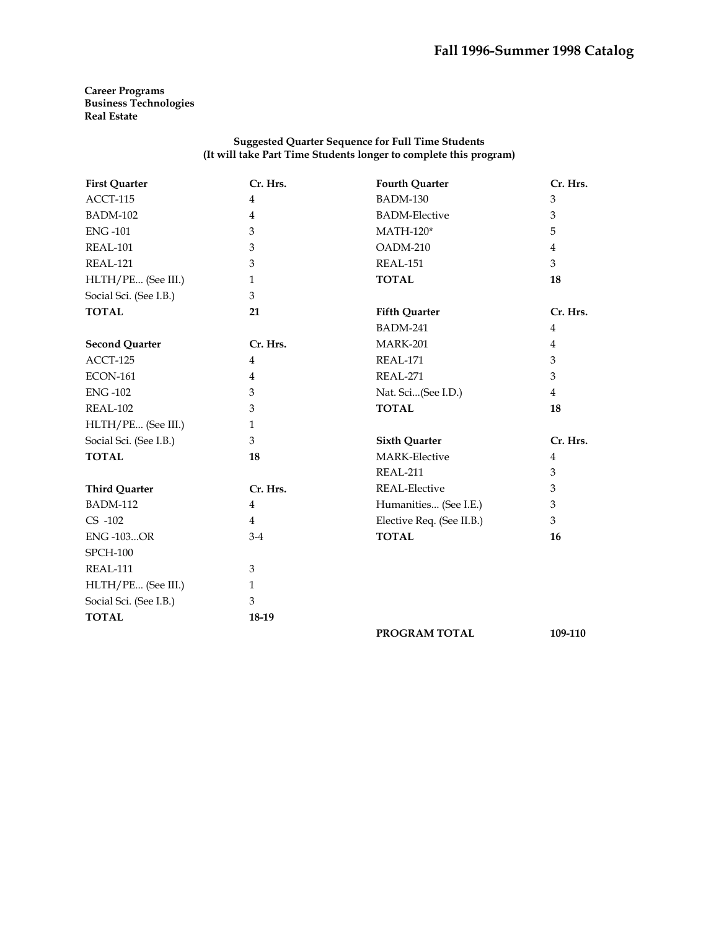**Career Programs Business Technologies Real Estate** 

| <b>First Quarter</b>   | Cr. Hrs.       | <b>Fourth Quarter</b>     | Cr. Hrs.       |
|------------------------|----------------|---------------------------|----------------|
| ACCT-115               | $\overline{4}$ | <b>BADM-130</b>           | 3              |
| <b>BADM-102</b>        | $\overline{4}$ | <b>BADM-Elective</b>      | 3              |
| <b>ENG-101</b>         | 3              | $MATH-120*$               | 5              |
| REAL-101               | 3              | OADM-210                  | $\overline{4}$ |
| REAL-121               | 3              | REAL-151                  | 3              |
| HLTH/PE (See III.)     | $\mathbf{1}$   | <b>TOTAL</b>              | 18             |
| Social Sci. (See I.B.) | 3              |                           |                |
| <b>TOTAL</b>           | 21             | <b>Fifth Quarter</b>      | Cr. Hrs.       |
|                        |                | <b>BADM-241</b>           | $\overline{4}$ |
| <b>Second Quarter</b>  | Cr. Hrs.       | <b>MARK-201</b>           | 4              |
| ACCT-125               | $\overline{4}$ | REAL-171                  | 3              |
| <b>ECON-161</b>        | 4              | REAL-271                  | 3              |
| <b>ENG-102</b>         | 3              | Nat. Sci(See I.D.)        | $\overline{4}$ |
| REAL-102               | 3              | <b>TOTAL</b>              | 18             |
| HLTH/PE (See III.)     | $\mathbf{1}$   |                           |                |
| Social Sci. (See I.B.) | 3              | <b>Sixth Quarter</b>      | Cr. Hrs.       |
| <b>TOTAL</b>           | 18             | <b>MARK-Elective</b>      | 4              |
|                        |                | REAL-211                  | 3              |
| <b>Third Quarter</b>   | Cr. Hrs.       | <b>REAL-Elective</b>      | 3              |
| <b>BADM-112</b>        | $\overline{4}$ | Humanities (See I.E.)     | 3              |
| $CS -102$              | $\overline{4}$ | Elective Req. (See II.B.) | 3              |
| <b>ENG-103OR</b>       | $3-4$          | <b>TOTAL</b>              | 16             |
| <b>SPCH-100</b>        |                |                           |                |
| REAL-111               | 3              |                           |                |
| HLTH/PE (See III.)     | $\mathbf{1}$   |                           |                |
| Social Sci. (See I.B.) | $\mathfrak{Z}$ |                           |                |
| <b>TOTAL</b>           | 18-19          |                           |                |
|                        |                | PROGRAM TOTAL             | 109-110        |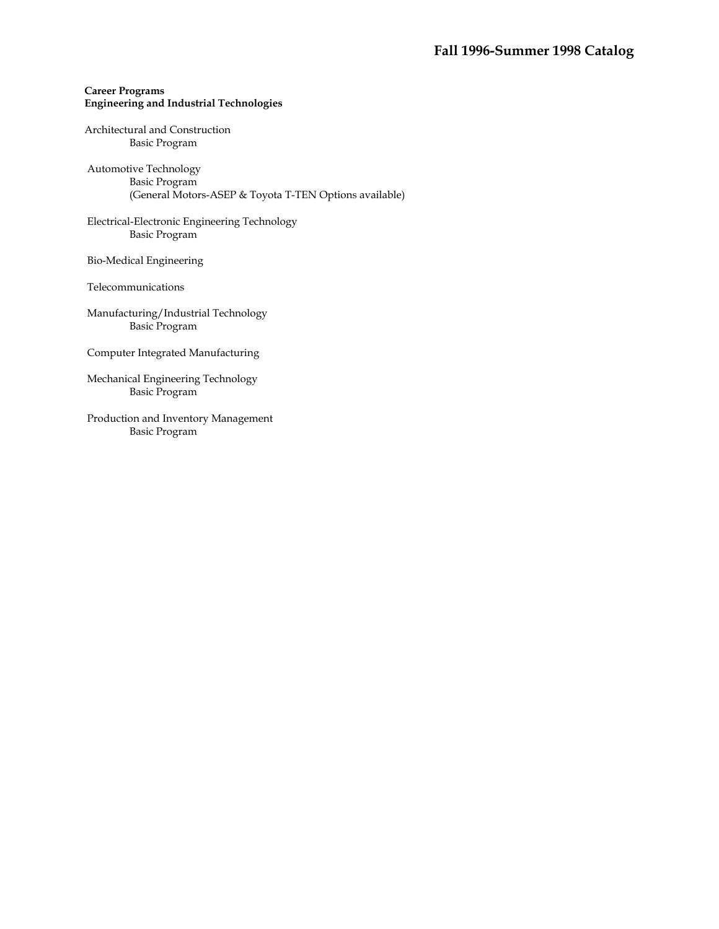# **Career Programs Engineering and Industrial Technologies**

# Architectural and Construction Basic Program

 Automotive Technology Basic Program (General Motors-ASEP & Toyota T-TEN Options available)

 Electrical-Electronic Engineering Technology Basic Program

Bio-Medical Engineering

Telecommunications

 Manufacturing/Industrial Technology Basic Program

Computer Integrated Manufacturing

 Mechanical Engineering Technology Basic Program

 Production and Inventory Management Basic Program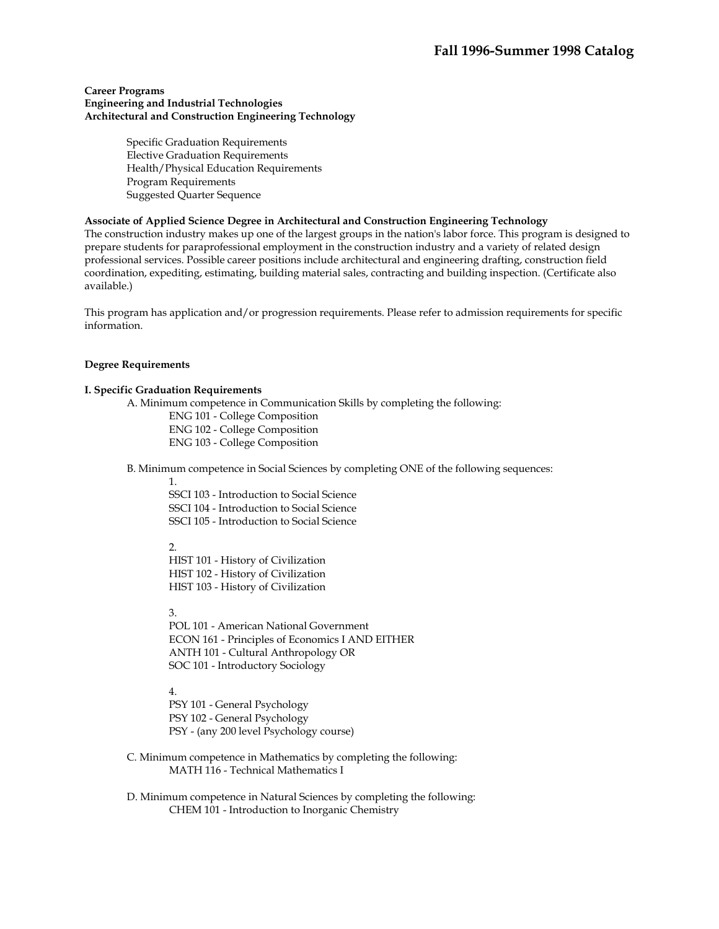#### **Career Programs Engineering and Industrial Technologies Architectural and Construction Engineering Technology**

Specific Graduation Requirements Elective Graduation Requirements Health/Physical Education Requirements Program Requirements Suggested Quarter Sequence

#### **Associate of Applied Science Degree in Architectural and Construction Engineering Technology**

The construction industry makes up one of the largest groups in the nation's labor force. This program is designed to prepare students for paraprofessional employment in the construction industry and a variety of related design professional services. Possible career positions include architectural and engineering drafting, construction field coordination, expediting, estimating, building material sales, contracting and building inspection. (Certificate also available.)

This program has application and/or progression requirements. Please refer to admission requirements for specific information.

#### **Degree Requirements**

#### **I. Specific Graduation Requirements**

A. Minimum competence in Communication Skills by completing the following:

ENG 101 - College Composition ENG 102 - College Composition ENG 103 - College Composition

B. Minimum competence in Social Sciences by completing ONE of the following sequences:

1.

SSCI 103 - Introduction to Social Science SSCI 104 - Introduction to Social Science SSCI 105 - Introduction to Social Science

 $\mathcal{L}$ 

HIST 101 - History of Civilization HIST 102 - History of Civilization HIST 103 - History of Civilization

3.

POL 101 - American National Government ECON 161 - Principles of Economics I AND EITHER ANTH 101 - Cultural Anthropology OR SOC 101 - Introductory Sociology

4.

PSY 101 - General Psychology PSY 102 - General Psychology PSY - (any 200 level Psychology course)

 C. Minimum competence in Mathematics by completing the following: MATH 116 - Technical Mathematics I

 D. Minimum competence in Natural Sciences by completing the following: CHEM 101 - Introduction to Inorganic Chemistry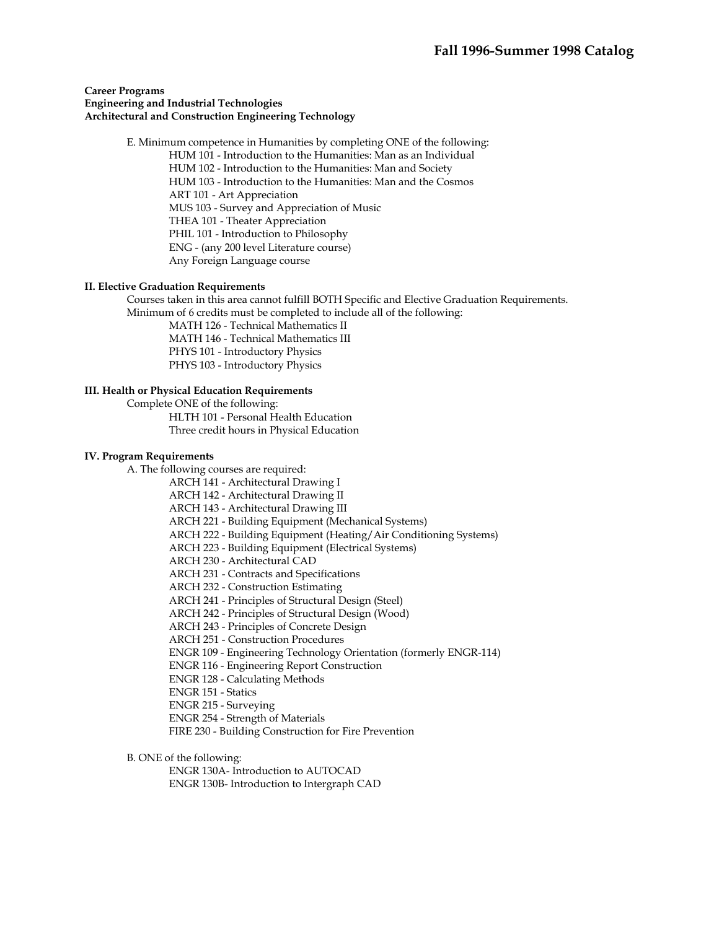#### **Career Programs Engineering and Industrial Technologies Architectural and Construction Engineering Technology**

 E. Minimum competence in Humanities by completing ONE of the following: HUM 101 - Introduction to the Humanities: Man as an Individual HUM 102 - Introduction to the Humanities: Man and Society HUM 103 - Introduction to the Humanities: Man and the Cosmos ART 101 - Art Appreciation MUS 103 - Survey and Appreciation of Music THEA 101 - Theater Appreciation PHIL 101 - Introduction to Philosophy ENG - (any 200 level Literature course) Any Foreign Language course

#### **II. Elective Graduation Requirements**

 Courses taken in this area cannot fulfill BOTH Specific and Elective Graduation Requirements. Minimum of 6 credits must be completed to include all of the following:

> MATH 126 - Technical Mathematics II MATH 146 - Technical Mathematics III PHYS 101 - Introductory Physics

PHYS 103 - Introductory Physics

# **III. Health or Physical Education Requirements**

Complete ONE of the following:

 HLTH 101 - Personal Health Education Three credit hours in Physical Education

#### **IV. Program Requirements**

A. The following courses are required:

ARCH 141 - Architectural Drawing I

ARCH 142 - Architectural Drawing II

ARCH 143 - Architectural Drawing III

ARCH 221 - Building Equipment (Mechanical Systems)

ARCH 222 - Building Equipment (Heating/Air Conditioning Systems)

ARCH 223 - Building Equipment (Electrical Systems)

ARCH 230 - Architectural CAD

ARCH 231 - Contracts and Specifications

ARCH 232 - Construction Estimating

ARCH 241 - Principles of Structural Design (Steel)

ARCH 242 - Principles of Structural Design (Wood)

ARCH 243 - Principles of Concrete Design

ARCH 251 - Construction Procedures

ENGR 109 - Engineering Technology Orientation (formerly ENGR-114)

ENGR 116 - Engineering Report Construction

ENGR 128 - Calculating Methods

ENGR 151 - Statics

ENGR 215 - Surveying

ENGR 254 - Strength of Materials

FIRE 230 - Building Construction for Fire Prevention

B. ONE of the following:

ENGR 130A- Introduction to AUTOCAD

ENGR 130B- Introduction to Intergraph CAD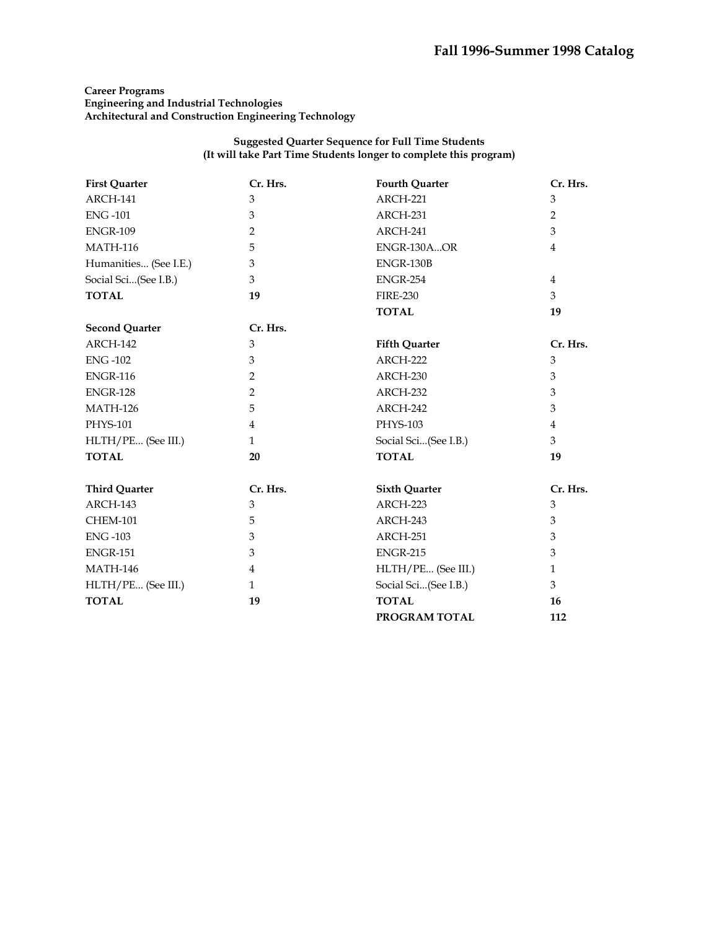# **Career Programs Engineering and Industrial Technologies Architectural and Construction Engineering Technology**

| <b>First Quarter</b>  | Cr. Hrs.       | <b>Fourth Quarter</b> | Cr. Hrs.       |
|-----------------------|----------------|-----------------------|----------------|
| ARCH-141              | $\mathfrak{B}$ | ARCH-221              | $\mathfrak{B}$ |
| <b>ENG-101</b>        | 3              | ARCH-231              | $\overline{2}$ |
| <b>ENGR-109</b>       | $\overline{2}$ | ARCH-241              | 3              |
| <b>MATH-116</b>       | 5              | ENGR-130AOR           | $\overline{4}$ |
| Humanities (See I.E.) | 3              | ENGR-130B             |                |
| Social Sci(See I.B.)  | 3              | <b>ENGR-254</b>       | $\overline{4}$ |
| <b>TOTAL</b>          | 19             | <b>FIRE-230</b>       | 3              |
|                       |                | <b>TOTAL</b>          | 19             |
| <b>Second Quarter</b> | Cr. Hrs.       |                       |                |
| ARCH-142              | 3              | <b>Fifth Quarter</b>  | Cr. Hrs.       |
| <b>ENG-102</b>        | $\mathfrak{Z}$ | ARCH-222              | 3              |
| <b>ENGR-116</b>       | $\overline{2}$ | ARCH-230              | 3              |
| <b>ENGR-128</b>       | $\overline{2}$ | ARCH-232              | 3              |
| <b>MATH-126</b>       | 5              | ARCH-242              | 3              |
| PHYS-101              | $\overline{4}$ | PHYS-103              | 4              |
| HLTH/PE (See III.)    | $\mathbf{1}$   | Social Sci(See I.B.)  | 3              |
| <b>TOTAL</b>          | 20             | <b>TOTAL</b>          | 19             |
| <b>Third Quarter</b>  | Cr. Hrs.       | <b>Sixth Quarter</b>  | Cr. Hrs.       |
| ARCH-143              | $\mathfrak{Z}$ | ARCH-223              | $\mathfrak{Z}$ |
| <b>CHEM-101</b>       | 5              | ARCH-243              | 3              |
| <b>ENG-103</b>        | 3              | ARCH-251              | 3              |
| <b>ENGR-151</b>       | 3              | <b>ENGR-215</b>       | 3              |
| <b>MATH-146</b>       | $\overline{4}$ | HLTH/PE (See III.)    | $\mathbf{1}$   |
| HLTH/PE (See III.)    | $\mathbf{1}$   | Social Sci(See I.B.)  | 3              |
| <b>TOTAL</b>          | 19             | <b>TOTAL</b>          | 16             |
|                       |                | PROGRAM TOTAL         | 112            |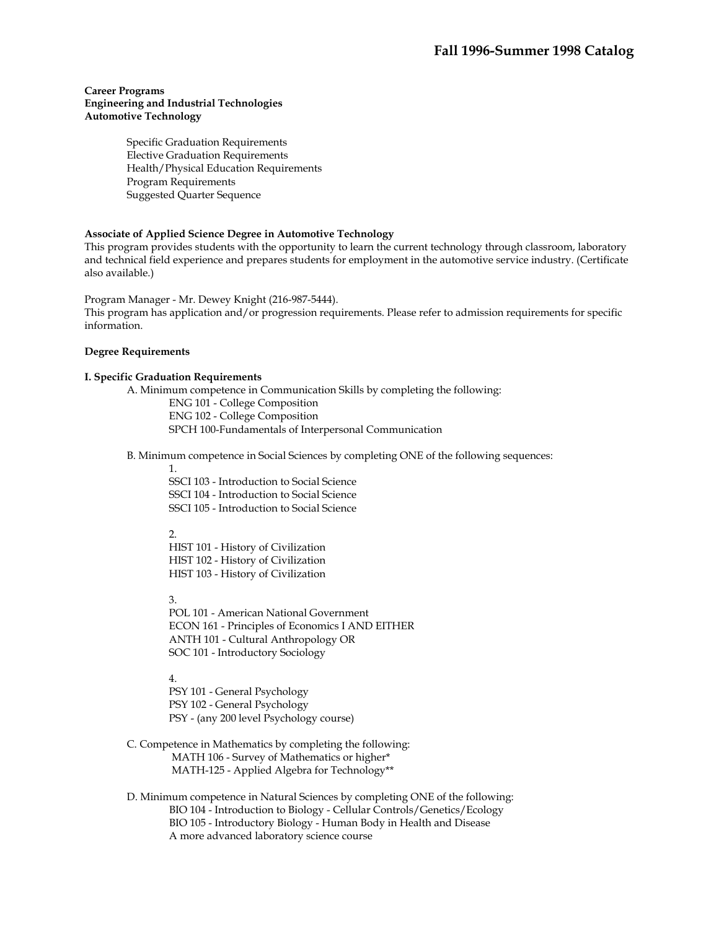#### **Career Programs Engineering and Industrial Technologies Automotive Technology**

Specific Graduation Requirements Elective Graduation Requirements Health/Physical Education Requirements Program Requirements Suggested Quarter Sequence

#### **Associate of Applied Science Degree in Automotive Technology**

This program provides students with the opportunity to learn the current technology through classroom, laboratory and technical field experience and prepares students for employment in the automotive service industry. (Certificate also available.)

Program Manager - Mr. Dewey Knight (216-987-5444).

This program has application and/or progression requirements. Please refer to admission requirements for specific information.

#### **Degree Requirements**

### **I. Specific Graduation Requirements**

A. Minimum competence in Communication Skills by completing the following:

ENG 101 - College Composition ENG 102 - College Composition SPCH 100-Fundamentals of Interpersonal Communication

B. Minimum competence in Social Sciences by completing ONE of the following sequences:

1.

SSCI 103 - Introduction to Social Science SSCI 104 - Introduction to Social Science SSCI 105 - Introduction to Social Science

 $\mathcal{L}$ 

HIST 101 - History of Civilization HIST 102 - History of Civilization HIST 103 - History of Civilization

3.

POL 101 - American National Government ECON 161 - Principles of Economics I AND EITHER ANTH 101 - Cultural Anthropology OR SOC 101 - Introductory Sociology

4.

PSY 101 - General Psychology PSY 102 - General Psychology PSY - (any 200 level Psychology course)

- C. Competence in Mathematics by completing the following: MATH 106 - Survey of Mathematics or higher\* MATH-125 - Applied Algebra for Technology\*\*
- D. Minimum competence in Natural Sciences by completing ONE of the following: BIO 104 - Introduction to Biology - Cellular Controls/Genetics/Ecology BIO 105 - Introductory Biology - Human Body in Health and Disease A more advanced laboratory science course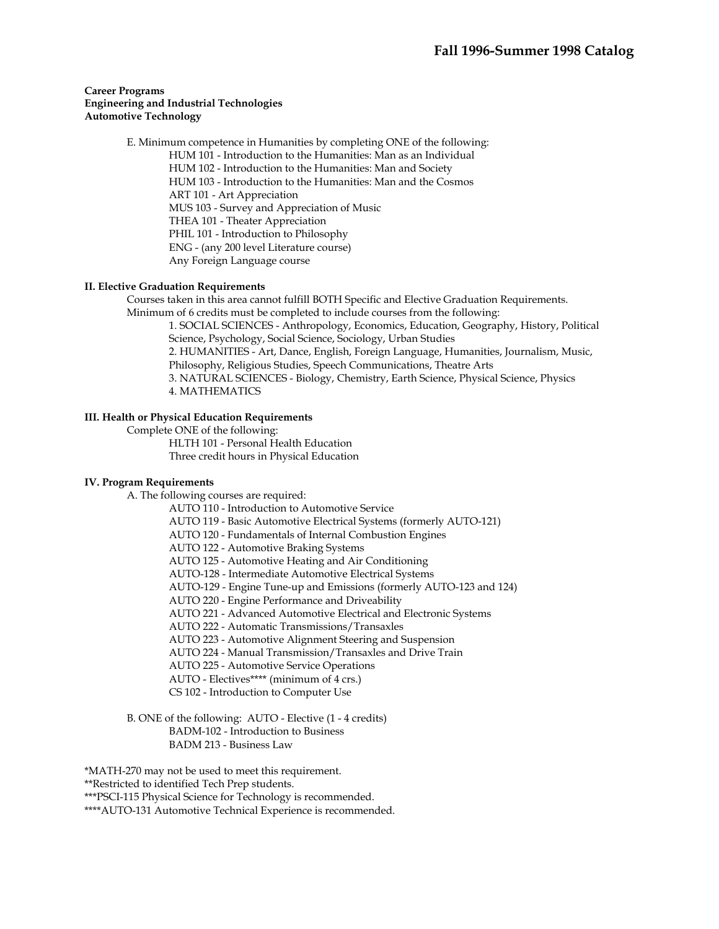#### **Career Programs Engineering and Industrial Technologies Automotive Technology**

 E. Minimum competence in Humanities by completing ONE of the following: HUM 101 - Introduction to the Humanities: Man as an Individual HUM 102 - Introduction to the Humanities: Man and Society HUM 103 - Introduction to the Humanities: Man and the Cosmos ART 101 - Art Appreciation MUS 103 - Survey and Appreciation of Music THEA 101 - Theater Appreciation PHIL 101 - Introduction to Philosophy ENG - (any 200 level Literature course) Any Foreign Language course

#### **II. Elective Graduation Requirements**

 Courses taken in this area cannot fulfill BOTH Specific and Elective Graduation Requirements. Minimum of 6 credits must be completed to include courses from the following:

1. SOCIAL SCIENCES - Anthropology, Economics, Education, Geography, History, Political Science, Psychology, Social Science, Sociology, Urban Studies 2. HUMANITIES - Art, Dance, English, Foreign Language, Humanities, Journalism, Music, Philosophy, Religious Studies, Speech Communications, Theatre Arts 3. NATURAL SCIENCES - Biology, Chemistry, Earth Science, Physical Science, Physics 4. MATHEMATICS

#### **III. Health or Physical Education Requirements**

 Complete ONE of the following: HLTH 101 - Personal Health Education Three credit hours in Physical Education

# **IV. Program Requirements**

A. The following courses are required:

AUTO 110 - Introduction to Automotive Service

AUTO 119 - Basic Automotive Electrical Systems (formerly AUTO-121)

AUTO 120 - Fundamentals of Internal Combustion Engines

AUTO 122 - Automotive Braking Systems

AUTO 125 - Automotive Heating and Air Conditioning

AUTO-128 - Intermediate Automotive Electrical Systems

AUTO-129 - Engine Tune-up and Emissions (formerly AUTO-123 and 124)

AUTO 220 - Engine Performance and Driveability

AUTO 221 - Advanced Automotive Electrical and Electronic Systems

AUTO 222 - Automatic Transmissions/Transaxles

AUTO 223 - Automotive Alignment Steering and Suspension

AUTO 224 - Manual Transmission/Transaxles and Drive Train

AUTO 225 - Automotive Service Operations

AUTO - Electives\*\*\*\* (minimum of 4 crs.)

CS 102 - Introduction to Computer Use

 B. ONE of the following: AUTO - Elective (1 - 4 credits) BADM-102 - Introduction to Business BADM 213 - Business Law

\*MATH-270 may not be used to meet this requirement.

\*\*Restricted to identified Tech Prep students.

\*\*\*PSCI-115 Physical Science for Technology is recommended.

\*\*\*\*AUTO-131 Automotive Technical Experience is recommended.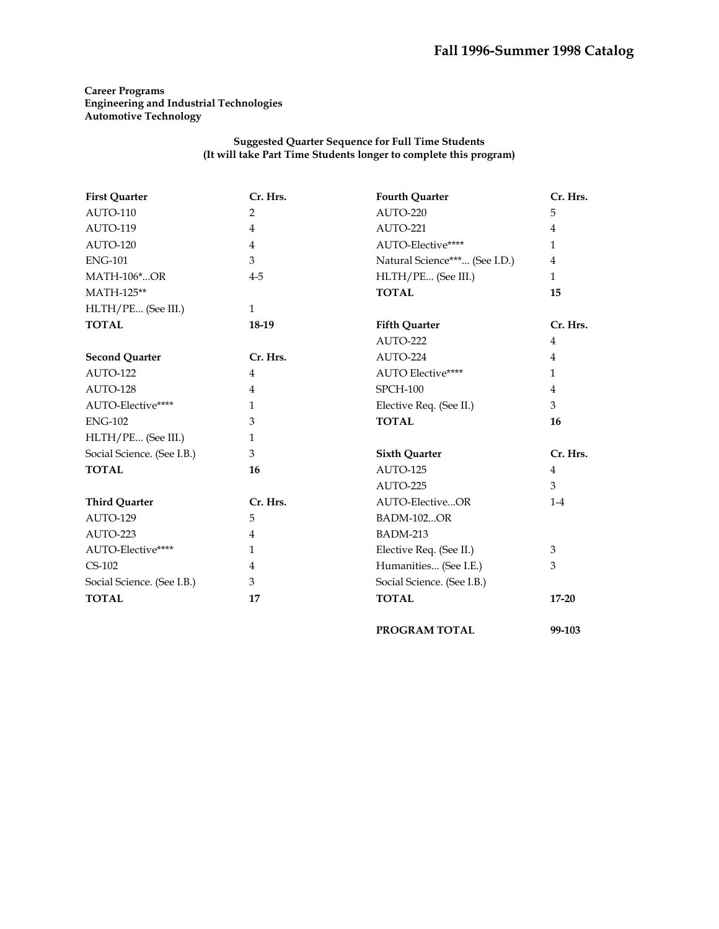# **Career Programs Engineering and Industrial Technologies Automotive Technology**

| <b>First Quarter</b>       | Cr. Hrs.       | <b>Fourth Quarter</b>         | Cr. Hrs.       |
|----------------------------|----------------|-------------------------------|----------------|
| AUTO-110                   | 2              | AUTO-220                      | 5              |
| AUTO-119                   | 4              | AUTO-221                      | 4              |
| AUTO-120                   | 4              | AUTO-Elective****             | $\mathbf{1}$   |
| <b>ENG-101</b>             | 3              | Natural Science*** (See I.D.) | 4              |
| <b>MATH-106*OR</b>         | $4 - 5$        | HLTH/PE (See III.)            | $\mathbf{1}$   |
| MATH-125**                 |                | <b>TOTAL</b>                  | 15             |
| HLTH/PE (See III.)         | $\mathbf{1}$   |                               |                |
| <b>TOTAL</b>               | 18-19          | <b>Fifth Quarter</b>          | Cr. Hrs.       |
|                            |                | AUTO-222                      | 4              |
| <b>Second Quarter</b>      | Cr. Hrs.       | AUTO-224                      | $\overline{4}$ |
| AUTO-122                   | $\overline{4}$ | <b>AUTO Elective****</b>      | $\mathbf{1}$   |
| AUTO-128                   | 4              | <b>SPCH-100</b>               | 4              |
| AUTO-Elective****          | $\mathbf{1}$   | Elective Req. (See II.)       | 3              |
| <b>ENG-102</b>             | 3              | <b>TOTAL</b>                  | 16             |
| HLTH/PE (See III.)         | $\mathbf{1}$   |                               |                |
| Social Science. (See I.B.) | 3              | <b>Sixth Quarter</b>          | Cr. Hrs.       |
| <b>TOTAL</b>               | 16             | AUTO-125                      | $\overline{4}$ |
|                            |                | AUTO-225                      | 3              |
| <b>Third Quarter</b>       | Cr. Hrs.       | AUTO-ElectiveOR               | $1-4$          |
| AUTO-129                   | 5              | <b>BADM-102OR</b>             |                |
| AUTO-223                   | $\overline{4}$ | <b>BADM-213</b>               |                |
| AUTO-Elective****          | $\mathbf{1}$   | Elective Req. (See II.)       | 3              |
| $CS-102$                   | $\overline{4}$ | Humanities (See I.E.)         | 3              |
| Social Science. (See I.B.) | 3              | Social Science. (See I.B.)    |                |
| <b>TOTAL</b>               | 17             | <b>TOTAL</b>                  | $17 - 20$      |
|                            |                | PROGRAM TOTAL                 | 99-103         |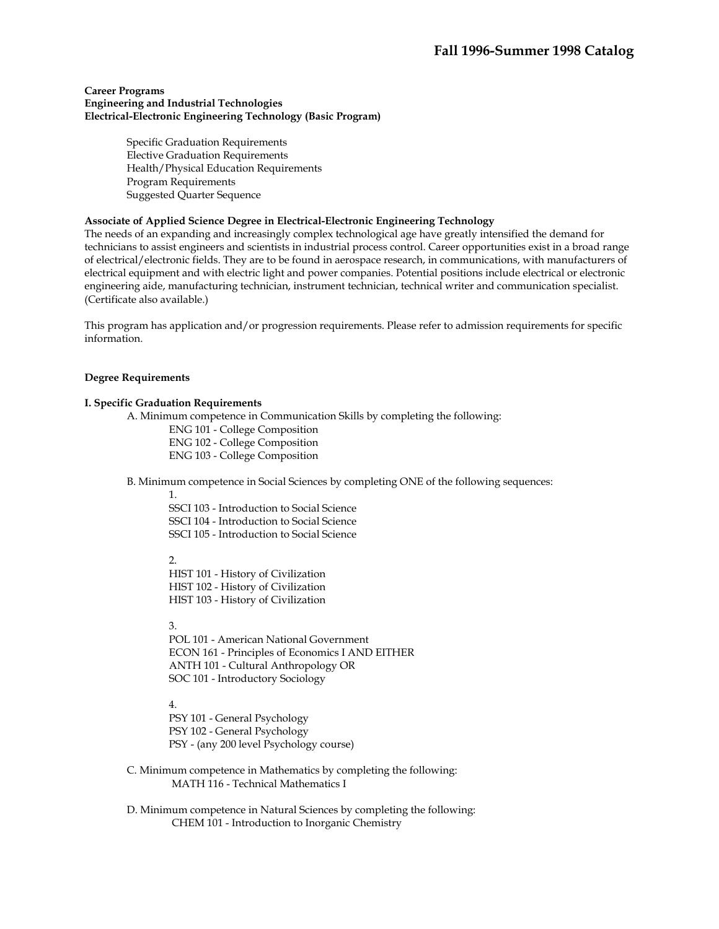#### **Career Programs Engineering and Industrial Technologies Electrical-Electronic Engineering Technology (Basic Program)**

Specific Graduation Requirements Elective Graduation Requirements Health/Physical Education Requirements Program Requirements Suggested Quarter Sequence

#### **Associate of Applied Science Degree in Electrical-Electronic Engineering Technology**

The needs of an expanding and increasingly complex technological age have greatly intensified the demand for technicians to assist engineers and scientists in industrial process control. Career opportunities exist in a broad range of electrical/electronic fields. They are to be found in aerospace research, in communications, with manufacturers of electrical equipment and with electric light and power companies. Potential positions include electrical or electronic engineering aide, manufacturing technician, instrument technician, technical writer and communication specialist. (Certificate also available.)

This program has application and/or progression requirements. Please refer to admission requirements for specific information.

#### **Degree Requirements**

#### **I. Specific Graduation Requirements**

A. Minimum competence in Communication Skills by completing the following:

ENG 101 - College Composition

ENG 102 - College Composition

ENG 103 - College Composition

B. Minimum competence in Social Sciences by completing ONE of the following sequences:

1.

SSCI 103 - Introduction to Social Science SSCI 104 - Introduction to Social Science SSCI 105 - Introduction to Social Science

#### $\mathcal{D}_{\alpha}$

HIST 101 - History of Civilization HIST 102 - History of Civilization HIST 103 - History of Civilization

# 3.

POL 101 - American National Government ECON 161 - Principles of Economics I AND EITHER ANTH 101 - Cultural Anthropology OR SOC 101 - Introductory Sociology

### 4.

PSY 101 - General Psychology PSY 102 - General Psychology PSY - (any 200 level Psychology course)

- C. Minimum competence in Mathematics by completing the following: MATH 116 - Technical Mathematics I
- D. Minimum competence in Natural Sciences by completing the following: CHEM 101 - Introduction to Inorganic Chemistry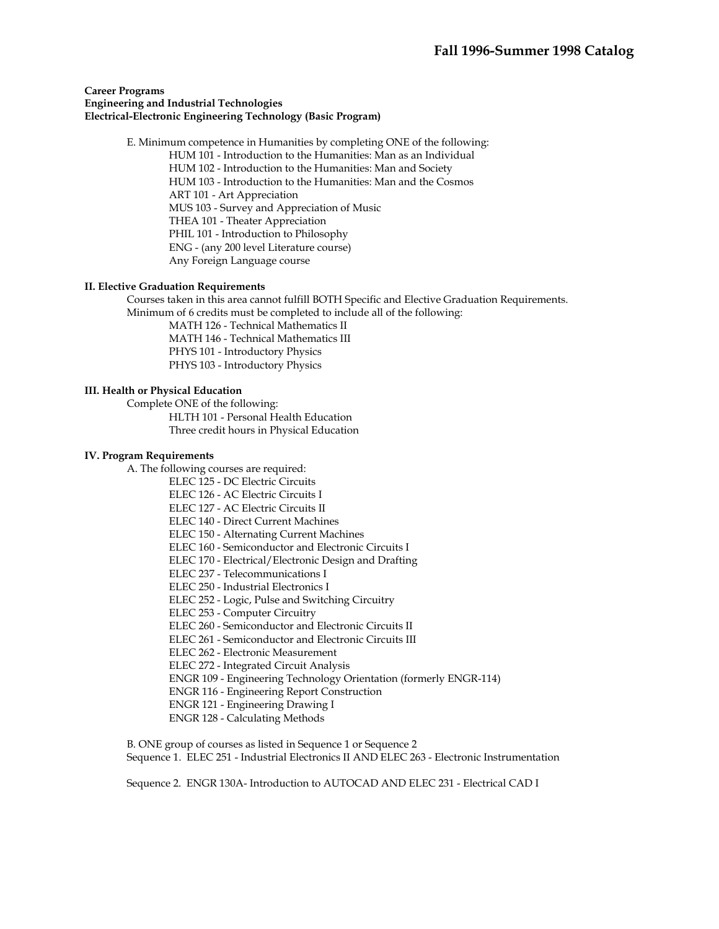#### **Career Programs Engineering and Industrial Technologies Electrical-Electronic Engineering Technology (Basic Program)**

 E. Minimum competence in Humanities by completing ONE of the following: HUM 101 - Introduction to the Humanities: Man as an Individual HUM 102 - Introduction to the Humanities: Man and Society HUM 103 - Introduction to the Humanities: Man and the Cosmos ART 101 - Art Appreciation MUS 103 - Survey and Appreciation of Music THEA 101 - Theater Appreciation PHIL 101 - Introduction to Philosophy ENG - (any 200 level Literature course) Any Foreign Language course

#### **II. Elective Graduation Requirements**

 Courses taken in this area cannot fulfill BOTH Specific and Elective Graduation Requirements. Minimum of 6 credits must be completed to include all of the following:

 MATH 126 - Technical Mathematics II MATH 146 - Technical Mathematics III PHYS 101 - Introductory Physics PHYS 103 - Introductory Physics

#### **III. Health or Physical Education**

 Complete ONE of the following: HLTH 101 - Personal Health Education Three credit hours in Physical Education

#### **IV. Program Requirements**

A. The following courses are required:

- ELEC 125 DC Electric Circuits
- ELEC 126 AC Electric Circuits I
- ELEC 127 AC Electric Circuits II
- ELEC 140 Direct Current Machines
- ELEC 150 Alternating Current Machines
- ELEC 160 Semiconductor and Electronic Circuits I
- ELEC 170 Electrical/Electronic Design and Drafting
- ELEC 237 Telecommunications I
- ELEC 250 Industrial Electronics I
- ELEC 252 Logic, Pulse and Switching Circuitry
- ELEC 253 Computer Circuitry
- ELEC 260 Semiconductor and Electronic Circuits II
- ELEC 261 Semiconductor and Electronic Circuits III
- ELEC 262 Electronic Measurement
- ELEC 272 Integrated Circuit Analysis
- ENGR 109 Engineering Technology Orientation (formerly ENGR-114)
- ENGR 116 Engineering Report Construction
- ENGR 121 Engineering Drawing I
- ENGR 128 Calculating Methods

 B. ONE group of courses as listed in Sequence 1 or Sequence 2 Sequence 1. ELEC 251 - Industrial Electronics II AND ELEC 263 - Electronic Instrumentation

Sequence 2. ENGR 130A- Introduction to AUTOCAD AND ELEC 231 - Electrical CAD I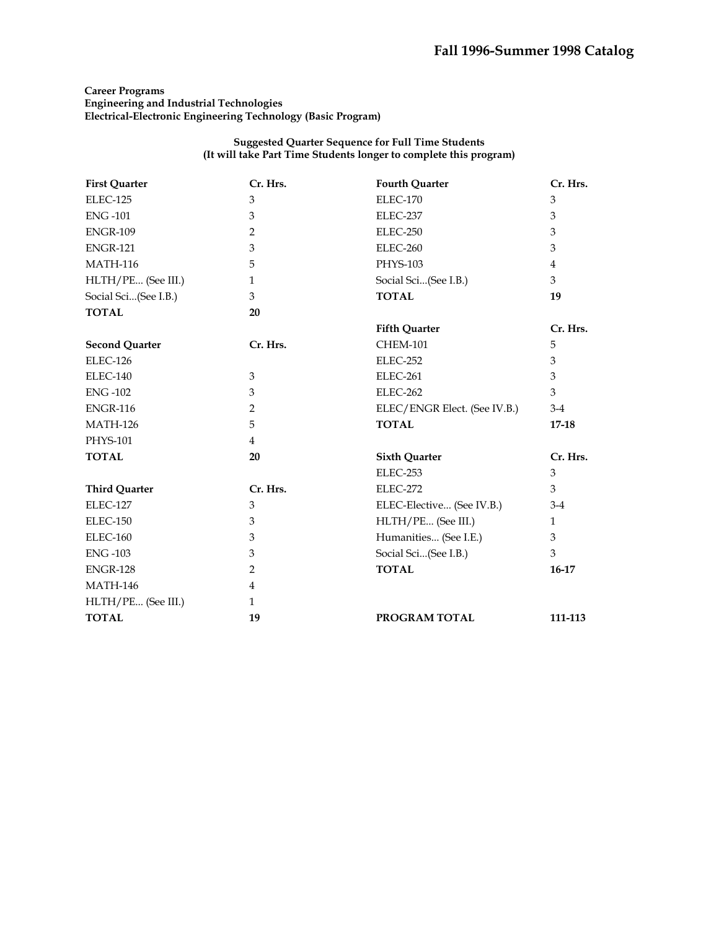# **Career Programs Engineering and Industrial Technologies Electrical-Electronic Engineering Technology (Basic Program)**

| <b>First Quarter</b>  | Cr. Hrs.       | <b>Fourth Quarter</b>        | Cr. Hrs.     |
|-----------------------|----------------|------------------------------|--------------|
| ELEC-125              | 3              | ELEC-170                     | 3            |
| <b>ENG-101</b>        | 3              | ELEC-237                     | 3            |
| <b>ENGR-109</b>       | 2              | ELEC-250                     | 3            |
| <b>ENGR-121</b>       | 3              | ELEC-260                     | 3            |
| <b>MATH-116</b>       | 5              | PHYS-103                     | 4            |
| HLTH/PE (See III.)    | $\mathbf{1}$   | Social Sci(See I.B.)         | 3            |
| Social Sci(See I.B.)  | 3              | <b>TOTAL</b>                 | 19           |
| <b>TOTAL</b>          | 20             |                              |              |
|                       |                | <b>Fifth Quarter</b>         | Cr. Hrs.     |
| <b>Second Quarter</b> | Cr. Hrs.       | <b>CHEM-101</b>              | 5            |
| ELEC-126              |                | ELEC-252                     | 3            |
| ELEC-140              | 3              | ELEC-261                     | 3            |
| <b>ENG-102</b>        | 3              | ELEC-262                     | 3            |
| <b>ENGR-116</b>       | 2              | ELEC/ENGR Elect. (See IV.B.) | $3-4$        |
| <b>MATH-126</b>       | 5              | <b>TOTAL</b>                 | $17 - 18$    |
| <b>PHYS-101</b>       | $\overline{4}$ |                              |              |
| <b>TOTAL</b>          | 20             | <b>Sixth Quarter</b>         | Cr. Hrs.     |
|                       |                | ELEC-253                     | 3            |
| <b>Third Quarter</b>  | Cr. Hrs.       | <b>ELEC-272</b>              | 3            |
| <b>ELEC-127</b>       | 3              | ELEC-Elective (See IV.B.)    | $3-4$        |
| ELEC-150              | 3              | HLTH/PE (See III.)           | $\mathbf{1}$ |
| <b>ELEC-160</b>       | 3              | Humanities (See I.E.)        | 3            |
| <b>ENG-103</b>        | 3              | Social Sci(See I.B.)         | 3            |
| <b>ENGR-128</b>       | $\overline{2}$ | <b>TOTAL</b>                 | $16-17$      |
| <b>MATH-146</b>       | 4              |                              |              |
| HLTH/PE (See III.)    | $\mathbf{1}$   |                              |              |
| <b>TOTAL</b>          | 19             | PROGRAM TOTAL                | 111-113      |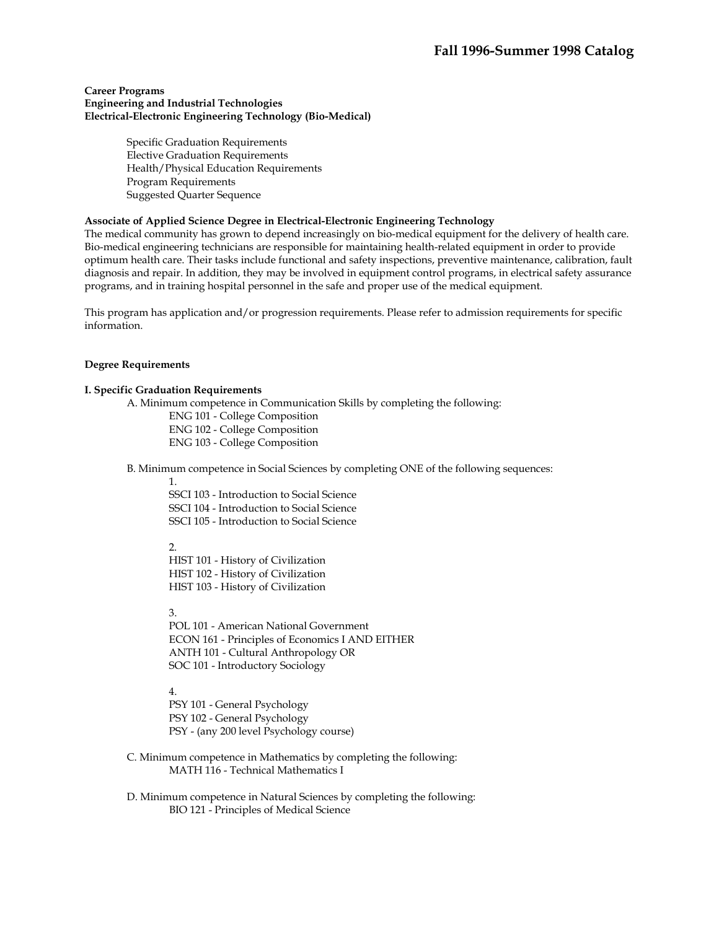#### **Career Programs Engineering and Industrial Technologies Electrical-Electronic Engineering Technology (Bio-Medical)**

Specific Graduation Requirements Elective Graduation Requirements Health/Physical Education Requirements Program Requirements Suggested Quarter Sequence

# **Associate of Applied Science Degree in Electrical-Electronic Engineering Technology**

The medical community has grown to depend increasingly on bio-medical equipment for the delivery of health care. Bio-medical engineering technicians are responsible for maintaining health-related equipment in order to provide optimum health care. Their tasks include functional and safety inspections, preventive maintenance, calibration, fault diagnosis and repair. In addition, they may be involved in equipment control programs, in electrical safety assurance programs, and in training hospital personnel in the safe and proper use of the medical equipment.

This program has application and/or progression requirements. Please refer to admission requirements for specific information.

#### **Degree Requirements**

#### **I. Specific Graduation Requirements**

A. Minimum competence in Communication Skills by completing the following:

ENG 101 - College Composition ENG 102 - College Composition ENG 103 - College Composition

B. Minimum competence in Social Sciences by completing ONE of the following sequences:

1.

SSCI 103 - Introduction to Social Science SSCI 104 - Introduction to Social Science SSCI 105 - Introduction to Social Science

 $\mathcal{L}$ 

HIST 101 - History of Civilization HIST 102 - History of Civilization HIST 103 - History of Civilization

3.

POL 101 - American National Government ECON 161 - Principles of Economics I AND EITHER ANTH 101 - Cultural Anthropology OR SOC 101 - Introductory Sociology

4.

PSY 101 - General Psychology PSY 102 - General Psychology PSY - (any 200 level Psychology course)

- C. Minimum competence in Mathematics by completing the following: MATH 116 - Technical Mathematics I
- D. Minimum competence in Natural Sciences by completing the following: BIO 121 - Principles of Medical Science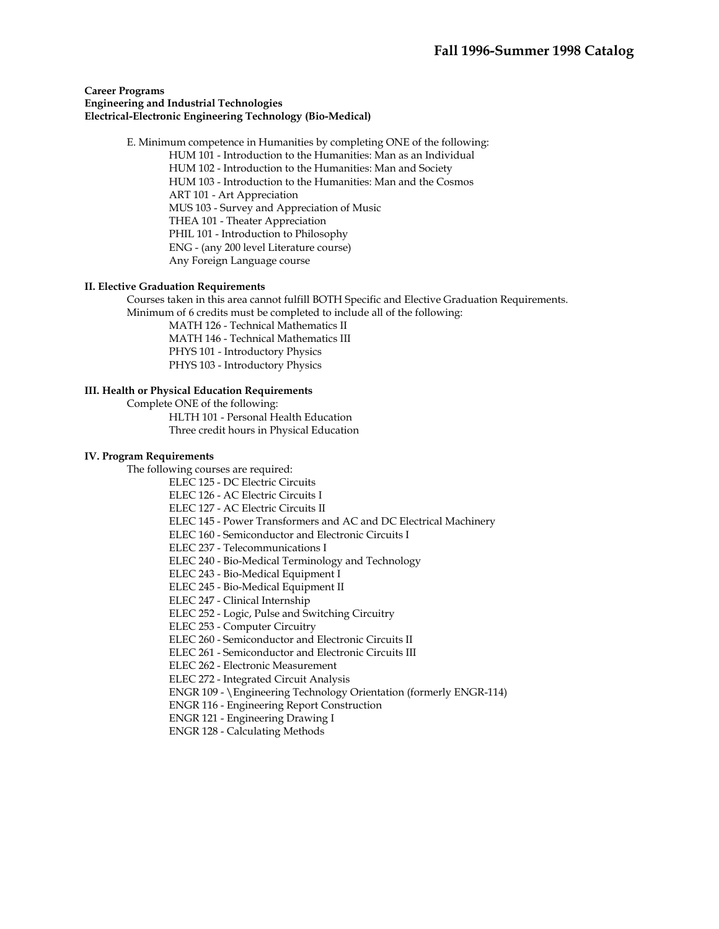#### **Career Programs Engineering and Industrial Technologies Electrical-Electronic Engineering Technology (Bio-Medical)**

 E. Minimum competence in Humanities by completing ONE of the following: HUM 101 - Introduction to the Humanities: Man as an Individual HUM 102 - Introduction to the Humanities: Man and Society HUM 103 - Introduction to the Humanities: Man and the Cosmos ART 101 - Art Appreciation MUS 103 - Survey and Appreciation of Music THEA 101 - Theater Appreciation PHIL 101 - Introduction to Philosophy ENG - (any 200 level Literature course) Any Foreign Language course

#### **II. Elective Graduation Requirements**

 Courses taken in this area cannot fulfill BOTH Specific and Elective Graduation Requirements. Minimum of 6 credits must be completed to include all of the following:

> MATH 126 - Technical Mathematics II MATH 146 - Technical Mathematics III PHYS 101 - Introductory Physics PHYS 103 - Introductory Physics

# **III. Health or Physical Education Requirements**

Complete ONE of the following:

HLTH 101 - Personal Health Education Three credit hours in Physical Education

#### **IV. Program Requirements**

The following courses are required:

ELEC 125 - DC Electric Circuits

ELEC 126 - AC Electric Circuits I

ELEC 127 - AC Electric Circuits II

ELEC 145 - Power Transformers and AC and DC Electrical Machinery

ELEC 160 - Semiconductor and Electronic Circuits I

ELEC 237 - Telecommunications I

ELEC 240 - Bio-Medical Terminology and Technology

ELEC 243 - Bio-Medical Equipment I

ELEC 245 - Bio-Medical Equipment II

ELEC 247 - Clinical Internship

ELEC 252 - Logic, Pulse and Switching Circuitry

ELEC 253 - Computer Circuitry

ELEC 260 - Semiconductor and Electronic Circuits II

ELEC 261 - Semiconductor and Electronic Circuits III

ELEC 262 - Electronic Measurement

ELEC 272 - Integrated Circuit Analysis

ENGR 109 - \Engineering Technology Orientation (formerly ENGR-114)

ENGR 116 - Engineering Report Construction

ENGR 121 - Engineering Drawing I

ENGR 128 - Calculating Methods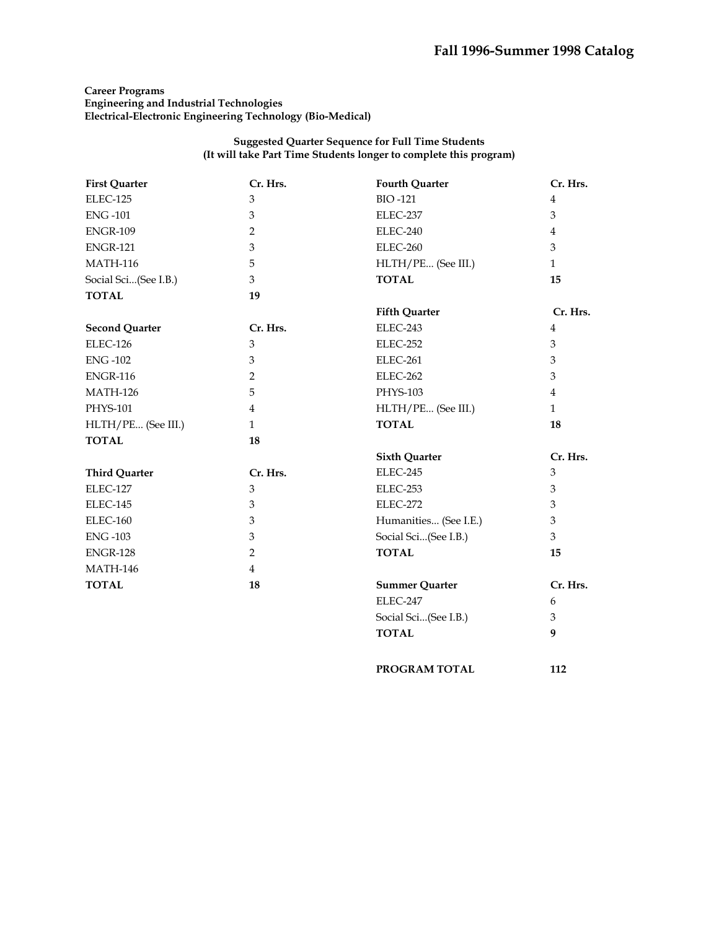# **Career Programs Engineering and Industrial Technologies Electrical-Electronic Engineering Technology (Bio-Medical)**

#### **Suggested Quarter Sequence for Full Time Students (It will take Part Time Students longer to complete this program)**

| <b>First Quarter</b>  | Cr. Hrs.       | <b>Fourth Quarter</b> | Cr. Hrs.       |
|-----------------------|----------------|-----------------------|----------------|
| ELEC-125              | 3              | <b>BIO-121</b>        | $\overline{4}$ |
| <b>ENG-101</b>        | 3              | ELEC-237              | 3              |
| <b>ENGR-109</b>       | $\overline{2}$ | ELEC-240              | $\overline{4}$ |
| <b>ENGR-121</b>       | 3              | ELEC-260              | 3              |
| <b>MATH-116</b>       | 5              | HLTH/PE (See III.)    | $\mathbf{1}$   |
| Social Sci(See I.B.)  | 3              | <b>TOTAL</b>          | 15             |
| <b>TOTAL</b>          | 19             |                       |                |
|                       |                | <b>Fifth Quarter</b>  | Cr. Hrs.       |
| <b>Second Quarter</b> | Cr. Hrs.       | ELEC-243              | $\overline{4}$ |
| ELEC-126              | 3              | ELEC-252              | $\mathfrak{Z}$ |
| <b>ENG-102</b>        | 3              | ELEC-261              | $\mathfrak{Z}$ |
| <b>ENGR-116</b>       | 2              | ELEC-262              | $\mathfrak{Z}$ |
| <b>MATH-126</b>       | 5              | PHYS-103              | $\overline{4}$ |
| PHYS-101              | $\overline{4}$ | HLTH/PE (See III.)    | $\mathbf{1}$   |
| HLTH/PE (See III.)    | $\mathbf{1}$   | <b>TOTAL</b>          | 18             |
| <b>TOTAL</b>          | 18             |                       |                |
|                       |                | <b>Sixth Quarter</b>  | Cr. Hrs.       |
| <b>Third Quarter</b>  | Cr. Hrs.       | ELEC-245              | 3              |
| ELEC-127              | 3              | ELEC-253              | $\mathfrak{Z}$ |
| ELEC-145              | $\mathfrak{Z}$ | ELEC-272              | $\mathfrak{Z}$ |
| <b>ELEC-160</b>       | 3              | Humanities (See I.E.) | $\mathfrak{Z}$ |
| <b>ENG-103</b>        | $\mathfrak{Z}$ | Social Sci(See I.B.)  | $\mathfrak{Z}$ |
| <b>ENGR-128</b>       | $\overline{2}$ | <b>TOTAL</b>          | 15             |
| <b>MATH-146</b>       | $\overline{4}$ |                       |                |
| <b>TOTAL</b>          | 18             | <b>Summer Quarter</b> | Cr. Hrs.       |
|                       |                | ELEC-247              | 6              |
|                       |                | Social Sci(See I.B.)  | 3              |
|                       |                | <b>TOTAL</b>          | 9              |
|                       |                |                       |                |

PROGRAM TOTAL 112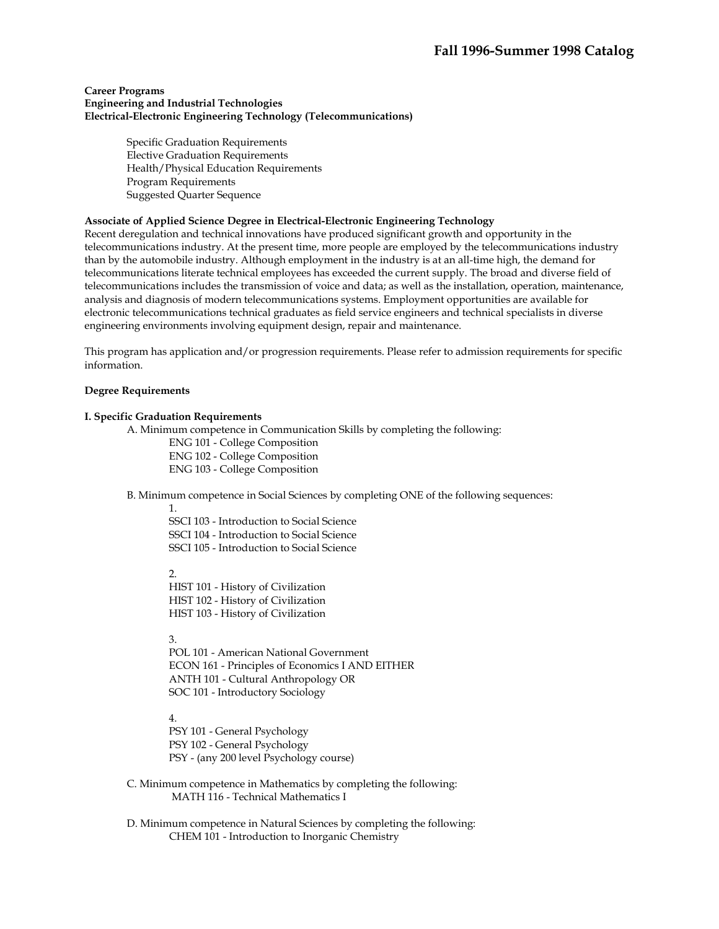#### **Career Programs Engineering and Industrial Technologies Electrical-Electronic Engineering Technology (Telecommunications)**

Specific Graduation Requirements Elective Graduation Requirements Health/Physical Education Requirements Program Requirements Suggested Quarter Sequence

#### **Associate of Applied Science Degree in Electrical-Electronic Engineering Technology**

Recent deregulation and technical innovations have produced significant growth and opportunity in the telecommunications industry. At the present time, more people are employed by the telecommunications industry than by the automobile industry. Although employment in the industry is at an all-time high, the demand for telecommunications literate technical employees has exceeded the current supply. The broad and diverse field of telecommunications includes the transmission of voice and data; as well as the installation, operation, maintenance, analysis and diagnosis of modern telecommunications systems. Employment opportunities are available for electronic telecommunications technical graduates as field service engineers and technical specialists in diverse engineering environments involving equipment design, repair and maintenance.

This program has application and/or progression requirements. Please refer to admission requirements for specific information.

#### **Degree Requirements**

#### **I. Specific Graduation Requirements**

A. Minimum competence in Communication Skills by completing the following:

ENG 101 - College Composition ENG 102 - College Composition

ENG 103 - College Composition

B. Minimum competence in Social Sciences by completing ONE of the following sequences:

1.

SSCI 103 - Introduction to Social Science SSCI 104 - Introduction to Social Science SSCI 105 - Introduction to Social Science

 $\mathcal{D}$ 

HIST 101 - History of Civilization HIST 102 - History of Civilization HIST 103 - History of Civilization

3.

POL 101 - American National Government ECON 161 - Principles of Economics I AND EITHER ANTH 101 - Cultural Anthropology OR SOC 101 - Introductory Sociology

4.

PSY 101 - General Psychology PSY 102 - General Psychology PSY - (any 200 level Psychology course)

 C. Minimum competence in Mathematics by completing the following: MATH 116 - Technical Mathematics I

 D. Minimum competence in Natural Sciences by completing the following: CHEM 101 - Introduction to Inorganic Chemistry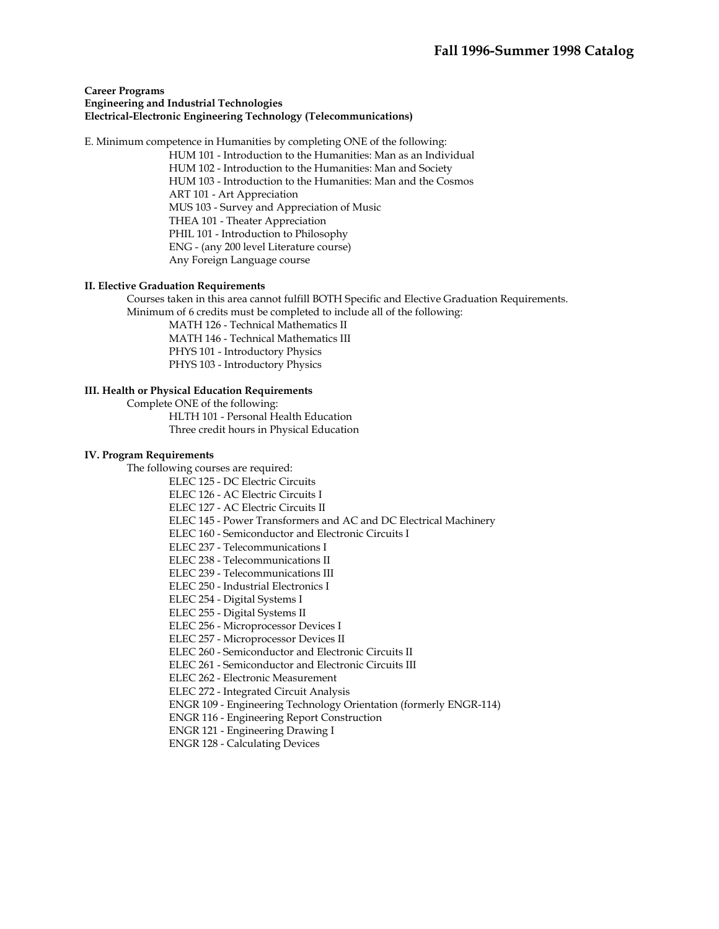#### **Career Programs Engineering and Industrial Technologies Electrical-Electronic Engineering Technology (Telecommunications)**

E. Minimum competence in Humanities by completing ONE of the following:

HUM 101 - Introduction to the Humanities: Man as an Individual

HUM 102 - Introduction to the Humanities: Man and Society HUM 103 - Introduction to the Humanities: Man and the Cosmos ART 101 - Art Appreciation MUS 103 - Survey and Appreciation of Music THEA 101 - Theater Appreciation PHIL 101 - Introduction to Philosophy ENG - (any 200 level Literature course) Any Foreign Language course

# **II. Elective Graduation Requirements**

 Courses taken in this area cannot fulfill BOTH Specific and Elective Graduation Requirements. Minimum of 6 credits must be completed to include all of the following:

MATH 126 - Technical Mathematics II MATH 146 - Technical Mathematics III PHYS 101 - Introductory Physics PHYS 103 - Introductory Physics

**III. Health or Physical Education Requirements** 

 Complete ONE of the following: HLTH 101 - Personal Health Education Three credit hours in Physical Education

#### **IV. Program Requirements**

The following courses are required:

ELEC 125 - DC Electric Circuits

ELEC 126 - AC Electric Circuits I

ELEC 127 - AC Electric Circuits II

ELEC 145 - Power Transformers and AC and DC Electrical Machinery

ELEC 160 - Semiconductor and Electronic Circuits I

ELEC 237 - Telecommunications I

ELEC 238 - Telecommunications II

ELEC 239 - Telecommunications III

ELEC 250 - Industrial Electronics I

ELEC 254 - Digital Systems I

ELEC 255 - Digital Systems II

ELEC 256 - Microprocessor Devices I

ELEC 257 - Microprocessor Devices II

ELEC 260 - Semiconductor and Electronic Circuits II

ELEC 261 - Semiconductor and Electronic Circuits III

ELEC 262 - Electronic Measurement

ELEC 272 - Integrated Circuit Analysis

ENGR 109 - Engineering Technology Orientation (formerly ENGR-114)

ENGR 116 - Engineering Report Construction

ENGR 121 - Engineering Drawing I

ENGR 128 - Calculating Devices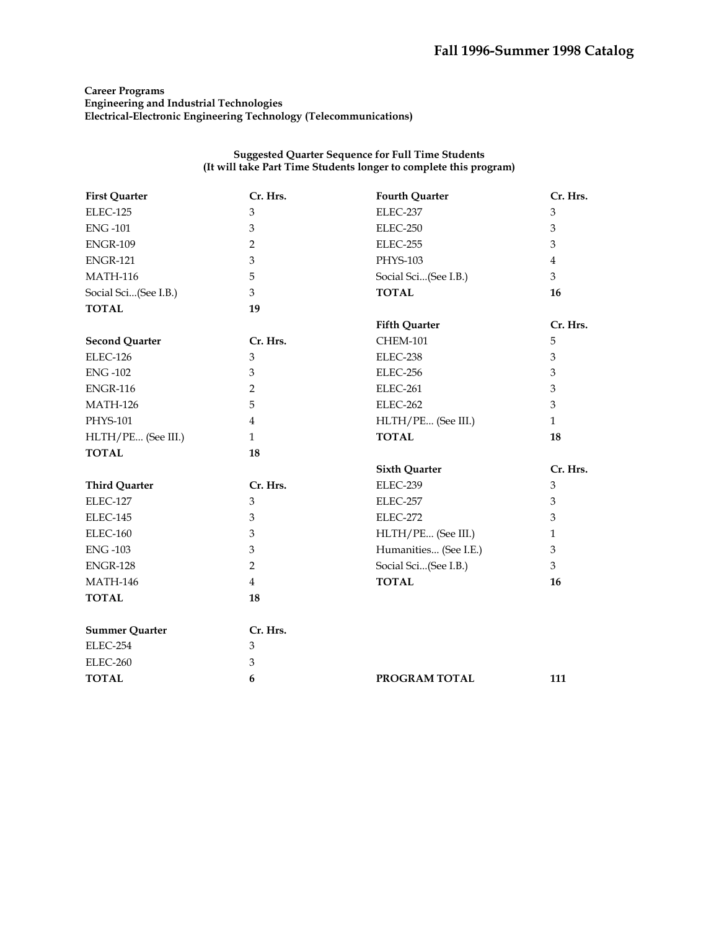# **Career Programs Engineering and Industrial Technologies Electrical-Electronic Engineering Technology (Telecommunications)**

| <b>First Quarter</b>  | Cr. Hrs.       | <b>Fourth Quarter</b> | Cr. Hrs.       |
|-----------------------|----------------|-----------------------|----------------|
| ELEC-125              | 3              | ELEC-237              | $\mathfrak{B}$ |
| <b>ENG-101</b>        | 3              | ELEC-250              | 3              |
| <b>ENGR-109</b>       | $\overline{2}$ | ELEC-255              | 3              |
| <b>ENGR-121</b>       | 3              | PHYS-103              | 4              |
| <b>MATH-116</b>       | 5              | Social Sci(See I.B.)  | 3              |
| Social Sci(See I.B.)  | 3              | <b>TOTAL</b>          | 16             |
| <b>TOTAL</b>          | 19             |                       |                |
|                       |                | <b>Fifth Quarter</b>  | Cr. Hrs.       |
| <b>Second Quarter</b> | Cr. Hrs.       | <b>CHEM-101</b>       | 5              |
| ELEC-126              | $\mathfrak{Z}$ | ELEC-238              | 3              |
| <b>ENG-102</b>        | $\mathfrak{Z}$ | ELEC-256              | 3              |
| <b>ENGR-116</b>       | $\overline{2}$ | ELEC-261              | 3              |
| <b>MATH-126</b>       | 5              | ELEC-262              | 3              |
| PHYS-101              | $\overline{4}$ | HLTH/PE (See III.)    | $\mathbf{1}$   |
| HLTH/PE (See III.)    | $\mathbf{1}$   | <b>TOTAL</b>          | 18             |
| <b>TOTAL</b>          | 18             |                       |                |
|                       |                | <b>Sixth Quarter</b>  | Cr. Hrs.       |
| <b>Third Quarter</b>  | Cr. Hrs.       | ELEC-239              | 3              |
| ELEC-127              | $\mathfrak{B}$ | ELEC-257              | 3              |
| ELEC-145              | $\mathfrak{Z}$ | ELEC-272              | 3              |
| ELEC-160              | $\mathfrak{Z}$ | HLTH/PE (See III.)    | $\mathbf{1}$   |
| <b>ENG-103</b>        | $\mathfrak{Z}$ | Humanities (See I.E.) | 3              |
| <b>ENGR-128</b>       | $\overline{2}$ | Social Sci(See I.B.)  | 3              |
| <b>MATH-146</b>       | $\overline{4}$ | <b>TOTAL</b>          | 16             |
| <b>TOTAL</b>          | 18             |                       |                |
|                       |                |                       |                |
| <b>Summer Quarter</b> | Cr. Hrs.       |                       |                |
| ELEC-254              | 3              |                       |                |
| ELEC-260              | 3              |                       |                |
| <b>TOTAL</b>          | 6              | PROGRAM TOTAL         | 111            |
|                       |                |                       |                |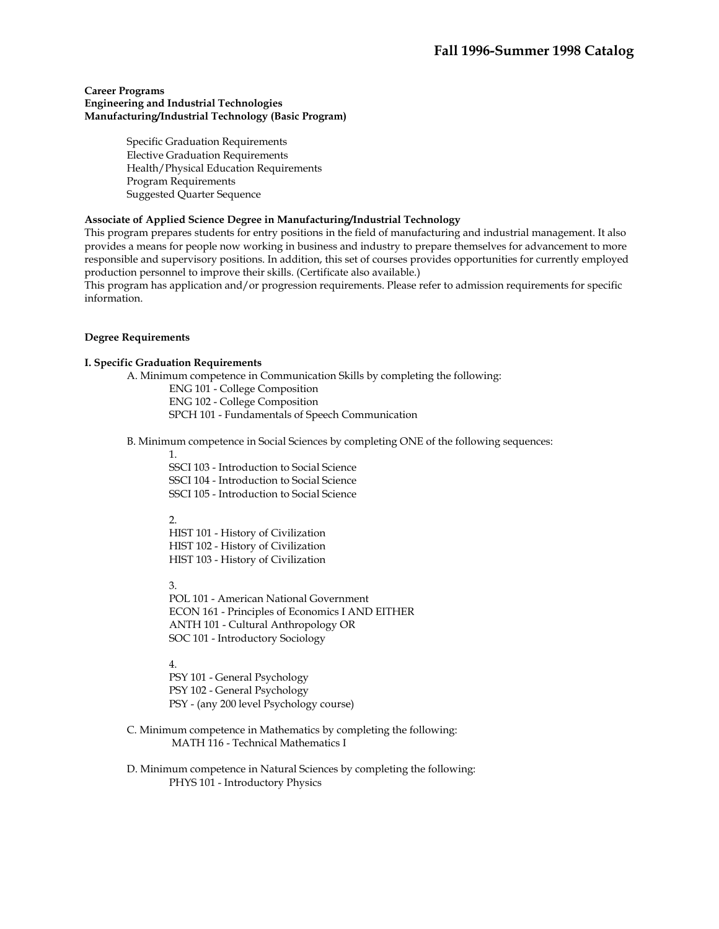#### **Career Programs Engineering and Industrial Technologies Manufacturing/Industrial Technology (Basic Program)**

Specific Graduation Requirements Elective Graduation Requirements Health/Physical Education Requirements Program Requirements Suggested Quarter Sequence

# **Associate of Applied Science Degree in Manufacturing/Industrial Technology**

This program prepares students for entry positions in the field of manufacturing and industrial management. It also provides a means for people now working in business and industry to prepare themselves for advancement to more responsible and supervisory positions. In addition, this set of courses provides opportunities for currently employed production personnel to improve their skills. (Certificate also available.)

This program has application and/or progression requirements. Please refer to admission requirements for specific information.

#### **Degree Requirements**

#### **I. Specific Graduation Requirements**

 A. Minimum competence in Communication Skills by completing the following: ENG 101 - College Composition ENG 102 - College Composition SPCH 101 - Fundamentals of Speech Communication

B. Minimum competence in Social Sciences by completing ONE of the following sequences:

1.

SSCI 103 - Introduction to Social Science SSCI 104 - Introduction to Social Science SSCI 105 - Introduction to Social Science

#### 2.

HIST 101 - History of Civilization HIST 102 - History of Civilization HIST 103 - History of Civilization

3.

POL 101 - American National Government ECON 161 - Principles of Economics I AND EITHER ANTH 101 - Cultural Anthropology OR SOC 101 - Introductory Sociology

4.

PSY 101 - General Psychology PSY 102 - General Psychology PSY - (any 200 level Psychology course)

- C. Minimum competence in Mathematics by completing the following: MATH 116 - Technical Mathematics I
- D. Minimum competence in Natural Sciences by completing the following: PHYS 101 - Introductory Physics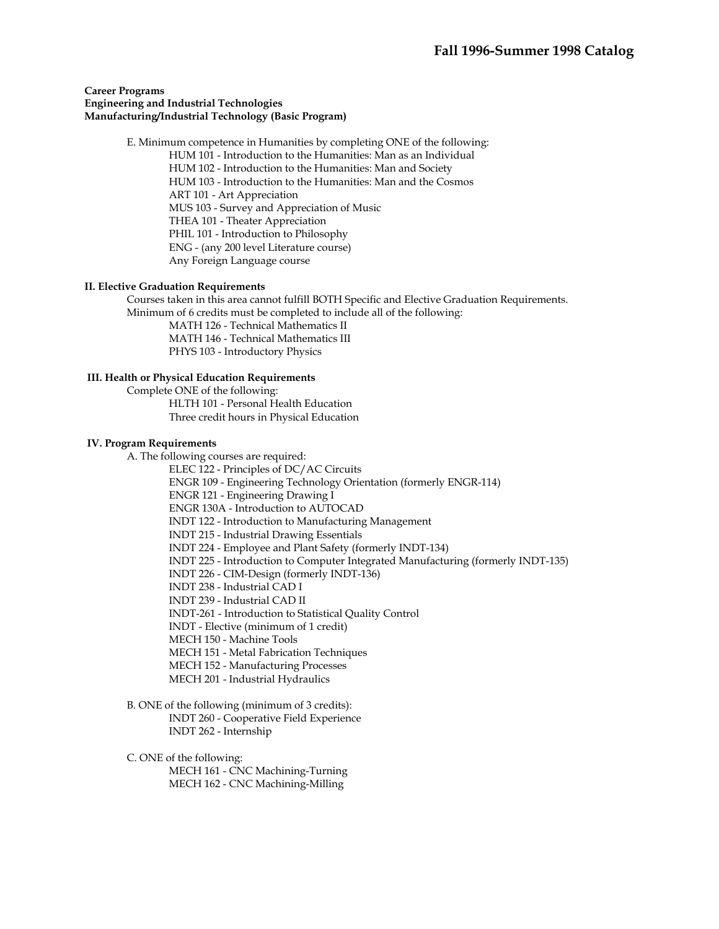#### **Career Programs Engineering and Industrial Technologies Manufacturing/Industrial Technology (Basic Program)**

 E. Minimum competence in Humanities by completing ONE of the following: HUM 101 - Introduction to the Humanities: Man as an Individual HUM 102 - Introduction to the Humanities: Man and Society HUM 103 - Introduction to the Humanities: Man and the Cosmos ART 101 - Art Appreciation MUS 103 - Survey and Appreciation of Music THEA 101 - Theater Appreciation PHIL 101 - Introduction to Philosophy ENG - (any 200 level Literature course) Any Foreign Language course

#### **II. Elective Graduation Requirements**

 Courses taken in this area cannot fulfill BOTH Specific and Elective Graduation Requirements. Minimum of 6 credits must be completed to include all of the following:

 MATH 126 - Technical Mathematics II MATH 146 - Technical Mathematics III

PHYS 103 - Introductory Physics

#### **III. Health or Physical Education Requirements**

 Complete ONE of the following: HLTH 101 - Personal Health Education Three credit hours in Physical Education

#### **IV. Program Requirements**

A. The following courses are required:

ELEC 122 - Principles of DC/AC Circuits

ENGR 109 - Engineering Technology Orientation (formerly ENGR-114)

ENGR 121 - Engineering Drawing I

ENGR 130A - Introduction to AUTOCAD

INDT 122 - Introduction to Manufacturing Management

INDT 215 - Industrial Drawing Essentials

INDT 224 - Employee and Plant Safety (formerly INDT-134)

INDT 225 - Introduction to Computer Integrated Manufacturing (formerly INDT-135)

INDT 226 - CIM-Design (formerly INDT-136)

INDT 238 - Industrial CAD I

INDT 239 - Industrial CAD II

INDT-261 - Introduction to Statistical Quality Control

INDT - Elective (minimum of 1 credit)

MECH 150 - Machine Tools

MECH 151 - Metal Fabrication Techniques

MECH 152 - Manufacturing Processes

MECH 201 - Industrial Hydraulics

 B. ONE of the following (minimum of 3 credits): INDT 260 - Cooperative Field Experience INDT 262 - Internship

C. ONE of the following:

 MECH 161 - CNC Machining-Turning MECH 162 - CNC Machining-Milling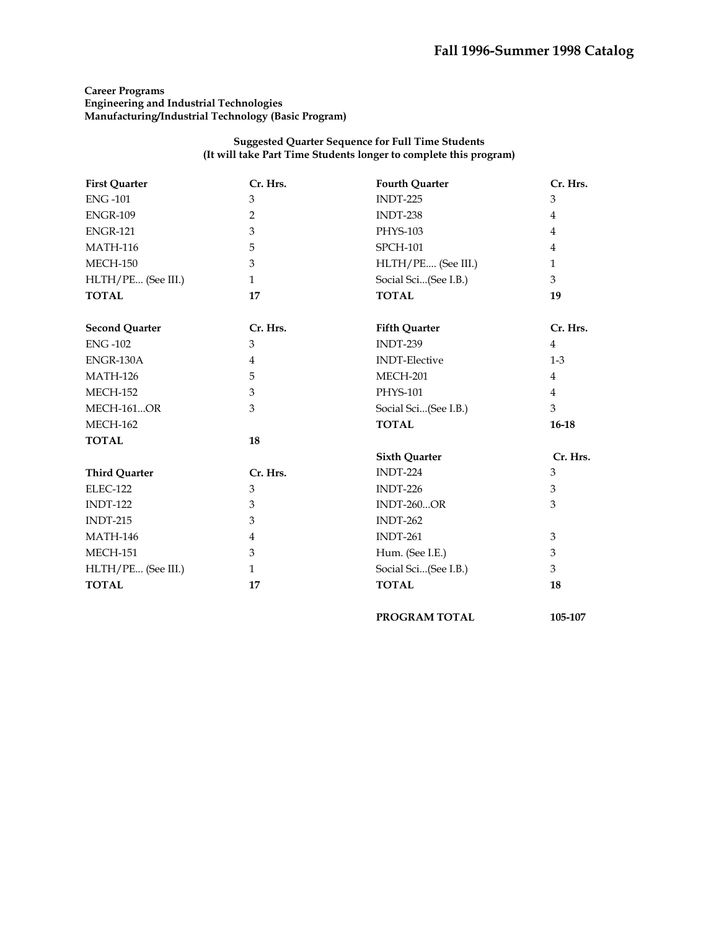# **Career Programs Engineering and Industrial Technologies Manufacturing/Industrial Technology (Basic Program)**

| <b>First Quarter</b>  | Cr. Hrs.       | <b>Fourth Quarter</b> | Cr. Hrs.       |
|-----------------------|----------------|-----------------------|----------------|
| <b>ENG-101</b>        | 3              | <b>INDT-225</b>       | 3              |
| <b>ENGR-109</b>       | $\overline{2}$ | INDT-238              | 4              |
| <b>ENGR-121</b>       | 3              | PHYS-103              | $\overline{4}$ |
| <b>MATH-116</b>       | 5              | <b>SPCH-101</b>       | 4              |
| <b>MECH-150</b>       | 3              | HLTH/PE (See III.)    | $\mathbf{1}$   |
| HLTH/PE (See III.)    | $\mathbf{1}$   | Social Sci(See I.B.)  | 3              |
| <b>TOTAL</b>          | 17             | <b>TOTAL</b>          | 19             |
| <b>Second Quarter</b> | Cr. Hrs.       | <b>Fifth Quarter</b>  | Cr. Hrs.       |
| <b>ENG-102</b>        | 3              | INDT-239              | $\overline{4}$ |
| ENGR-130A             | $\overline{4}$ | <b>INDT-Elective</b>  | $1-3$          |
| <b>MATH-126</b>       | 5              | <b>MECH-201</b>       | $\overline{4}$ |
| <b>MECH-152</b>       | 3              | PHYS-101              | $\overline{4}$ |
| <b>MECH-161OR</b>     | 3              | Social Sci(See I.B.)  | 3              |
| <b>MECH-162</b>       |                | <b>TOTAL</b>          | $16-18$        |
| <b>TOTAL</b>          | 18             |                       |                |
|                       |                | <b>Sixth Quarter</b>  | Cr. Hrs.       |
| <b>Third Quarter</b>  | Cr. Hrs.       | <b>INDT-224</b>       | 3              |
| <b>ELEC-122</b>       | 3              | $INDT-226$            | 3              |
| <b>INDT-122</b>       | 3              | <b>INDT-260OR</b>     | 3              |
| <b>INDT-215</b>       | 3              | $INDT-262$            |                |
| <b>MATH-146</b>       | $\overline{4}$ | <b>INDT-261</b>       | 3              |
| <b>MECH-151</b>       | 3              | Hum. (See I.E.)       | $\mathfrak{Z}$ |
| HLTH/PE (See III.)    | $\mathbf{1}$   | Social Sci(See I.B.)  | 3              |
| <b>TOTAL</b>          | 17             | <b>TOTAL</b>          | 18             |
|                       |                | <b>PROGRAM TOTAL</b>  | 105-107        |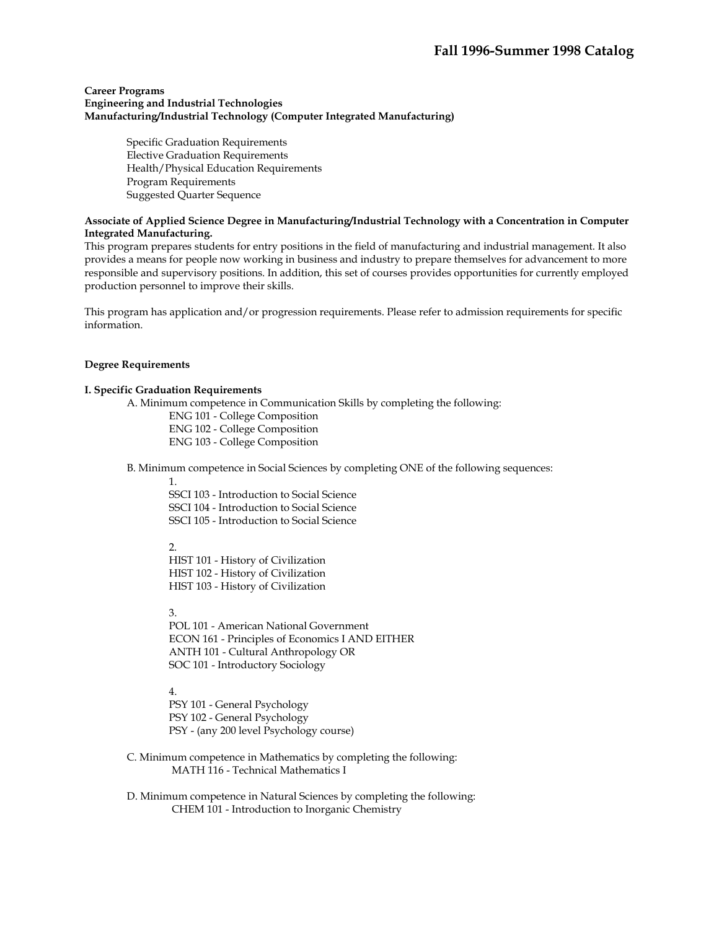#### **Career Programs Engineering and Industrial Technologies Manufacturing/Industrial Technology (Computer Integrated Manufacturing)**

Specific Graduation Requirements Elective Graduation Requirements Health/Physical Education Requirements Program Requirements Suggested Quarter Sequence

#### **Associate of Applied Science Degree in Manufacturing/Industrial Technology with a Concentration in Computer Integrated Manufacturing.**

This program prepares students for entry positions in the field of manufacturing and industrial management. It also provides a means for people now working in business and industry to prepare themselves for advancement to more responsible and supervisory positions. In addition, this set of courses provides opportunities for currently employed production personnel to improve their skills.

This program has application and/or progression requirements. Please refer to admission requirements for specific information.

#### **Degree Requirements**

#### **I. Specific Graduation Requirements**

A. Minimum competence in Communication Skills by completing the following:

ENG 101 - College Composition ENG 102 - College Composition ENG 103 - College Composition

B. Minimum competence in Social Sciences by completing ONE of the following sequences:

1.

SSCI 103 - Introduction to Social Science SSCI 104 - Introduction to Social Science SSCI 105 - Introduction to Social Science

 $2.5$ 

HIST 101 - History of Civilization HIST 102 - History of Civilization HIST 103 - History of Civilization

3.

POL 101 - American National Government ECON 161 - Principles of Economics I AND EITHER ANTH 101 - Cultural Anthropology OR SOC 101 - Introductory Sociology

4.

PSY 101 - General Psychology PSY 102 - General Psychology PSY - (any 200 level Psychology course)

 C. Minimum competence in Mathematics by completing the following: MATH 116 - Technical Mathematics I

 D. Minimum competence in Natural Sciences by completing the following: CHEM 101 - Introduction to Inorganic Chemistry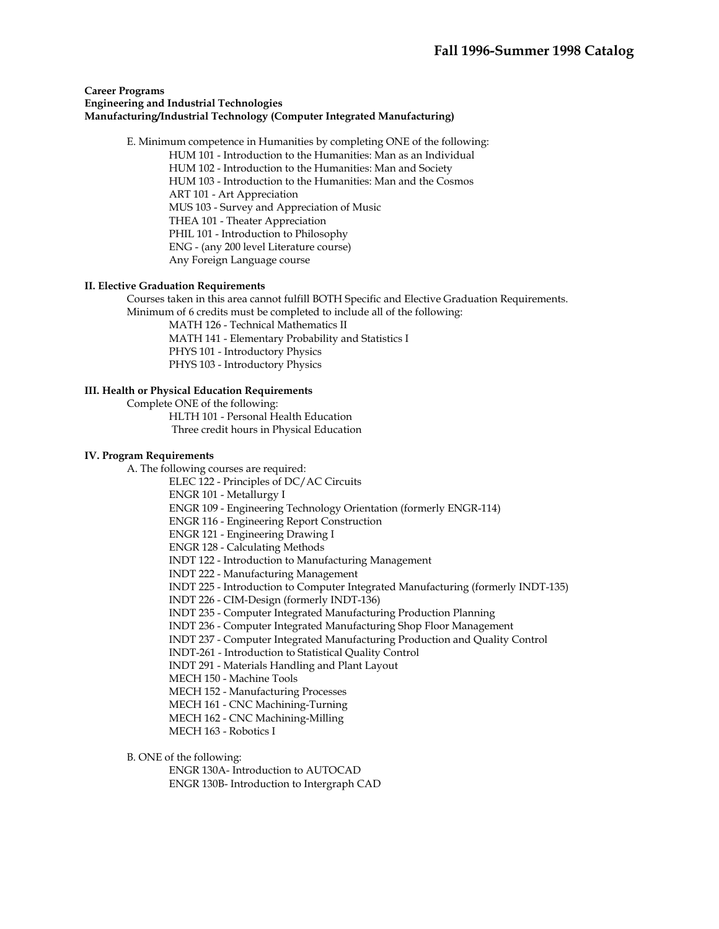#### **Career Programs Engineering and Industrial Technologies Manufacturing/Industrial Technology (Computer Integrated Manufacturing)**

E. Minimum competence in Humanities by completing ONE of the following:

HUM 101 - Introduction to the Humanities: Man as an Individual

HUM 102 - Introduction to the Humanities: Man and Society HUM 103 - Introduction to the Humanities: Man and the Cosmos ART 101 - Art Appreciation MUS 103 - Survey and Appreciation of Music THEA 101 - Theater Appreciation PHIL 101 - Introduction to Philosophy ENG - (any 200 level Literature course) Any Foreign Language course

# **II. Elective Graduation Requirements**

 Courses taken in this area cannot fulfill BOTH Specific and Elective Graduation Requirements. Minimum of 6 credits must be completed to include all of the following:

MATH 126 - Technical Mathematics II MATH 141 - Elementary Probability and Statistics I PHYS 101 - Introductory Physics PHYS 103 - Introductory Physics

# **III. Health or Physical Education Requirements**

Complete ONE of the following:

 HLTH 101 - Personal Health Education Three credit hours in Physical Education

#### **IV. Program Requirements**

A. The following courses are required:

ELEC 122 - Principles of DC/AC Circuits

ENGR 101 - Metallurgy I

ENGR 109 - Engineering Technology Orientation (formerly ENGR-114)

ENGR 116 - Engineering Report Construction

ENGR 121 - Engineering Drawing I

ENGR 128 - Calculating Methods

INDT 122 - Introduction to Manufacturing Management

INDT 222 - Manufacturing Management

INDT 225 - Introduction to Computer Integrated Manufacturing (formerly INDT-135)

INDT 226 - CIM-Design (formerly INDT-136)

INDT 235 - Computer Integrated Manufacturing Production Planning

INDT 236 - Computer Integrated Manufacturing Shop Floor Management

INDT 237 - Computer Integrated Manufacturing Production and Quality Control

INDT-261 - Introduction to Statistical Quality Control

INDT 291 - Materials Handling and Plant Layout

MECH 150 - Machine Tools

MECH 152 - Manufacturing Processes

MECH 161 - CNC Machining-Turning

MECH 162 - CNC Machining-Milling

MECH 163 - Robotics I

B. ONE of the following:

ENGR 130A- Introduction to AUTOCAD ENGR 130B- Introduction to Intergraph CAD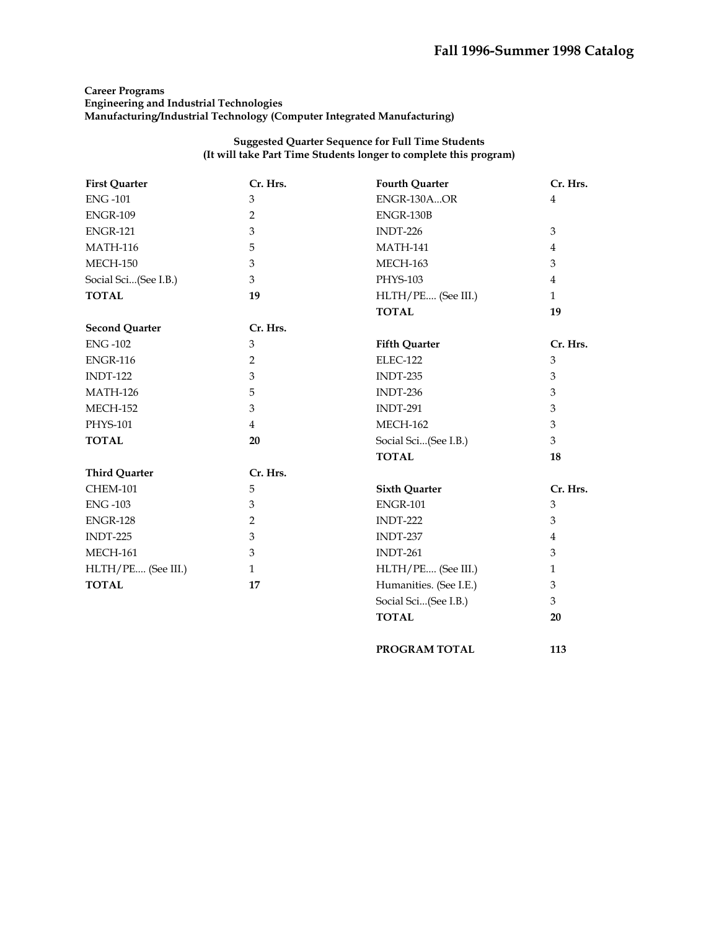# **Career Programs Engineering and Industrial Technologies Manufacturing/Industrial Technology (Computer Integrated Manufacturing)**

# **Suggested Quarter Sequence for Full Time Students (It will take Part Time Students longer to complete this program)**

| <b>First Quarter</b>  | Cr. Hrs.       | <b>Fourth Quarter</b>  | Cr. Hrs.       |
|-----------------------|----------------|------------------------|----------------|
| <b>ENG-101</b>        | $\mathfrak{Z}$ | ENGR-130AOR            | $\overline{4}$ |
| <b>ENGR-109</b>       | $\overline{2}$ | ENGR-130B              |                |
| <b>ENGR-121</b>       | 3              | $INDT-226$             | 3              |
| <b>MATH-116</b>       | 5              | <b>MATH-141</b>        | 4              |
| <b>MECH-150</b>       | 3              | <b>MECH-163</b>        | 3              |
| Social Sci(See I.B.)  | 3              | PHYS-103               | $\overline{4}$ |
| <b>TOTAL</b>          | 19             | HLTH/PE (See III.)     | $\mathbf{1}$   |
|                       |                | <b>TOTAL</b>           | 19             |
| <b>Second Quarter</b> | Cr. Hrs.       |                        |                |
| <b>ENG-102</b>        | 3              | <b>Fifth Quarter</b>   | Cr. Hrs.       |
| <b>ENGR-116</b>       | 2              | ELEC-122               | 3              |
| <b>INDT-122</b>       | 3              | <b>INDT-235</b>        | 3              |
| <b>MATH-126</b>       | 5              | INDT-236               | 3              |
| <b>MECH-152</b>       | $\mathfrak{Z}$ | <b>INDT-291</b>        | 3              |
| PHYS-101              | $\overline{4}$ | <b>MECH-162</b>        | 3              |
| <b>TOTAL</b>          | 20             | Social Sci(See I.B.)   | 3              |
|                       |                | <b>TOTAL</b>           | 18             |
| <b>Third Quarter</b>  | Cr. Hrs.       |                        |                |
| <b>CHEM-101</b>       | 5              | <b>Sixth Quarter</b>   | Cr. Hrs.       |
| <b>ENG-103</b>        | 3              | <b>ENGR-101</b>        | 3              |
| <b>ENGR-128</b>       | 2              | <b>INDT-222</b>        | 3              |
| <b>INDT-225</b>       | $\mathfrak{B}$ | <b>INDT-237</b>        | $\overline{4}$ |
| <b>MECH-161</b>       | 3              | <b>INDT-261</b>        | 3              |
| HLTH/PE (See III.)    | $\mathbf{1}$   | HLTH/PE (See III.)     | $\mathbf{1}$   |
| <b>TOTAL</b>          | 17             | Humanities. (See I.E.) | 3              |
|                       |                | Social Sci(See I.B.)   | 3              |
|                       |                | <b>TOTAL</b>           | 20             |
|                       |                |                        |                |

**PROGRAM TOTAL 113**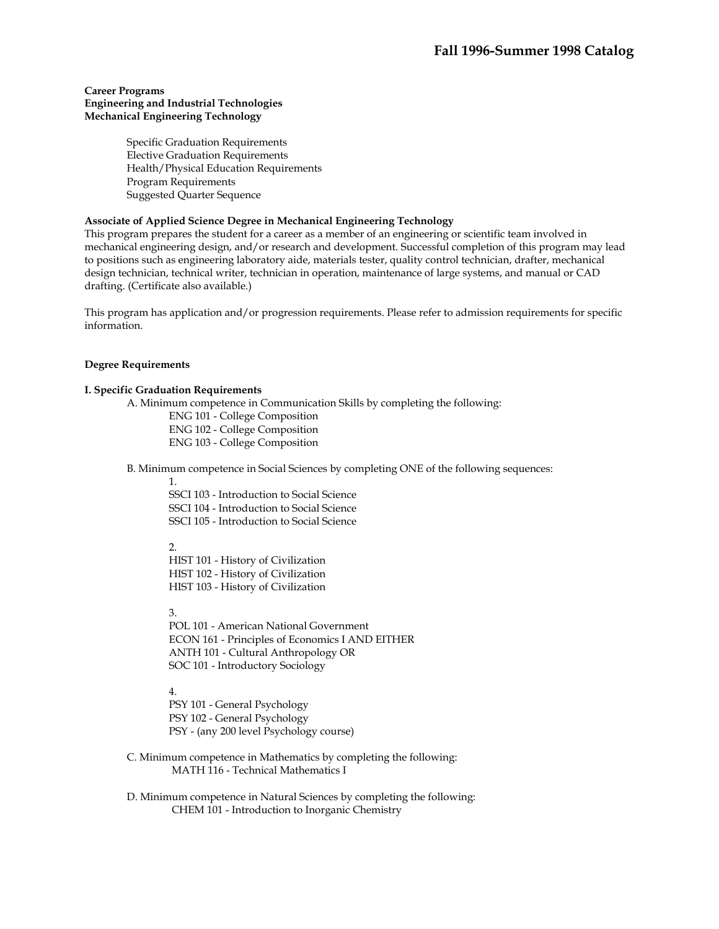#### **Career Programs Engineering and Industrial Technologies Mechanical Engineering Technology**

Specific Graduation Requirements Elective Graduation Requirements Health/Physical Education Requirements Program Requirements Suggested Quarter Sequence

# **Associate of Applied Science Degree in Mechanical Engineering Technology**

This program prepares the student for a career as a member of an engineering or scientific team involved in mechanical engineering design, and/or research and development. Successful completion of this program may lead to positions such as engineering laboratory aide, materials tester, quality control technician, drafter, mechanical design technician, technical writer, technician in operation, maintenance of large systems, and manual or CAD drafting. (Certificate also available.)

This program has application and/or progression requirements. Please refer to admission requirements for specific information.

#### **Degree Requirements**

#### **I. Specific Graduation Requirements**

A. Minimum competence in Communication Skills by completing the following:

 ENG 101 - College Composition ENG 102 - College Composition ENG 103 - College Composition

B. Minimum competence in Social Sciences by completing ONE of the following sequences:

1.

SSCI 103 - Introduction to Social Science SSCI 104 - Introduction to Social Science SSCI 105 - Introduction to Social Science

 $\mathcal{L}$ 

HIST 101 - History of Civilization HIST 102 - History of Civilization HIST 103 - History of Civilization

3.

POL 101 - American National Government ECON 161 - Principles of Economics I AND EITHER ANTH 101 - Cultural Anthropology OR SOC 101 - Introductory Sociology

4.

PSY 101 - General Psychology PSY 102 - General Psychology PSY - (any 200 level Psychology course)

 C. Minimum competence in Mathematics by completing the following: MATH 116 - Technical Mathematics I

 D. Minimum competence in Natural Sciences by completing the following: CHEM 101 - Introduction to Inorganic Chemistry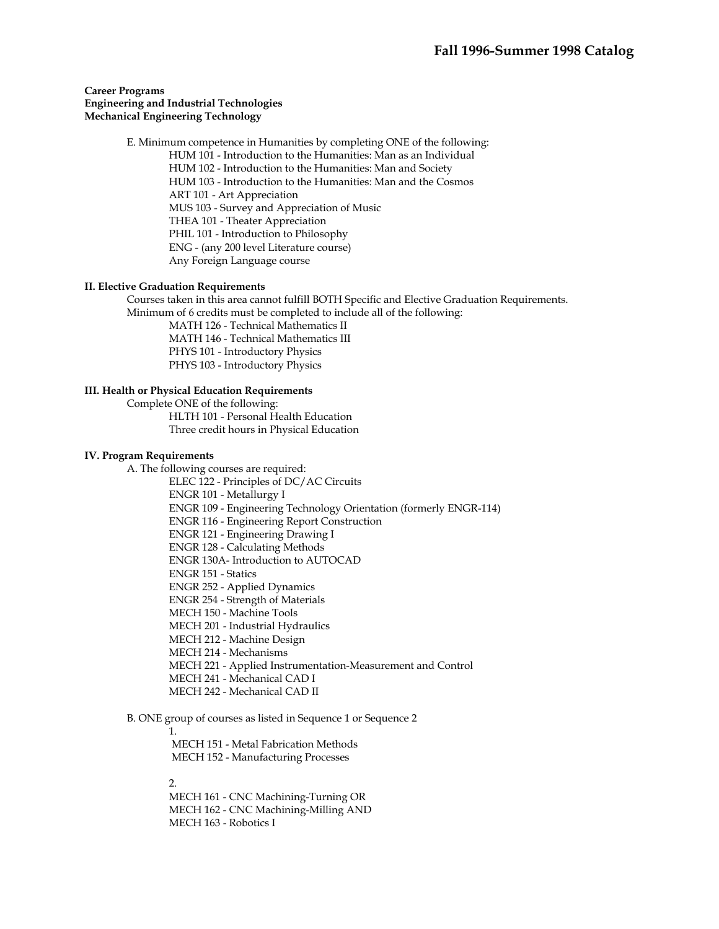#### **Career Programs Engineering and Industrial Technologies Mechanical Engineering Technology**

 E. Minimum competence in Humanities by completing ONE of the following: HUM 101 - Introduction to the Humanities: Man as an Individual HUM 102 - Introduction to the Humanities: Man and Society HUM 103 - Introduction to the Humanities: Man and the Cosmos ART 101 - Art Appreciation MUS 103 - Survey and Appreciation of Music THEA 101 - Theater Appreciation PHIL 101 - Introduction to Philosophy ENG - (any 200 level Literature course) Any Foreign Language course

#### **II. Elective Graduation Requirements**

 Courses taken in this area cannot fulfill BOTH Specific and Elective Graduation Requirements. Minimum of 6 credits must be completed to include all of the following:

> MATH 126 - Technical Mathematics II MATH 146 - Technical Mathematics III PHYS 101 - Introductory Physics PHYS 103 - Introductory Physics

#### **III. Health or Physical Education Requirements**

 Complete ONE of the following: HLTH 101 - Personal Health Education Three credit hours in Physical Education

#### **IV. Program Requirements**

A. The following courses are required:

 ELEC 122 - Principles of DC/AC Circuits ENGR 101 - Metallurgy I ENGR 109 - Engineering Technology Orientation (formerly ENGR-114) ENGR 116 - Engineering Report Construction ENGR 121 - Engineering Drawing I ENGR 128 - Calculating Methods ENGR 130A- Introduction to AUTOCAD ENGR 151 - Statics ENGR 252 - Applied Dynamics ENGR 254 - Strength of Materials MECH 150 - Machine Tools MECH 201 - Industrial Hydraulics MECH 212 - Machine Design MECH 214 - Mechanisms MECH 221 - Applied Instrumentation-Measurement and Control MECH 241 - Mechanical CAD I MECH 242 - Mechanical CAD II

B. ONE group of courses as listed in Sequence 1 or Sequence 2

 1. MECH 151 - Metal Fabrication Methods MECH 152 - Manufacturing Processes

#### 2.

 MECH 161 - CNC Machining-Turning OR MECH 162 - CNC Machining-Milling AND MECH 163 - Robotics I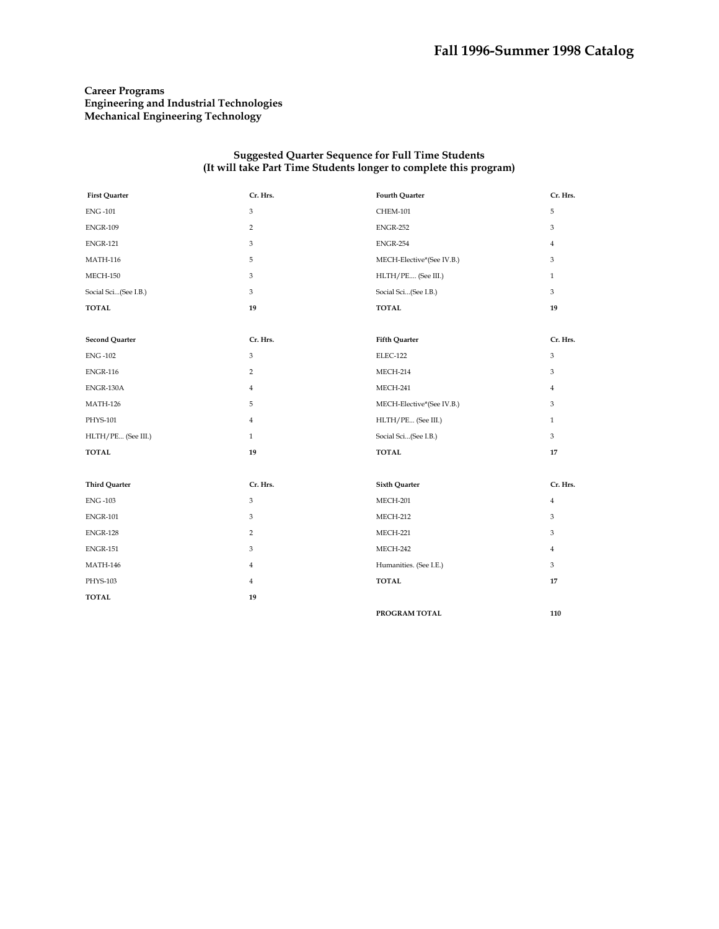# **Career Programs Engineering and Industrial Technologies Mechanical Engineering Technology**

| <b>First Quarter</b>  | Cr. Hrs.       | <b>Fourth Quarter</b>     | Cr. Hrs.       |
|-----------------------|----------------|---------------------------|----------------|
| <b>ENG-101</b>        | 3              | CHEM-101                  | 5              |
| <b>ENGR-109</b>       | 2              | <b>ENGR-252</b>           | 3              |
| <b>ENGR-121</b>       | 3              | <b>ENGR-254</b>           | $\overline{4}$ |
| <b>MATH-116</b>       | 5              | MECH-Elective*(See IV.B.) | 3              |
| MECH-150              | 3              | HLTH/PE (See III.)        | $\mathbf{1}$   |
| Social Sci(See I.B.)  | 3              | Social Sci(See I.B.)      | $\mathfrak{Z}$ |
| <b>TOTAL</b>          | 19             | <b>TOTAL</b>              | 19             |
|                       |                |                           |                |
| <b>Second Quarter</b> | Cr. Hrs.       | Fifth Quarter             | Cr. Hrs.       |
| <b>ENG-102</b>        | 3              | <b>ELEC-122</b>           | $^{\rm 3}$     |
| <b>ENGR-116</b>       | $\overline{2}$ | MECH-214                  | 3              |
| ENGR-130A             | $\overline{4}$ | MECH-241                  | $\overline{4}$ |
| <b>MATH-126</b>       | 5              | MECH-Elective*(See IV.B.) | 3              |
| PHYS-101              | 4              | HLTH/PE (See III.)        | $\mathbf{1}$   |
| HLTH/PE (See III.)    | $\mathbf{1}$   | Social Sci(See I.B.)      | $\mathfrak{Z}$ |
| <b>TOTAL</b>          | 19             | <b>TOTAL</b>              | 17             |
|                       |                |                           |                |
| <b>Third Quarter</b>  | Cr. Hrs.       | <b>Sixth Quarter</b>      | Cr. Hrs.       |
| <b>ENG-103</b>        | 3              | MECH-201                  | $\overline{4}$ |
| <b>ENGR-101</b>       | 3              | MECH-212                  | 3              |
| <b>ENGR-128</b>       | $\overline{2}$ | MECH-221                  | 3              |
| <b>ENGR-151</b>       | 3              | MECH-242                  | $\overline{4}$ |
| <b>MATH-146</b>       | 4              | Humanities. (See I.E.)    | 3              |
| PHYS-103              | $\overline{4}$ | <b>TOTAL</b>              | 17             |
| <b>TOTAL</b>          | 19             |                           |                |
|                       |                | PROGRAM TOTAL             | 110            |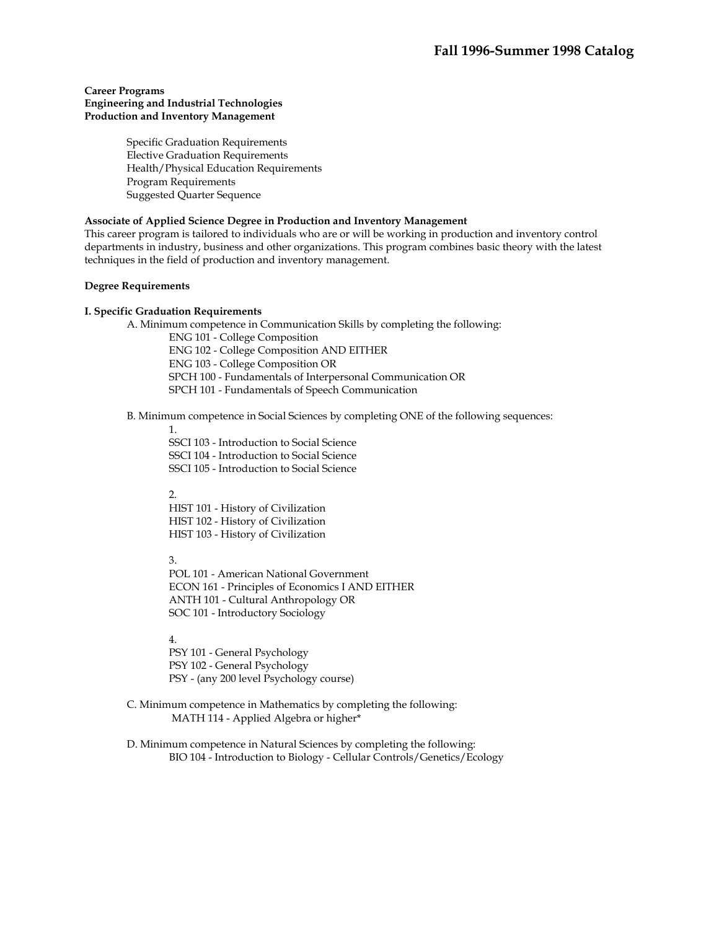#### **Career Programs Engineering and Industrial Technologies Production and Inventory Management**

Specific Graduation Requirements Elective Graduation Requirements Health/Physical Education Requirements Program Requirements Suggested Quarter Sequence

#### **Associate of Applied Science Degree in Production and Inventory Management**

This career program is tailored to individuals who are or will be working in production and inventory control departments in industry, business and other organizations. This program combines basic theory with the latest techniques in the field of production and inventory management.

#### **Degree Requirements**

#### **I. Specific Graduation Requirements**

A. Minimum competence in Communication Skills by completing the following:

ENG 101 - College Composition ENG 102 - College Composition AND EITHER ENG 103 - College Composition OR SPCH 100 - Fundamentals of Interpersonal Communication OR SPCH 101 - Fundamentals of Speech Communication

# B. Minimum competence in Social Sciences by completing ONE of the following sequences:

1.

SSCI 103 - Introduction to Social Science SSCI 104 - Introduction to Social Science SSCI 105 - Introduction to Social Science

2.

HIST 101 - History of Civilization HIST 102 - History of Civilization HIST 103 - History of Civilization

3.

POL 101 - American National Government ECON 161 - Principles of Economics I AND EITHER ANTH 101 - Cultural Anthropology OR SOC 101 - Introductory Sociology

4.

PSY 101 - General Psychology PSY 102 - General Psychology PSY - (any 200 level Psychology course)

 C. Minimum competence in Mathematics by completing the following: MATH 114 - Applied Algebra or higher\*

 D. Minimum competence in Natural Sciences by completing the following: BIO 104 - Introduction to Biology - Cellular Controls/Genetics/Ecology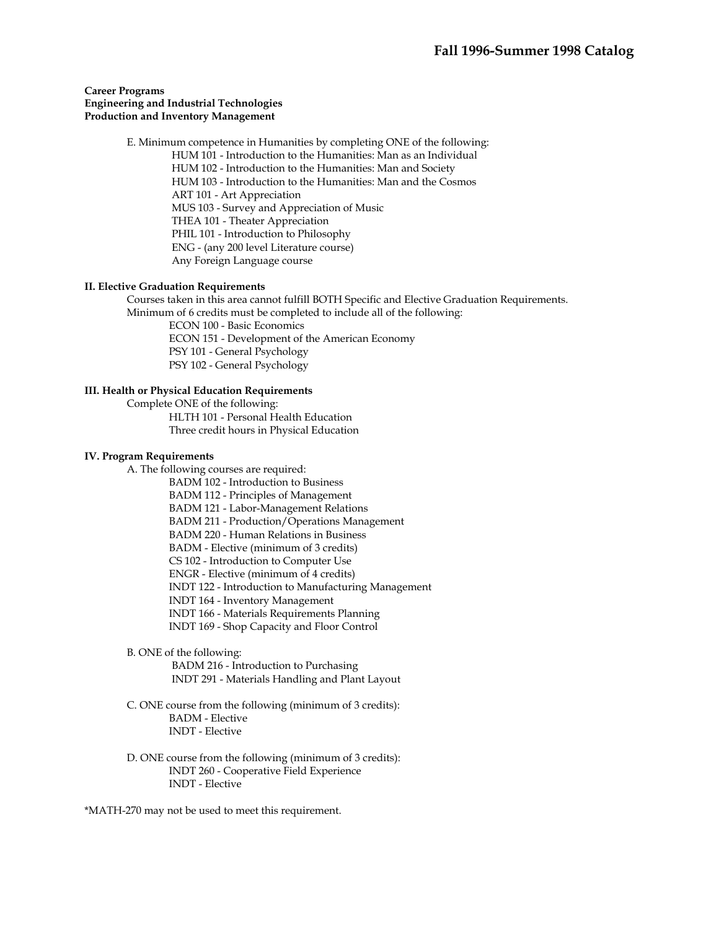#### **Career Programs Engineering and Industrial Technologies Production and Inventory Management**

 E. Minimum competence in Humanities by completing ONE of the following: HUM 101 - Introduction to the Humanities: Man as an Individual HUM 102 - Introduction to the Humanities: Man and Society HUM 103 - Introduction to the Humanities: Man and the Cosmos ART 101 - Art Appreciation MUS 103 - Survey and Appreciation of Music THEA 101 - Theater Appreciation PHIL 101 - Introduction to Philosophy ENG - (any 200 level Literature course) Any Foreign Language course

#### **II. Elective Graduation Requirements**

 Courses taken in this area cannot fulfill BOTH Specific and Elective Graduation Requirements. Minimum of 6 credits must be completed to include all of the following:

ECON 100 - Basic Economics ECON 151 - Development of the American Economy PSY 101 - General Psychology PSY 102 - General Psychology

#### **III. Health or Physical Education Requirements**

 Complete ONE of the following: HLTH 101 - Personal Health Education Three credit hours in Physical Education

#### **IV. Program Requirements**

A. The following courses are required:

- BADM 102 Introduction to Business
- BADM 112 Principles of Management
- BADM 121 Labor-Management Relations
- BADM 211 Production/Operations Management
- BADM 220 Human Relations in Business
- BADM Elective (minimum of 3 credits)
- CS 102 Introduction to Computer Use
- ENGR Elective (minimum of 4 credits)
- INDT 122 Introduction to Manufacturing Management
- INDT 164 Inventory Management
- INDT 166 Materials Requirements Planning
- INDT 169 Shop Capacity and Floor Control
- B. ONE of the following:

 BADM 216 - Introduction to Purchasing INDT 291 - Materials Handling and Plant Layout

- C. ONE course from the following (minimum of 3 credits): BADM - Elective INDT - Elective
- D. ONE course from the following (minimum of 3 credits): INDT 260 - Cooperative Field Experience INDT - Elective

\*MATH-270 may not be used to meet this requirement.